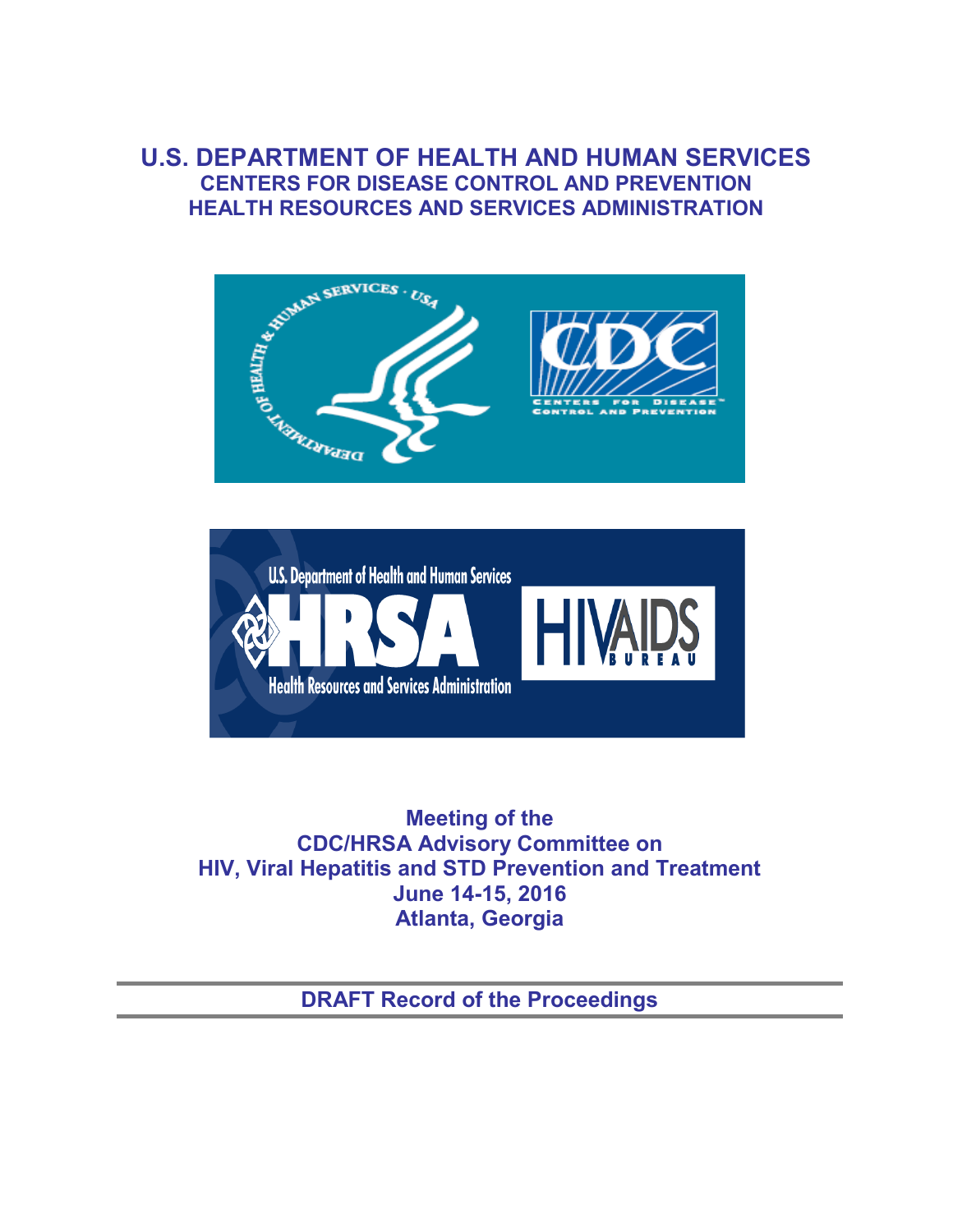## **U.S. DEPARTMENT OF HEALTH AND HUMAN SERVICES CENTERS FOR DISEASE CONTROL AND PREVENTION HEALTH RESOURCES AND SERVICES ADMINISTRATION**





**Meeting of the CDC/HRSA Advisory Committee on HIV, Viral Hepatitis and STD Prevention and Treatment June 14-15, 2016 Atlanta, Georgia** 

**DRAFT Record of the Proceedings**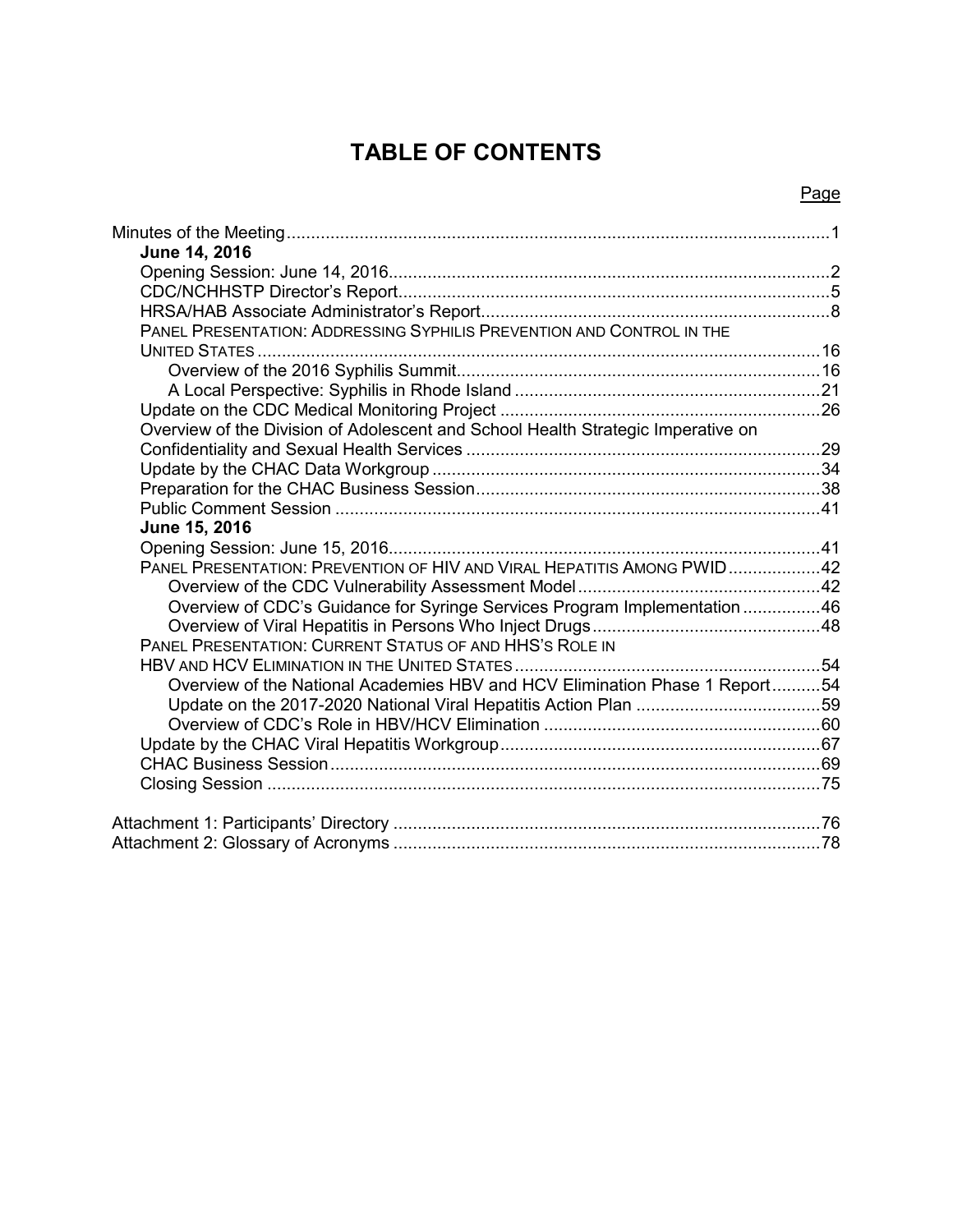# **TABLE OF CONTENTS**

## Page

| June 14, 2016                                                                    |  |
|----------------------------------------------------------------------------------|--|
|                                                                                  |  |
|                                                                                  |  |
|                                                                                  |  |
|                                                                                  |  |
| PANEL PRESENTATION: ADDRESSING SYPHILIS PREVENTION AND CONTROL IN THE            |  |
|                                                                                  |  |
|                                                                                  |  |
|                                                                                  |  |
|                                                                                  |  |
| Overview of the Division of Adolescent and School Health Strategic Imperative on |  |
|                                                                                  |  |
|                                                                                  |  |
|                                                                                  |  |
|                                                                                  |  |
| June 15, 2016                                                                    |  |
|                                                                                  |  |
| PANEL PRESENTATION: PREVENTION OF HIV AND VIRAL HEPATITIS AMONG PWID42           |  |
|                                                                                  |  |
| Overview of CDC's Guidance for Syringe Services Program Implementation46         |  |
|                                                                                  |  |
| PANEL PRESENTATION: CURRENT STATUS OF AND HHS'S ROLE IN                          |  |
|                                                                                  |  |
| Overview of the National Academies HBV and HCV Elimination Phase 1 Report54      |  |
|                                                                                  |  |
|                                                                                  |  |
|                                                                                  |  |
|                                                                                  |  |
|                                                                                  |  |
|                                                                                  |  |
|                                                                                  |  |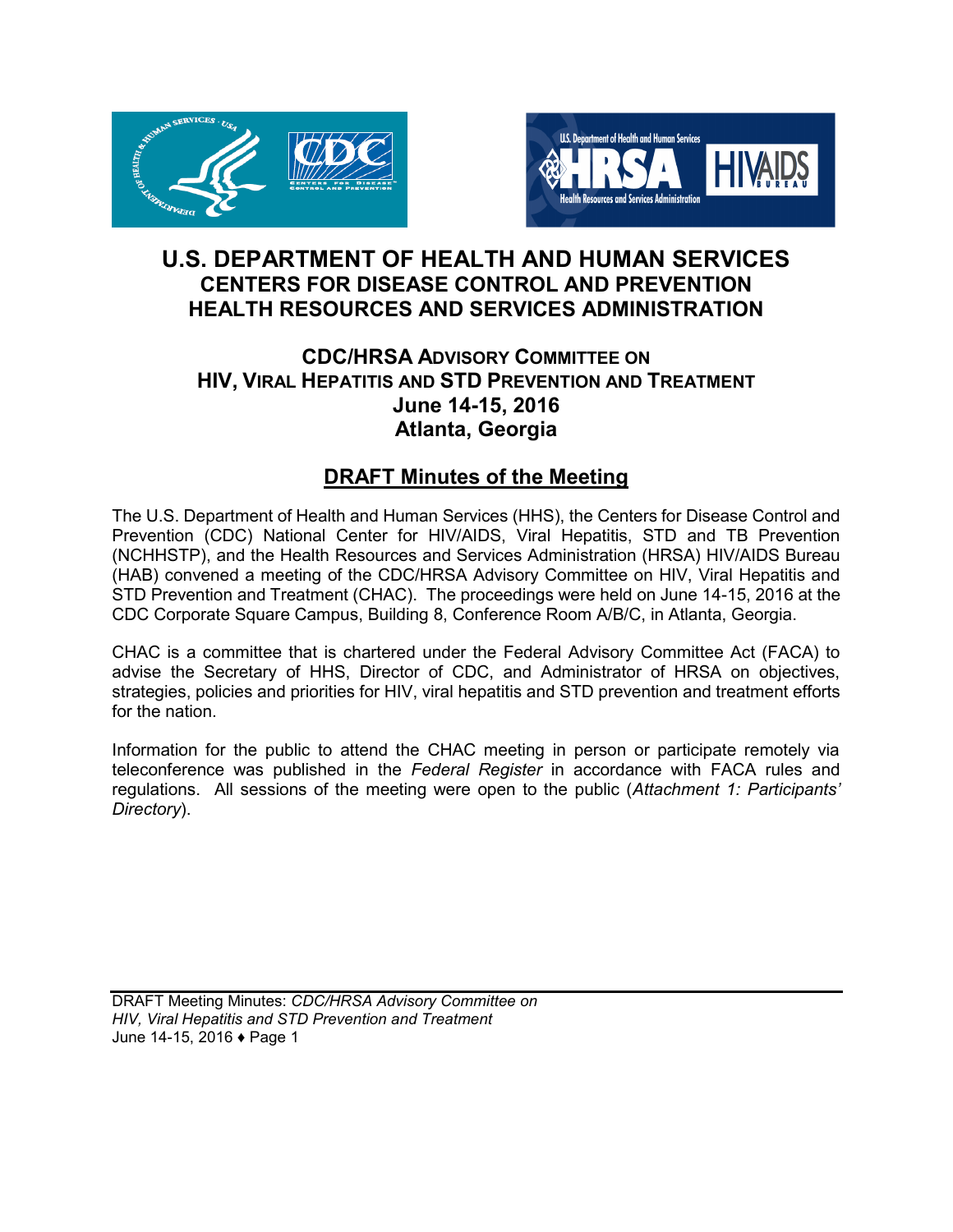<span id="page-2-0"></span>



## **U.S. DEPARTMENT OF HEALTH AND HUMAN SERVICES CENTERS FOR DISEASE CONTROL AND PREVENTION HEALTH RESOURCES AND SERVICES ADMINISTRATION**

## **CDC/HRSA ADVISORY COMMITTEE ON HIV, VIRAL HEPATITIS AND STD PREVENTION AND TREATMENT June 14-15, 2016 Atlanta, Georgia**

## **DRAFT Minutes of the Meeting**

The U.S. Department of Health and Human Services (HHS), the Centers for Disease Control and Prevention (CDC) National Center for HIV/AIDS, Viral Hepatitis, STD and TB Prevention (NCHHSTP), and the Health Resources and Services Administration (HRSA) HIV/AIDS Bureau (HAB) convened a meeting of the CDC/HRSA Advisory Committee on HIV, Viral Hepatitis and STD Prevention and Treatment (CHAC). The proceedings were held on June 14-15, 2016 at the CDC Corporate Square Campus, Building 8, Conference Room A/B/C, in Atlanta, Georgia.

CHAC is a committee that is chartered under the Federal Advisory Committee Act (FACA) to advise the Secretary of HHS, Director of CDC, and Administrator of HRSA on objectives, strategies, policies and priorities for HIV, viral hepatitis and STD prevention and treatment efforts for the nation.

Information for the public to attend the CHAC meeting in person or participate remotely via teleconference was published in the *Federal Register* in accordance with FACA rules and regulations. All sessions of the meeting were open to the public (*Attachment 1: Participants' Directory*).

DRAFT Meeting Minutes: *CDC/HRSA Advisory Committee on HIV, Viral Hepatitis and STD Prevention and Treatment* June 14-15, 2016 ♦ Page 1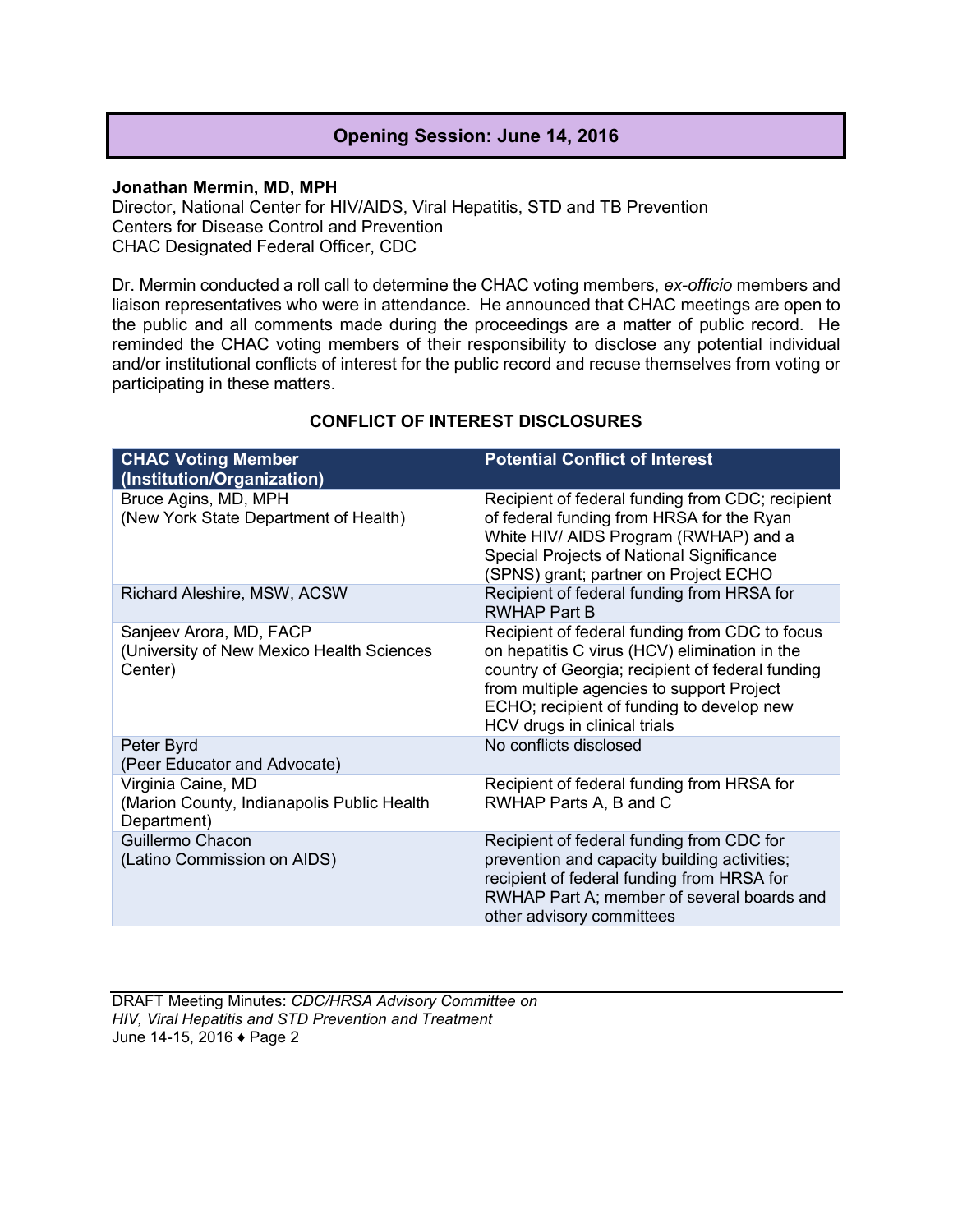## **Opening Session: June 14, 2016**

#### <span id="page-3-0"></span>**Jonathan Mermin, MD, MPH**

Director, National Center for HIV/AIDS, Viral Hepatitis, STD and TB Prevention Centers for Disease Control and Prevention CHAC Designated Federal Officer, CDC

Dr. Mermin conducted a roll call to determine the CHAC voting members, *ex-officio* members and liaison representatives who were in attendance. He announced that CHAC meetings are open to the public and all comments made during the proceedings are a matter of public record. He reminded the CHAC voting members of their responsibility to disclose any potential individual and/or institutional conflicts of interest for the public record and recuse themselves from voting or participating in these matters.

| <b>CHAC Voting Member</b><br>(Institution/Organization)                         | <b>Potential Conflict of Interest</b>                                                                                                                                                                                                                                         |
|---------------------------------------------------------------------------------|-------------------------------------------------------------------------------------------------------------------------------------------------------------------------------------------------------------------------------------------------------------------------------|
| Bruce Agins, MD, MPH<br>(New York State Department of Health)                   | Recipient of federal funding from CDC; recipient<br>of federal funding from HRSA for the Ryan<br>White HIV/ AIDS Program (RWHAP) and a<br>Special Projects of National Significance<br>(SPNS) grant; partner on Project ECHO                                                  |
| Richard Aleshire, MSW, ACSW                                                     | Recipient of federal funding from HRSA for<br><b>RWHAP Part B</b>                                                                                                                                                                                                             |
| Sanjeev Arora, MD, FACP<br>(University of New Mexico Health Sciences<br>Center) | Recipient of federal funding from CDC to focus<br>on hepatitis C virus (HCV) elimination in the<br>country of Georgia; recipient of federal funding<br>from multiple agencies to support Project<br>ECHO; recipient of funding to develop new<br>HCV drugs in clinical trials |
| Peter Byrd<br>(Peer Educator and Advocate)                                      | No conflicts disclosed                                                                                                                                                                                                                                                        |
| Virginia Caine, MD<br>(Marion County, Indianapolis Public Health<br>Department) | Recipient of federal funding from HRSA for<br>RWHAP Parts A, B and C                                                                                                                                                                                                          |
| Guillermo Chacon<br>(Latino Commission on AIDS)                                 | Recipient of federal funding from CDC for<br>prevention and capacity building activities;<br>recipient of federal funding from HRSA for<br>RWHAP Part A; member of several boards and<br>other advisory committees                                                            |

### **CONFLICT OF INTEREST DISCLOSURES**

DRAFT Meeting Minutes: *CDC/HRSA Advisory Committee on HIV, Viral Hepatitis and STD Prevention and Treatment* June 14-15, 2016 ♦ Page 2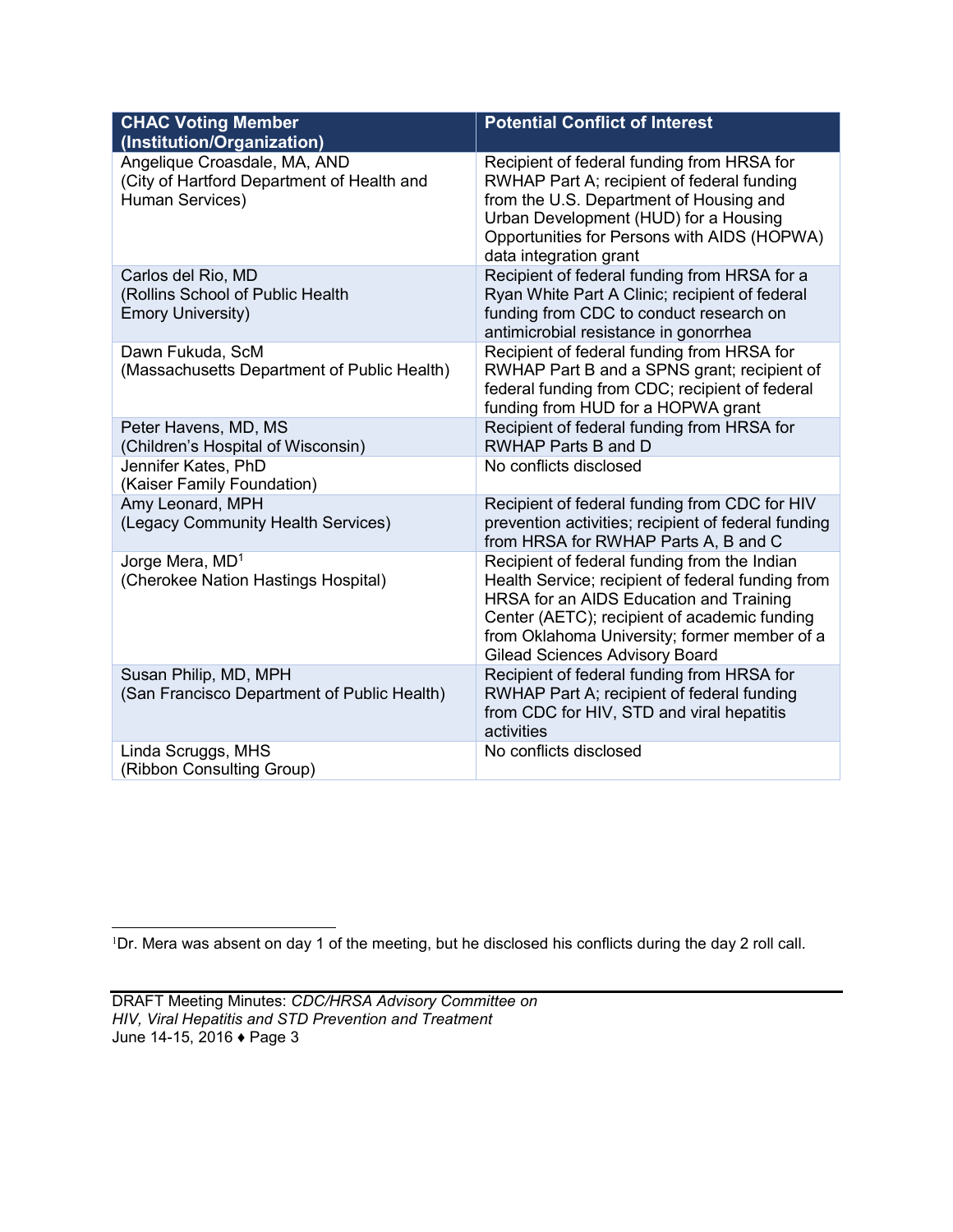| <b>CHAC Voting Member</b><br>(Institution/Organization)                                       | <b>Potential Conflict of Interest</b>                                                                                                                                                                                                                                          |
|-----------------------------------------------------------------------------------------------|--------------------------------------------------------------------------------------------------------------------------------------------------------------------------------------------------------------------------------------------------------------------------------|
| Angelique Croasdale, MA, AND<br>(City of Hartford Department of Health and<br>Human Services) | Recipient of federal funding from HRSA for<br>RWHAP Part A; recipient of federal funding<br>from the U.S. Department of Housing and<br>Urban Development (HUD) for a Housing<br>Opportunities for Persons with AIDS (HOPWA)<br>data integration grant                          |
| Carlos del Rio, MD<br>(Rollins School of Public Health<br><b>Emory University)</b>            | Recipient of federal funding from HRSA for a<br>Ryan White Part A Clinic; recipient of federal<br>funding from CDC to conduct research on<br>antimicrobial resistance in gonorrhea                                                                                             |
| Dawn Fukuda, ScM<br>(Massachusetts Department of Public Health)                               | Recipient of federal funding from HRSA for<br>RWHAP Part B and a SPNS grant; recipient of<br>federal funding from CDC; recipient of federal<br>funding from HUD for a HOPWA grant                                                                                              |
| Peter Havens, MD, MS<br>(Children's Hospital of Wisconsin)                                    | Recipient of federal funding from HRSA for<br>RWHAP Parts B and D                                                                                                                                                                                                              |
| Jennifer Kates, PhD<br>(Kaiser Family Foundation)                                             | No conflicts disclosed                                                                                                                                                                                                                                                         |
| Amy Leonard, MPH<br>(Legacy Community Health Services)                                        | Recipient of federal funding from CDC for HIV<br>prevention activities; recipient of federal funding<br>from HRSA for RWHAP Parts A, B and C                                                                                                                                   |
| Jorge Mera, MD <sup>1</sup><br>(Cherokee Nation Hastings Hospital)                            | Recipient of federal funding from the Indian<br>Health Service; recipient of federal funding from<br>HRSA for an AIDS Education and Training<br>Center (AETC); recipient of academic funding<br>from Oklahoma University; former member of a<br>Gilead Sciences Advisory Board |
| Susan Philip, MD, MPH<br>(San Francisco Department of Public Health)                          | Recipient of federal funding from HRSA for<br>RWHAP Part A; recipient of federal funding<br>from CDC for HIV, STD and viral hepatitis<br>activities                                                                                                                            |
| Linda Scruggs, MHS<br>(Ribbon Consulting Group)                                               | No conflicts disclosed                                                                                                                                                                                                                                                         |

<sup>1</sup>Dr. Mera was absent on day 1 of the meeting, but he disclosed his conflicts during the day 2 roll call.

 $\overline{a}$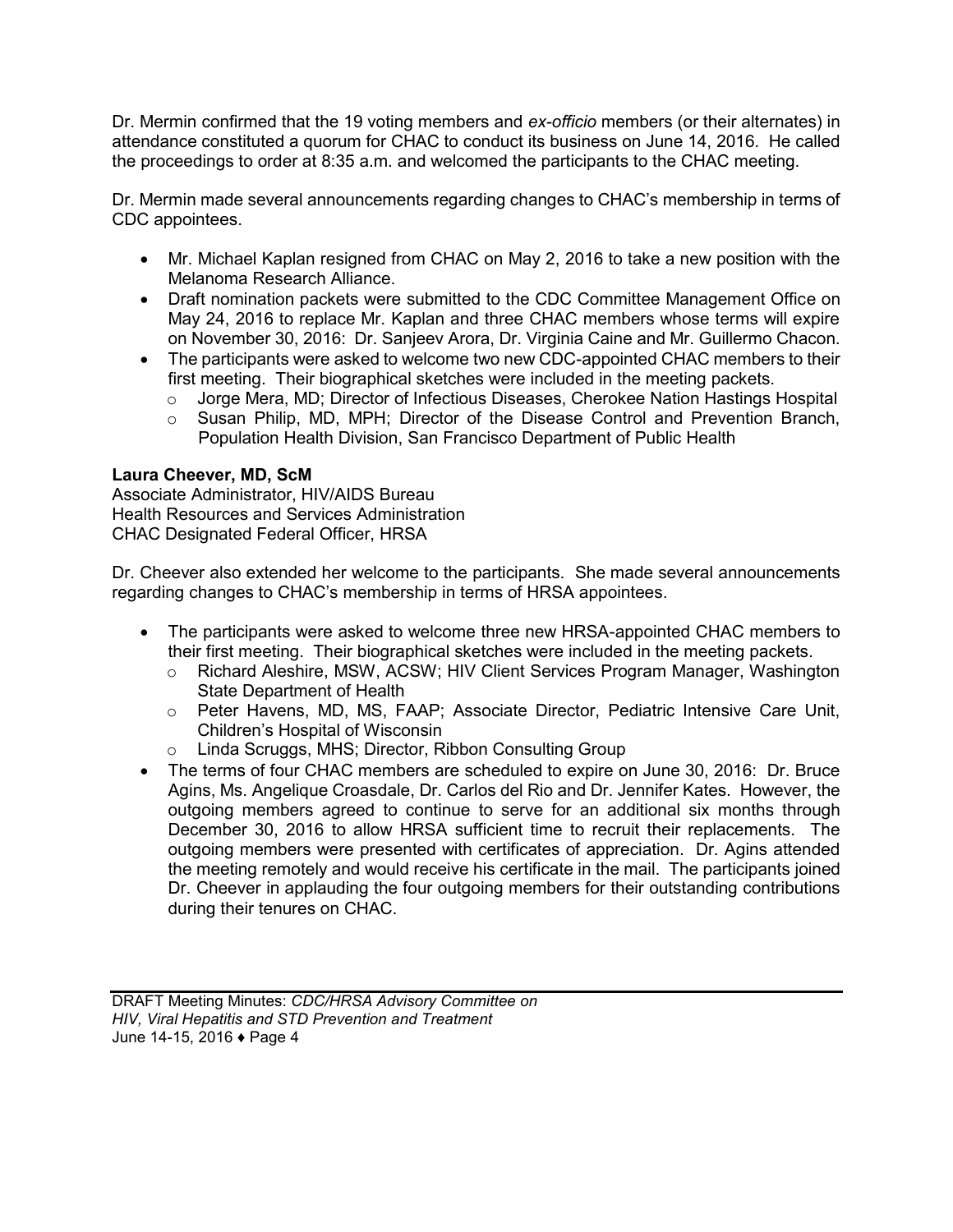Dr. Mermin confirmed that the 19 voting members and *ex-officio* members (or their alternates) in attendance constituted a quorum for CHAC to conduct its business on June 14, 2016. He called the proceedings to order at 8:35 a.m. and welcomed the participants to the CHAC meeting.

Dr. Mermin made several announcements regarding changes to CHAC's membership in terms of CDC appointees.

- Mr. Michael Kaplan resigned from CHAC on May 2, 2016 to take a new position with the Melanoma Research Alliance.
- Draft nomination packets were submitted to the CDC Committee Management Office on May 24, 2016 to replace Mr. Kaplan and three CHAC members whose terms will expire on November 30, 2016: Dr. Sanjeev Arora, Dr. Virginia Caine and Mr. Guillermo Chacon.
- The participants were asked to welcome two new CDC-appointed CHAC members to their first meeting. Their biographical sketches were included in the meeting packets.
	- $\circ$  Jorge Mera, MD; Director of Infectious Diseases, Cherokee Nation Hastings Hospital
	- o Susan Philip, MD, MPH; Director of the Disease Control and Prevention Branch, Population Health Division, San Francisco Department of Public Health

## **Laura Cheever, MD, ScM**

Associate Administrator, HIV/AIDS Bureau Health Resources and Services Administration CHAC Designated Federal Officer, HRSA

Dr. Cheever also extended her welcome to the participants. She made several announcements regarding changes to CHAC's membership in terms of HRSA appointees.

- The participants were asked to welcome three new HRSA-appointed CHAC members to their first meeting. Their biographical sketches were included in the meeting packets.
	- o Richard Aleshire, MSW, ACSW; HIV Client Services Program Manager, Washington State Department of Health
	- o Peter Havens, MD, MS, FAAP; Associate Director, Pediatric Intensive Care Unit, Children's Hospital of Wisconsin
	- o Linda Scruggs, MHS; Director, Ribbon Consulting Group
- The terms of four CHAC members are scheduled to expire on June 30, 2016: Dr. Bruce Agins, Ms. Angelique Croasdale, Dr. Carlos del Rio and Dr. Jennifer Kates. However, the outgoing members agreed to continue to serve for an additional six months through December 30, 2016 to allow HRSA sufficient time to recruit their replacements. The outgoing members were presented with certificates of appreciation. Dr. Agins attended the meeting remotely and would receive his certificate in the mail. The participants joined Dr. Cheever in applauding the four outgoing members for their outstanding contributions during their tenures on CHAC.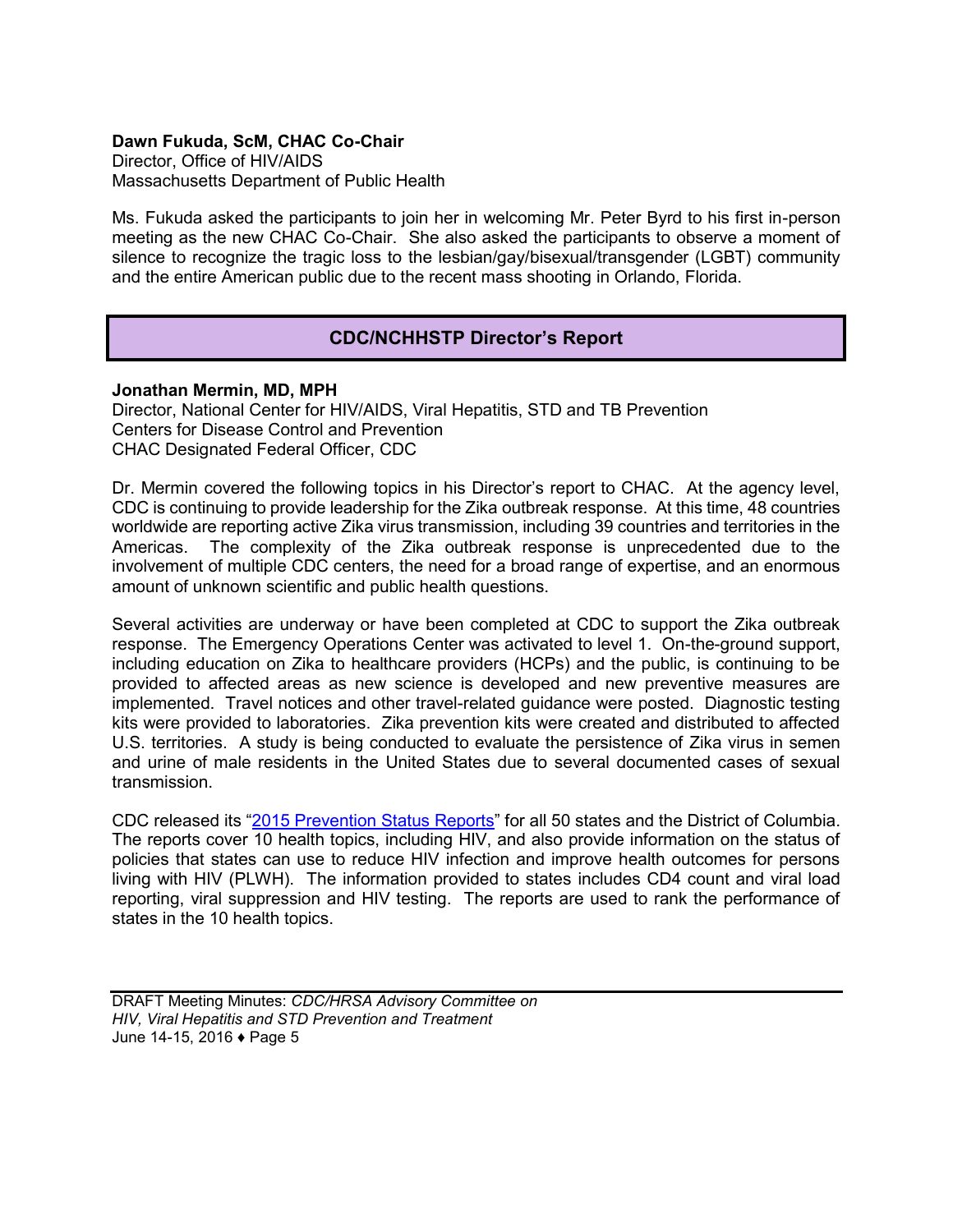#### <span id="page-6-0"></span>**Dawn Fukuda, ScM, CHAC Co-Chair**

Director, Office of HIV/AIDS Massachusetts Department of Public Health

Ms. Fukuda asked the participants to join her in welcoming Mr. Peter Byrd to his first in-person meeting as the new CHAC Co-Chair. She also asked the participants to observe a moment of silence to recognize the tragic loss to the lesbian/gay/bisexual/transgender (LGBT) community and the entire American public due to the recent mass shooting in Orlando, Florida.

## **CDC/NCHHSTP Director's Report**

#### **Jonathan Mermin, MD, MPH**

Director, National Center for HIV/AIDS, Viral Hepatitis, STD and TB Prevention Centers for Disease Control and Prevention CHAC Designated Federal Officer, CDC

Dr. Mermin covered the following topics in his Director's report to CHAC. At the agency level, CDC is continuing to provide leadership for the Zika outbreak response. At this time, 48 countries worldwide are reporting active Zika virus transmission, including 39 countries and territories in the Americas. The complexity of the Zika outbreak response is unprecedented due to the involvement of multiple CDC centers, the need for a broad range of expertise, and an enormous amount of unknown scientific and public health questions.

Several activities are underway or have been completed at CDC to support the Zika outbreak response. The Emergency Operations Center was activated to level 1. On-the-ground support, including education on Zika to healthcare providers (HCPs) and the public, is continuing to be provided to affected areas as new science is developed and new preventive measures are implemented. Travel notices and other travel-related guidance were posted. Diagnostic testing kits were provided to laboratories. Zika prevention kits were created and distributed to affected U.S. territories. A study is being conducted to evaluate the persistence of Zika virus in semen and urine of male residents in the United States due to several documented cases of sexual transmission.

CDC released its ["2015 Prevention Status Reports"](http://www.cdc.gov/psr) for all 50 states and the District of Columbia. The reports cover 10 health topics, including HIV, and also provide information on the status of policies that states can use to reduce HIV infection and improve health outcomes for persons living with HIV (PLWH). The information provided to states includes CD4 count and viral load reporting, viral suppression and HIV testing. The reports are used to rank the performance of states in the 10 health topics.

DRAFT Meeting Minutes: *CDC/HRSA Advisory Committee on HIV, Viral Hepatitis and STD Prevention and Treatment* June 14-15, 2016 ♦ Page 5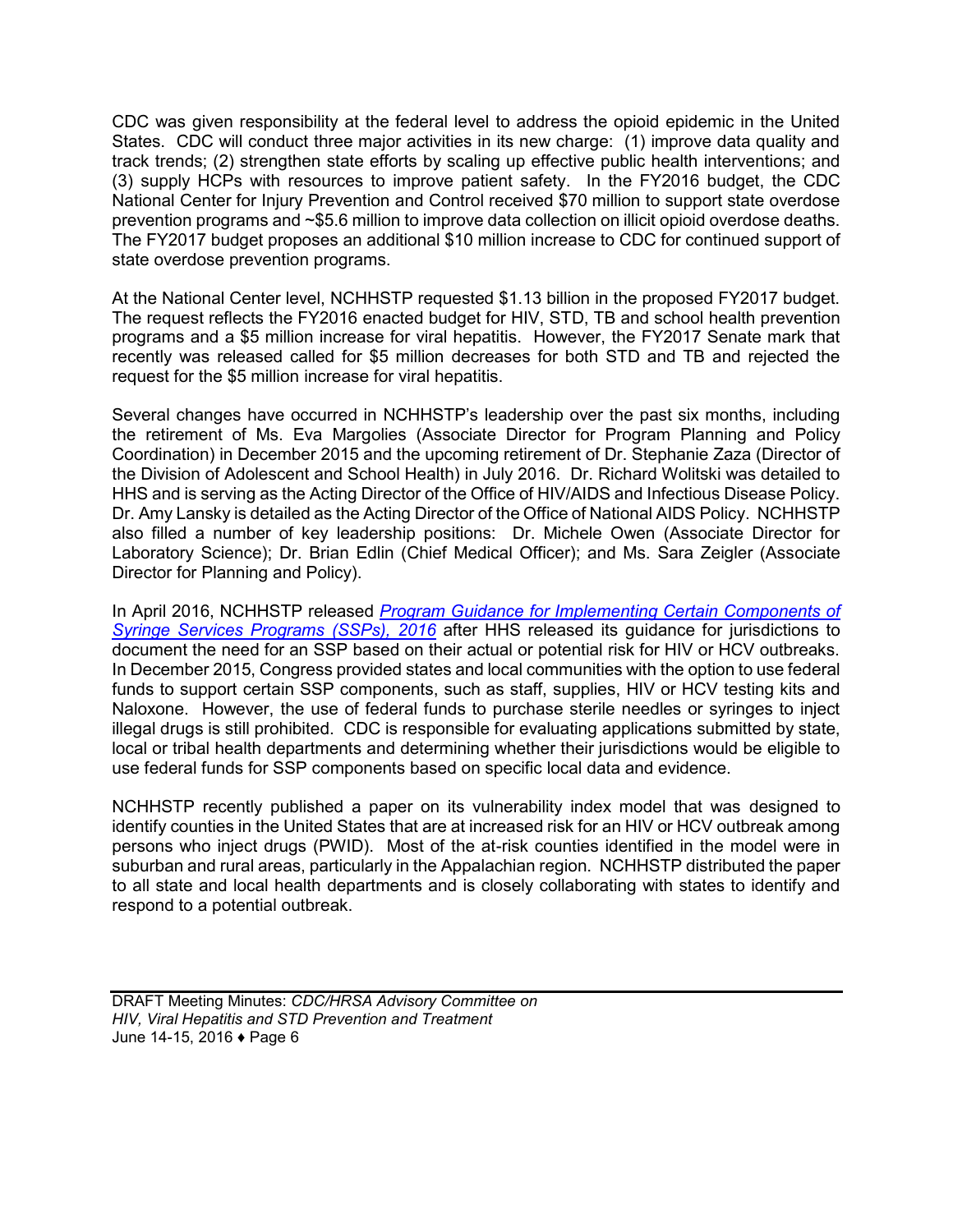CDC was given responsibility at the federal level to address the opioid epidemic in the United States. CDC will conduct three major activities in its new charge: (1) improve data quality and track trends; (2) strengthen state efforts by scaling up effective public health interventions; and (3) supply HCPs with resources to improve patient safety. In the FY2016 budget, the CDC National Center for Injury Prevention and Control received \$70 million to support state overdose prevention programs and ~\$5.6 million to improve data collection on illicit opioid overdose deaths. The FY2017 budget proposes an additional \$10 million increase to CDC for continued support of state overdose prevention programs.

At the National Center level, NCHHSTP requested \$1.13 billion in the proposed FY2017 budget. The request reflects the FY2016 enacted budget for HIV, STD, TB and school health prevention programs and a \$5 million increase for viral hepatitis. However, the FY2017 Senate mark that recently was released called for \$5 million decreases for both STD and TB and rejected the request for the \$5 million increase for viral hepatitis.

Several changes have occurred in NCHHSTP's leadership over the past six months, including the retirement of Ms. Eva Margolies (Associate Director for Program Planning and Policy Coordination) in December 2015 and the upcoming retirement of Dr. Stephanie Zaza (Director of the Division of Adolescent and School Health) in July 2016. Dr. Richard Wolitski was detailed to HHS and is serving as the Acting Director of the Office of HIV/AIDS and Infectious Disease Policy. Dr. Amy Lansky is detailed as the Acting Director of the Office of National AIDS Policy. NCHHSTP also filled a number of key leadership positions: Dr. Michele Owen (Associate Director for Laboratory Science); Dr. Brian Edlin (Chief Medical Officer); and Ms. Sara Zeigler (Associate Director for Planning and Policy).

In April 2016, NCHHSTP released *[Program Guidance for Implementing Certain Components of](https://www.aids.gov/pdf/hhs-ssp-guidance.pdf)  [Syringe Services Programs \(SSPs\), 2016](https://www.aids.gov/pdf/hhs-ssp-guidance.pdf)* after HHS released its guidance for jurisdictions to document the need for an SSP based on their actual or potential risk for HIV or HCV outbreaks. In December 2015, Congress provided states and local communities with the option to use federal funds to support certain SSP components, such as staff, supplies, HIV or HCV testing kits and Naloxone. However, the use of federal funds to purchase sterile needles or syringes to inject illegal drugs is still prohibited. CDC is responsible for evaluating applications submitted by state, local or tribal health departments and determining whether their jurisdictions would be eligible to use federal funds for SSP components based on specific local data and evidence.

NCHHSTP recently published a paper on its vulnerability index model that was designed to identify counties in the United States that are at increased risk for an HIV or HCV outbreak among persons who inject drugs (PWID). Most of the at-risk counties identified in the model were in suburban and rural areas, particularly in the Appalachian region. NCHHSTP distributed the paper to all state and local health departments and is closely collaborating with states to identify and respond to a potential outbreak.

DRAFT Meeting Minutes: *CDC/HRSA Advisory Committee on HIV, Viral Hepatitis and STD Prevention and Treatment* June 14-15, 2016 ♦ Page 6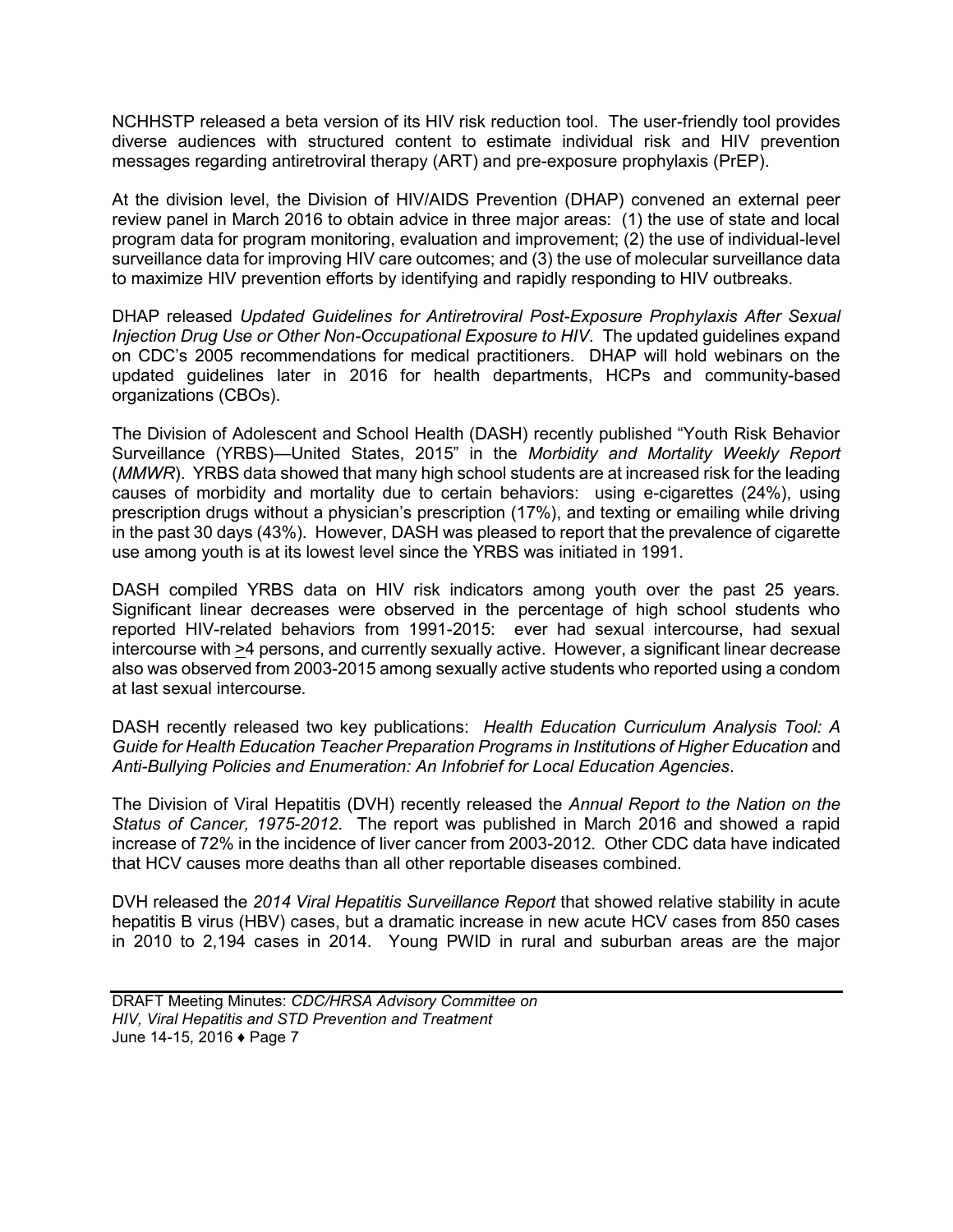NCHHSTP released a beta version of its HIV risk reduction tool. The user-friendly tool provides diverse audiences with structured content to estimate individual risk and HIV prevention messages regarding antiretroviral therapy (ART) and pre-exposure prophylaxis (PrEP).

At the division level, the Division of HIV/AIDS Prevention (DHAP) convened an external peer review panel in March 2016 to obtain advice in three major areas: (1) the use of state and local program data for program monitoring, evaluation and improvement; (2) the use of individual-level surveillance data for improving HIV care outcomes; and (3) the use of molecular surveillance data to maximize HIV prevention efforts by identifying and rapidly responding to HIV outbreaks.

DHAP released *Updated Guidelines for Antiretroviral Post-Exposure Prophylaxis After Sexual Injection Drug Use or Other Non-Occupational Exposure to HIV*. The updated guidelines expand on CDC's 2005 recommendations for medical practitioners. DHAP will hold webinars on the updated guidelines later in 2016 for health departments, HCPs and community-based organizations (CBOs).

The Division of Adolescent and School Health (DASH) recently published "Youth Risk Behavior Surveillance (YRBS)—United States, 2015" in the *Morbidity and Mortality Weekly Report*  (*MMWR*). YRBS data showed that many high school students are at increased risk for the leading causes of morbidity and mortality due to certain behaviors: using e-cigarettes (24%), using prescription drugs without a physician's prescription (17%), and texting or emailing while driving in the past 30 days (43%). However, DASH was pleased to report that the prevalence of cigarette use among youth is at its lowest level since the YRBS was initiated in 1991.

DASH compiled YRBS data on HIV risk indicators among youth over the past 25 years. Significant linear decreases were observed in the percentage of high school students who reported HIV-related behaviors from 1991-2015: ever had sexual intercourse, had sexual intercourse with >4 persons, and currently sexually active. However, a significant linear decrease also was observed from 2003-2015 among sexually active students who reported using a condom at last sexual intercourse.

DASH recently released two key publications: *Health Education Curriculum Analysis Tool: A Guide for Health Education Teacher Preparation Programs in Institutions of Higher Education* and *Anti-Bullying Policies and Enumeration: An Infobrief for Local Education Agencies*.

The Division of Viral Hepatitis (DVH) recently released the *Annual Report to the Nation on the Status of Cancer, 1975-2012*. The report was published in March 2016 and showed a rapid increase of 72% in the incidence of liver cancer from 2003-2012. Other CDC data have indicated that HCV causes more deaths than all other reportable diseases combined.

DVH released the *2014 Viral Hepatitis Surveillance Report* that showed relative stability in acute hepatitis B virus (HBV) cases, but a dramatic increase in new acute HCV cases from 850 cases in 2010 to 2,194 cases in 2014. Young PWID in rural and suburban areas are the major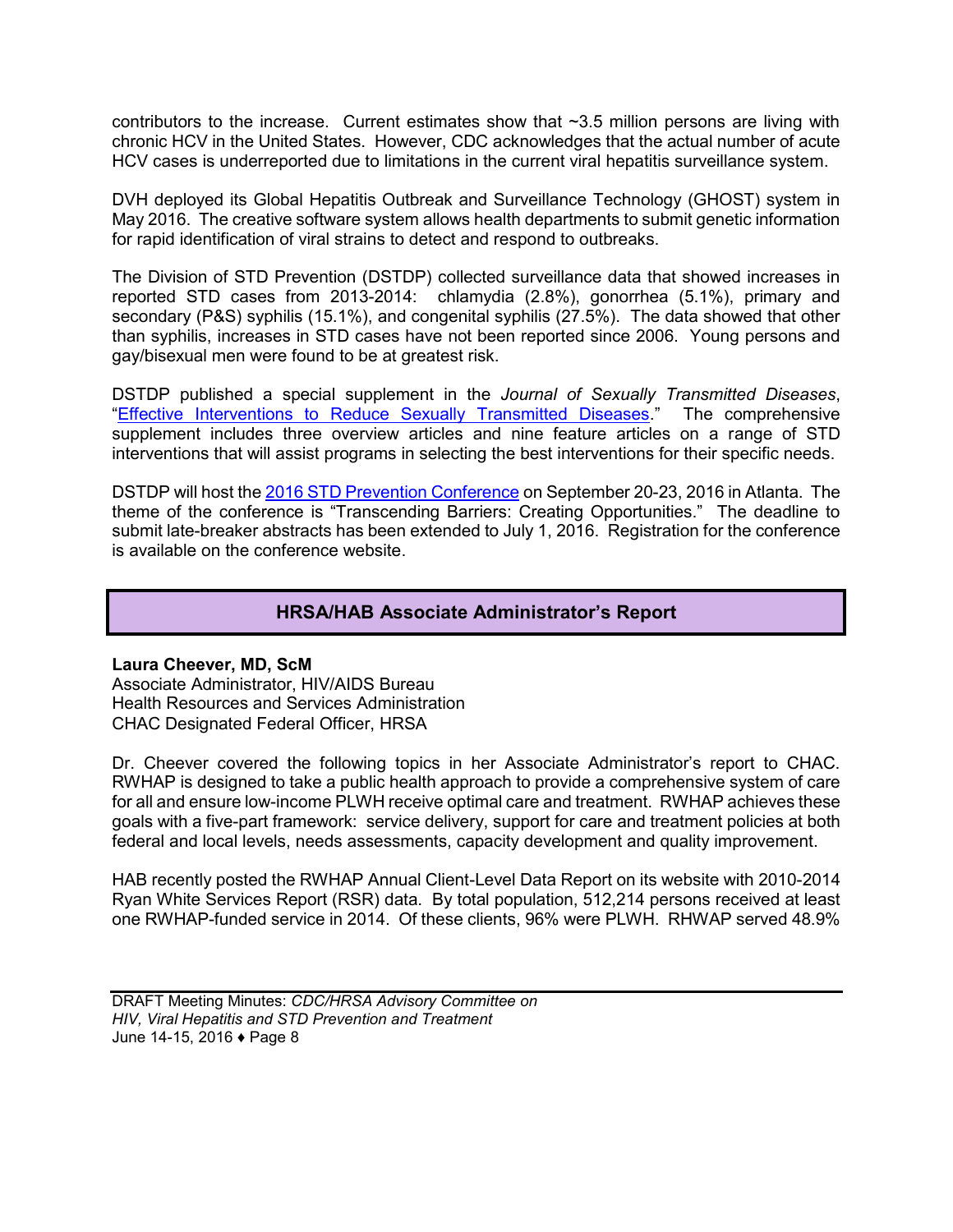<span id="page-9-0"></span>contributors to the increase. Current estimates show that ~3.5 million persons are living with chronic HCV in the United States. However, CDC acknowledges that the actual number of acute HCV cases is underreported due to limitations in the current viral hepatitis surveillance system.

DVH deployed its Global Hepatitis Outbreak and Surveillance Technology (GHOST) system in May 2016. The creative software system allows health departments to submit genetic information for rapid identification of viral strains to detect and respond to outbreaks.

The Division of STD Prevention (DSTDP) collected surveillance data that showed increases in reported STD cases from 2013-2014: chlamydia (2.8%), gonorrhea (5.1%), primary and secondary (P&S) syphilis (15.1%), and congenital syphilis (27.5%). The data showed that other than syphilis, increases in STD cases have not been reported since 2006. Young persons and gay/bisexual men were found to be at greatest risk.

DSTDP published a special supplement in the *Journal of Sexually Transmitted Diseases*, ["Effective Interventions to Reduce Sexually Transmitted Diseases.](http://journals.lww.com/stdjournal/toc/2016/02001)" The comprehensive supplement includes three overview articles and nine feature articles on a range of STD interventions that will assist programs in selecting the best interventions for their specific needs.

DSTDP will host th[e 2016 STD Prevention Conference](http://www.cdc.gov/stdconference/) on September 20-23, 2016 in Atlanta. The theme of the conference is "Transcending Barriers: Creating Opportunities." The deadline to submit late-breaker abstracts has been extended to July 1, 2016. Registration for the conference is available on the conference website.

## **HRSA/HAB Associate Administrator's Report**

## **Laura Cheever, MD, ScM**

Associate Administrator, HIV/AIDS Bureau Health Resources and Services Administration CHAC Designated Federal Officer, HRSA

Dr. Cheever covered the following topics in her Associate Administrator's report to CHAC. RWHAP is designed to take a public health approach to provide a comprehensive system of care for all and ensure low-income PLWH receive optimal care and treatment. RWHAP achieves these goals with a five-part framework: service delivery, support for care and treatment policies at both federal and local levels, needs assessments, capacity development and quality improvement.

HAB recently posted the RWHAP Annual Client-Level Data Report on its website with 2010-2014 Ryan White Services Report (RSR) data. By total population, 512,214 persons received at least one RWHAP-funded service in 2014. Of these clients, 96% were PLWH. RHWAP served 48.9%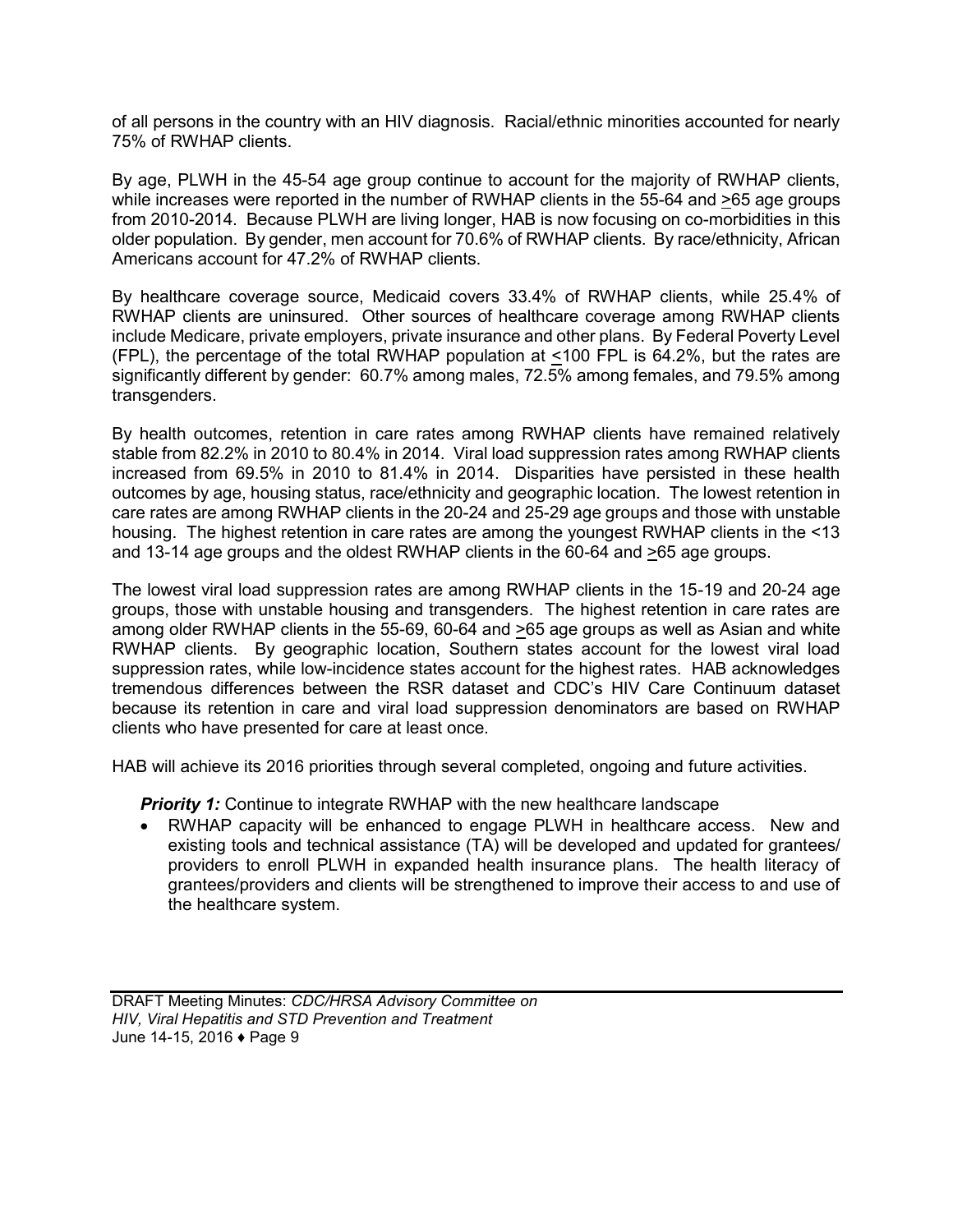of all persons in the country with an HIV diagnosis. Racial/ethnic minorities accounted for nearly 75% of RWHAP clients.

By age, PLWH in the 45-54 age group continue to account for the majority of RWHAP clients, while increases were reported in the number of RWHAP clients in the 55-64 and >65 age groups from 2010-2014. Because PLWH are living longer, HAB is now focusing on co-morbidities in this older population. By gender, men account for 70.6% of RWHAP clients. By race/ethnicity, African Americans account for 47.2% of RWHAP clients.

By healthcare coverage source, Medicaid covers 33.4% of RWHAP clients, while 25.4% of RWHAP clients are uninsured. Other sources of healthcare coverage among RWHAP clients include Medicare, private employers, private insurance and other plans. By Federal Poverty Level (FPL), the percentage of the total RWHAP population at <100 FPL is 64.2%, but the rates are significantly different by gender: 60.7% among males, 72.5% among females, and 79.5% among transgenders.

By health outcomes, retention in care rates among RWHAP clients have remained relatively stable from 82.2% in 2010 to 80.4% in 2014. Viral load suppression rates among RWHAP clients increased from 69.5% in 2010 to 81.4% in 2014. Disparities have persisted in these health outcomes by age, housing status, race/ethnicity and geographic location. The lowest retention in care rates are among RWHAP clients in the 20-24 and 25-29 age groups and those with unstable housing. The highest retention in care rates are among the youngest RWHAP clients in the <13 and 13-14 age groups and the oldest RWHAP clients in the 60-64 and >65 age groups.

The lowest viral load suppression rates are among RWHAP clients in the 15-19 and 20-24 age groups, those with unstable housing and transgenders. The highest retention in care rates are among older RWHAP clients in the 55-69, 60-64 and >65 age groups as well as Asian and white RWHAP clients. By geographic location, Southern states account for the lowest viral load suppression rates, while low-incidence states account for the highest rates. HAB acknowledges tremendous differences between the RSR dataset and CDC's HIV Care Continuum dataset because its retention in care and viral load suppression denominators are based on RWHAP clients who have presented for care at least once.

HAB will achieve its 2016 priorities through several completed, ongoing and future activities.

**Priority 1:** Continue to integrate RWHAP with the new healthcare landscape

 RWHAP capacity will be enhanced to engage PLWH in healthcare access. New and existing tools and technical assistance (TA) will be developed and updated for grantees/ providers to enroll PLWH in expanded health insurance plans. The health literacy of grantees/providers and clients will be strengthened to improve their access to and use of the healthcare system.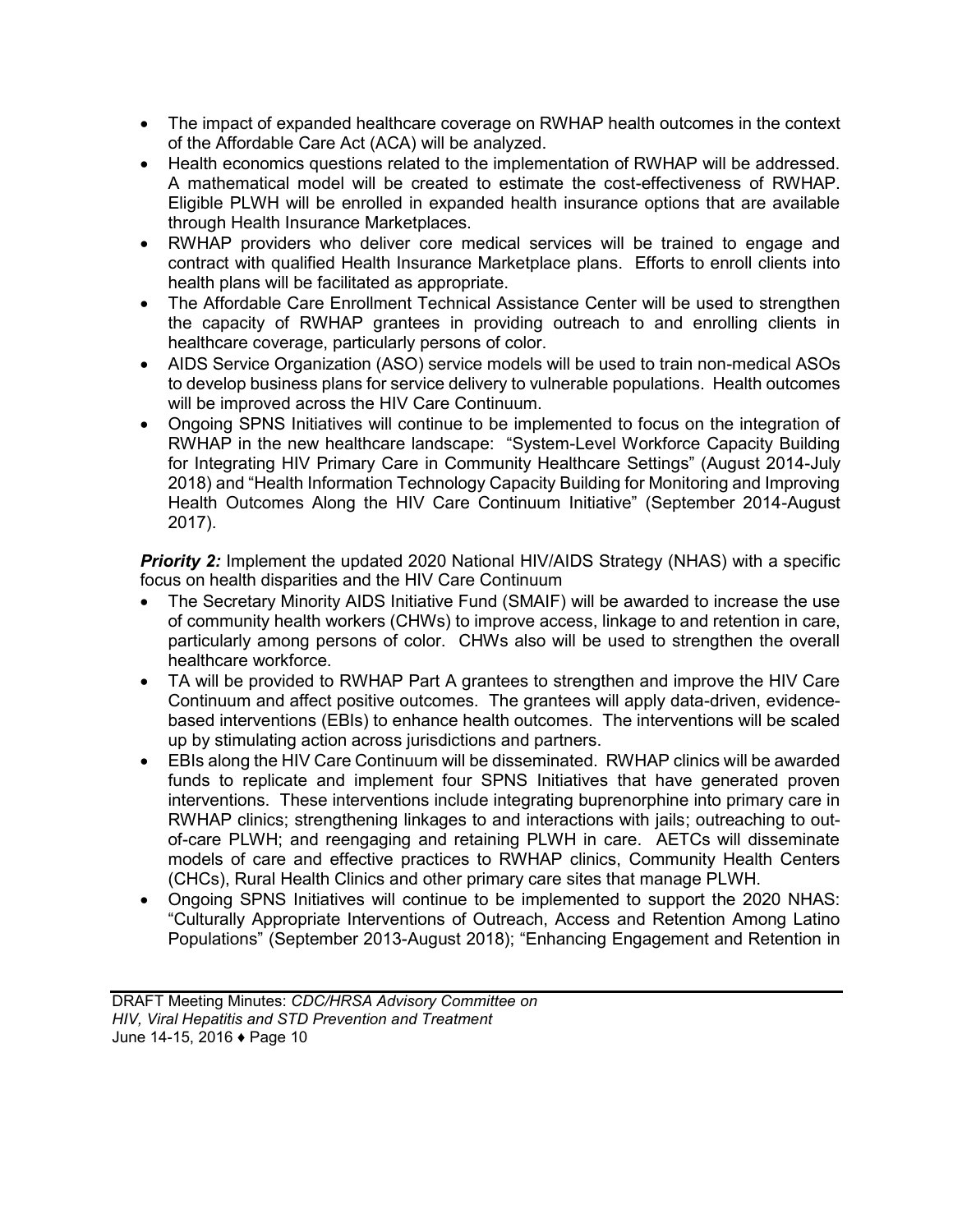- The impact of expanded healthcare coverage on RWHAP health outcomes in the context of the Affordable Care Act (ACA) will be analyzed.
- Health economics questions related to the implementation of RWHAP will be addressed. A mathematical model will be created to estimate the cost-effectiveness of RWHAP. Eligible PLWH will be enrolled in expanded health insurance options that are available through Health Insurance Marketplaces.
- RWHAP providers who deliver core medical services will be trained to engage and contract with qualified Health Insurance Marketplace plans. Efforts to enroll clients into health plans will be facilitated as appropriate.
- The Affordable Care Enrollment Technical Assistance Center will be used to strengthen the capacity of RWHAP grantees in providing outreach to and enrolling clients in healthcare coverage, particularly persons of color.
- AIDS Service Organization (ASO) service models will be used to train non-medical ASOs to develop business plans for service delivery to vulnerable populations. Health outcomes will be improved across the HIV Care Continuum.
- Ongoing SPNS Initiatives will continue to be implemented to focus on the integration of RWHAP in the new healthcare landscape: "System-Level Workforce Capacity Building for Integrating HIV Primary Care in Community Healthcare Settings" (August 2014-July 2018) and "Health Information Technology Capacity Building for Monitoring and Improving Health Outcomes Along the HIV Care Continuum Initiative" (September 2014-August 2017).

*Priority 2:* Implement the updated 2020 National HIV/AIDS Strategy (NHAS) with a specific focus on health disparities and the HIV Care Continuum

- The Secretary Minority AIDS Initiative Fund (SMAIF) will be awarded to increase the use of community health workers (CHWs) to improve access, linkage to and retention in care, particularly among persons of color. CHWs also will be used to strengthen the overall healthcare workforce.
- TA will be provided to RWHAP Part A grantees to strengthen and improve the HIV Care Continuum and affect positive outcomes. The grantees will apply data-driven, evidencebased interventions (EBIs) to enhance health outcomes. The interventions will be scaled up by stimulating action across jurisdictions and partners.
- EBIs along the HIV Care Continuum will be disseminated. RWHAP clinics will be awarded funds to replicate and implement four SPNS Initiatives that have generated proven interventions. These interventions include integrating buprenorphine into primary care in RWHAP clinics; strengthening linkages to and interactions with jails; outreaching to outof-care PLWH; and reengaging and retaining PLWH in care. AETCs will disseminate models of care and effective practices to RWHAP clinics, Community Health Centers (CHCs), Rural Health Clinics and other primary care sites that manage PLWH.
- Ongoing SPNS Initiatives will continue to be implemented to support the 2020 NHAS: "Culturally Appropriate Interventions of Outreach, Access and Retention Among Latino Populations" (September 2013-August 2018); "Enhancing Engagement and Retention in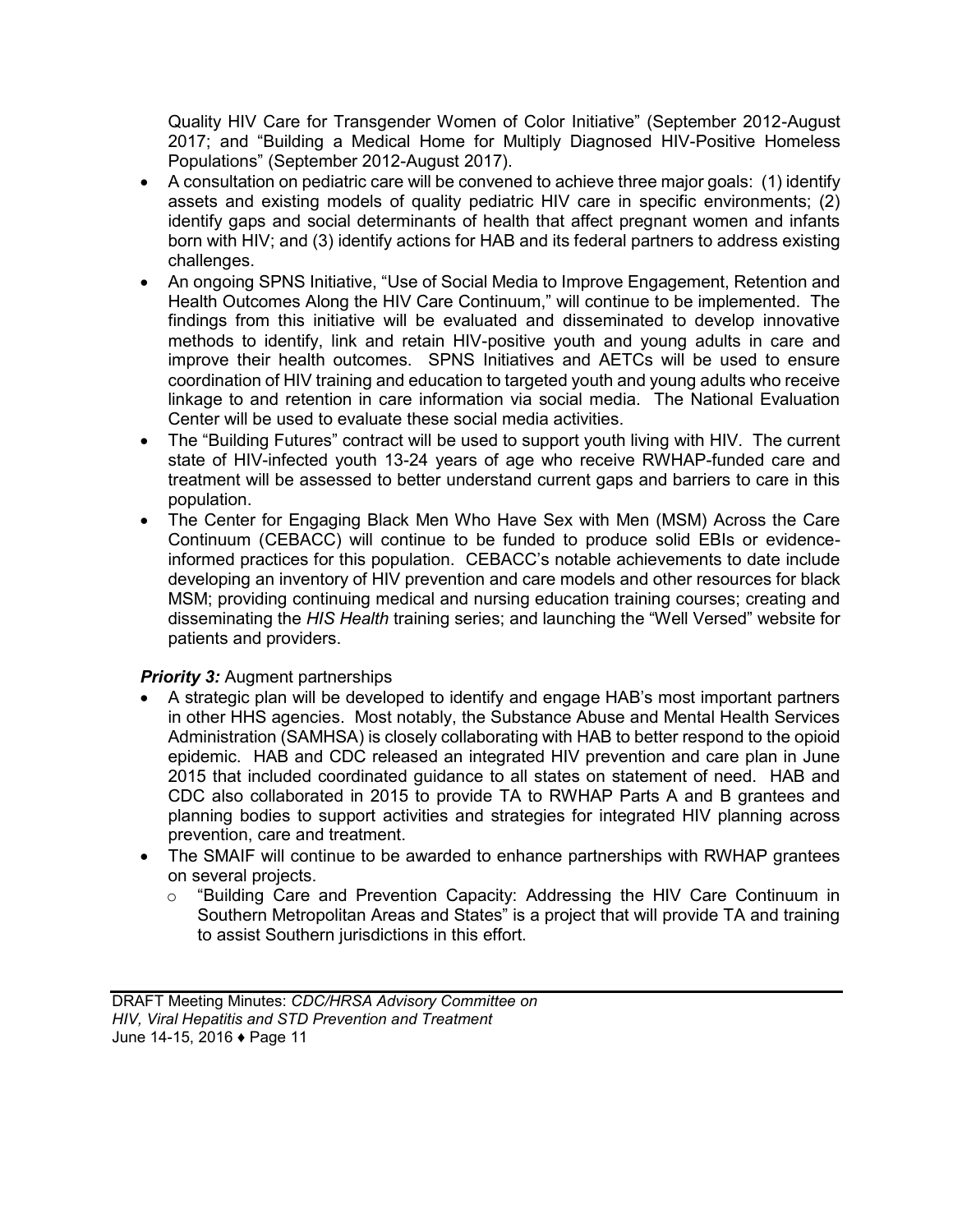Quality HIV Care for Transgender Women of Color Initiative" (September 2012-August 2017; and "Building a Medical Home for Multiply Diagnosed HIV-Positive Homeless Populations" (September 2012-August 2017).

- A consultation on pediatric care will be convened to achieve three major goals: (1) identify assets and existing models of quality pediatric HIV care in specific environments; (2) identify gaps and social determinants of health that affect pregnant women and infants born with HIV; and (3) identify actions for HAB and its federal partners to address existing challenges.
- An ongoing SPNS Initiative, "Use of Social Media to Improve Engagement, Retention and Health Outcomes Along the HIV Care Continuum," will continue to be implemented. The findings from this initiative will be evaluated and disseminated to develop innovative methods to identify, link and retain HIV-positive youth and young adults in care and improve their health outcomes. SPNS Initiatives and AETCs will be used to ensure coordination of HIV training and education to targeted youth and young adults who receive linkage to and retention in care information via social media. The National Evaluation Center will be used to evaluate these social media activities.
- The "Building Futures" contract will be used to support youth living with HIV. The current state of HIV-infected youth 13-24 years of age who receive RWHAP-funded care and treatment will be assessed to better understand current gaps and barriers to care in this population.
- The Center for Engaging Black Men Who Have Sex with Men (MSM) Across the Care Continuum (CEBACC) will continue to be funded to produce solid EBIs or evidenceinformed practices for this population. CEBACC's notable achievements to date include developing an inventory of HIV prevention and care models and other resources for black MSM; providing continuing medical and nursing education training courses; creating and disseminating the *HIS Health* training series; and launching the "Well Versed" website for patients and providers.

## *Priority 3:* Augment partnerships

- A strategic plan will be developed to identify and engage HAB's most important partners in other HHS agencies. Most notably, the Substance Abuse and Mental Health Services Administration (SAMHSA) is closely collaborating with HAB to better respond to the opioid epidemic. HAB and CDC released an integrated HIV prevention and care plan in June 2015 that included coordinated guidance to all states on statement of need. HAB and CDC also collaborated in 2015 to provide TA to RWHAP Parts A and B grantees and planning bodies to support activities and strategies for integrated HIV planning across prevention, care and treatment.
- The SMAIF will continue to be awarded to enhance partnerships with RWHAP grantees on several projects.
	- o "Building Care and Prevention Capacity: Addressing the HIV Care Continuum in Southern Metropolitan Areas and States" is a project that will provide TA and training to assist Southern jurisdictions in this effort.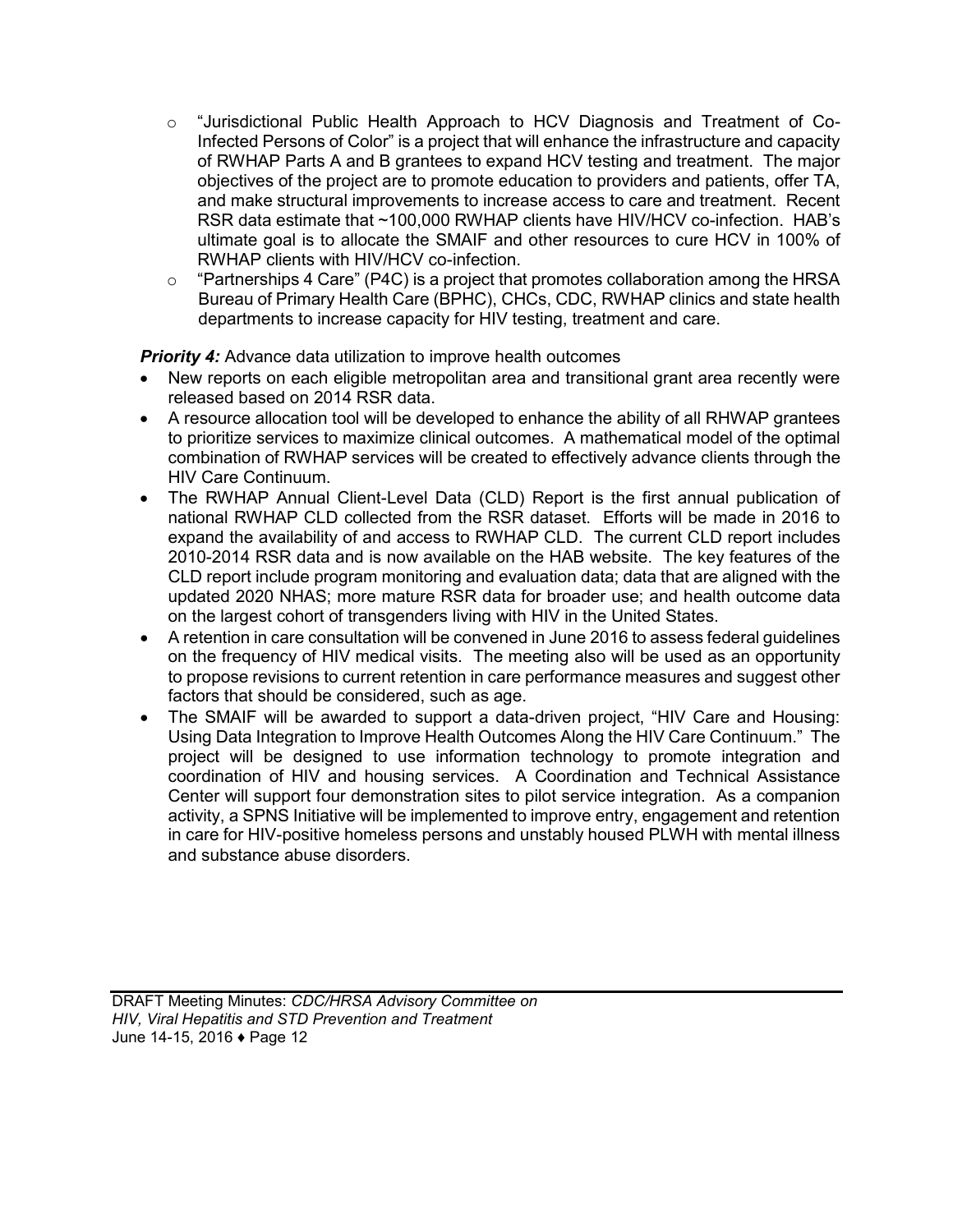- $\circ$  "Jurisdictional Public Health Approach to HCV Diagnosis and Treatment of Co-Infected Persons of Color" is a project that will enhance the infrastructure and capacity of RWHAP Parts A and B grantees to expand HCV testing and treatment. The major objectives of the project are to promote education to providers and patients, offer TA, and make structural improvements to increase access to care and treatment. Recent RSR data estimate that ~100,000 RWHAP clients have HIV/HCV co-infection. HAB's ultimate goal is to allocate the SMAIF and other resources to cure HCV in 100% of RWHAP clients with HIV/HCV co-infection.
- o "Partnerships 4 Care" (P4C) is a project that promotes collaboration among the HRSA Bureau of Primary Health Care (BPHC), CHCs, CDC, RWHAP clinics and state health departments to increase capacity for HIV testing, treatment and care.

**Priority 4:** Advance data utilization to improve health outcomes

- New reports on each eligible metropolitan area and transitional grant area recently were released based on 2014 RSR data.
- A resource allocation tool will be developed to enhance the ability of all RHWAP grantees to prioritize services to maximize clinical outcomes. A mathematical model of the optimal combination of RWHAP services will be created to effectively advance clients through the HIV Care Continuum.
- The RWHAP Annual Client-Level Data (CLD) Report is the first annual publication of national RWHAP CLD collected from the RSR dataset. Efforts will be made in 2016 to expand the availability of and access to RWHAP CLD. The current CLD report includes 2010-2014 RSR data and is now available on the HAB website. The key features of the CLD report include program monitoring and evaluation data; data that are aligned with the updated 2020 NHAS; more mature RSR data for broader use; and health outcome data on the largest cohort of transgenders living with HIV in the United States.
- A retention in care consultation will be convened in June 2016 to assess federal guidelines on the frequency of HIV medical visits. The meeting also will be used as an opportunity to propose revisions to current retention in care performance measures and suggest other factors that should be considered, such as age.
- The SMAIF will be awarded to support a data-driven project, "HIV Care and Housing: Using Data Integration to Improve Health Outcomes Along the HIV Care Continuum." The project will be designed to use information technology to promote integration and coordination of HIV and housing services. A Coordination and Technical Assistance Center will support four demonstration sites to pilot service integration. As a companion activity, a SPNS Initiative will be implemented to improve entry, engagement and retention in care for HIV-positive homeless persons and unstably housed PLWH with mental illness and substance abuse disorders.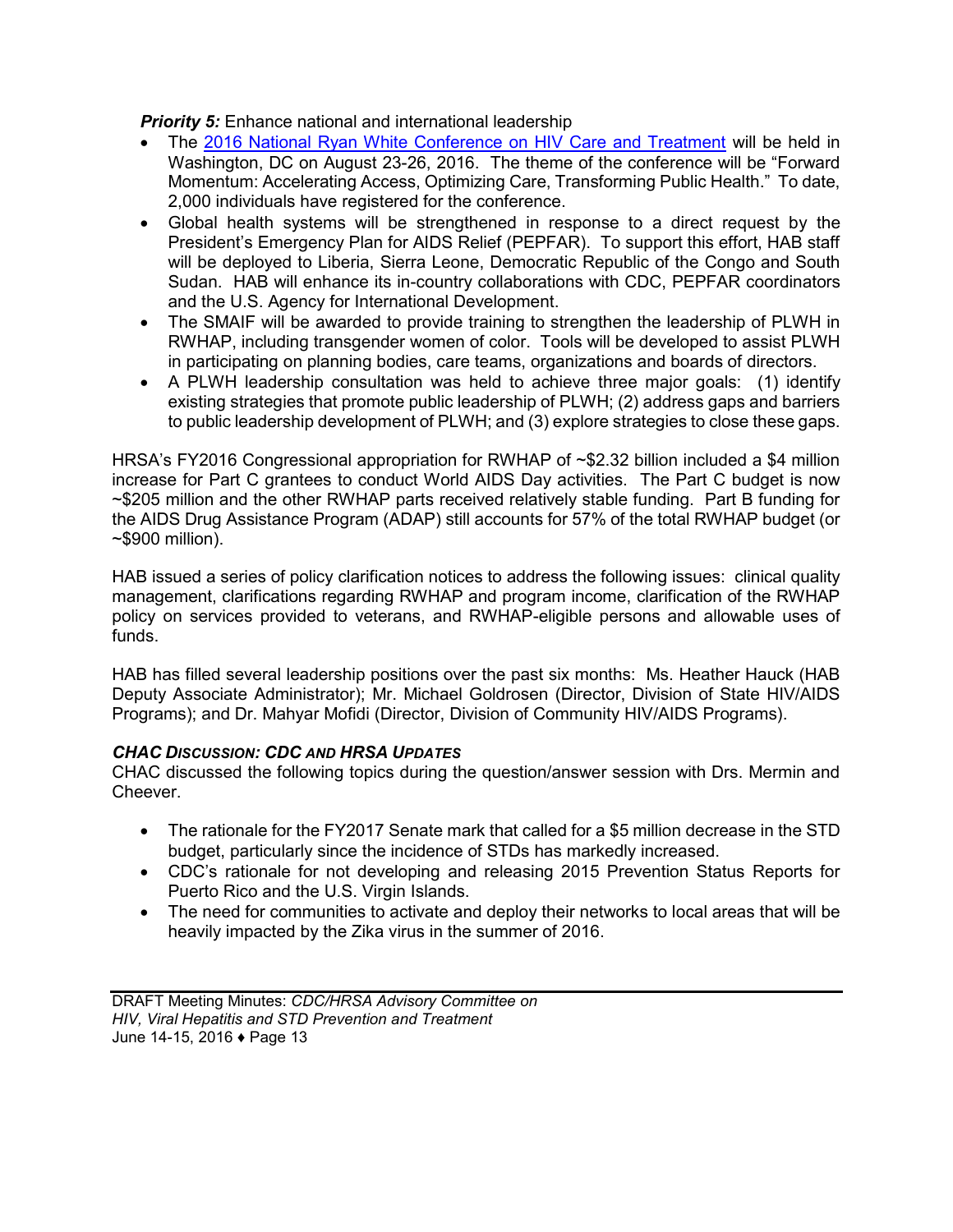**Priority 5:** Enhance national and international leadership

- The [2016 National Ryan White Conference on HIV Care and Treatment](http://www.ryanwhite2016.org/) will be held in Washington, DC on August 23-26, 2016. The theme of the conference will be "Forward Momentum: Accelerating Access, Optimizing Care, Transforming Public Health." To date, 2,000 individuals have registered for the conference.
- Global health systems will be strengthened in response to a direct request by the President's Emergency Plan for AIDS Relief (PEPFAR). To support this effort, HAB staff will be deployed to Liberia, Sierra Leone, Democratic Republic of the Congo and South Sudan. HAB will enhance its in-country collaborations with CDC, PEPFAR coordinators and the U.S. Agency for International Development.
- The SMAIF will be awarded to provide training to strengthen the leadership of PLWH in RWHAP, including transgender women of color. Tools will be developed to assist PLWH in participating on planning bodies, care teams, organizations and boards of directors.
- A PLWH leadership consultation was held to achieve three major goals: (1) identify existing strategies that promote public leadership of PLWH; (2) address gaps and barriers to public leadership development of PLWH; and (3) explore strategies to close these gaps.

HRSA's FY2016 Congressional appropriation for RWHAP of ~\$2.32 billion included a \$4 million increase for Part C grantees to conduct World AIDS Day activities. The Part C budget is now ~\$205 million and the other RWHAP parts received relatively stable funding. Part B funding for the AIDS Drug Assistance Program (ADAP) still accounts for 57% of the total RWHAP budget (or ~\$900 million).

HAB issued a series of policy clarification notices to address the following issues: clinical quality management, clarifications regarding RWHAP and program income, clarification of the RWHAP policy on services provided to veterans, and RWHAP-eligible persons and allowable uses of funds.

HAB has filled several leadership positions over the past six months: Ms. Heather Hauck (HAB Deputy Associate Administrator); Mr. Michael Goldrosen (Director, Division of State HIV/AIDS Programs); and Dr. Mahyar Mofidi (Director, Division of Community HIV/AIDS Programs).

#### *CHAC DISCUSSION: CDC AND HRSA UPDATES*

CHAC discussed the following topics during the question/answer session with Drs. Mermin and Cheever.

- The rationale for the FY2017 Senate mark that called for a \$5 million decrease in the STD budget, particularly since the incidence of STDs has markedly increased.
- CDC's rationale for not developing and releasing 2015 Prevention Status Reports for Puerto Rico and the U.S. Virgin Islands.
- The need for communities to activate and deploy their networks to local areas that will be heavily impacted by the Zika virus in the summer of 2016.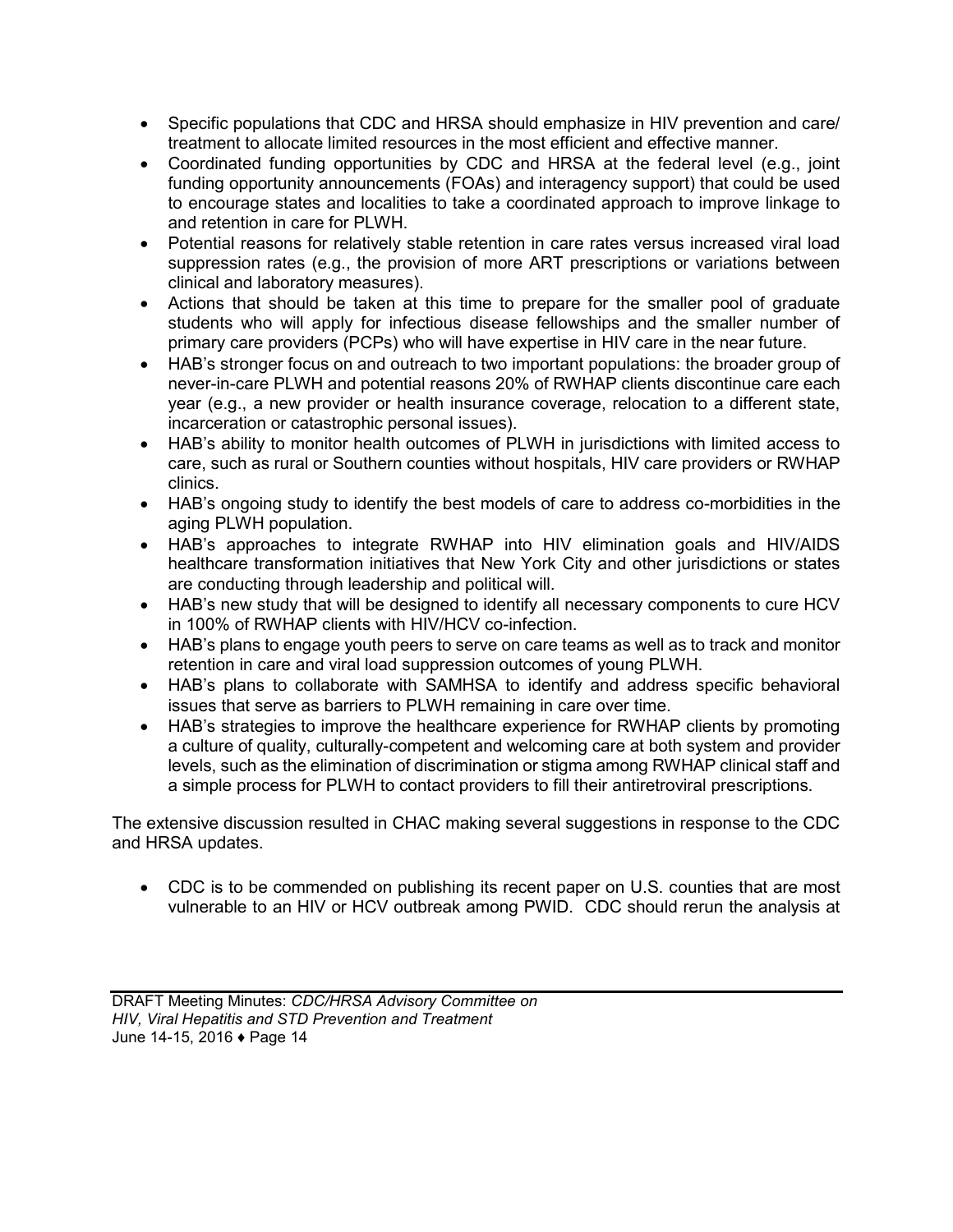- Specific populations that CDC and HRSA should emphasize in HIV prevention and care/ treatment to allocate limited resources in the most efficient and effective manner.
- Coordinated funding opportunities by CDC and HRSA at the federal level (e.g., joint funding opportunity announcements (FOAs) and interagency support) that could be used to encourage states and localities to take a coordinated approach to improve linkage to and retention in care for PLWH.
- Potential reasons for relatively stable retention in care rates versus increased viral load suppression rates (e.g., the provision of more ART prescriptions or variations between clinical and laboratory measures).
- Actions that should be taken at this time to prepare for the smaller pool of graduate students who will apply for infectious disease fellowships and the smaller number of primary care providers (PCPs) who will have expertise in HIV care in the near future.
- HAB's stronger focus on and outreach to two important populations: the broader group of never-in-care PLWH and potential reasons 20% of RWHAP clients discontinue care each year (e.g., a new provider or health insurance coverage, relocation to a different state, incarceration or catastrophic personal issues).
- HAB's ability to monitor health outcomes of PLWH in jurisdictions with limited access to care, such as rural or Southern counties without hospitals, HIV care providers or RWHAP clinics.
- HAB's ongoing study to identify the best models of care to address co-morbidities in the aging PLWH population.
- HAB's approaches to integrate RWHAP into HIV elimination goals and HIV/AIDS healthcare transformation initiatives that New York City and other jurisdictions or states are conducting through leadership and political will.
- HAB's new study that will be designed to identify all necessary components to cure HCV in 100% of RWHAP clients with HIV/HCV co-infection.
- HAB's plans to engage youth peers to serve on care teams as well as to track and monitor retention in care and viral load suppression outcomes of young PLWH.
- HAB's plans to collaborate with SAMHSA to identify and address specific behavioral issues that serve as barriers to PLWH remaining in care over time.
- HAB's strategies to improve the healthcare experience for RWHAP clients by promoting a culture of quality, culturally-competent and welcoming care at both system and provider levels, such as the elimination of discrimination or stigma among RWHAP clinical staff and a simple process for PLWH to contact providers to fill their antiretroviral prescriptions.

The extensive discussion resulted in CHAC making several suggestions in response to the CDC and HRSA updates.

 CDC is to be commended on publishing its recent paper on U.S. counties that are most vulnerable to an HIV or HCV outbreak among PWID. CDC should rerun the analysis at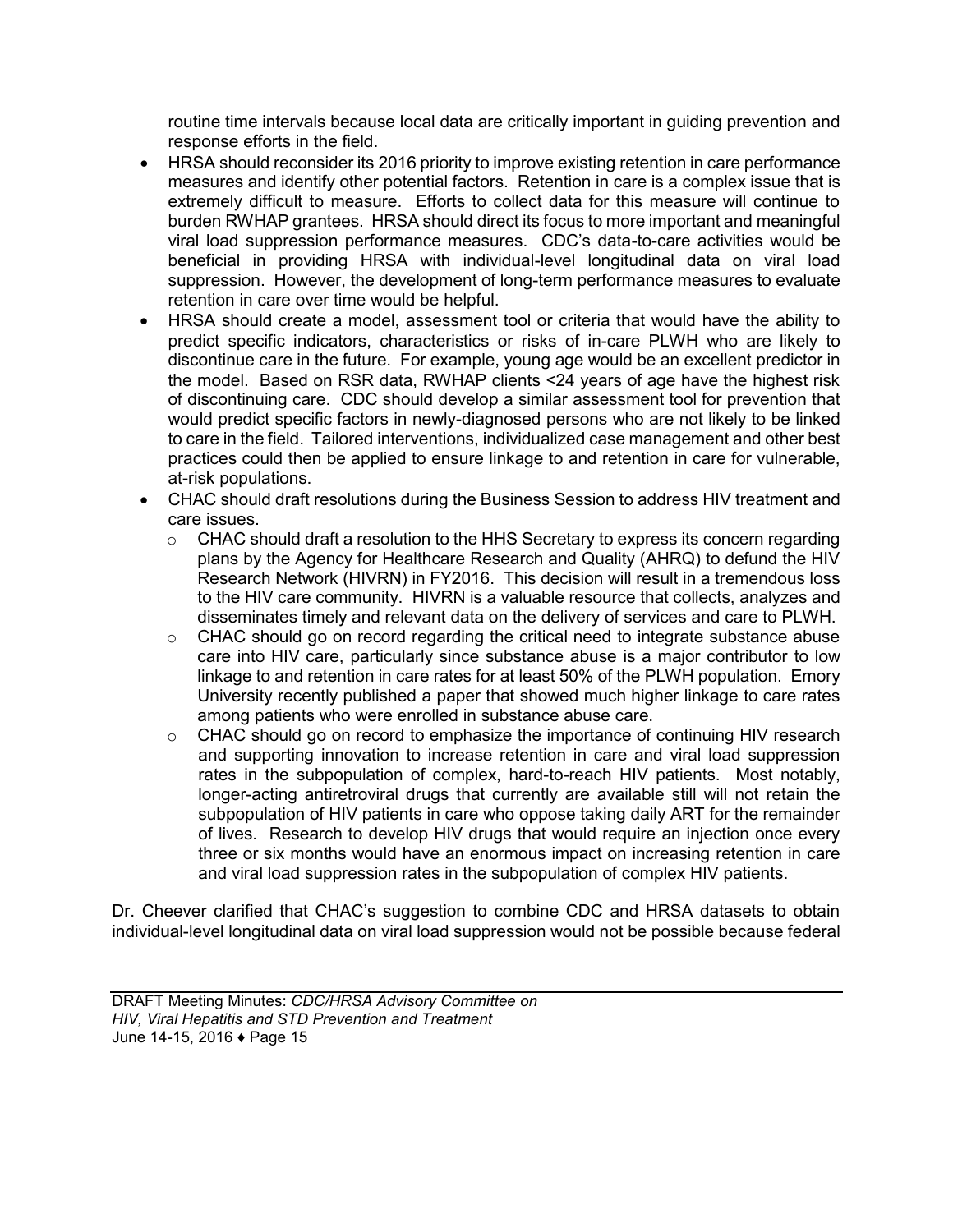routine time intervals because local data are critically important in guiding prevention and response efforts in the field.

- HRSA should reconsider its 2016 priority to improve existing retention in care performance measures and identify other potential factors. Retention in care is a complex issue that is extremely difficult to measure. Efforts to collect data for this measure will continue to burden RWHAP grantees. HRSA should direct its focus to more important and meaningful viral load suppression performance measures. CDC's data-to-care activities would be beneficial in providing HRSA with individual-level longitudinal data on viral load suppression. However, the development of long-term performance measures to evaluate retention in care over time would be helpful.
- HRSA should create a model, assessment tool or criteria that would have the ability to predict specific indicators, characteristics or risks of in-care PLWH who are likely to discontinue care in the future. For example, young age would be an excellent predictor in the model. Based on RSR data, RWHAP clients <24 years of age have the highest risk of discontinuing care. CDC should develop a similar assessment tool for prevention that would predict specific factors in newly-diagnosed persons who are not likely to be linked to care in the field. Tailored interventions, individualized case management and other best practices could then be applied to ensure linkage to and retention in care for vulnerable, at-risk populations.
- CHAC should draft resolutions during the Business Session to address HIV treatment and care issues.
	- $\circ$  CHAC should draft a resolution to the HHS Secretary to express its concern regarding plans by the Agency for Healthcare Research and Quality (AHRQ) to defund the HIV Research Network (HIVRN) in FY2016. This decision will result in a tremendous loss to the HIV care community. HIVRN is a valuable resource that collects, analyzes and disseminates timely and relevant data on the delivery of services and care to PLWH.
	- $\circ$  CHAC should go on record regarding the critical need to integrate substance abuse care into HIV care, particularly since substance abuse is a major contributor to low linkage to and retention in care rates for at least 50% of the PLWH population. Emory University recently published a paper that showed much higher linkage to care rates among patients who were enrolled in substance abuse care.
	- o CHAC should go on record to emphasize the importance of continuing HIV research and supporting innovation to increase retention in care and viral load suppression rates in the subpopulation of complex, hard-to-reach HIV patients. Most notably, longer-acting antiretroviral drugs that currently are available still will not retain the subpopulation of HIV patients in care who oppose taking daily ART for the remainder of lives. Research to develop HIV drugs that would require an injection once every three or six months would have an enormous impact on increasing retention in care and viral load suppression rates in the subpopulation of complex HIV patients.

Dr. Cheever clarified that CHAC's suggestion to combine CDC and HRSA datasets to obtain individual-level longitudinal data on viral load suppression would not be possible because federal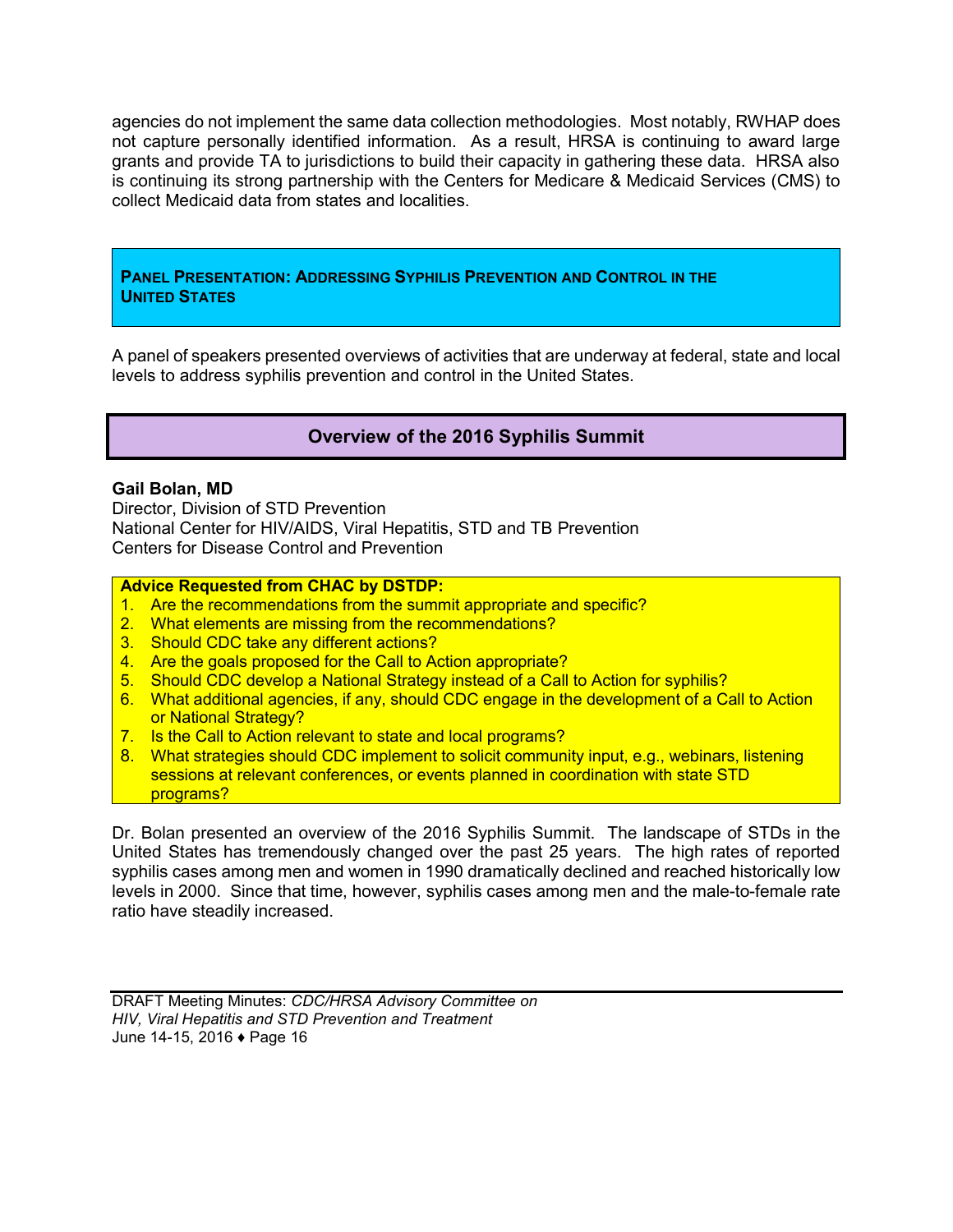<span id="page-17-0"></span>agencies do not implement the same data collection methodologies. Most notably, RWHAP does not capture personally identified information. As a result, HRSA is continuing to award large grants and provide TA to jurisdictions to build their capacity in gathering these data. HRSA also is continuing its strong partnership with the Centers for Medicare & Medicaid Services (CMS) to collect Medicaid data from states and localities.

#### **PANEL PRESENTATION: ADDRESSING SYPHILIS PREVENTION AND CONTROL IN THE UNITED STATES**

A panel of speakers presented overviews of activities that are underway at federal, state and local levels to address syphilis prevention and control in the United States.

## **Overview of the 2016 Syphilis Summit**

#### **Gail Bolan, MD**

Director, Division of STD Prevention National Center for HIV/AIDS, Viral Hepatitis, STD and TB Prevention Centers for Disease Control and Prevention

#### **Advice Requested from CHAC by DSTDP:**

- 1. Are the recommendations from the summit appropriate and specific?
- 2. What elements are missing from the recommendations?
- 3. Should CDC take any different actions?
- 4. Are the goals proposed for the Call to Action appropriate?
- 5. Should CDC develop a National Strategy instead of a Call to Action for syphilis?
- 6. What additional agencies, if any, should CDC engage in the development of a Call to Action or National Strategy?
- 7. Is the Call to Action relevant to state and local programs?
- 8. What strategies should CDC implement to solicit community input, e.g., webinars, listening sessions at relevant conferences, or events planned in coordination with state STD programs?

Dr. Bolan presented an overview of the 2016 Syphilis Summit. The landscape of STDs in the United States has tremendously changed over the past 25 years. The high rates of reported syphilis cases among men and women in 1990 dramatically declined and reached historically low levels in 2000. Since that time, however, syphilis cases among men and the male-to-female rate ratio have steadily increased.

DRAFT Meeting Minutes: *CDC/HRSA Advisory Committee on HIV, Viral Hepatitis and STD Prevention and Treatment* June 14-15, 2016 ♦ Page 16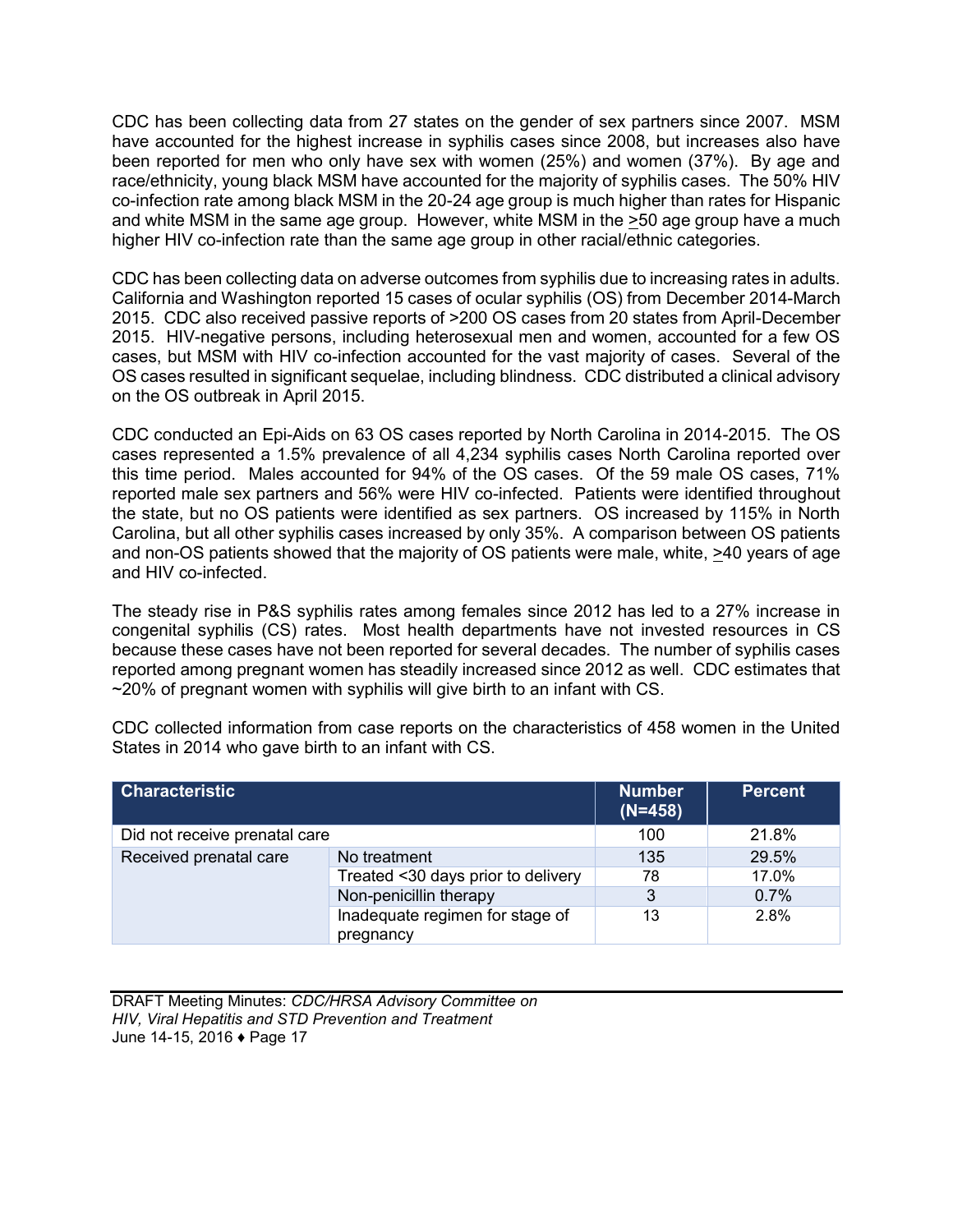CDC has been collecting data from 27 states on the gender of sex partners since 2007. MSM have accounted for the highest increase in syphilis cases since 2008, but increases also have been reported for men who only have sex with women (25%) and women (37%). By age and race/ethnicity, young black MSM have accounted for the majority of syphilis cases. The 50% HIV co-infection rate among black MSM in the 20-24 age group is much higher than rates for Hispanic and white MSM in the same age group. However, white MSM in the >50 age group have a much higher HIV co-infection rate than the same age group in other racial/ethnic categories.

CDC has been collecting data on adverse outcomes from syphilis due to increasing rates in adults. California and Washington reported 15 cases of ocular syphilis (OS) from December 2014-March 2015. CDC also received passive reports of >200 OS cases from 20 states from April-December 2015. HIV-negative persons, including heterosexual men and women, accounted for a few OS cases, but MSM with HIV co-infection accounted for the vast majority of cases. Several of the OS cases resulted in significant sequelae, including blindness. CDC distributed a clinical advisory on the OS outbreak in April 2015.

CDC conducted an Epi-Aids on 63 OS cases reported by North Carolina in 2014-2015. The OS cases represented a 1.5% prevalence of all 4,234 syphilis cases North Carolina reported over this time period. Males accounted for 94% of the OS cases. Of the 59 male OS cases, 71% reported male sex partners and 56% were HIV co-infected. Patients were identified throughout the state, but no OS patients were identified as sex partners. OS increased by 115% in North Carolina, but all other syphilis cases increased by only 35%. A comparison between OS patients and non-OS patients showed that the majority of OS patients were male, white, >40 years of age and HIV co-infected.

The steady rise in P&S syphilis rates among females since 2012 has led to a 27% increase in congenital syphilis (CS) rates. Most health departments have not invested resources in CS because these cases have not been reported for several decades. The number of syphilis cases reported among pregnant women has steadily increased since 2012 as well. CDC estimates that  $\sim$ 20% of pregnant women with syphilis will give birth to an infant with CS.

CDC collected information from case reports on the characteristics of 458 women in the United States in 2014 who gave birth to an infant with CS.

| Characteristic                |                                              | <b>Number</b><br>$(N=458)$ | <b>Percent</b> |
|-------------------------------|----------------------------------------------|----------------------------|----------------|
| Did not receive prenatal care |                                              | 100                        | 21.8%          |
| Received prenatal care        | No treatment                                 | 135                        | 29.5%          |
|                               | Treated <30 days prior to delivery           | 78                         | 17.0%          |
|                               | Non-penicillin therapy                       | 3                          | 0.7%           |
|                               | Inadequate regimen for stage of<br>pregnancy | 13                         | 2.8%           |

DRAFT Meeting Minutes: *CDC/HRSA Advisory Committee on HIV, Viral Hepatitis and STD Prevention and Treatment* June 14-15, 2016 ♦ Page 17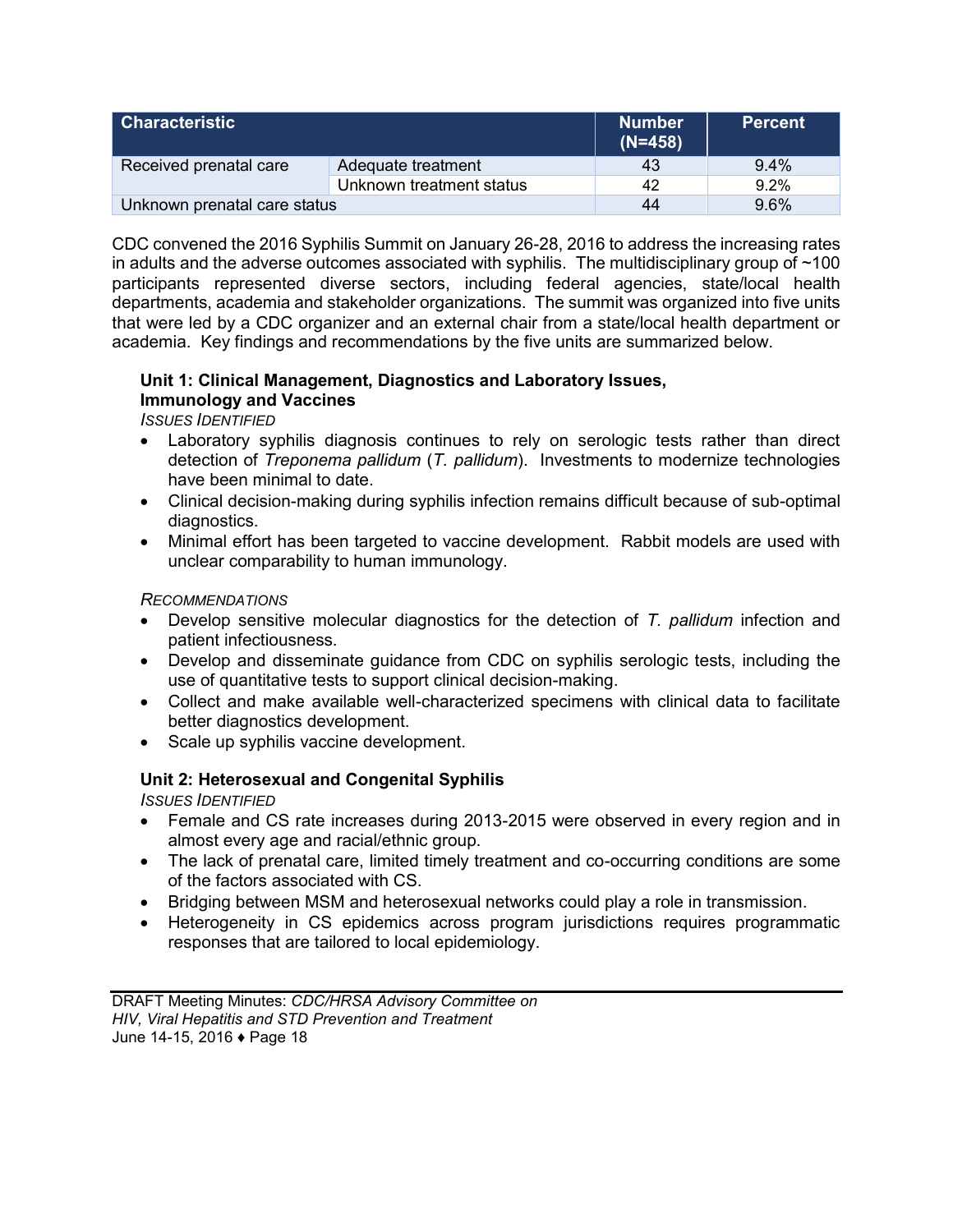| l Characteristic             |                          | <b>Number</b><br>$(N=458)$ | <b>Percent</b> |
|------------------------------|--------------------------|----------------------------|----------------|
| Received prenatal care       | Adequate treatment       | 43                         | $9.4\%$        |
|                              | Unknown treatment status | 42                         | $9.2\%$        |
| Unknown prenatal care status |                          | 44                         | 9.6%           |

CDC convened the 2016 Syphilis Summit on January 26-28, 2016 to address the increasing rates in adults and the adverse outcomes associated with syphilis. The multidisciplinary group of  $~100$ participants represented diverse sectors, including federal agencies, state/local health departments, academia and stakeholder organizations. The summit was organized into five units that were led by a CDC organizer and an external chair from a state/local health department or academia. Key findings and recommendations by the five units are summarized below.

### **Unit 1: Clinical Management, Diagnostics and Laboratory Issues, Immunology and Vaccines**

*ISSUES IDENTIFIED*

- Laboratory syphilis diagnosis continues to rely on serologic tests rather than direct detection of *Treponema pallidum* (*T. pallidum*). Investments to modernize technologies have been minimal to date.
- Clinical decision-making during syphilis infection remains difficult because of sub-optimal diagnostics.
- Minimal effort has been targeted to vaccine development. Rabbit models are used with unclear comparability to human immunology.

#### *RECOMMENDATIONS*

- Develop sensitive molecular diagnostics for the detection of *T. pallidum* infection and patient infectiousness.
- Develop and disseminate guidance from CDC on syphilis serologic tests, including the use of quantitative tests to support clinical decision-making.
- Collect and make available well-characterized specimens with clinical data to facilitate better diagnostics development.
- Scale up syphilis vaccine development.

## **Unit 2: Heterosexual and Congenital Syphilis**

*ISSUES IDENTIFIED*

- Female and CS rate increases during 2013-2015 were observed in every region and in almost every age and racial/ethnic group.
- The lack of prenatal care, limited timely treatment and co-occurring conditions are some of the factors associated with CS.
- Bridging between MSM and heterosexual networks could play a role in transmission.
- Heterogeneity in CS epidemics across program jurisdictions requires programmatic responses that are tailored to local epidemiology.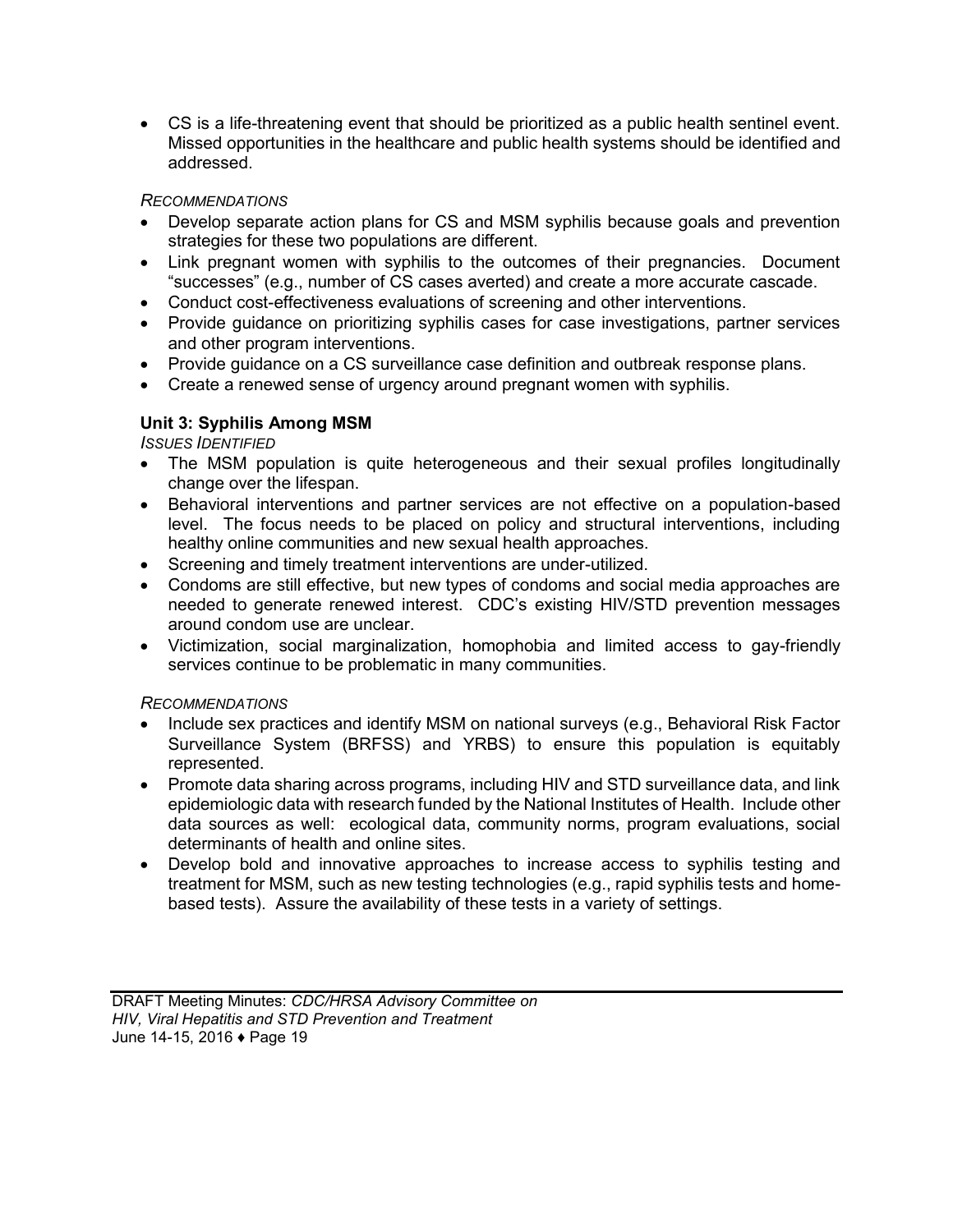CS is a life-threatening event that should be prioritized as a public health sentinel event. Missed opportunities in the healthcare and public health systems should be identified and addressed.

#### *RECOMMENDATIONS*

- Develop separate action plans for CS and MSM syphilis because goals and prevention strategies for these two populations are different.
- Link pregnant women with syphilis to the outcomes of their pregnancies. Document "successes" (e.g., number of CS cases averted) and create a more accurate cascade.
- Conduct cost-effectiveness evaluations of screening and other interventions.
- Provide guidance on prioritizing syphilis cases for case investigations, partner services and other program interventions.
- Provide guidance on a CS surveillance case definition and outbreak response plans.
- Create a renewed sense of urgency around pregnant women with syphilis.

## **Unit 3: Syphilis Among MSM**

*ISSUES IDENTIFIED*

- The MSM population is quite heterogeneous and their sexual profiles longitudinally change over the lifespan.
- Behavioral interventions and partner services are not effective on a population-based level. The focus needs to be placed on policy and structural interventions, including healthy online communities and new sexual health approaches.
- Screening and timely treatment interventions are under-utilized.
- Condoms are still effective, but new types of condoms and social media approaches are needed to generate renewed interest. CDC's existing HIV/STD prevention messages around condom use are unclear.
- Victimization, social marginalization, homophobia and limited access to gay-friendly services continue to be problematic in many communities.

#### *RECOMMENDATIONS*

- Include sex practices and identify MSM on national surveys (e.g., Behavioral Risk Factor Surveillance System (BRFSS) and YRBS) to ensure this population is equitably represented.
- Promote data sharing across programs, including HIV and STD surveillance data, and link epidemiologic data with research funded by the National Institutes of Health. Include other data sources as well: ecological data, community norms, program evaluations, social determinants of health and online sites.
- Develop bold and innovative approaches to increase access to syphilis testing and treatment for MSM, such as new testing technologies (e.g., rapid syphilis tests and homebased tests). Assure the availability of these tests in a variety of settings.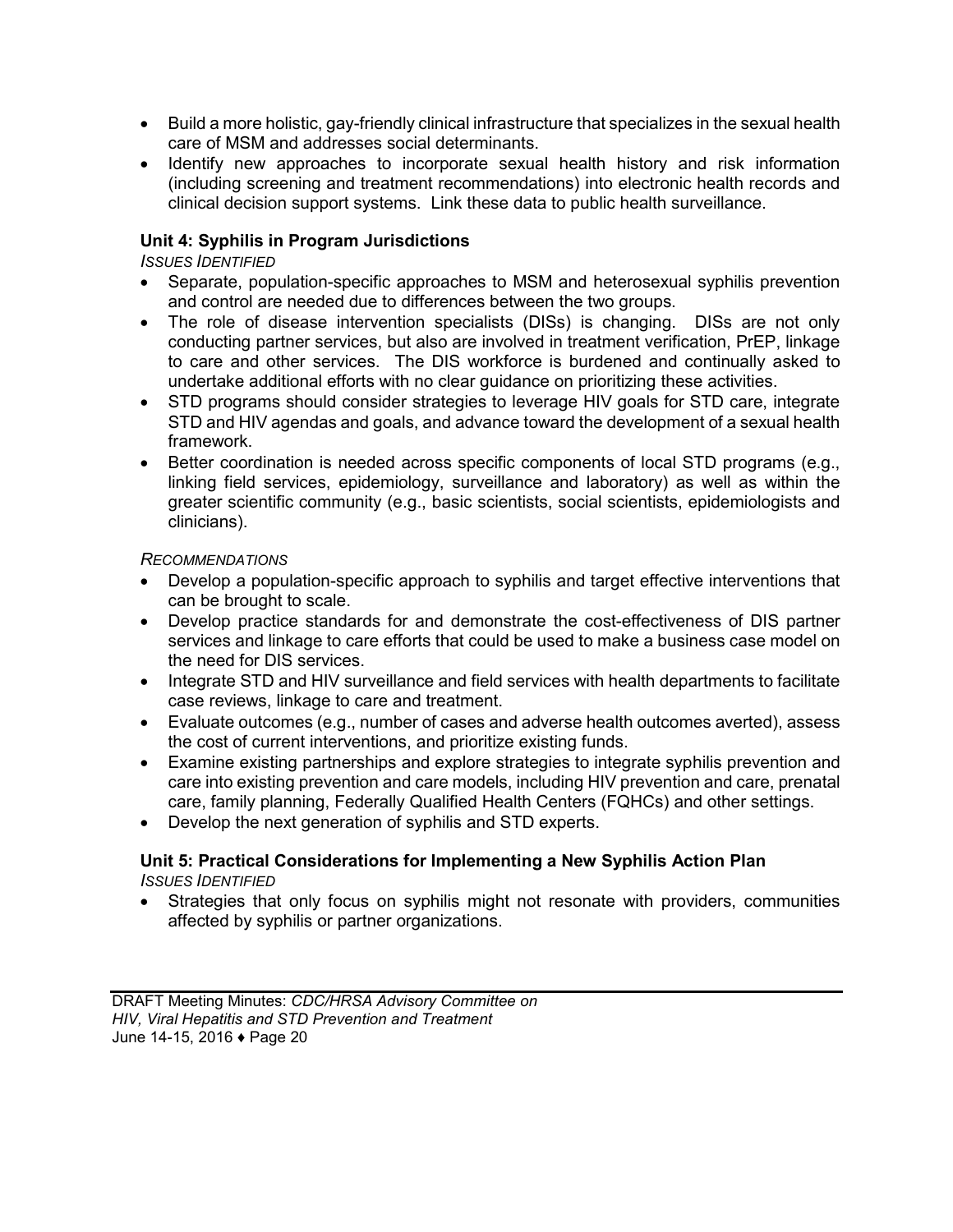- Build a more holistic, gay-friendly clinical infrastructure that specializes in the sexual health care of MSM and addresses social determinants.
- Identify new approaches to incorporate sexual health history and risk information (including screening and treatment recommendations) into electronic health records and clinical decision support systems. Link these data to public health surveillance.

### **Unit 4: Syphilis in Program Jurisdictions**

#### *ISSUES IDENTIFIED*

- Separate, population-specific approaches to MSM and heterosexual syphilis prevention and control are needed due to differences between the two groups.
- The role of disease intervention specialists (DISs) is changing. DISs are not only conducting partner services, but also are involved in treatment verification, PrEP, linkage to care and other services. The DIS workforce is burdened and continually asked to undertake additional efforts with no clear guidance on prioritizing these activities.
- STD programs should consider strategies to leverage HIV goals for STD care, integrate STD and HIV agendas and goals, and advance toward the development of a sexual health framework.
- Better coordination is needed across specific components of local STD programs (e.g., linking field services, epidemiology, surveillance and laboratory) as well as within the greater scientific community (e.g., basic scientists, social scientists, epidemiologists and clinicians).

#### *RECOMMENDATIONS*

- Develop a population-specific approach to syphilis and target effective interventions that can be brought to scale.
- Develop practice standards for and demonstrate the cost-effectiveness of DIS partner services and linkage to care efforts that could be used to make a business case model on the need for DIS services.
- Integrate STD and HIV surveillance and field services with health departments to facilitate case reviews, linkage to care and treatment.
- Evaluate outcomes (e.g., number of cases and adverse health outcomes averted), assess the cost of current interventions, and prioritize existing funds.
- Examine existing partnerships and explore strategies to integrate syphilis prevention and care into existing prevention and care models, including HIV prevention and care, prenatal care, family planning, Federally Qualified Health Centers (FQHCs) and other settings.
- Develop the next generation of syphilis and STD experts.

#### **Unit 5: Practical Considerations for Implementing a New Syphilis Action Plan**  *ISSUES IDENTIFIED*

 Strategies that only focus on syphilis might not resonate with providers, communities affected by syphilis or partner organizations.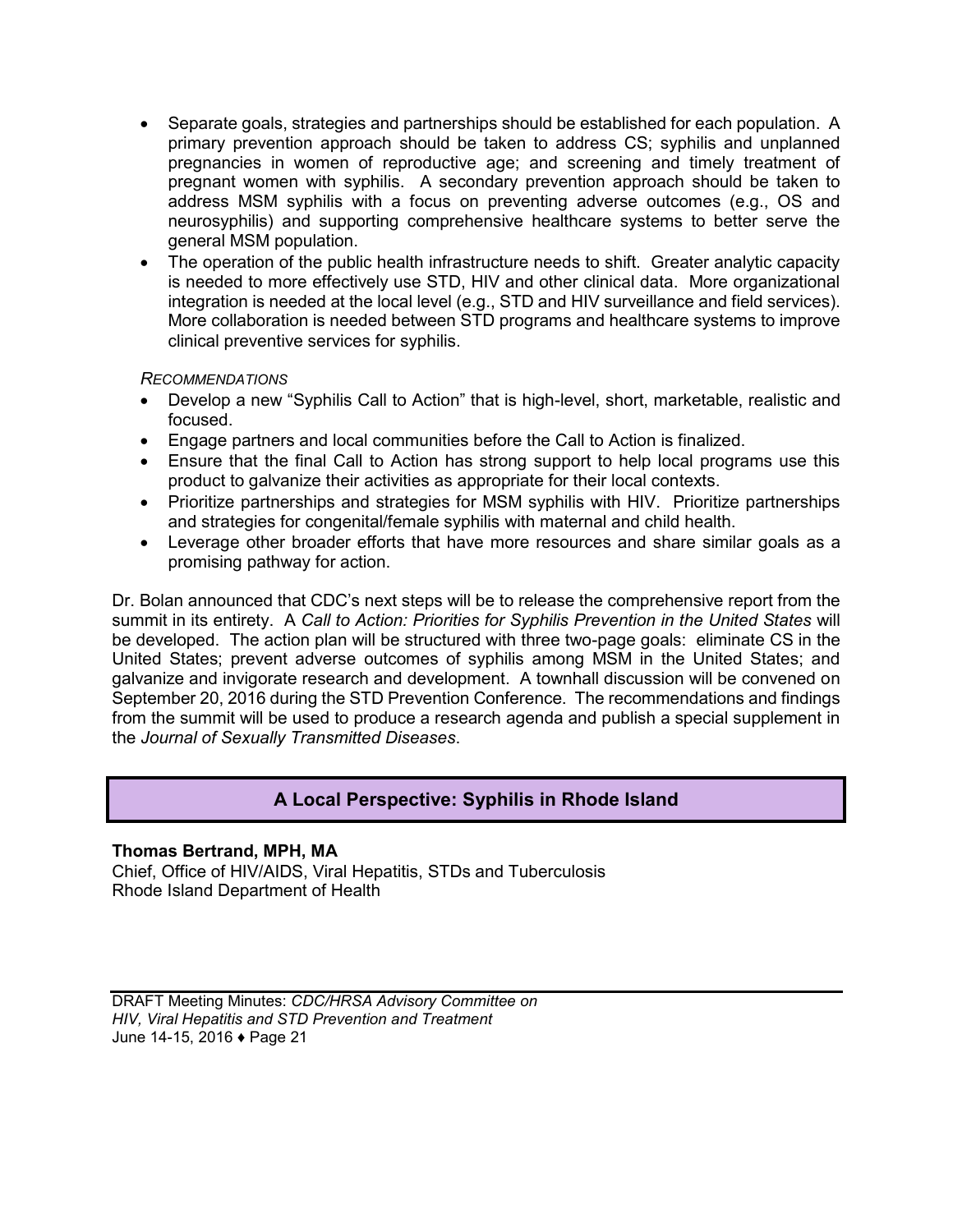- <span id="page-22-0"></span>• Separate goals, strategies and partnerships should be established for each population. A primary prevention approach should be taken to address CS; syphilis and unplanned pregnancies in women of reproductive age; and screening and timely treatment of pregnant women with syphilis. A secondary prevention approach should be taken to address MSM syphilis with a focus on preventing adverse outcomes (e.g., OS and neurosyphilis) and supporting comprehensive healthcare systems to better serve the general MSM population.
- The operation of the public health infrastructure needs to shift. Greater analytic capacity is needed to more effectively use STD, HIV and other clinical data. More organizational integration is needed at the local level (e.g., STD and HIV surveillance and field services). More collaboration is needed between STD programs and healthcare systems to improve clinical preventive services for syphilis.

#### *RECOMMENDATIONS*

- Develop a new "Syphilis Call to Action" that is high-level, short, marketable, realistic and focused.
- Engage partners and local communities before the Call to Action is finalized.
- Ensure that the final Call to Action has strong support to help local programs use this product to galvanize their activities as appropriate for their local contexts.
- Prioritize partnerships and strategies for MSM syphilis with HIV. Prioritize partnerships and strategies for congenital/female syphilis with maternal and child health.
- Leverage other broader efforts that have more resources and share similar goals as a promising pathway for action.

Dr. Bolan announced that CDC's next steps will be to release the comprehensive report from the summit in its entirety. A *Call to Action: Priorities for Syphilis Prevention in the United States* will be developed. The action plan will be structured with three two-page goals: eliminate CS in the United States; prevent adverse outcomes of syphilis among MSM in the United States; and galvanize and invigorate research and development. A townhall discussion will be convened on September 20, 2016 during the STD Prevention Conference. The recommendations and findings from the summit will be used to produce a research agenda and publish a special supplement in the *Journal of Sexually Transmitted Diseases*.

## **A Local Perspective: Syphilis in Rhode Island**

#### **Thomas Bertrand, MPH, MA**

Chief, Office of HIV/AIDS, Viral Hepatitis, STDs and Tuberculosis Rhode Island Department of Health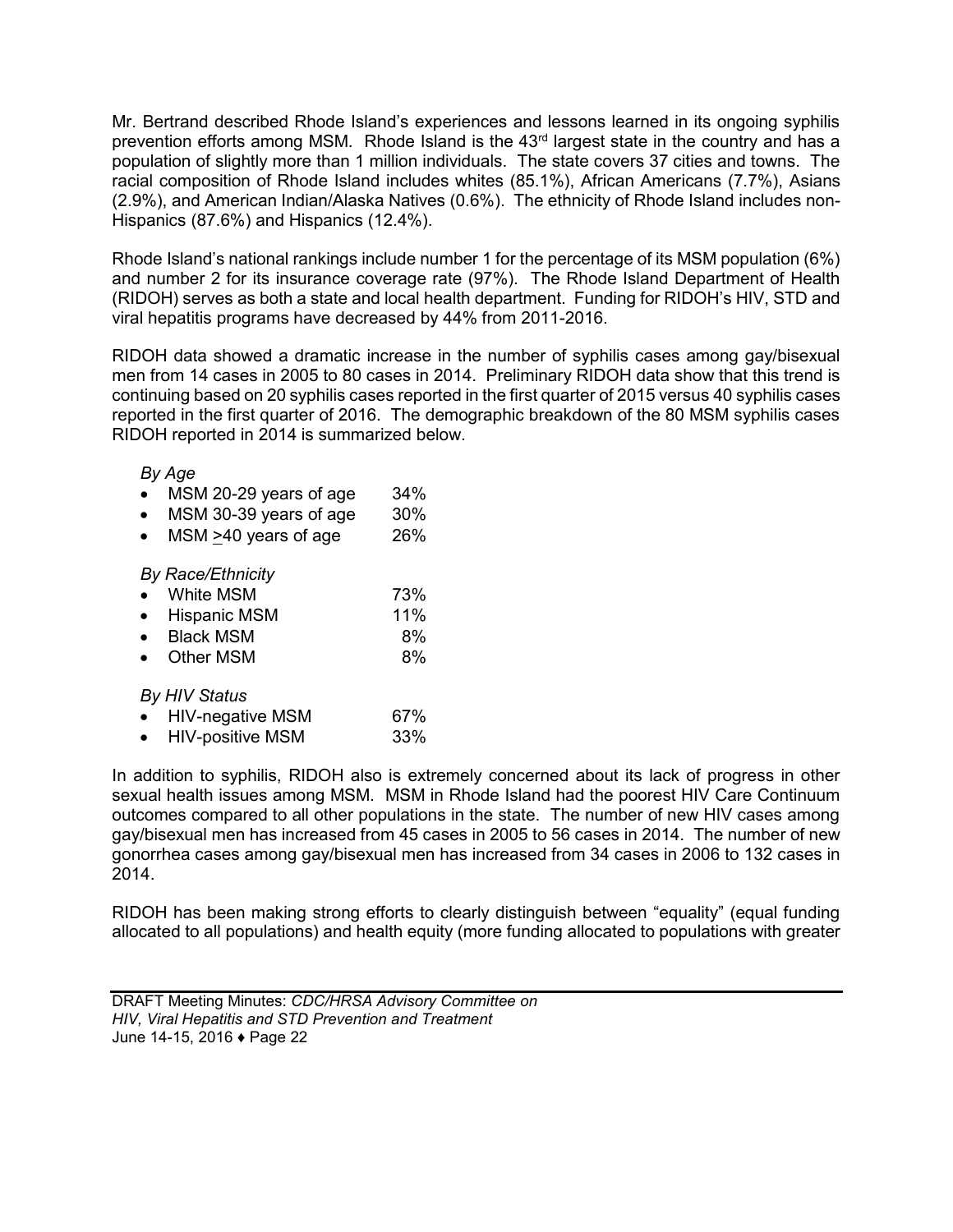Mr. Bertrand described Rhode Island's experiences and lessons learned in its ongoing syphilis prevention efforts among MSM. Rhode Island is the 43<sup>rd</sup> largest state in the country and has a population of slightly more than 1 million individuals. The state covers 37 cities and towns. The racial composition of Rhode Island includes whites (85.1%), African Americans (7.7%), Asians (2.9%), and American Indian/Alaska Natives (0.6%). The ethnicity of Rhode Island includes non-Hispanics (87.6%) and Hispanics (12.4%).

Rhode Island's national rankings include number 1 for the percentage of its MSM population (6%) and number 2 for its insurance coverage rate (97%). The Rhode Island Department of Health (RIDOH) serves as both a state and local health department. Funding for RIDOH's HIV, STD and viral hepatitis programs have decreased by 44% from 2011-2016.

RIDOH data showed a dramatic increase in the number of syphilis cases among gay/bisexual men from 14 cases in 2005 to 80 cases in 2014. Preliminary RIDOH data show that this trend is continuing based on 20 syphilis cases reported in the first quarter of 2015 versus 40 syphilis cases reported in the first quarter of 2016. The demographic breakdown of the 80 MSM syphilis cases RIDOH reported in 2014 is summarized below.

#### *By Age*

|  | MSM 20-29 years of age | 34% |
|--|------------------------|-----|
|--|------------------------|-----|

- MSM 30-39 years of age 30%
- MSM >40 years of age 26%

#### *By Race/Ethnicity*

| 73%       |
|-----------|
| White MSM |

| <b>Hispanic MSM</b> | 11% |
|---------------------|-----|
|                     |     |

| <b>Black MSM</b> | 8% |
|------------------|----|
|                  |    |

• Other MSM 8%

#### *By HIV Status*

|  | <b>HIV-negative MSM</b> | 67% |
|--|-------------------------|-----|
|--|-------------------------|-----|

• HIV-positive MSM 33%

In addition to syphilis, RIDOH also is extremely concerned about its lack of progress in other sexual health issues among MSM. MSM in Rhode Island had the poorest HIV Care Continuum outcomes compared to all other populations in the state. The number of new HIV cases among gay/bisexual men has increased from 45 cases in 2005 to 56 cases in 2014. The number of new gonorrhea cases among gay/bisexual men has increased from 34 cases in 2006 to 132 cases in 2014.

RIDOH has been making strong efforts to clearly distinguish between "equality" (equal funding allocated to all populations) and health equity (more funding allocated to populations with greater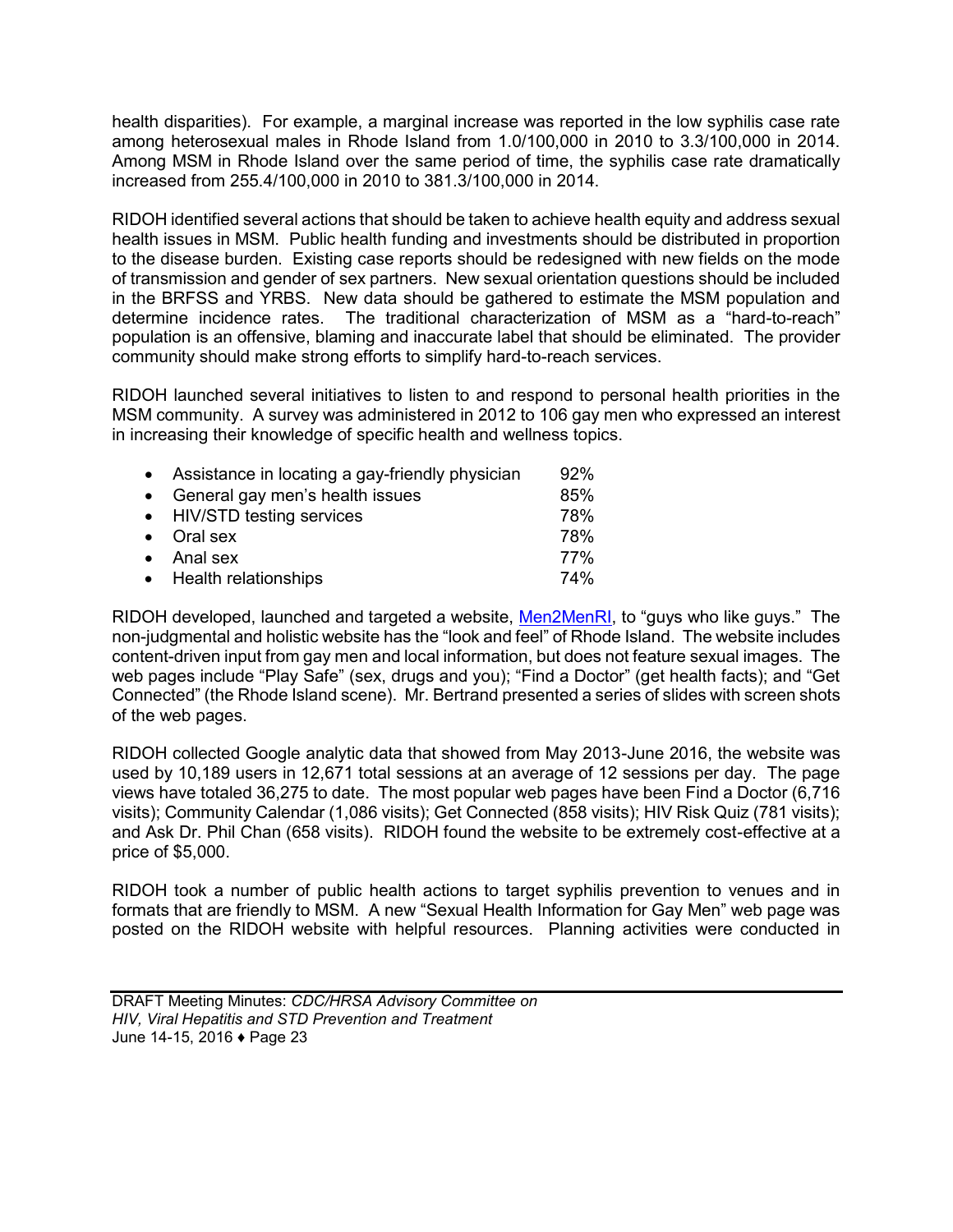health disparities). For example, a marginal increase was reported in the low syphilis case rate among heterosexual males in Rhode Island from 1.0/100,000 in 2010 to 3.3/100,000 in 2014. Among MSM in Rhode Island over the same period of time, the syphilis case rate dramatically increased from 255.4/100,000 in 2010 to 381.3/100,000 in 2014.

RIDOH identified several actions that should be taken to achieve health equity and address sexual health issues in MSM. Public health funding and investments should be distributed in proportion to the disease burden. Existing case reports should be redesigned with new fields on the mode of transmission and gender of sex partners. New sexual orientation questions should be included in the BRFSS and YRBS. New data should be gathered to estimate the MSM population and determine incidence rates. The traditional characterization of MSM as a "hard-to-reach" population is an offensive, blaming and inaccurate label that should be eliminated. The provider community should make strong efforts to simplify hard-to-reach services.

RIDOH launched several initiatives to listen to and respond to personal health priorities in the MSM community. A survey was administered in 2012 to 106 gay men who expressed an interest in increasing their knowledge of specific health and wellness topics.

| • Assistance in locating a gay-friendly physician | 92%        |
|---------------------------------------------------|------------|
| • General gay men's health issues                 | 85%        |
| • HIV/STD testing services                        | 78%        |
| $\bullet$ Oral sex                                | 78%        |
| $\bullet$ Anal sex                                | 77%        |
| • Health relationships                            | <b>74%</b> |

RIDOH developed, launched and targeted a website, [Men2MenRI,](http://www.men2menri.org/) to "guys who like guys." The non-judgmental and holistic website has the "look and feel" of Rhode Island. The website includes content-driven input from gay men and local information, but does not feature sexual images. The web pages include "Play Safe" (sex, drugs and you); "Find a Doctor" (get health facts); and "Get Connected" (the Rhode Island scene). Mr. Bertrand presented a series of slides with screen shots of the web pages.

RIDOH collected Google analytic data that showed from May 2013-June 2016, the website was used by 10,189 users in 12,671 total sessions at an average of 12 sessions per day. The page views have totaled 36,275 to date. The most popular web pages have been Find a Doctor (6,716 visits); Community Calendar (1,086 visits); Get Connected (858 visits); HIV Risk Quiz (781 visits); and Ask Dr. Phil Chan (658 visits). RIDOH found the website to be extremely cost-effective at a price of \$5,000.

RIDOH took a number of public health actions to target syphilis prevention to venues and in formats that are friendly to MSM. A new "Sexual Health Information for Gay Men" web page was posted on the RIDOH website with helpful resources. Planning activities were conducted in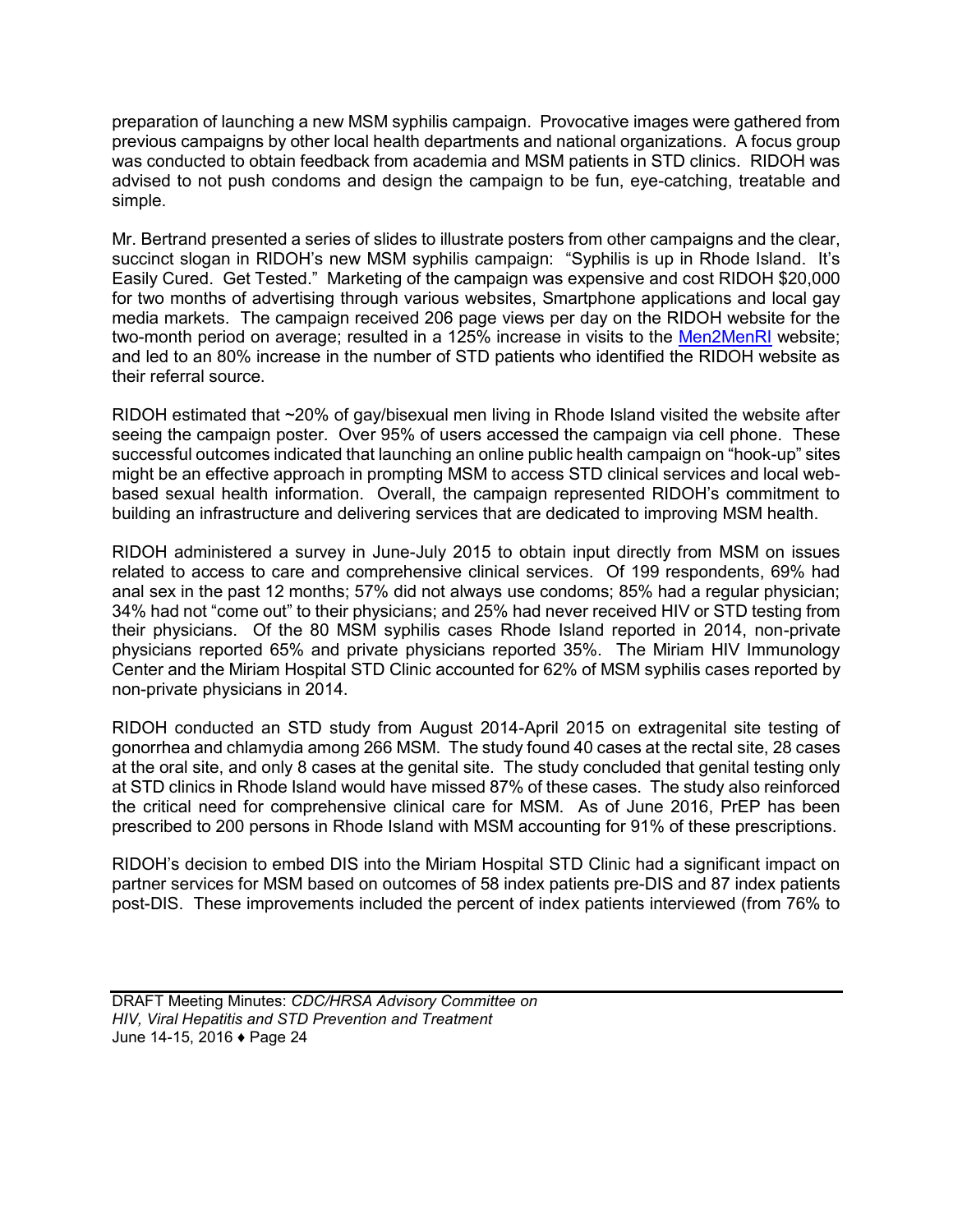preparation of launching a new MSM syphilis campaign. Provocative images were gathered from previous campaigns by other local health departments and national organizations. A focus group was conducted to obtain feedback from academia and MSM patients in STD clinics. RIDOH was advised to not push condoms and design the campaign to be fun, eye-catching, treatable and simple.

Mr. Bertrand presented a series of slides to illustrate posters from other campaigns and the clear, succinct slogan in RIDOH's new MSM syphilis campaign: "Syphilis is up in Rhode Island. It's Easily Cured. Get Tested." Marketing of the campaign was expensive and cost RIDOH \$20,000 for two months of advertising through various websites, Smartphone applications and local gay media markets. The campaign received 206 page views per day on the RIDOH website for the two-month period on average; resulted in a 125% increase in visits to the [Men2MenRI](http://www.men2menri.org/) website; and led to an 80% increase in the number of STD patients who identified the RIDOH website as their referral source.

RIDOH estimated that ~20% of gay/bisexual men living in Rhode Island visited the website after seeing the campaign poster. Over 95% of users accessed the campaign via cell phone. These successful outcomes indicated that launching an online public health campaign on "hook-up" sites might be an effective approach in prompting MSM to access STD clinical services and local webbased sexual health information. Overall, the campaign represented RIDOH's commitment to building an infrastructure and delivering services that are dedicated to improving MSM health.

RIDOH administered a survey in June-July 2015 to obtain input directly from MSM on issues related to access to care and comprehensive clinical services. Of 199 respondents, 69% had anal sex in the past 12 months; 57% did not always use condoms; 85% had a regular physician; 34% had not "come out" to their physicians; and 25% had never received HIV or STD testing from their physicians. Of the 80 MSM syphilis cases Rhode Island reported in 2014, non-private physicians reported 65% and private physicians reported 35%. The Miriam HIV Immunology Center and the Miriam Hospital STD Clinic accounted for 62% of MSM syphilis cases reported by non-private physicians in 2014.

RIDOH conducted an STD study from August 2014-April 2015 on extragenital site testing of gonorrhea and chlamydia among 266 MSM. The study found 40 cases at the rectal site, 28 cases at the oral site, and only 8 cases at the genital site. The study concluded that genital testing only at STD clinics in Rhode Island would have missed 87% of these cases. The study also reinforced the critical need for comprehensive clinical care for MSM. As of June 2016, PrEP has been prescribed to 200 persons in Rhode Island with MSM accounting for 91% of these prescriptions.

RIDOH's decision to embed DIS into the Miriam Hospital STD Clinic had a significant impact on partner services for MSM based on outcomes of 58 index patients pre-DIS and 87 index patients post-DIS. These improvements included the percent of index patients interviewed (from 76% to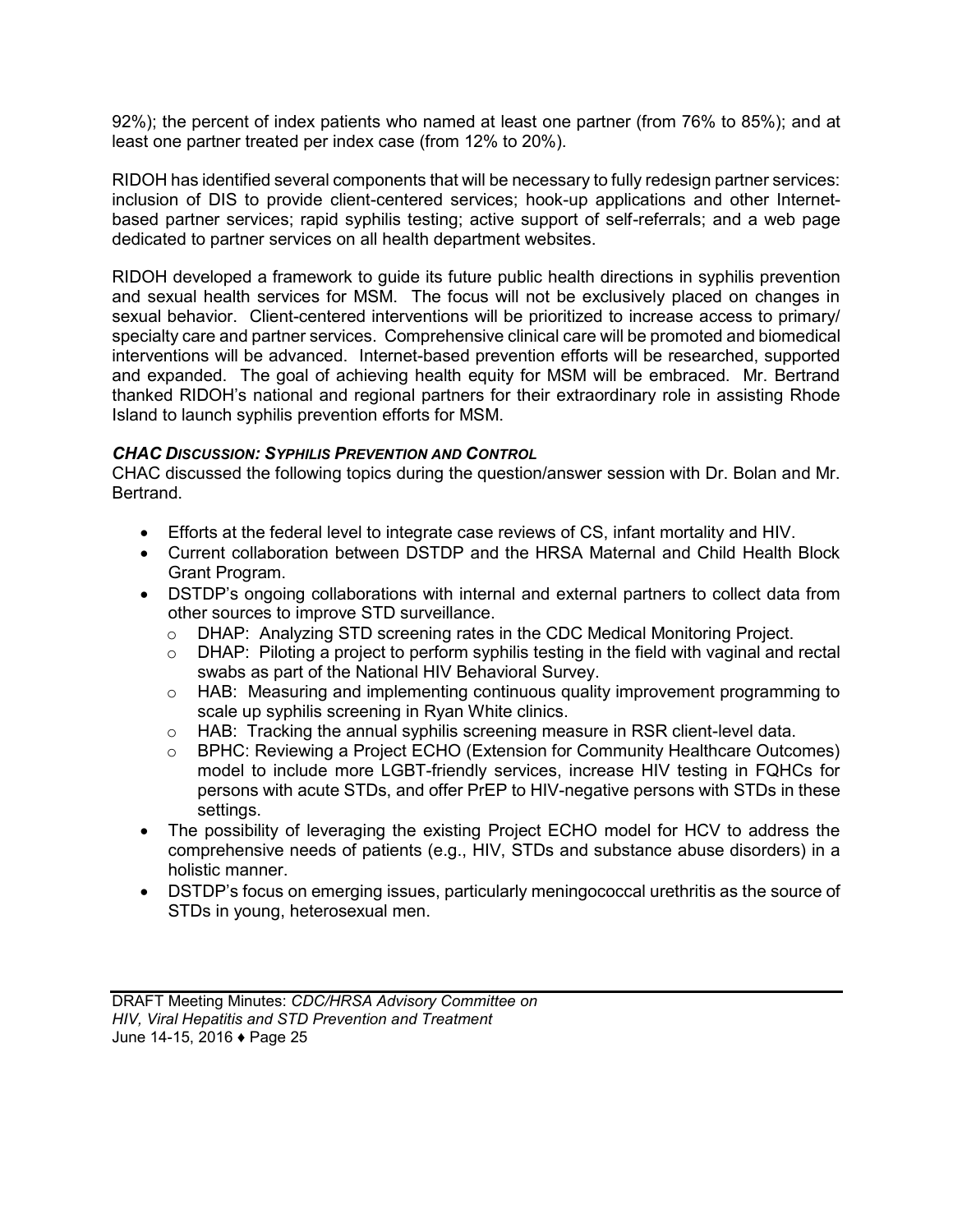92%); the percent of index patients who named at least one partner (from 76% to 85%); and at least one partner treated per index case (from 12% to 20%).

RIDOH has identified several components that will be necessary to fully redesign partner services: inclusion of DIS to provide client-centered services; hook-up applications and other Internetbased partner services; rapid syphilis testing; active support of self-referrals; and a web page dedicated to partner services on all health department websites.

RIDOH developed a framework to guide its future public health directions in syphilis prevention and sexual health services for MSM. The focus will not be exclusively placed on changes in sexual behavior. Client-centered interventions will be prioritized to increase access to primary/ specialty care and partner services. Comprehensive clinical care will be promoted and biomedical interventions will be advanced. Internet-based prevention efforts will be researched, supported and expanded. The goal of achieving health equity for MSM will be embraced. Mr. Bertrand thanked RIDOH's national and regional partners for their extraordinary role in assisting Rhode Island to launch syphilis prevention efforts for MSM.

#### *CHAC DISCUSSION: SYPHILIS PREVENTION AND CONTROL*

CHAC discussed the following topics during the question/answer session with Dr. Bolan and Mr. Bertrand.

- Efforts at the federal level to integrate case reviews of CS, infant mortality and HIV.
- Current collaboration between DSTDP and the HRSA Maternal and Child Health Block Grant Program.
- DSTDP's ongoing collaborations with internal and external partners to collect data from other sources to improve STD surveillance.
	- o DHAP: Analyzing STD screening rates in the CDC Medical Monitoring Project.
	- $\circ$  DHAP: Piloting a project to perform syphilis testing in the field with vaginal and rectal swabs as part of the National HIV Behavioral Survey.
	- o HAB: Measuring and implementing continuous quality improvement programming to scale up syphilis screening in Ryan White clinics.
	- $\circ$  HAB: Tracking the annual syphilis screening measure in RSR client-level data.
	- $\circ$  BPHC: Reviewing a Project ECHO (Extension for Community Healthcare Outcomes) model to include more LGBT-friendly services, increase HIV testing in FQHCs for persons with acute STDs, and offer PrEP to HIV-negative persons with STDs in these settings.
- The possibility of leveraging the existing Project ECHO model for HCV to address the comprehensive needs of patients (e.g., HIV, STDs and substance abuse disorders) in a holistic manner.
- DSTDP's focus on emerging issues, particularly meningococcal urethritis as the source of STDs in young, heterosexual men.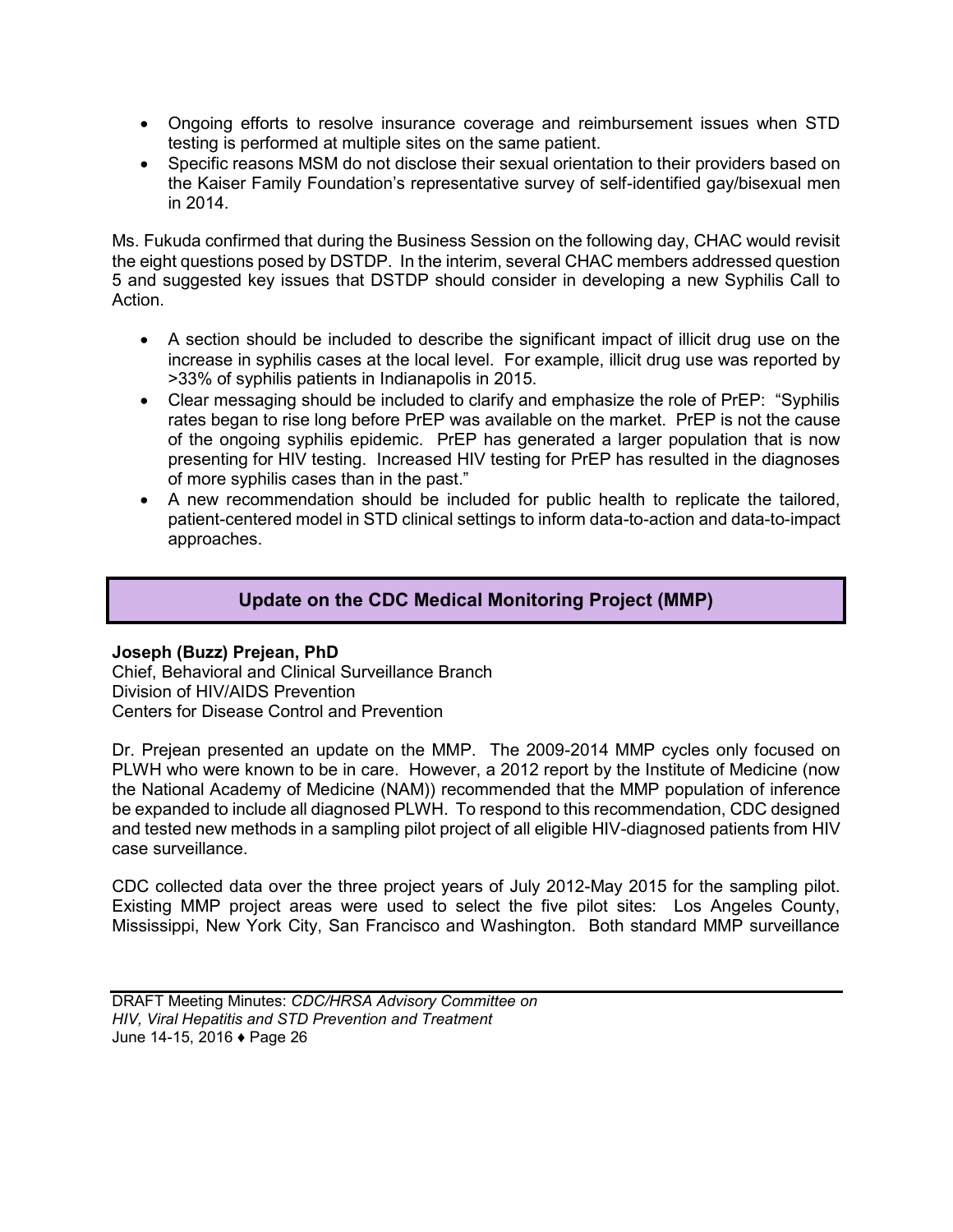- <span id="page-27-0"></span> Ongoing efforts to resolve insurance coverage and reimbursement issues when STD testing is performed at multiple sites on the same patient.
- Specific reasons MSM do not disclose their sexual orientation to their providers based on the Kaiser Family Foundation's representative survey of self-identified gay/bisexual men in 2014.

Ms. Fukuda confirmed that during the Business Session on the following day, CHAC would revisit the eight questions posed by DSTDP. In the interim, several CHAC members addressed question 5 and suggested key issues that DSTDP should consider in developing a new Syphilis Call to Action.

- A section should be included to describe the significant impact of illicit drug use on the increase in syphilis cases at the local level. For example, illicit drug use was reported by >33% of syphilis patients in Indianapolis in 2015.
- Clear messaging should be included to clarify and emphasize the role of PrEP: "Syphilis rates began to rise long before PrEP was available on the market. PrEP is not the cause of the ongoing syphilis epidemic. PrEP has generated a larger population that is now presenting for HIV testing. Increased HIV testing for PrEP has resulted in the diagnoses of more syphilis cases than in the past."
- A new recommendation should be included for public health to replicate the tailored, patient-centered model in STD clinical settings to inform data-to-action and data-to-impact approaches.

## **Update on the CDC Medical Monitoring Project (MMP)**

#### **Joseph (Buzz) Prejean, PhD**

Chief, Behavioral and Clinical Surveillance Branch Division of HIV/AIDS Prevention Centers for Disease Control and Prevention

Dr. Prejean presented an update on the MMP. The 2009-2014 MMP cycles only focused on PLWH who were known to be in care. However, a 2012 report by the Institute of Medicine (now the National Academy of Medicine (NAM)) recommended that the MMP population of inference be expanded to include all diagnosed PLWH. To respond to this recommendation, CDC designed and tested new methods in a sampling pilot project of all eligible HIV-diagnosed patients from HIV case surveillance.

CDC collected data over the three project years of July 2012-May 2015 for the sampling pilot. Existing MMP project areas were used to select the five pilot sites: Los Angeles County, Mississippi, New York City, San Francisco and Washington. Both standard MMP surveillance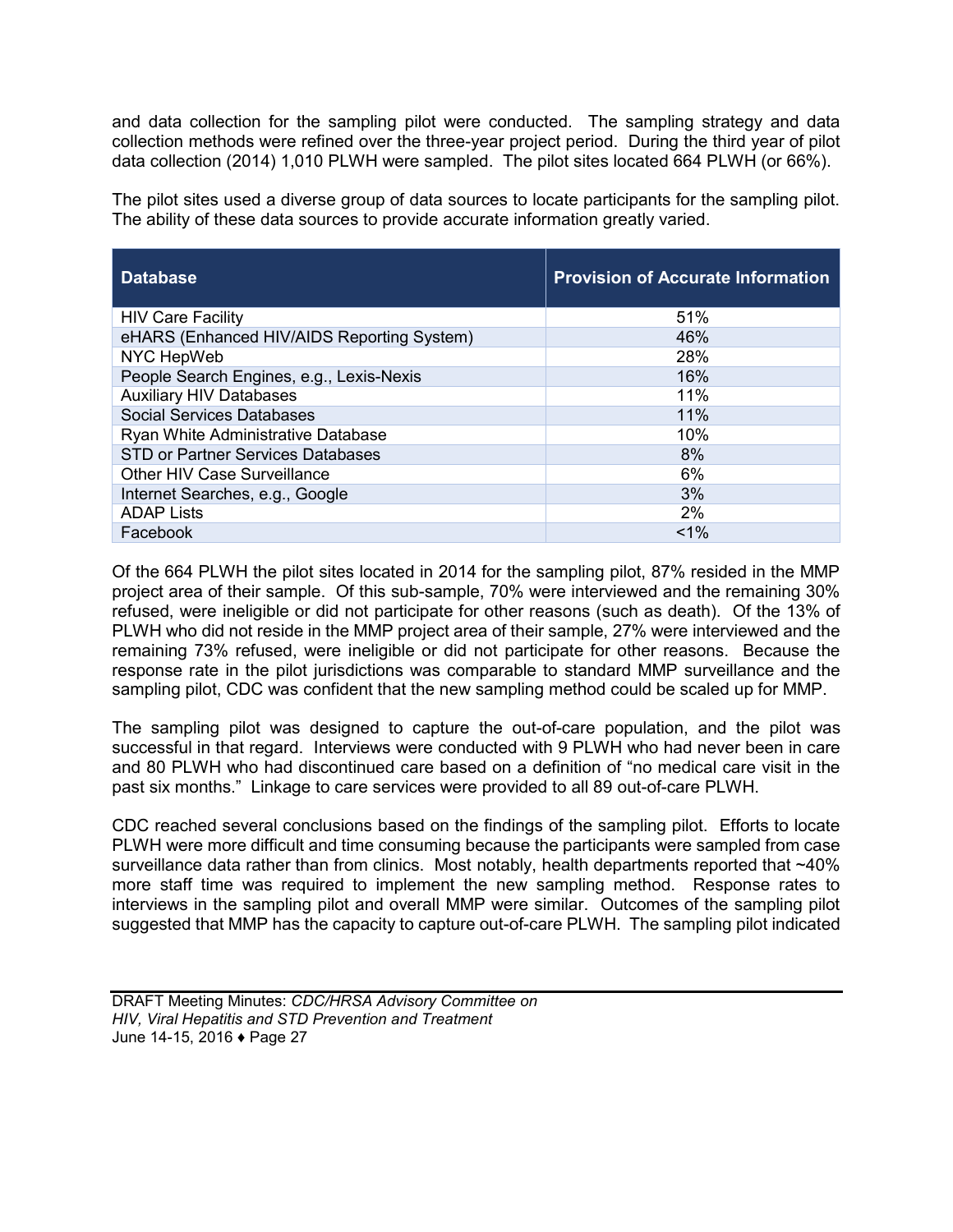and data collection for the sampling pilot were conducted. The sampling strategy and data collection methods were refined over the three-year project period. During the third year of pilot data collection (2014) 1,010 PLWH were sampled. The pilot sites located 664 PLWH (or 66%).

The pilot sites used a diverse group of data sources to locate participants for the sampling pilot. The ability of these data sources to provide accurate information greatly varied.

| <b>Database</b>                            | <b>Provision of Accurate Information</b> |
|--------------------------------------------|------------------------------------------|
| <b>HIV Care Facility</b>                   | 51%                                      |
| eHARS (Enhanced HIV/AIDS Reporting System) | 46%                                      |
| NYC HepWeb                                 | 28%                                      |
| People Search Engines, e.g., Lexis-Nexis   | 16%                                      |
| <b>Auxiliary HIV Databases</b>             | 11%                                      |
| <b>Social Services Databases</b>           | 11%                                      |
| Ryan White Administrative Database         | 10%                                      |
| <b>STD or Partner Services Databases</b>   | 8%                                       |
| <b>Other HIV Case Surveillance</b>         | 6%                                       |
| Internet Searches, e.g., Google            | 3%                                       |
| <b>ADAP Lists</b>                          | 2%                                       |
| Facebook                                   | $< 1\%$                                  |

Of the 664 PLWH the pilot sites located in 2014 for the sampling pilot, 87% resided in the MMP project area of their sample. Of this sub-sample, 70% were interviewed and the remaining 30% refused, were ineligible or did not participate for other reasons (such as death). Of the 13% of PLWH who did not reside in the MMP project area of their sample, 27% were interviewed and the remaining 73% refused, were ineligible or did not participate for other reasons. Because the response rate in the pilot jurisdictions was comparable to standard MMP surveillance and the sampling pilot, CDC was confident that the new sampling method could be scaled up for MMP.

The sampling pilot was designed to capture the out-of-care population, and the pilot was successful in that regard. Interviews were conducted with 9 PLWH who had never been in care and 80 PLWH who had discontinued care based on a definition of "no medical care visit in the past six months." Linkage to care services were provided to all 89 out-of-care PLWH.

CDC reached several conclusions based on the findings of the sampling pilot. Efforts to locate PLWH were more difficult and time consuming because the participants were sampled from case surveillance data rather than from clinics. Most notably, health departments reported that ~40% more staff time was required to implement the new sampling method. Response rates to interviews in the sampling pilot and overall MMP were similar. Outcomes of the sampling pilot suggested that MMP has the capacity to capture out-of-care PLWH. The sampling pilot indicated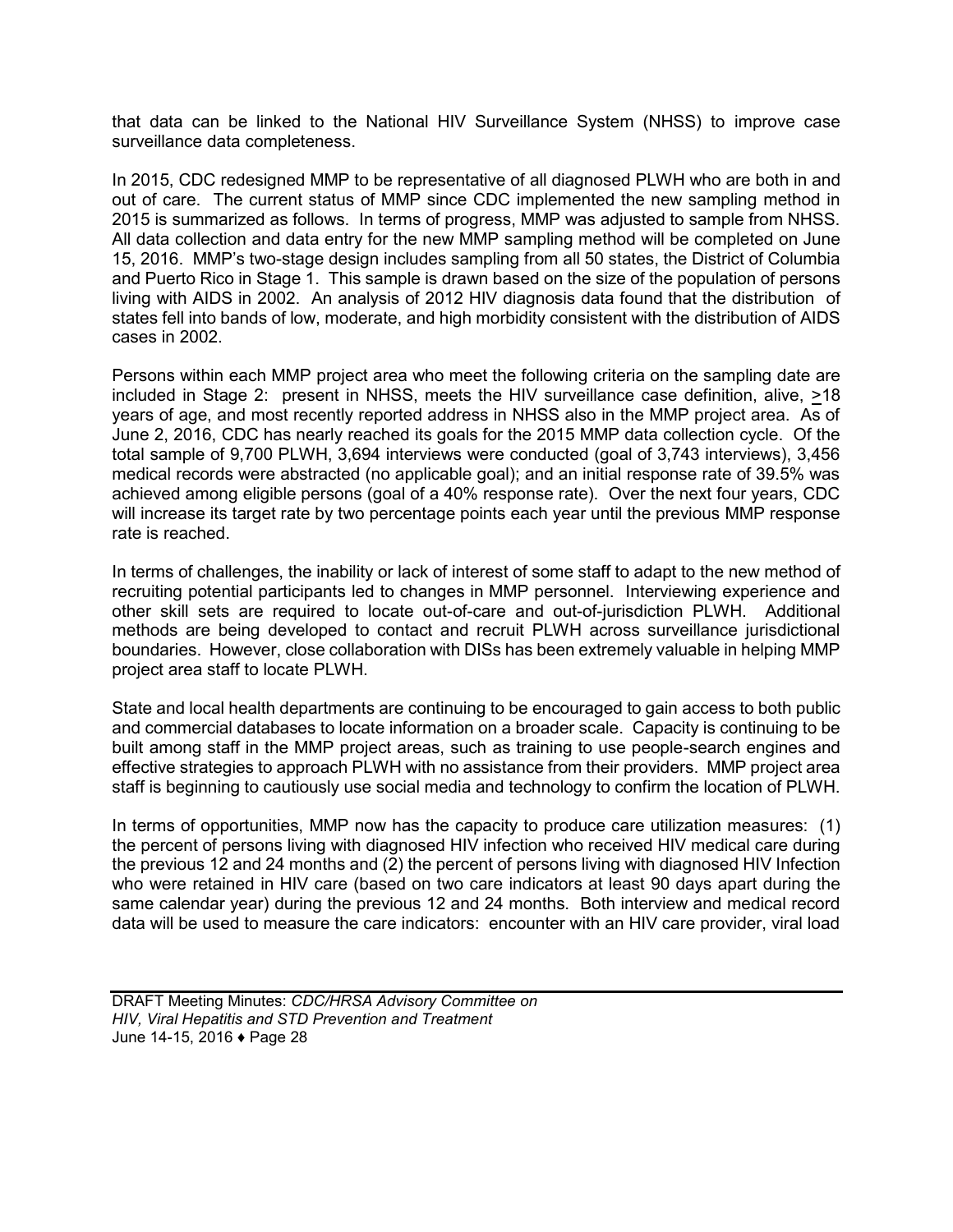that data can be linked to the National HIV Surveillance System (NHSS) to improve case surveillance data completeness.

In 2015, CDC redesigned MMP to be representative of all diagnosed PLWH who are both in and out of care. The current status of MMP since CDC implemented the new sampling method in 2015 is summarized as follows. In terms of progress, MMP was adjusted to sample from NHSS. All data collection and data entry for the new MMP sampling method will be completed on June 15, 2016. MMP's two-stage design includes sampling from all 50 states, the District of Columbia and Puerto Rico in Stage 1. This sample is drawn based on the size of the population of persons living with AIDS in 2002. An analysis of 2012 HIV diagnosis data found that the distribution of states fell into bands of low, moderate, and high morbidity consistent with the distribution of AIDS cases in 2002.

Persons within each MMP project area who meet the following criteria on the sampling date are included in Stage 2: present in NHSS, meets the HIV surveillance case definition, alive, >18 years of age, and most recently reported address in NHSS also in the MMP project area. As of June 2, 2016, CDC has nearly reached its goals for the 2015 MMP data collection cycle. Of the total sample of 9,700 PLWH, 3,694 interviews were conducted (goal of 3,743 interviews), 3,456 medical records were abstracted (no applicable goal); and an initial response rate of 39.5% was achieved among eligible persons (goal of a 40% response rate). Over the next four years, CDC will increase its target rate by two percentage points each year until the previous MMP response rate is reached.

In terms of challenges, the inability or lack of interest of some staff to adapt to the new method of recruiting potential participants led to changes in MMP personnel. Interviewing experience and other skill sets are required to locate out-of-care and out-of-jurisdiction PLWH. Additional methods are being developed to contact and recruit PLWH across surveillance jurisdictional boundaries. However, close collaboration with DISs has been extremely valuable in helping MMP project area staff to locate PLWH.

State and local health departments are continuing to be encouraged to gain access to both public and commercial databases to locate information on a broader scale. Capacity is continuing to be built among staff in the MMP project areas, such as training to use people-search engines and effective strategies to approach PLWH with no assistance from their providers. MMP project area staff is beginning to cautiously use social media and technology to confirm the location of PLWH.

In terms of opportunities, MMP now has the capacity to produce care utilization measures: (1) the percent of persons living with diagnosed HIV infection who received HIV medical care during the previous 12 and 24 months and (2) the percent of persons living with diagnosed HIV Infection who were retained in HIV care (based on two care indicators at least 90 days apart during the same calendar year) during the previous 12 and 24 months. Both interview and medical record data will be used to measure the care indicators: encounter with an HIV care provider, viral load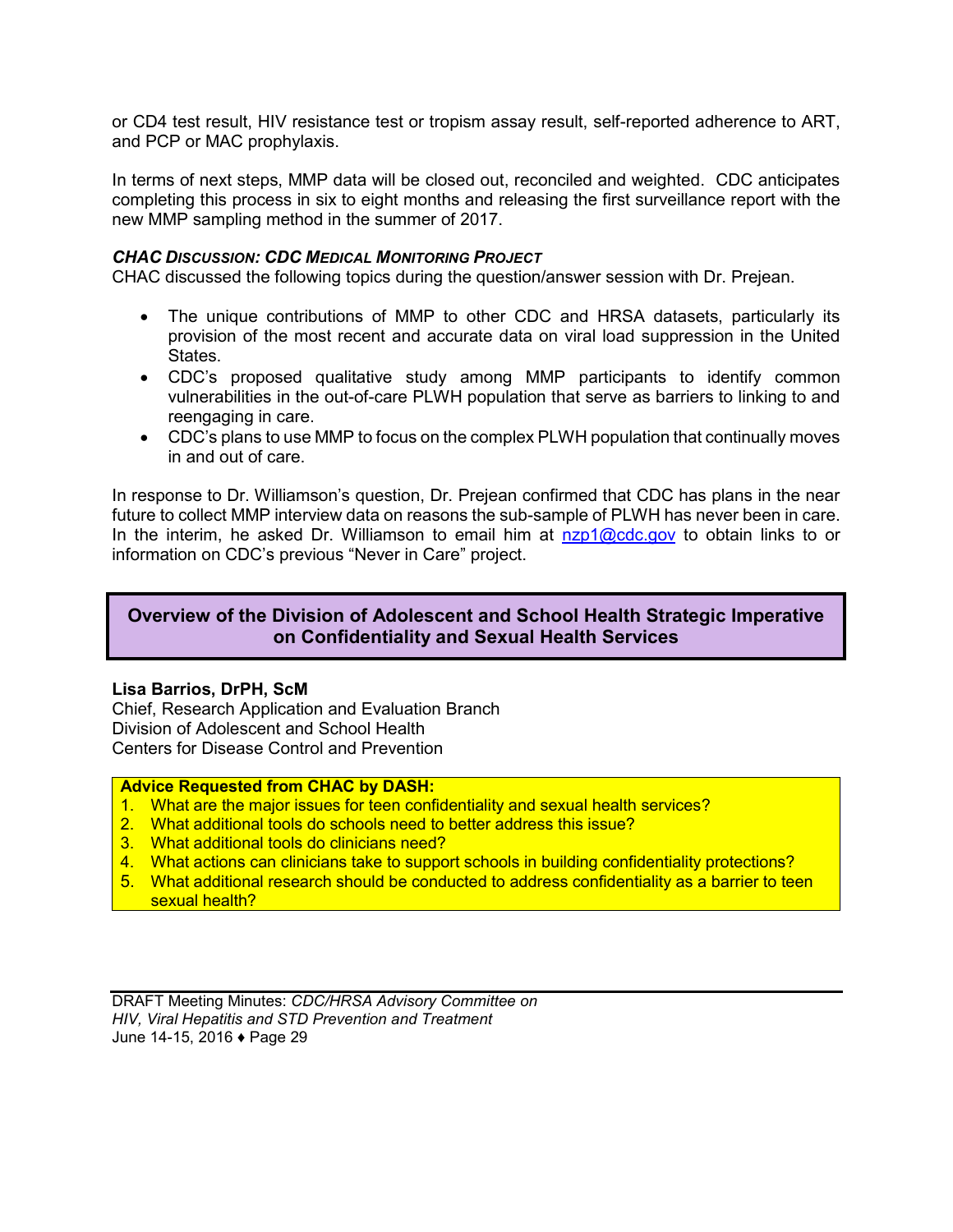<span id="page-30-0"></span>or CD4 test result, HIV resistance test or tropism assay result, self-reported adherence to ART, and PCP or MAC prophylaxis.

In terms of next steps, MMP data will be closed out, reconciled and weighted. CDC anticipates completing this process in six to eight months and releasing the first surveillance report with the new MMP sampling method in the summer of 2017.

#### *CHAC DISCUSSION: CDC MEDICAL MONITORING PROJECT*

CHAC discussed the following topics during the question/answer session with Dr. Prejean.

- The unique contributions of MMP to other CDC and HRSA datasets, particularly its provision of the most recent and accurate data on viral load suppression in the United States.
- CDC's proposed qualitative study among MMP participants to identify common vulnerabilities in the out-of-care PLWH population that serve as barriers to linking to and reengaging in care.
- CDC's plans to use MMP to focus on the complex PLWH population that continually moves in and out of care.

In response to Dr. Williamson's question, Dr. Prejean confirmed that CDC has plans in the near future to collect MMP interview data on reasons the sub-sample of PLWH has never been in care. In the interim, he asked Dr. Williamson to email him at  $nzp1@cdc.gov$  to obtain links to or information on CDC's previous "Never in Care" project.

## **Overview of the Division of Adolescent and School Health Strategic Imperative on Confidentiality and Sexual Health Services**

#### **Lisa Barrios, DrPH, ScM**

Chief, Research Application and Evaluation Branch Division of Adolescent and School Health Centers for Disease Control and Prevention

#### **Advice Requested from CHAC by DASH:**

- 1. What are the major issues for teen confidentiality and sexual health services?
- 2. What additional tools do schools need to better address this issue?
- 3. What additional tools do clinicians need?
- 4. What actions can clinicians take to support schools in building confidentiality protections?
- 5. What additional research should be conducted to address confidentiality as a barrier to teen sexual health?

DRAFT Meeting Minutes: *CDC/HRSA Advisory Committee on HIV, Viral Hepatitis and STD Prevention and Treatment* June 14-15, 2016 ♦ Page 29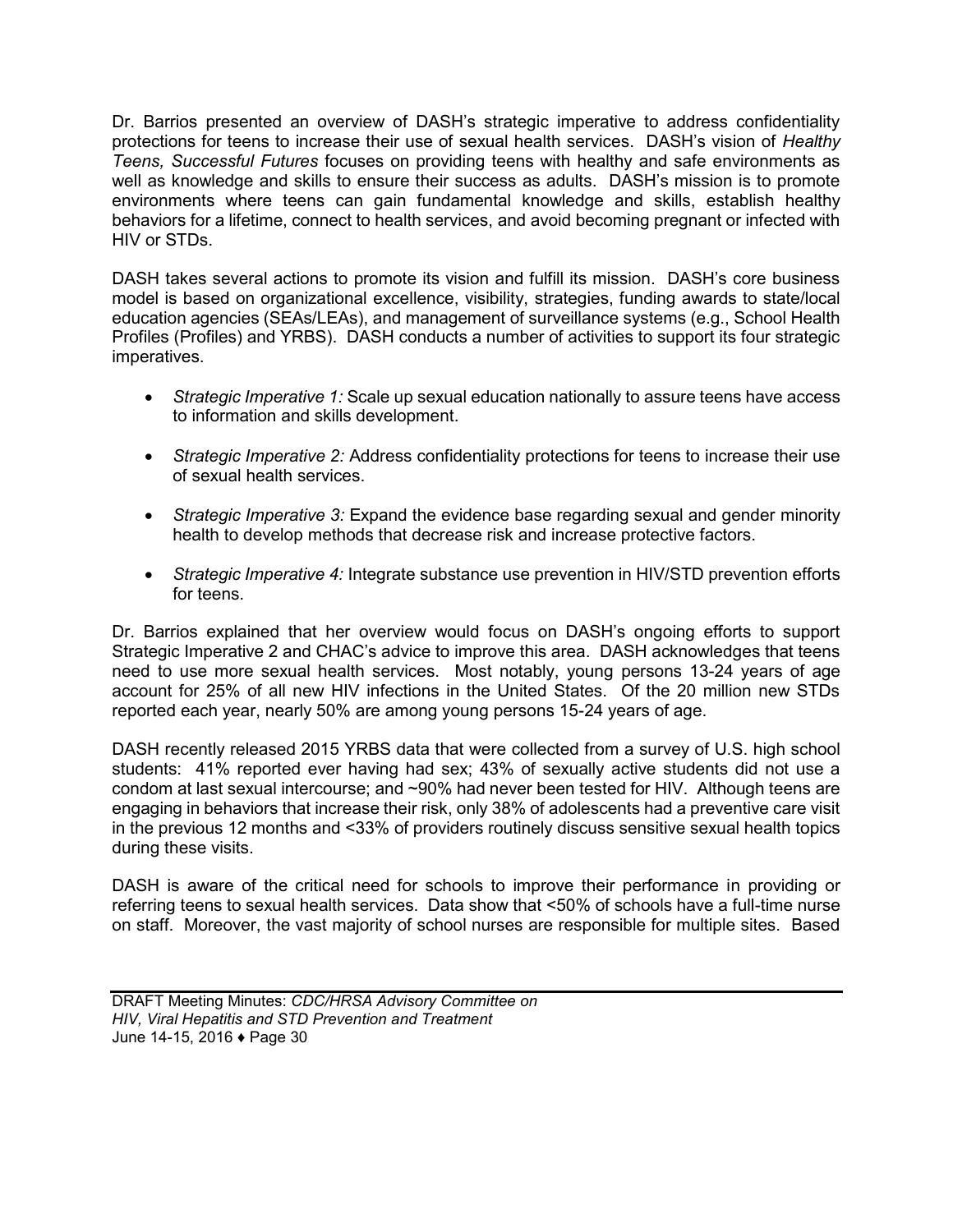Dr. Barrios presented an overview of DASH's strategic imperative to address confidentiality protections for teens to increase their use of sexual health services. DASH's vision of *Healthy Teens, Successful Futures* focuses on providing teens with healthy and safe environments as well as knowledge and skills to ensure their success as adults. DASH's mission is to promote environments where teens can gain fundamental knowledge and skills, establish healthy behaviors for a lifetime, connect to health services, and avoid becoming pregnant or infected with HIV or STDs.

DASH takes several actions to promote its vision and fulfill its mission. DASH's core business model is based on organizational excellence, visibility, strategies, funding awards to state/local education agencies (SEAs/LEAs), and management of surveillance systems (e.g., School Health Profiles (Profiles) and YRBS). DASH conducts a number of activities to support its four strategic imperatives.

- *Strategic Imperative 1:* Scale up sexual education nationally to assure teens have access to information and skills development.
- *Strategic Imperative 2:* Address confidentiality protections for teens to increase their use of sexual health services.
- *Strategic Imperative 3:* Expand the evidence base regarding sexual and gender minority health to develop methods that decrease risk and increase protective factors.
- *Strategic Imperative 4:* Integrate substance use prevention in HIV/STD prevention efforts for teens.

Dr. Barrios explained that her overview would focus on DASH's ongoing efforts to support Strategic Imperative 2 and CHAC's advice to improve this area. DASH acknowledges that teens need to use more sexual health services. Most notably, young persons 13-24 years of age account for 25% of all new HIV infections in the United States. Of the 20 million new STDs reported each year, nearly 50% are among young persons 15-24 years of age.

DASH recently released 2015 YRBS data that were collected from a survey of U.S. high school students: 41% reported ever having had sex; 43% of sexually active students did not use a condom at last sexual intercourse; and ~90% had never been tested for HIV. Although teens are engaging in behaviors that increase their risk, only 38% of adolescents had a preventive care visit in the previous 12 months and <33% of providers routinely discuss sensitive sexual health topics during these visits.

DASH is aware of the critical need for schools to improve their performance in providing or referring teens to sexual health services. Data show that <50% of schools have a full-time nurse on staff. Moreover, the vast majority of school nurses are responsible for multiple sites. Based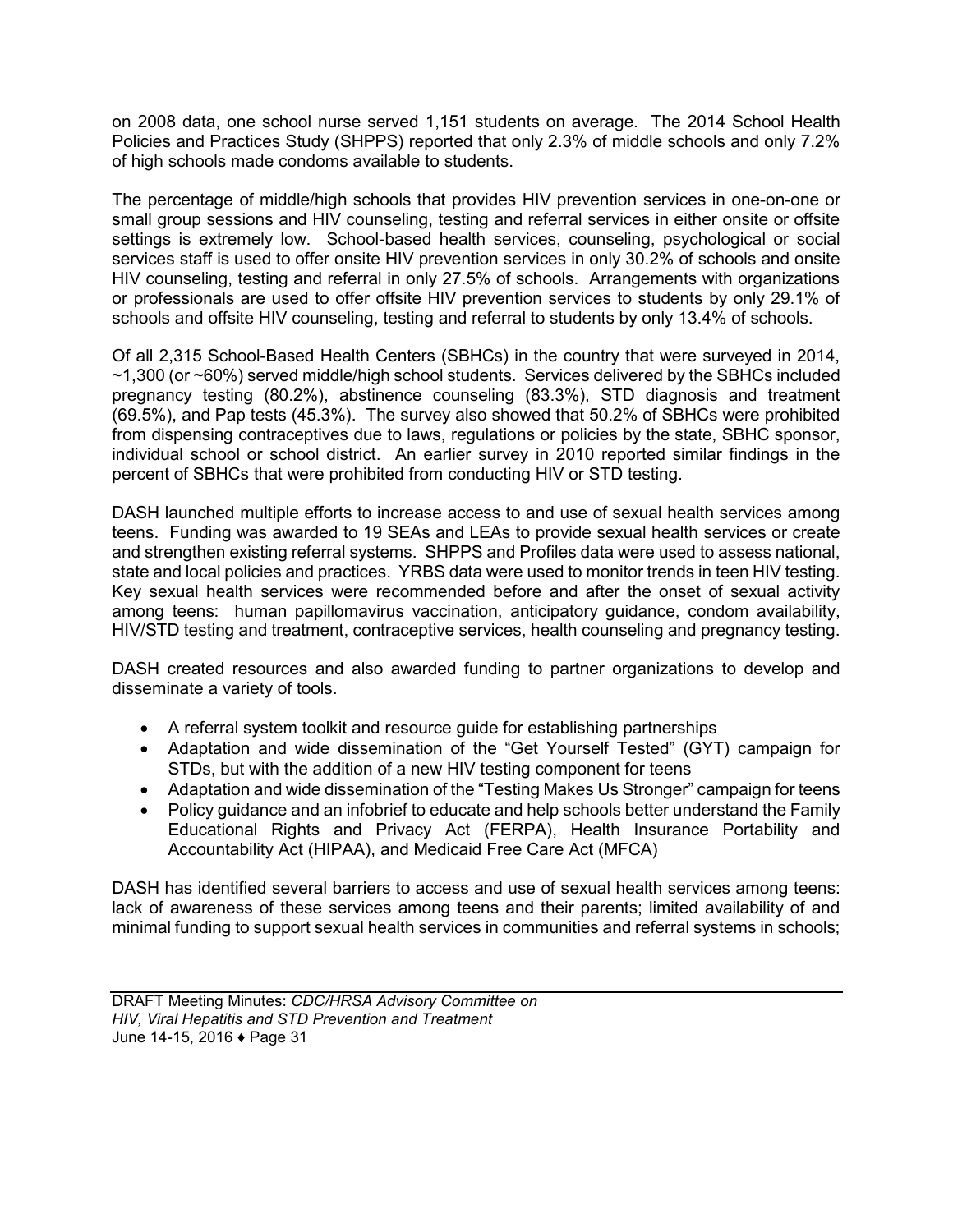on 2008 data, one school nurse served 1,151 students on average. The 2014 School Health Policies and Practices Study (SHPPS) reported that only 2.3% of middle schools and only 7.2% of high schools made condoms available to students.

The percentage of middle/high schools that provides HIV prevention services in one-on-one or small group sessions and HIV counseling, testing and referral services in either onsite or offsite settings is extremely low. School-based health services, counseling, psychological or social services staff is used to offer onsite HIV prevention services in only 30.2% of schools and onsite HIV counseling, testing and referral in only 27.5% of schools. Arrangements with organizations or professionals are used to offer offsite HIV prevention services to students by only 29.1% of schools and offsite HIV counseling, testing and referral to students by only 13.4% of schools.

Of all 2,315 School-Based Health Centers (SBHCs) in the country that were surveyed in 2014, ~1,300 (or ~60%) served middle/high school students. Services delivered by the SBHCs included pregnancy testing (80.2%), abstinence counseling (83.3%), STD diagnosis and treatment (69.5%), and Pap tests (45.3%). The survey also showed that 50.2% of SBHCs were prohibited from dispensing contraceptives due to laws, regulations or policies by the state, SBHC sponsor, individual school or school district. An earlier survey in 2010 reported similar findings in the percent of SBHCs that were prohibited from conducting HIV or STD testing.

DASH launched multiple efforts to increase access to and use of sexual health services among teens. Funding was awarded to 19 SEAs and LEAs to provide sexual health services or create and strengthen existing referral systems. SHPPS and Profiles data were used to assess national, state and local policies and practices. YRBS data were used to monitor trends in teen HIV testing. Key sexual health services were recommended before and after the onset of sexual activity among teens: human papillomavirus vaccination, anticipatory guidance, condom availability, HIV/STD testing and treatment, contraceptive services, health counseling and pregnancy testing.

DASH created resources and also awarded funding to partner organizations to develop and disseminate a variety of tools.

- A referral system toolkit and resource guide for establishing partnerships
- Adaptation and wide dissemination of the "Get Yourself Tested" (GYT) campaign for STDs, but with the addition of a new HIV testing component for teens
- Adaptation and wide dissemination of the "Testing Makes Us Stronger" campaign for teens
- Policy guidance and an infobrief to educate and help schools better understand the Family Educational Rights and Privacy Act (FERPA), Health Insurance Portability and Accountability Act (HIPAA), and Medicaid Free Care Act (MFCA)

DASH has identified several barriers to access and use of sexual health services among teens: lack of awareness of these services among teens and their parents; limited availability of and minimal funding to support sexual health services in communities and referral systems in schools;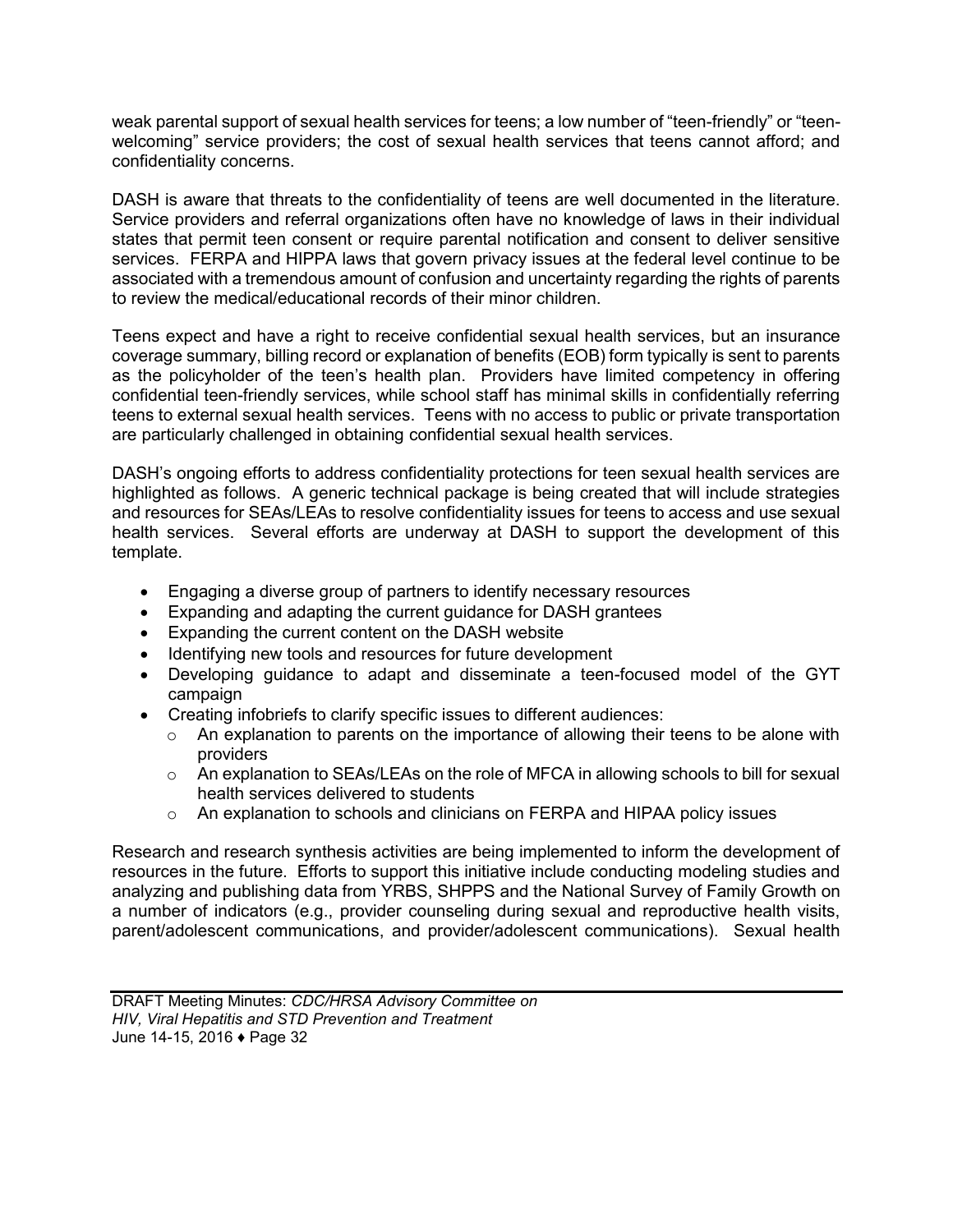weak parental support of sexual health services for teens; a low number of "teen-friendly" or "teenwelcoming" service providers; the cost of sexual health services that teens cannot afford; and confidentiality concerns.

DASH is aware that threats to the confidentiality of teens are well documented in the literature. Service providers and referral organizations often have no knowledge of laws in their individual states that permit teen consent or require parental notification and consent to deliver sensitive services. FERPA and HIPPA laws that govern privacy issues at the federal level continue to be associated with a tremendous amount of confusion and uncertainty regarding the rights of parents to review the medical/educational records of their minor children.

Teens expect and have a right to receive confidential sexual health services, but an insurance coverage summary, billing record or explanation of benefits (EOB) form typically is sent to parents as the policyholder of the teen's health plan. Providers have limited competency in offering confidential teen-friendly services, while school staff has minimal skills in confidentially referring teens to external sexual health services. Teens with no access to public or private transportation are particularly challenged in obtaining confidential sexual health services.

DASH's ongoing efforts to address confidentiality protections for teen sexual health services are highlighted as follows. A generic technical package is being created that will include strategies and resources for SEAs/LEAs to resolve confidentiality issues for teens to access and use sexual health services. Several efforts are underway at DASH to support the development of this template.

- Engaging a diverse group of partners to identify necessary resources
- Expanding and adapting the current guidance for DASH grantees
- Expanding the current content on the DASH website
- Identifying new tools and resources for future development
- Developing guidance to adapt and disseminate a teen-focused model of the GYT campaign
- Creating infobriefs to clarify specific issues to different audiences:
	- $\circ$  An explanation to parents on the importance of allowing their teens to be alone with providers
	- $\circ$  An explanation to SEAs/LEAs on the role of MFCA in allowing schools to bill for sexual health services delivered to students
	- o An explanation to schools and clinicians on FERPA and HIPAA policy issues

Research and research synthesis activities are being implemented to inform the development of resources in the future. Efforts to support this initiative include conducting modeling studies and analyzing and publishing data from YRBS, SHPPS and the National Survey of Family Growth on a number of indicators (e.g., provider counseling during sexual and reproductive health visits, parent/adolescent communications, and provider/adolescent communications). Sexual health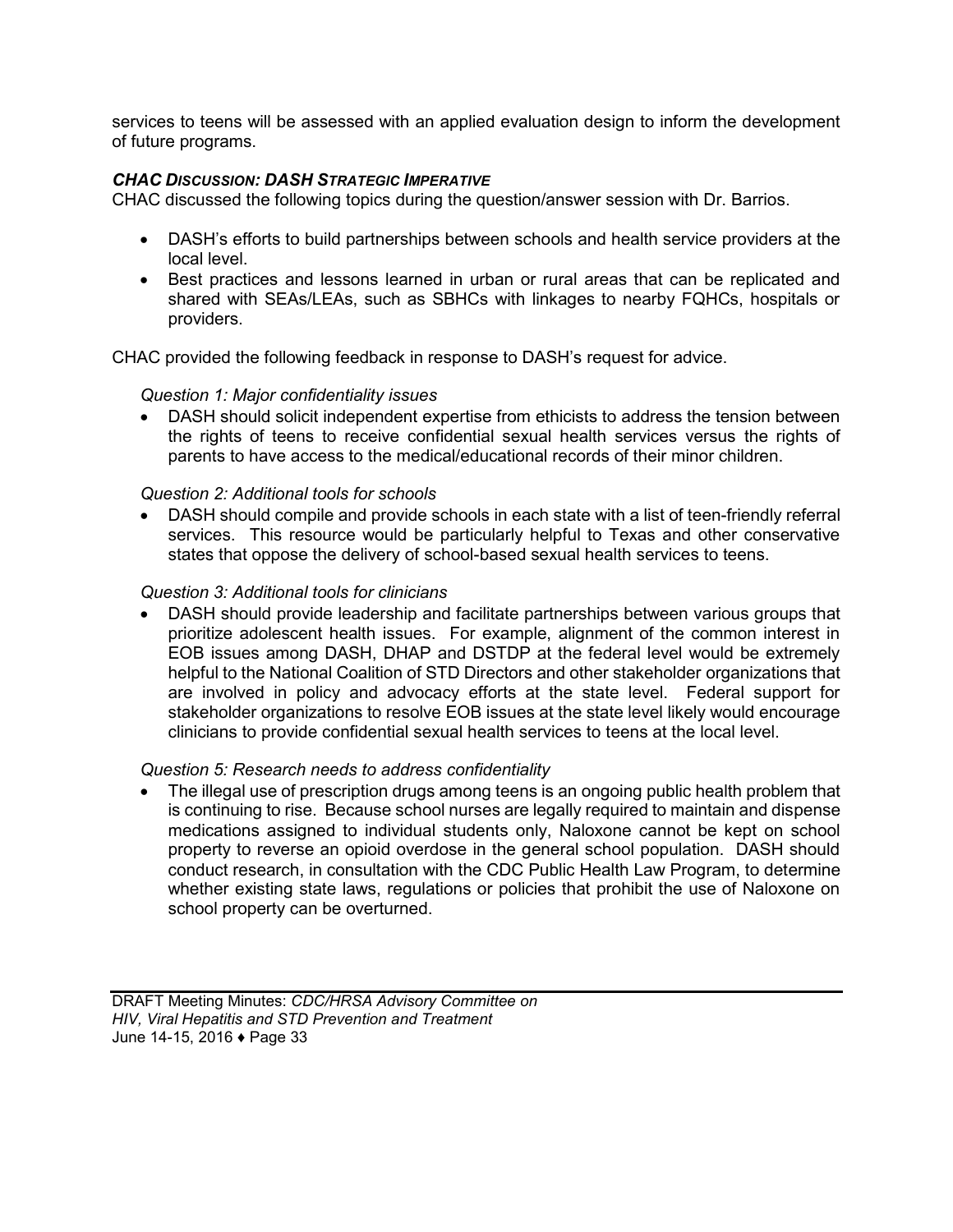services to teens will be assessed with an applied evaluation design to inform the development of future programs.

#### *CHAC DISCUSSION: DASH STRATEGIC IMPERATIVE*

CHAC discussed the following topics during the question/answer session with Dr. Barrios.

- DASH's efforts to build partnerships between schools and health service providers at the local level.
- Best practices and lessons learned in urban or rural areas that can be replicated and shared with SEAs/LEAs, such as SBHCs with linkages to nearby FQHCs, hospitals or providers.

CHAC provided the following feedback in response to DASH's request for advice.

#### *Question 1: Major confidentiality issues*

 DASH should solicit independent expertise from ethicists to address the tension between the rights of teens to receive confidential sexual health services versus the rights of parents to have access to the medical/educational records of their minor children.

#### *Question 2: Additional tools for schools*

 DASH should compile and provide schools in each state with a list of teen-friendly referral services. This resource would be particularly helpful to Texas and other conservative states that oppose the delivery of school-based sexual health services to teens.

#### *Question 3: Additional tools for clinicians*

 DASH should provide leadership and facilitate partnerships between various groups that prioritize adolescent health issues. For example, alignment of the common interest in EOB issues among DASH, DHAP and DSTDP at the federal level would be extremely helpful to the National Coalition of STD Directors and other stakeholder organizations that are involved in policy and advocacy efforts at the state level. Federal support for stakeholder organizations to resolve EOB issues at the state level likely would encourage clinicians to provide confidential sexual health services to teens at the local level.

#### *Question 5: Research needs to address confidentiality*

 The illegal use of prescription drugs among teens is an ongoing public health problem that is continuing to rise. Because school nurses are legally required to maintain and dispense medications assigned to individual students only, Naloxone cannot be kept on school property to reverse an opioid overdose in the general school population. DASH should conduct research, in consultation with the CDC Public Health Law Program, to determine whether existing state laws, regulations or policies that prohibit the use of Naloxone on school property can be overturned.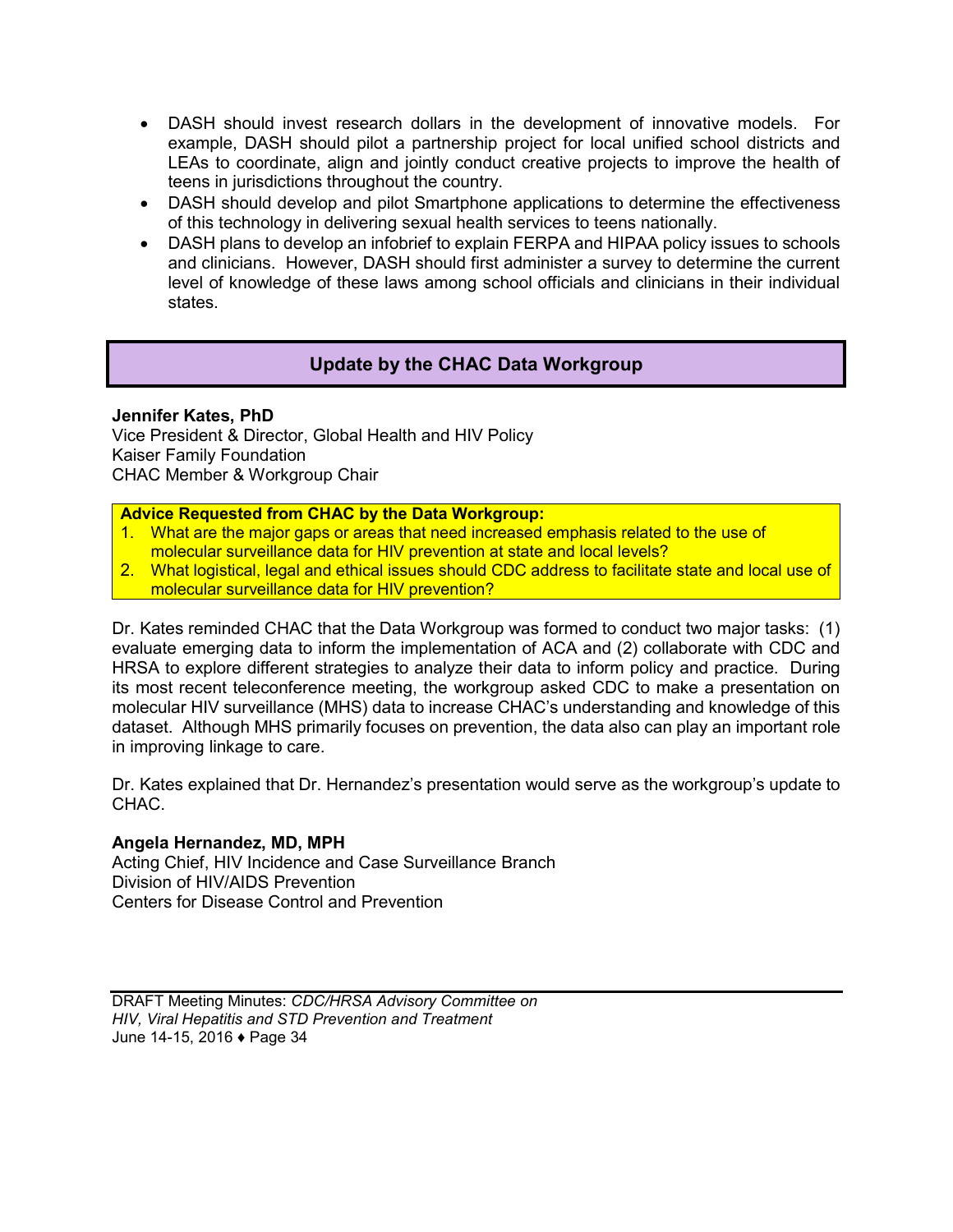- <span id="page-35-0"></span> DASH should invest research dollars in the development of innovative models. For example, DASH should pilot a partnership project for local unified school districts and LEAs to coordinate, align and jointly conduct creative projects to improve the health of teens in jurisdictions throughout the country.
- DASH should develop and pilot Smartphone applications to determine the effectiveness of this technology in delivering sexual health services to teens nationally.
- DASH plans to develop an infobrief to explain FERPA and HIPAA policy issues to schools and clinicians. However, DASH should first administer a survey to determine the current level of knowledge of these laws among school officials and clinicians in their individual states.

## **Update by the CHAC Data Workgroup**

#### **Jennifer Kates, PhD**

Vice President & Director, Global Health and HIV Policy Kaiser Family Foundation CHAC Member & Workgroup Chair

#### **Advice Requested from CHAC by the Data Workgroup:**

- 1. What are the major gaps or areas that need increased emphasis related to the use of molecular surveillance data for HIV prevention at state and local levels?
- 2. What logistical, legal and ethical issues should CDC address to facilitate state and local use of molecular surveillance data for HIV prevention?

Dr. Kates reminded CHAC that the Data Workgroup was formed to conduct two major tasks: (1) evaluate emerging data to inform the implementation of ACA and (2) collaborate with CDC and HRSA to explore different strategies to analyze their data to inform policy and practice. During its most recent teleconference meeting, the workgroup asked CDC to make a presentation on molecular HIV surveillance (MHS) data to increase CHAC's understanding and knowledge of this dataset. Although MHS primarily focuses on prevention, the data also can play an important role in improving linkage to care.

Dr. Kates explained that Dr. Hernandez's presentation would serve as the workgroup's update to CHAC.

#### **Angela Hernandez, MD, MPH**

Acting Chief, HIV Incidence and Case Surveillance Branch Division of HIV/AIDS Prevention Centers for Disease Control and Prevention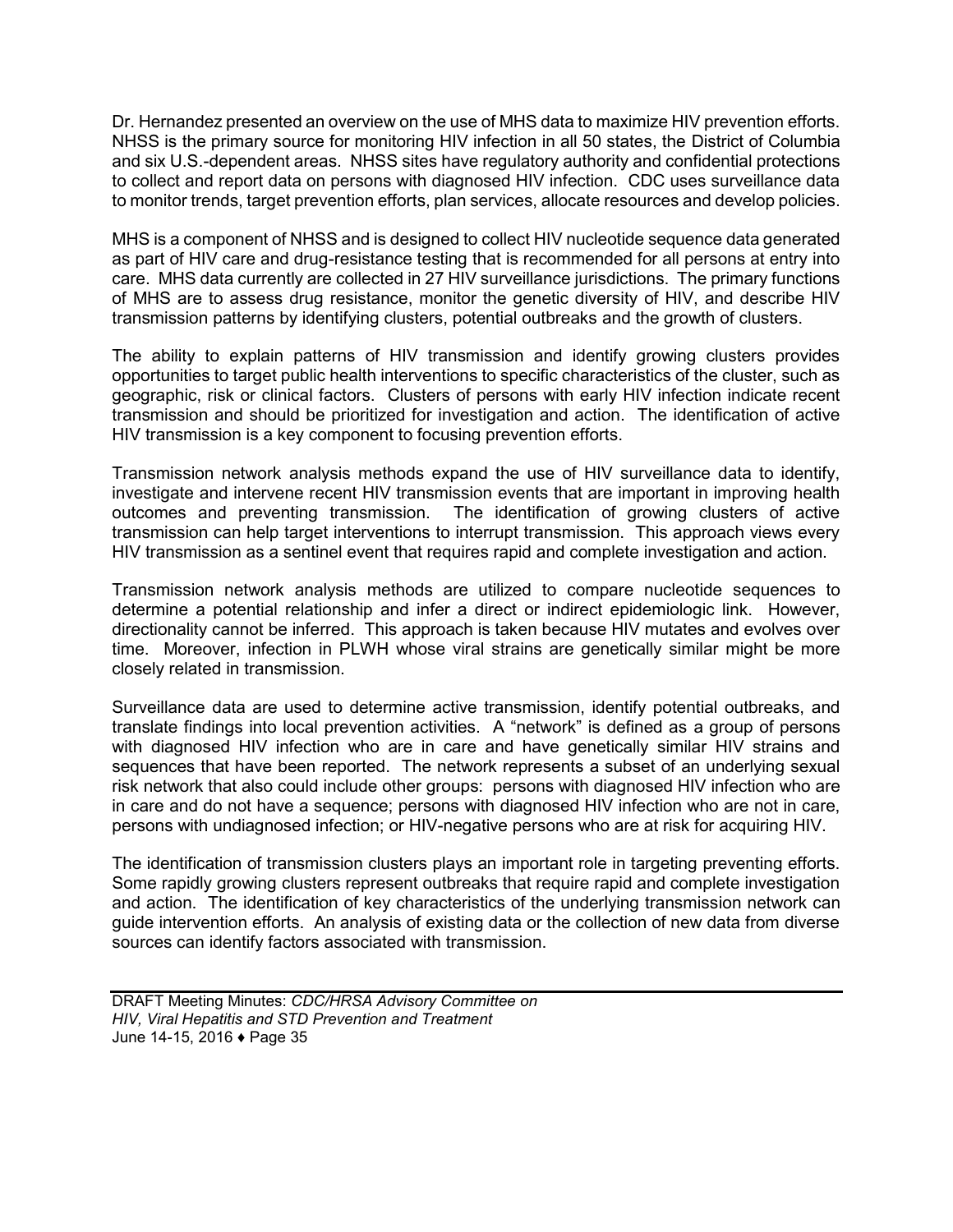Dr. Hernandez presented an overview on the use of MHS data to maximize HIV prevention efforts. NHSS is the primary source for monitoring HIV infection in all 50 states, the District of Columbia and six U.S.-dependent areas. NHSS sites have regulatory authority and confidential protections to collect and report data on persons with diagnosed HIV infection. CDC uses surveillance data to monitor trends, target prevention efforts, plan services, allocate resources and develop policies.

MHS is a component of NHSS and is designed to collect HIV nucleotide sequence data generated as part of HIV care and drug-resistance testing that is recommended for all persons at entry into care. MHS data currently are collected in 27 HIV surveillance jurisdictions. The primary functions of MHS are to assess drug resistance, monitor the genetic diversity of HIV, and describe HIV transmission patterns by identifying clusters, potential outbreaks and the growth of clusters.

The ability to explain patterns of HIV transmission and identify growing clusters provides opportunities to target public health interventions to specific characteristics of the cluster, such as geographic, risk or clinical factors. Clusters of persons with early HIV infection indicate recent transmission and should be prioritized for investigation and action. The identification of active HIV transmission is a key component to focusing prevention efforts.

Transmission network analysis methods expand the use of HIV surveillance data to identify, investigate and intervene recent HIV transmission events that are important in improving health outcomes and preventing transmission. The identification of growing clusters of active transmission can help target interventions to interrupt transmission. This approach views every HIV transmission as a sentinel event that requires rapid and complete investigation and action.

Transmission network analysis methods are utilized to compare nucleotide sequences to determine a potential relationship and infer a direct or indirect epidemiologic link. However, directionality cannot be inferred. This approach is taken because HIV mutates and evolves over time. Moreover, infection in PLWH whose viral strains are genetically similar might be more closely related in transmission.

Surveillance data are used to determine active transmission, identify potential outbreaks, and translate findings into local prevention activities. A "network" is defined as a group of persons with diagnosed HIV infection who are in care and have genetically similar HIV strains and sequences that have been reported. The network represents a subset of an underlying sexual risk network that also could include other groups: persons with diagnosed HIV infection who are in care and do not have a sequence; persons with diagnosed HIV infection who are not in care, persons with undiagnosed infection; or HIV-negative persons who are at risk for acquiring HIV.

The identification of transmission clusters plays an important role in targeting preventing efforts. Some rapidly growing clusters represent outbreaks that require rapid and complete investigation and action. The identification of key characteristics of the underlying transmission network can guide intervention efforts. An analysis of existing data or the collection of new data from diverse sources can identify factors associated with transmission.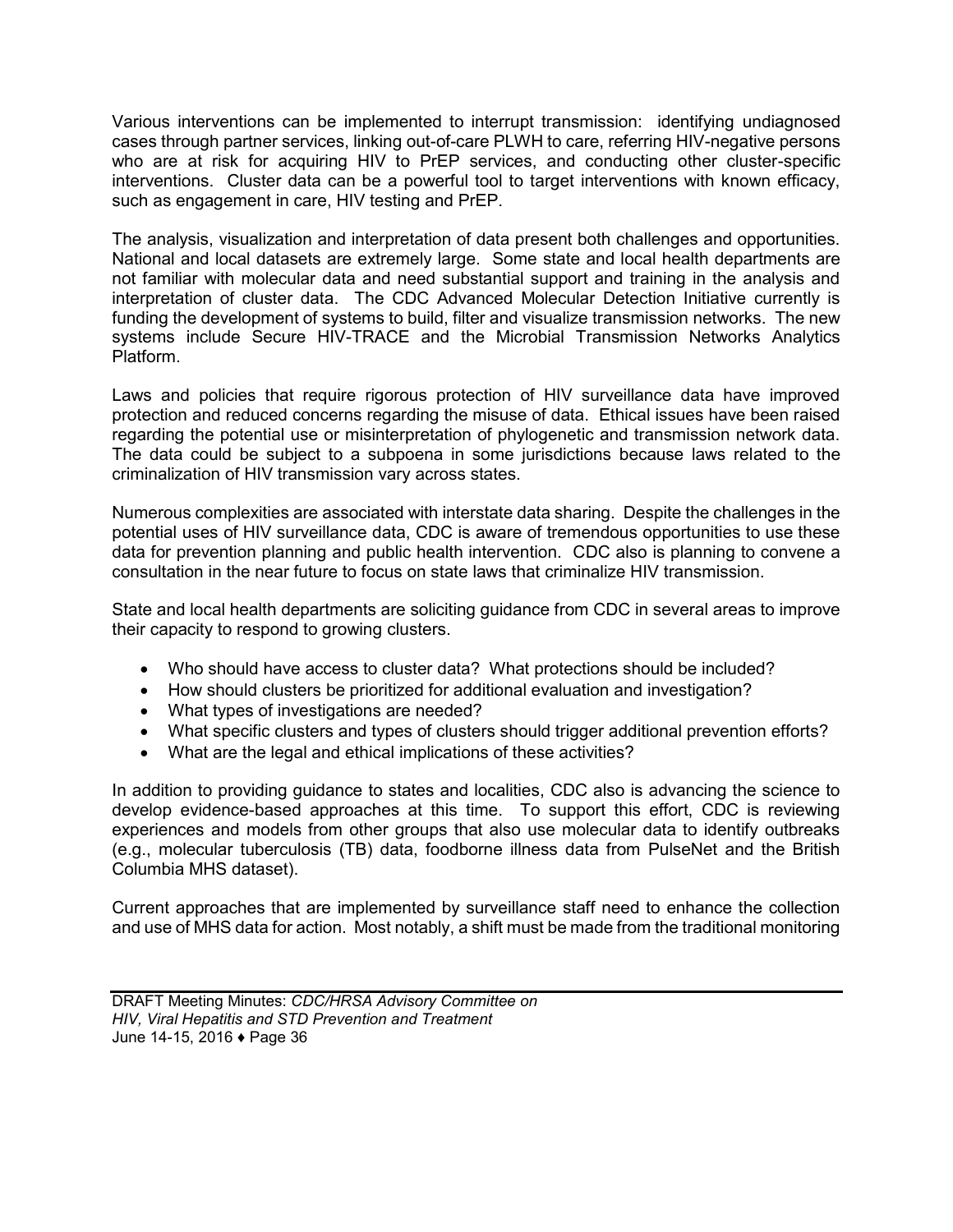Various interventions can be implemented to interrupt transmission: identifying undiagnosed cases through partner services, linking out-of-care PLWH to care, referring HIV-negative persons who are at risk for acquiring HIV to PrEP services, and conducting other cluster-specific interventions. Cluster data can be a powerful tool to target interventions with known efficacy, such as engagement in care, HIV testing and PrEP.

The analysis, visualization and interpretation of data present both challenges and opportunities. National and local datasets are extremely large. Some state and local health departments are not familiar with molecular data and need substantial support and training in the analysis and interpretation of cluster data. The CDC Advanced Molecular Detection Initiative currently is funding the development of systems to build, filter and visualize transmission networks. The new systems include Secure HIV-TRACE and the Microbial Transmission Networks Analytics Platform.

Laws and policies that require rigorous protection of HIV surveillance data have improved protection and reduced concerns regarding the misuse of data. Ethical issues have been raised regarding the potential use or misinterpretation of phylogenetic and transmission network data. The data could be subject to a subpoena in some jurisdictions because laws related to the criminalization of HIV transmission vary across states.

Numerous complexities are associated with interstate data sharing. Despite the challenges in the potential uses of HIV surveillance data, CDC is aware of tremendous opportunities to use these data for prevention planning and public health intervention. CDC also is planning to convene a consultation in the near future to focus on state laws that criminalize HIV transmission.

State and local health departments are soliciting guidance from CDC in several areas to improve their capacity to respond to growing clusters.

- Who should have access to cluster data? What protections should be included?
- How should clusters be prioritized for additional evaluation and investigation?
- What types of investigations are needed?
- What specific clusters and types of clusters should trigger additional prevention efforts?
- What are the legal and ethical implications of these activities?

In addition to providing guidance to states and localities, CDC also is advancing the science to develop evidence-based approaches at this time. To support this effort, CDC is reviewing experiences and models from other groups that also use molecular data to identify outbreaks (e.g., molecular tuberculosis (TB) data, foodborne illness data from PulseNet and the British Columbia MHS dataset).

Current approaches that are implemented by surveillance staff need to enhance the collection and use of MHS data for action. Most notably, a shift must be made from the traditional monitoring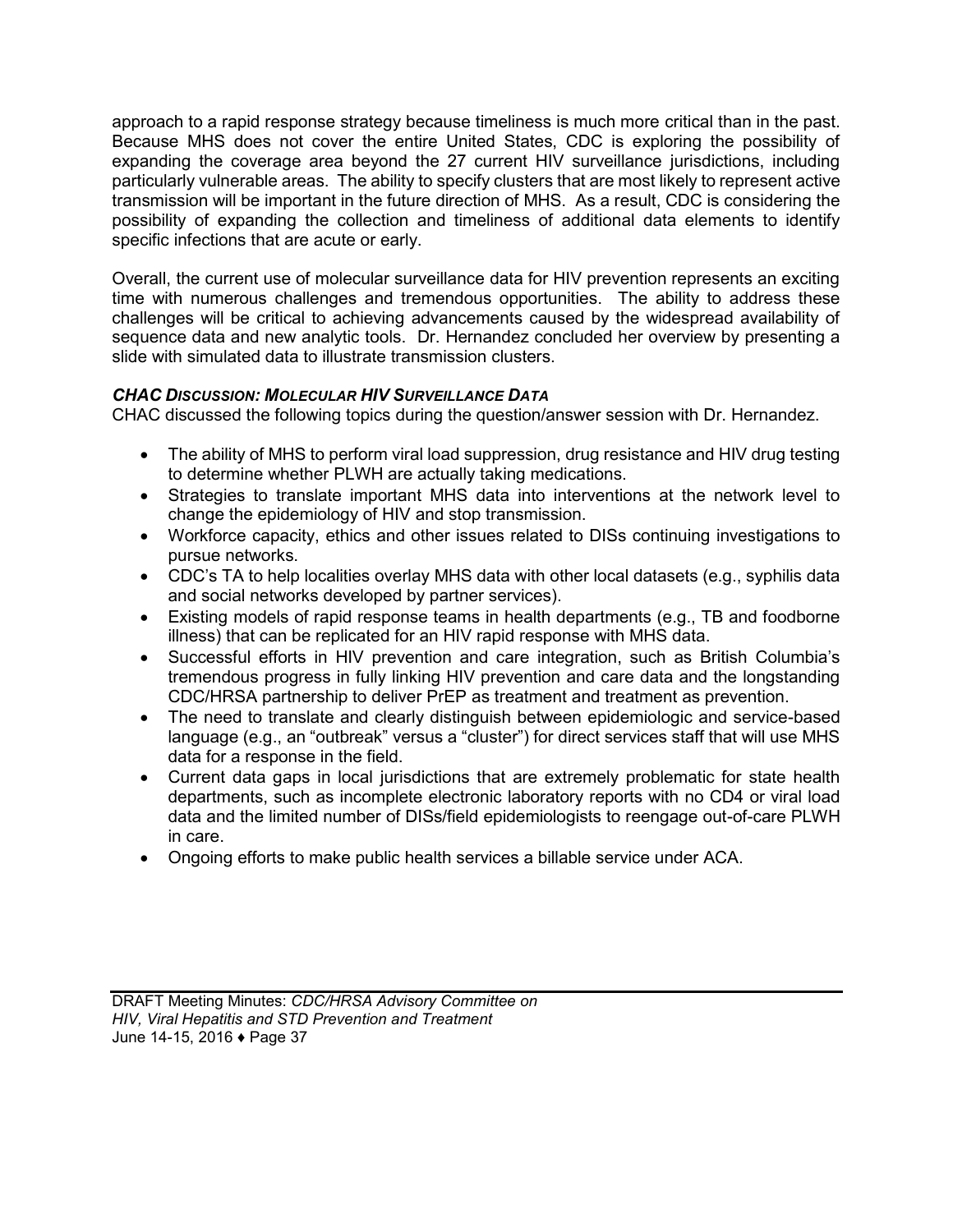approach to a rapid response strategy because timeliness is much more critical than in the past. Because MHS does not cover the entire United States, CDC is exploring the possibility of expanding the coverage area beyond the 27 current HIV surveillance jurisdictions, including particularly vulnerable areas. The ability to specify clusters that are most likely to represent active transmission will be important in the future direction of MHS. As a result, CDC is considering the possibility of expanding the collection and timeliness of additional data elements to identify specific infections that are acute or early.

Overall, the current use of molecular surveillance data for HIV prevention represents an exciting time with numerous challenges and tremendous opportunities. The ability to address these challenges will be critical to achieving advancements caused by the widespread availability of sequence data and new analytic tools. Dr. Hernandez concluded her overview by presenting a slide with simulated data to illustrate transmission clusters.

# *CHAC DISCUSSION: MOLECULAR HIV SURVEILLANCE DATA*

CHAC discussed the following topics during the question/answer session with Dr. Hernandez.

- The ability of MHS to perform viral load suppression, drug resistance and HIV drug testing to determine whether PLWH are actually taking medications.
- Strategies to translate important MHS data into interventions at the network level to change the epidemiology of HIV and stop transmission.
- Workforce capacity, ethics and other issues related to DISs continuing investigations to pursue networks.
- CDC's TA to help localities overlay MHS data with other local datasets (e.g., syphilis data and social networks developed by partner services).
- Existing models of rapid response teams in health departments (e.g., TB and foodborne illness) that can be replicated for an HIV rapid response with MHS data.
- Successful efforts in HIV prevention and care integration, such as British Columbia's tremendous progress in fully linking HIV prevention and care data and the longstanding CDC/HRSA partnership to deliver PrEP as treatment and treatment as prevention.
- The need to translate and clearly distinguish between epidemiologic and service-based language (e.g., an "outbreak" versus a "cluster") for direct services staff that will use MHS data for a response in the field.
- Current data gaps in local jurisdictions that are extremely problematic for state health departments, such as incomplete electronic laboratory reports with no CD4 or viral load data and the limited number of DISs/field epidemiologists to reengage out-of-care PLWH in care.
- Ongoing efforts to make public health services a billable service under ACA.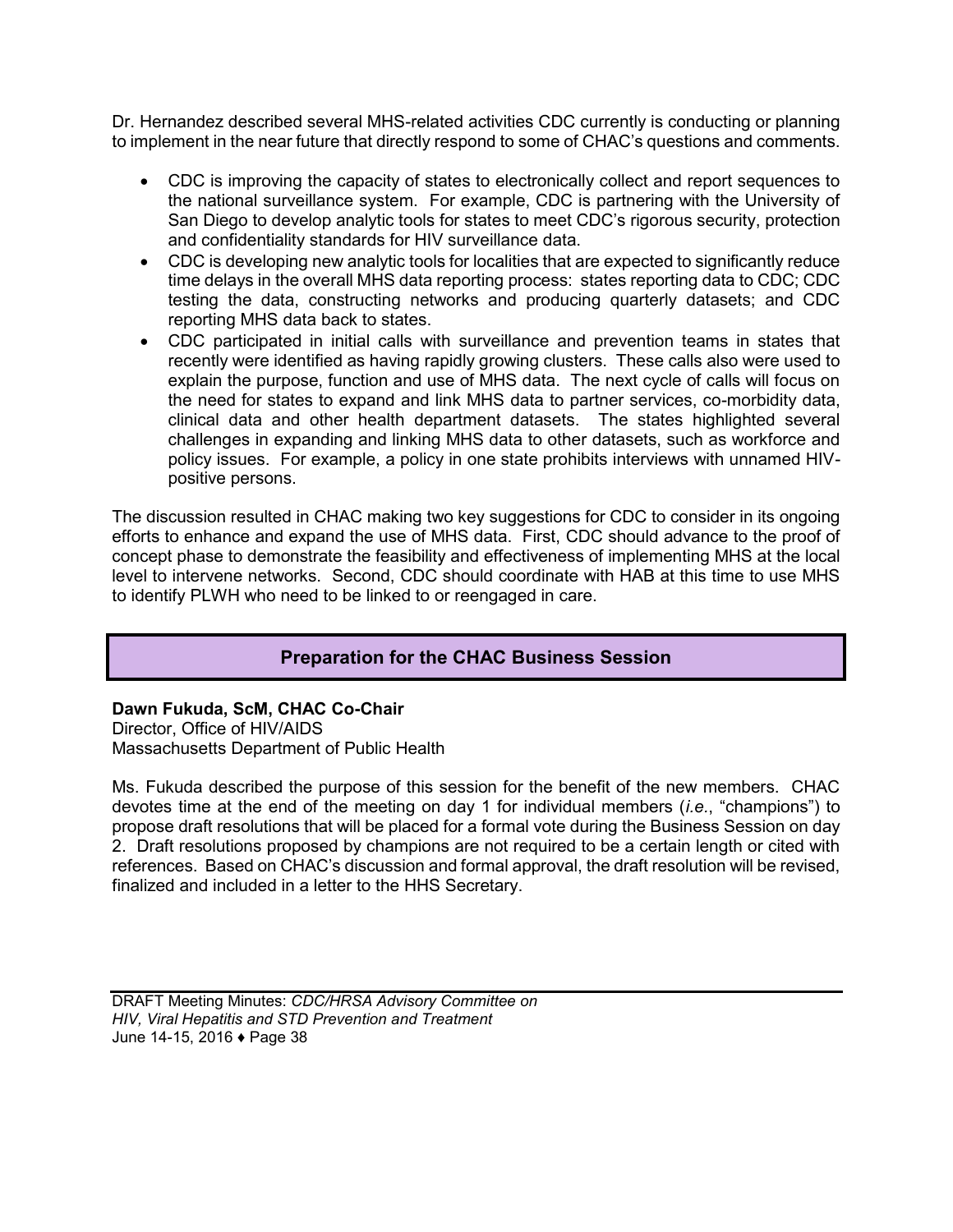Dr. Hernandez described several MHS-related activities CDC currently is conducting or planning to implement in the near future that directly respond to some of CHAC's questions and comments.

- CDC is improving the capacity of states to electronically collect and report sequences to the national surveillance system. For example, CDC is partnering with the University of San Diego to develop analytic tools for states to meet CDC's rigorous security, protection and confidentiality standards for HIV surveillance data.
- CDC is developing new analytic tools for localities that are expected to significantly reduce time delays in the overall MHS data reporting process: states reporting data to CDC; CDC testing the data, constructing networks and producing quarterly datasets; and CDC reporting MHS data back to states.
- CDC participated in initial calls with surveillance and prevention teams in states that recently were identified as having rapidly growing clusters. These calls also were used to explain the purpose, function and use of MHS data. The next cycle of calls will focus on the need for states to expand and link MHS data to partner services, co-morbidity data, clinical data and other health department datasets. The states highlighted several challenges in expanding and linking MHS data to other datasets, such as workforce and policy issues. For example, a policy in one state prohibits interviews with unnamed HIVpositive persons.

The discussion resulted in CHAC making two key suggestions for CDC to consider in its ongoing efforts to enhance and expand the use of MHS data. First, CDC should advance to the proof of concept phase to demonstrate the feasibility and effectiveness of implementing MHS at the local level to intervene networks. Second, CDC should coordinate with HAB at this time to use MHS to identify PLWH who need to be linked to or reengaged in care.

# **Preparation for the CHAC Business Session**

**Dawn Fukuda, ScM, CHAC Co-Chair**  Director, Office of HIV/AIDS Massachusetts Department of Public Health

Ms. Fukuda described the purpose of this session for the benefit of the new members. CHAC devotes time at the end of the meeting on day 1 for individual members (*i.e.*, "champions") to propose draft resolutions that will be placed for a formal vote during the Business Session on day 2. Draft resolutions proposed by champions are not required to be a certain length or cited with references. Based on CHAC's discussion and formal approval, the draft resolution will be revised, finalized and included in a letter to the HHS Secretary.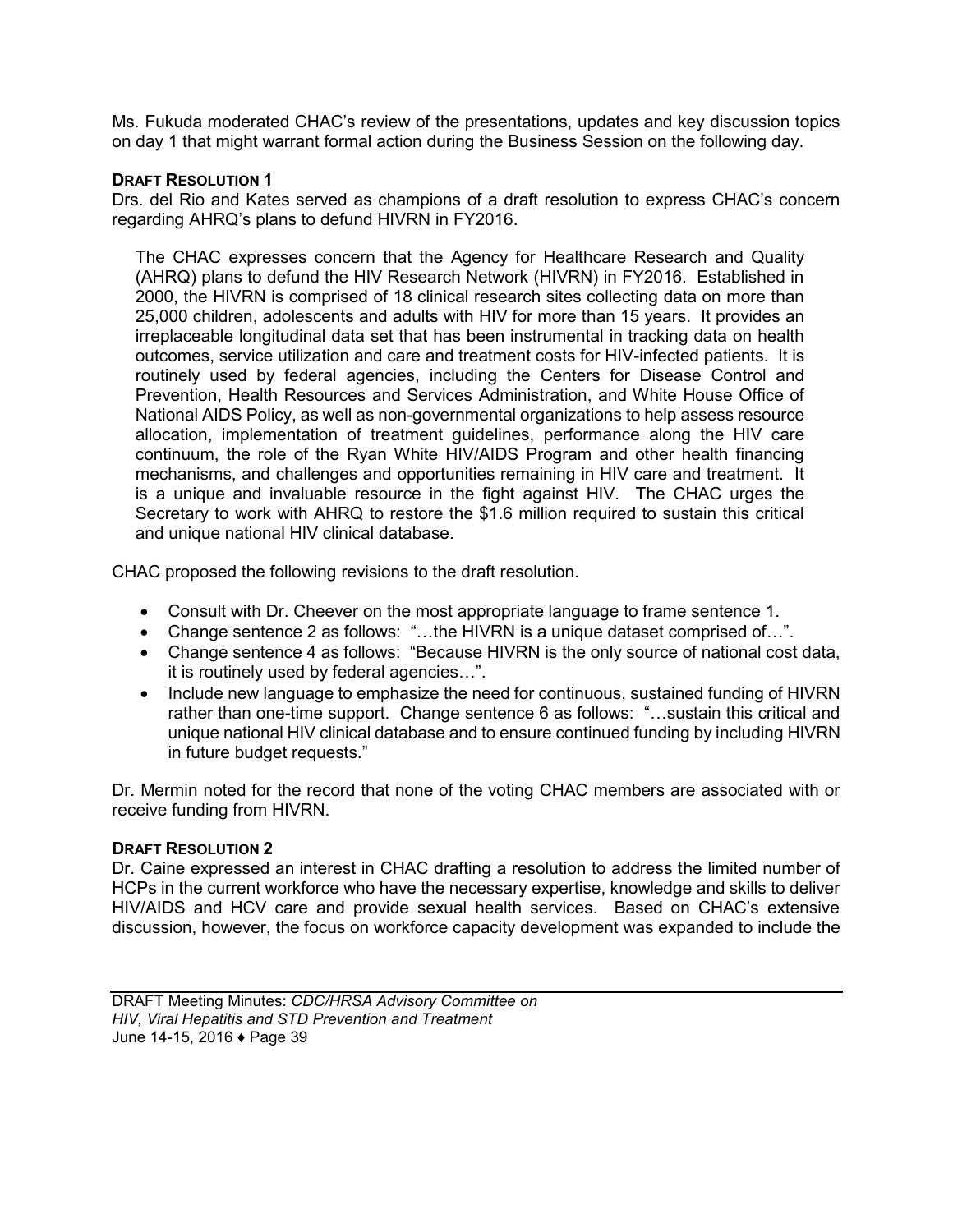Ms. Fukuda moderated CHAC's review of the presentations, updates and key discussion topics on day 1 that might warrant formal action during the Business Session on the following day.

#### **DRAFT RESOLUTION 1**

Drs. del Rio and Kates served as champions of a draft resolution to express CHAC's concern regarding AHRQ's plans to defund HIVRN in FY2016.

The CHAC expresses concern that the Agency for Healthcare Research and Quality (AHRQ) plans to defund the HIV Research Network (HIVRN) in FY2016. Established in 2000, the HIVRN is comprised of 18 clinical research sites collecting data on more than 25,000 children, adolescents and adults with HIV for more than 15 years. It provides an irreplaceable longitudinal data set that has been instrumental in tracking data on health outcomes, service utilization and care and treatment costs for HIV-infected patients. It is routinely used by federal agencies, including the Centers for Disease Control and Prevention, Health Resources and Services Administration, and White House Office of National AIDS Policy, as well as non-governmental organizations to help assess resource allocation, implementation of treatment guidelines, performance along the HIV care continuum, the role of the Ryan White HIV/AIDS Program and other health financing mechanisms, and challenges and opportunities remaining in HIV care and treatment. It is a unique and invaluable resource in the fight against HIV. The CHAC urges the Secretary to work with AHRQ to restore the \$1.6 million required to sustain this critical and unique national HIV clinical database.

CHAC proposed the following revisions to the draft resolution.

- Consult with Dr. Cheever on the most appropriate language to frame sentence 1.
- Change sentence 2 as follows: "…the HIVRN is a unique dataset comprised of…".
- Change sentence 4 as follows: "Because HIVRN is the only source of national cost data, it is routinely used by federal agencies…".
- Include new language to emphasize the need for continuous, sustained funding of HIVRN rather than one-time support. Change sentence 6 as follows: "…sustain this critical and unique national HIV clinical database and to ensure continued funding by including HIVRN in future budget requests."

Dr. Mermin noted for the record that none of the voting CHAC members are associated with or receive funding from HIVRN.

#### **DRAFT RESOLUTION 2**

Dr. Caine expressed an interest in CHAC drafting a resolution to address the limited number of HCPs in the current workforce who have the necessary expertise, knowledge and skills to deliver HIV/AIDS and HCV care and provide sexual health services. Based on CHAC's extensive discussion, however, the focus on workforce capacity development was expanded to include the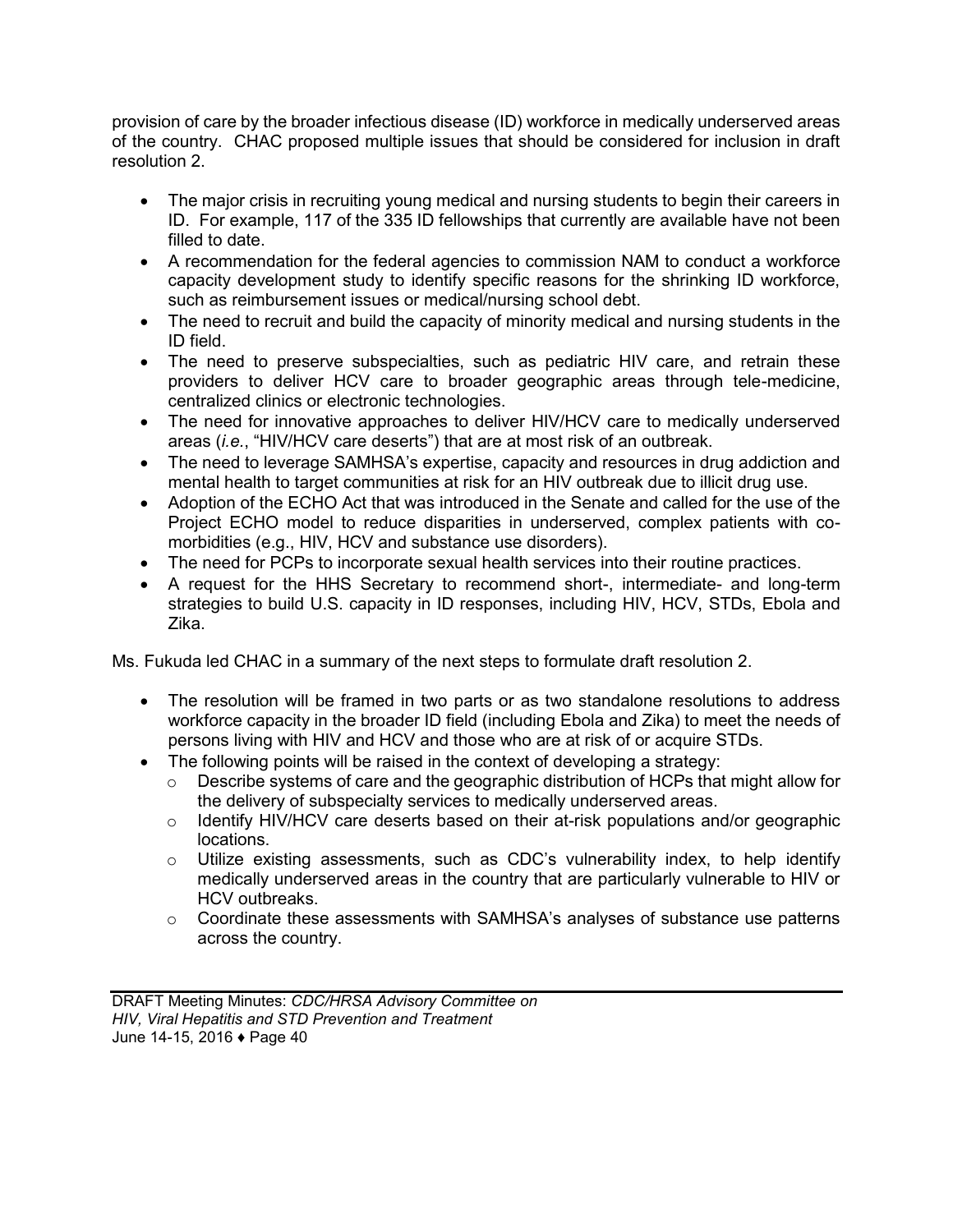provision of care by the broader infectious disease (ID) workforce in medically underserved areas of the country. CHAC proposed multiple issues that should be considered for inclusion in draft resolution 2.

- The major crisis in recruiting young medical and nursing students to begin their careers in ID. For example, 117 of the 335 ID fellowships that currently are available have not been filled to date.
- A recommendation for the federal agencies to commission NAM to conduct a workforce capacity development study to identify specific reasons for the shrinking ID workforce, such as reimbursement issues or medical/nursing school debt.
- The need to recruit and build the capacity of minority medical and nursing students in the ID field.
- The need to preserve subspecialties, such as pediatric HIV care, and retrain these providers to deliver HCV care to broader geographic areas through tele-medicine, centralized clinics or electronic technologies.
- The need for innovative approaches to deliver HIV/HCV care to medically underserved areas (*i.e.*, "HIV/HCV care deserts") that are at most risk of an outbreak.
- The need to leverage SAMHSA's expertise, capacity and resources in drug addiction and mental health to target communities at risk for an HIV outbreak due to illicit drug use.
- Adoption of the ECHO Act that was introduced in the Senate and called for the use of the Project ECHO model to reduce disparities in underserved, complex patients with comorbidities (e.g., HIV, HCV and substance use disorders).
- The need for PCPs to incorporate sexual health services into their routine practices.
- A request for the HHS Secretary to recommend short-, intermediate- and long-term strategies to build U.S. capacity in ID responses, including HIV, HCV, STDs, Ebola and Zika.

Ms. Fukuda led CHAC in a summary of the next steps to formulate draft resolution 2.

- The resolution will be framed in two parts or as two standalone resolutions to address workforce capacity in the broader ID field (including Ebola and Zika) to meet the needs of persons living with HIV and HCV and those who are at risk of or acquire STDs.
- The following points will be raised in the context of developing a strategy:
	- $\circ$  Describe systems of care and the geographic distribution of HCPs that might allow for the delivery of subspecialty services to medically underserved areas.
	- $\circ$  Identify HIV/HCV care deserts based on their at-risk populations and/or geographic locations.
	- $\circ$  Utilize existing assessments, such as CDC's vulnerability index, to help identify medically underserved areas in the country that are particularly vulnerable to HIV or HCV outbreaks.
	- $\circ$  Coordinate these assessments with SAMHSA's analyses of substance use patterns across the country.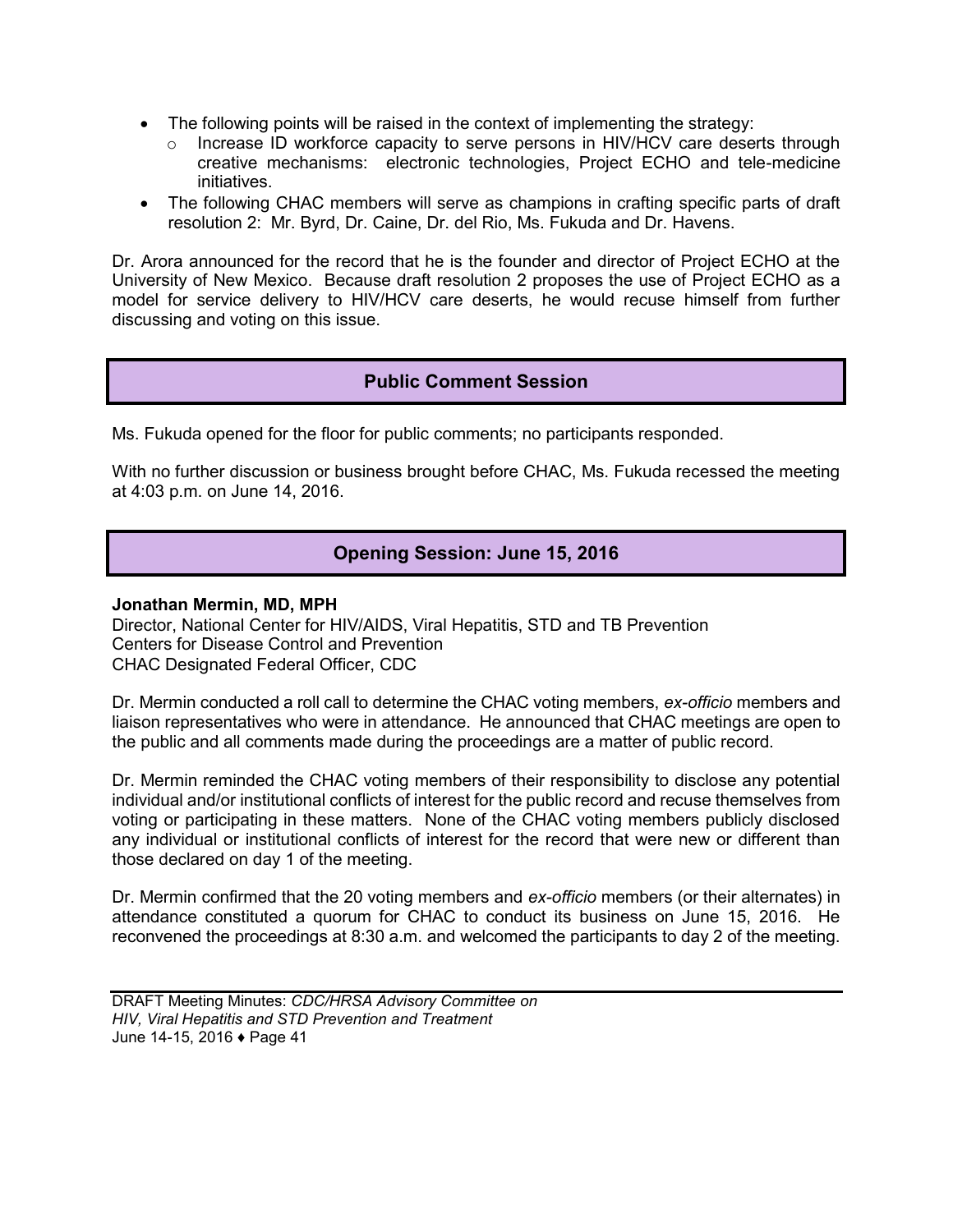- The following points will be raised in the context of implementing the strategy:
	- $\circ$  Increase ID workforce capacity to serve persons in HIV/HCV care deserts through creative mechanisms: electronic technologies, Project ECHO and tele-medicine initiatives.
- The following CHAC members will serve as champions in crafting specific parts of draft resolution 2: Mr. Byrd, Dr. Caine, Dr. del Rio, Ms. Fukuda and Dr. Havens.

Dr. Arora announced for the record that he is the founder and director of Project ECHO at the University of New Mexico. Because draft resolution 2 proposes the use of Project ECHO as a model for service delivery to HIV/HCV care deserts, he would recuse himself from further discussing and voting on this issue.

# **Public Comment Session**

Ms. Fukuda opened for the floor for public comments; no participants responded.

With no further discussion or business brought before CHAC, Ms. Fukuda recessed the meeting at 4:03 p.m. on June 14, 2016.

# **Opening Session: June 15, 2016**

#### **Jonathan Mermin, MD, MPH**

Director, National Center for HIV/AIDS, Viral Hepatitis, STD and TB Prevention Centers for Disease Control and Prevention CHAC Designated Federal Officer, CDC

Dr. Mermin conducted a roll call to determine the CHAC voting members, *ex-officio* members and liaison representatives who were in attendance. He announced that CHAC meetings are open to the public and all comments made during the proceedings are a matter of public record.

Dr. Mermin reminded the CHAC voting members of their responsibility to disclose any potential individual and/or institutional conflicts of interest for the public record and recuse themselves from voting or participating in these matters. None of the CHAC voting members publicly disclosed any individual or institutional conflicts of interest for the record that were new or different than those declared on day 1 of the meeting.

Dr. Mermin confirmed that the 20 voting members and *ex-officio* members (or their alternates) in attendance constituted a quorum for CHAC to conduct its business on June 15, 2016. He reconvened the proceedings at 8:30 a.m. and welcomed the participants to day 2 of the meeting.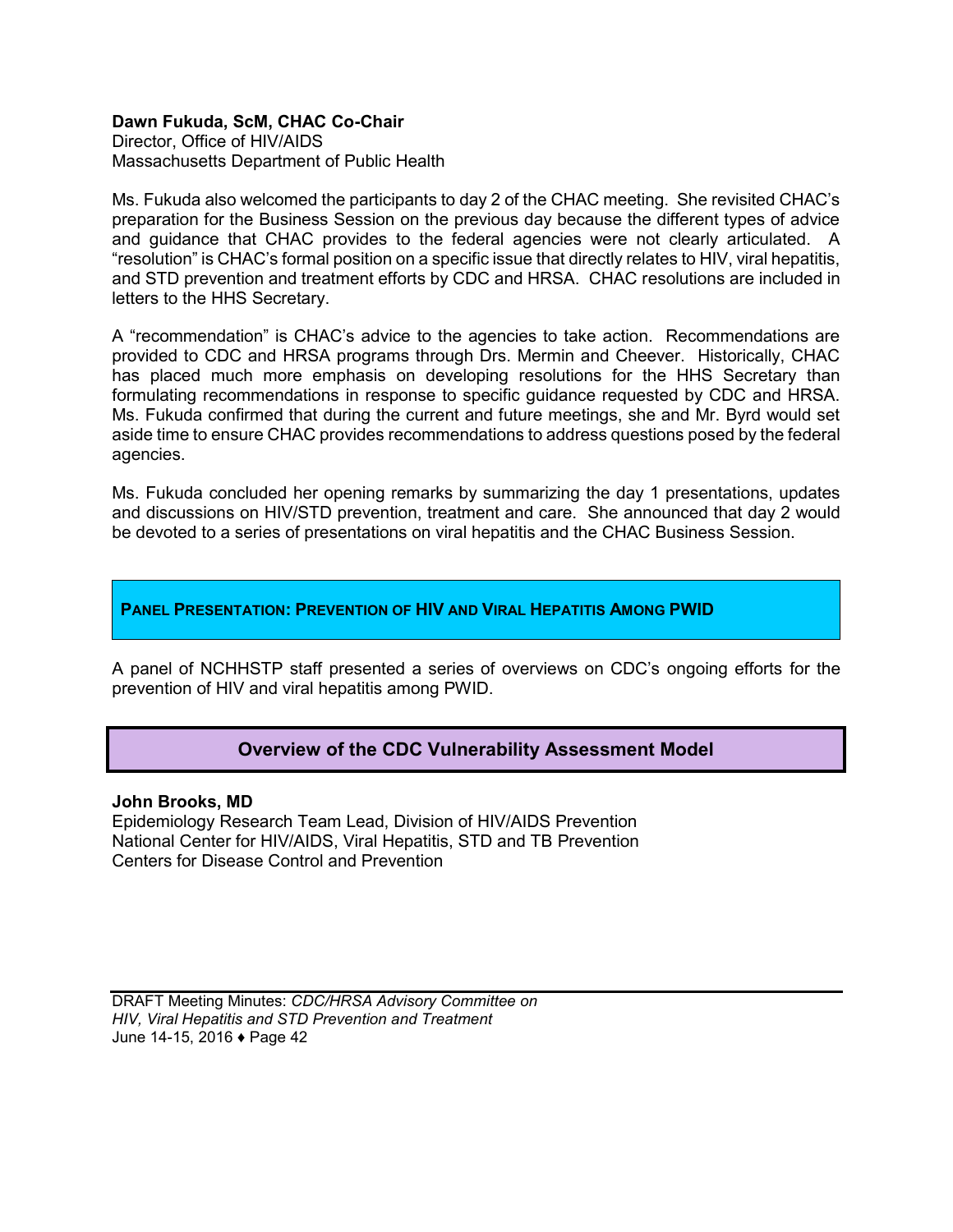## **Dawn Fukuda, ScM, CHAC Co-Chair**

Director, Office of HIV/AIDS Massachusetts Department of Public Health

Ms. Fukuda also welcomed the participants to day 2 of the CHAC meeting. She revisited CHAC's preparation for the Business Session on the previous day because the different types of advice and guidance that CHAC provides to the federal agencies were not clearly articulated. A "resolution" is CHAC's formal position on a specific issue that directly relates to HIV, viral hepatitis, and STD prevention and treatment efforts by CDC and HRSA. CHAC resolutions are included in letters to the HHS Secretary.

A "recommendation" is CHAC's advice to the agencies to take action. Recommendations are provided to CDC and HRSA programs through Drs. Mermin and Cheever. Historically, CHAC has placed much more emphasis on developing resolutions for the HHS Secretary than formulating recommendations in response to specific guidance requested by CDC and HRSA. Ms. Fukuda confirmed that during the current and future meetings, she and Mr. Byrd would set aside time to ensure CHAC provides recommendations to address questions posed by the federal agencies.

Ms. Fukuda concluded her opening remarks by summarizing the day 1 presentations, updates and discussions on HIV/STD prevention, treatment and care. She announced that day 2 would be devoted to a series of presentations on viral hepatitis and the CHAC Business Session.

### **PANEL PRESENTATION: PREVENTION OF HIV AND VIRAL HEPATITIS AMONG PWID**

A panel of NCHHSTP staff presented a series of overviews on CDC's ongoing efforts for the prevention of HIV and viral hepatitis among PWID.

## **Overview of the CDC Vulnerability Assessment Model**

**John Brooks, MD** 

Epidemiology Research Team Lead, Division of HIV/AIDS Prevention National Center for HIV/AIDS, Viral Hepatitis, STD and TB Prevention Centers for Disease Control and Prevention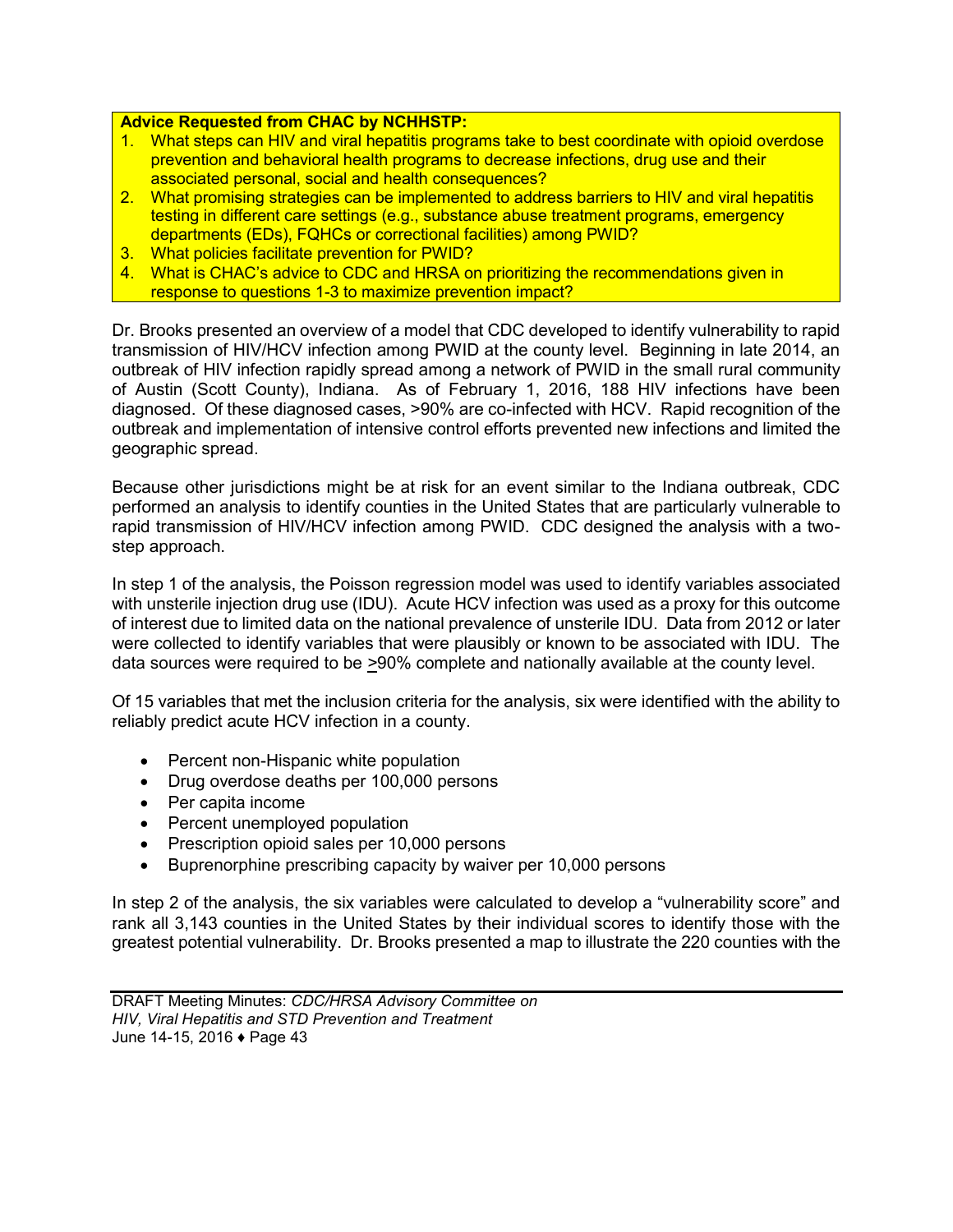#### **Advice Requested from CHAC by NCHHSTP:**

- 1. What steps can HIV and viral hepatitis programs take to best coordinate with opioid overdose prevention and behavioral health programs to decrease infections, drug use and their associated personal, social and health consequences?
- 2. What promising strategies can be implemented to address barriers to HIV and viral hepatitis testing in different care settings (e.g., substance abuse treatment programs, emergency departments (EDs), FQHCs or correctional facilities) among PWID?
- 3. What policies facilitate prevention for PWID?
- 4. What is CHAC's advice to CDC and HRSA on prioritizing the recommendations given in response to questions 1-3 to maximize prevention impact?

Dr. Brooks presented an overview of a model that CDC developed to identify vulnerability to rapid transmission of HIV/HCV infection among PWID at the county level. Beginning in late 2014, an outbreak of HIV infection rapidly spread among a network of PWID in the small rural community of Austin (Scott County), Indiana. As of February 1, 2016, 188 HIV infections have been diagnosed. Of these diagnosed cases, >90% are co-infected with HCV. Rapid recognition of the outbreak and implementation of intensive control efforts prevented new infections and limited the geographic spread.

Because other jurisdictions might be at risk for an event similar to the Indiana outbreak, CDC performed an analysis to identify counties in the United States that are particularly vulnerable to rapid transmission of HIV/HCV infection among PWID. CDC designed the analysis with a twostep approach.

In step 1 of the analysis, the Poisson regression model was used to identify variables associated with unsterile injection drug use (IDU). Acute HCV infection was used as a proxy for this outcome of interest due to limited data on the national prevalence of unsterile IDU. Data from 2012 or later were collected to identify variables that were plausibly or known to be associated with IDU. The data sources were required to be *>*90% complete and nationally available at the county level.

Of 15 variables that met the inclusion criteria for the analysis, six were identified with the ability to reliably predict acute HCV infection in a county.

- Percent non-Hispanic white population
- Drug overdose deaths per 100,000 persons
- Per capita income
- Percent unemployed population
- Prescription opioid sales per 10,000 persons
- Buprenorphine prescribing capacity by waiver per 10,000 persons

In step 2 of the analysis, the six variables were calculated to develop a "vulnerability score" and rank all 3,143 counties in the United States by their individual scores to identify those with the greatest potential vulnerability. Dr. Brooks presented a map to illustrate the 220 counties with the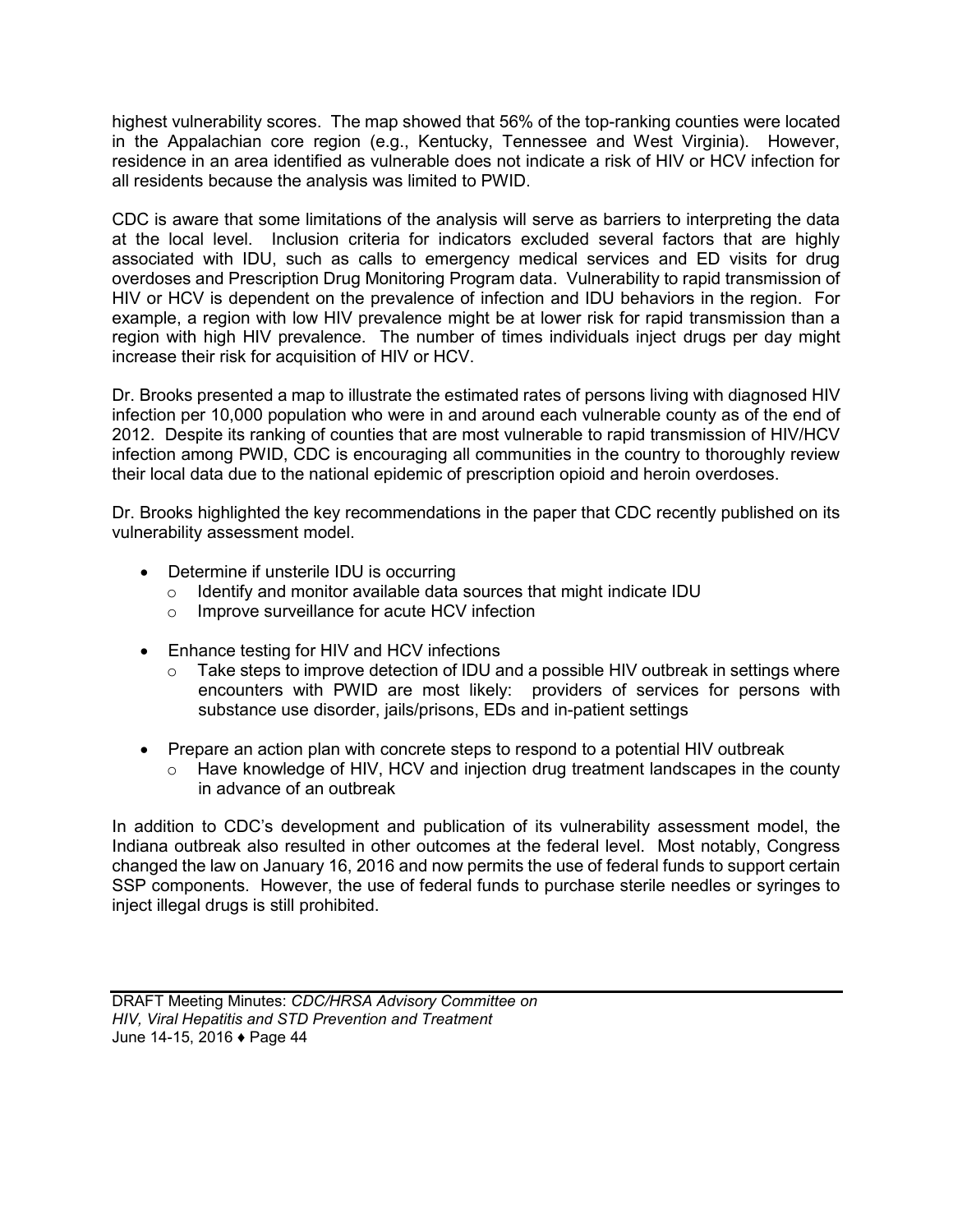highest vulnerability scores. The map showed that 56% of the top-ranking counties were located in the Appalachian core region (e.g., Kentucky, Tennessee and West Virginia). However, residence in an area identified as vulnerable does not indicate a risk of HIV or HCV infection for all residents because the analysis was limited to PWID.

CDC is aware that some limitations of the analysis will serve as barriers to interpreting the data at the local level. Inclusion criteria for indicators excluded several factors that are highly associated with IDU, such as calls to emergency medical services and ED visits for drug overdoses and Prescription Drug Monitoring Program data. Vulnerability to rapid transmission of HIV or HCV is dependent on the prevalence of infection and IDU behaviors in the region. For example, a region with low HIV prevalence might be at lower risk for rapid transmission than a region with high HIV prevalence. The number of times individuals inject drugs per day might increase their risk for acquisition of HIV or HCV.

Dr. Brooks presented a map to illustrate the estimated rates of persons living with diagnosed HIV infection per 10,000 population who were in and around each vulnerable county as of the end of 2012. Despite its ranking of counties that are most vulnerable to rapid transmission of HIV/HCV infection among PWID, CDC is encouraging all communities in the country to thoroughly review their local data due to the national epidemic of prescription opioid and heroin overdoses.

Dr. Brooks highlighted the key recommendations in the paper that CDC recently published on its vulnerability assessment model.

- Determine if unsterile IDU is occurring
	- o Identify and monitor available data sources that might indicate IDU
	- o Improve surveillance for acute HCV infection
- Enhance testing for HIV and HCV infections
	- o Take steps to improve detection of IDU and a possible HIV outbreak in settings where encounters with PWID are most likely: providers of services for persons with substance use disorder, jails/prisons, EDs and in-patient settings
- Prepare an action plan with concrete steps to respond to a potential HIV outbreak
	- $\circ$  Have knowledge of HIV, HCV and injection drug treatment landscapes in the county in advance of an outbreak

In addition to CDC's development and publication of its vulnerability assessment model, the Indiana outbreak also resulted in other outcomes at the federal level. Most notably, Congress changed the law on January 16, 2016 and now permits the use of federal funds to support certain SSP components. However, the use of federal funds to purchase sterile needles or syringes to inject illegal drugs is still prohibited.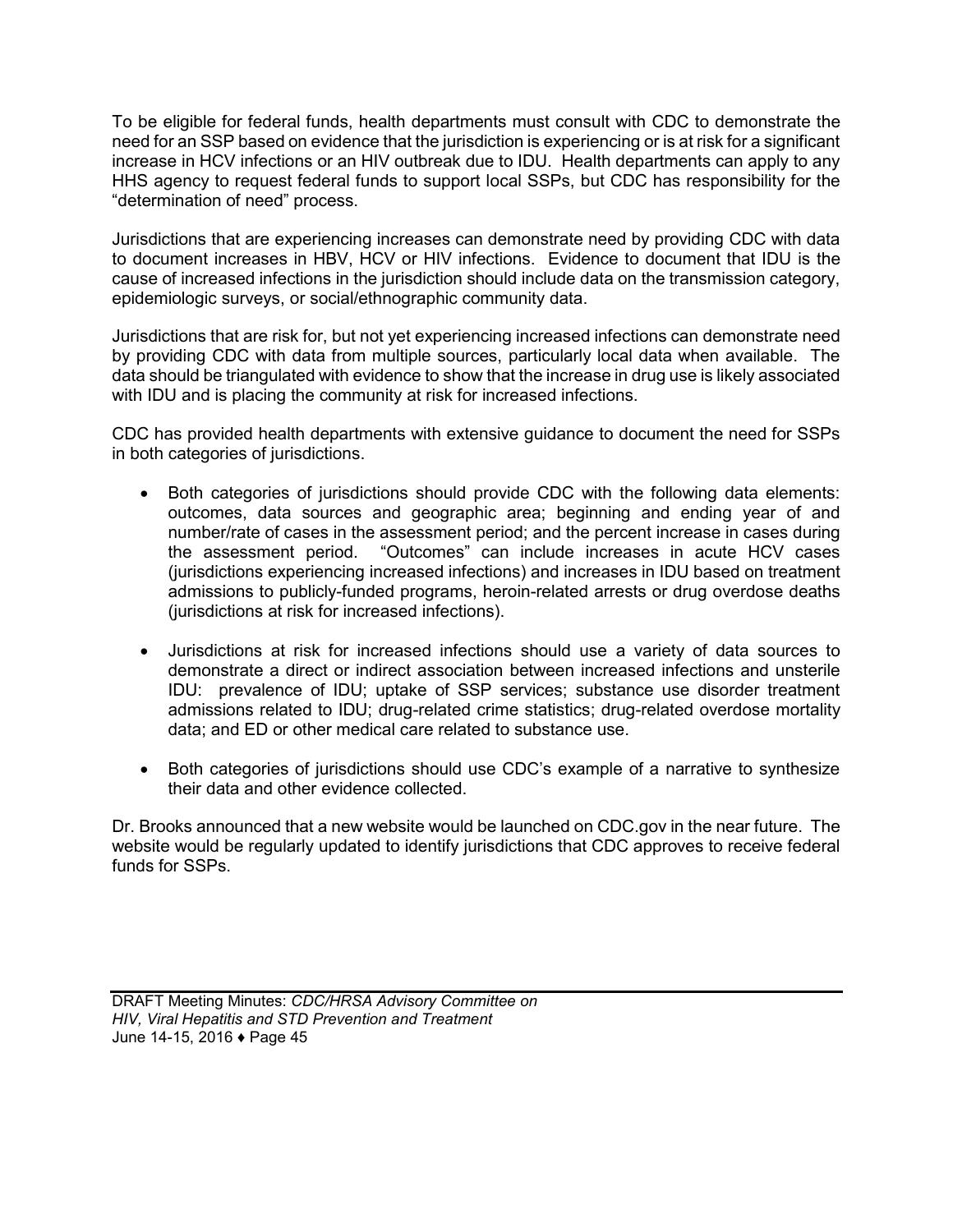To be eligible for federal funds, health departments must consult with CDC to demonstrate the need for an SSP based on evidence that the jurisdiction is experiencing or is at risk for a significant increase in HCV infections or an HIV outbreak due to IDU. Health departments can apply to any HHS agency to request federal funds to support local SSPs, but CDC has responsibility for the "determination of need" process.

Jurisdictions that are experiencing increases can demonstrate need by providing CDC with data to document increases in HBV, HCV or HIV infections. Evidence to document that IDU is the cause of increased infections in the jurisdiction should include data on the transmission category, epidemiologic surveys, or social/ethnographic community data.

Jurisdictions that are risk for, but not yet experiencing increased infections can demonstrate need by providing CDC with data from multiple sources, particularly local data when available. The data should be triangulated with evidence to show that the increase in drug use is likely associated with IDU and is placing the community at risk for increased infections.

CDC has provided health departments with extensive guidance to document the need for SSPs in both categories of jurisdictions.

- Both categories of jurisdictions should provide CDC with the following data elements: outcomes, data sources and geographic area; beginning and ending year of and number/rate of cases in the assessment period; and the percent increase in cases during the assessment period. "Outcomes" can include increases in acute HCV cases (jurisdictions experiencing increased infections) and increases in IDU based on treatment admissions to publicly-funded programs, heroin-related arrests or drug overdose deaths (jurisdictions at risk for increased infections).
- Jurisdictions at risk for increased infections should use a variety of data sources to demonstrate a direct or indirect association between increased infections and unsterile IDU: prevalence of IDU; uptake of SSP services; substance use disorder treatment admissions related to IDU; drug-related crime statistics; drug-related overdose mortality data; and ED or other medical care related to substance use.
- Both categories of jurisdictions should use CDC's example of a narrative to synthesize their data and other evidence collected.

Dr. Brooks announced that a new website would be launched on CDC.gov in the near future. The website would be regularly updated to identify jurisdictions that CDC approves to receive federal funds for SSPs.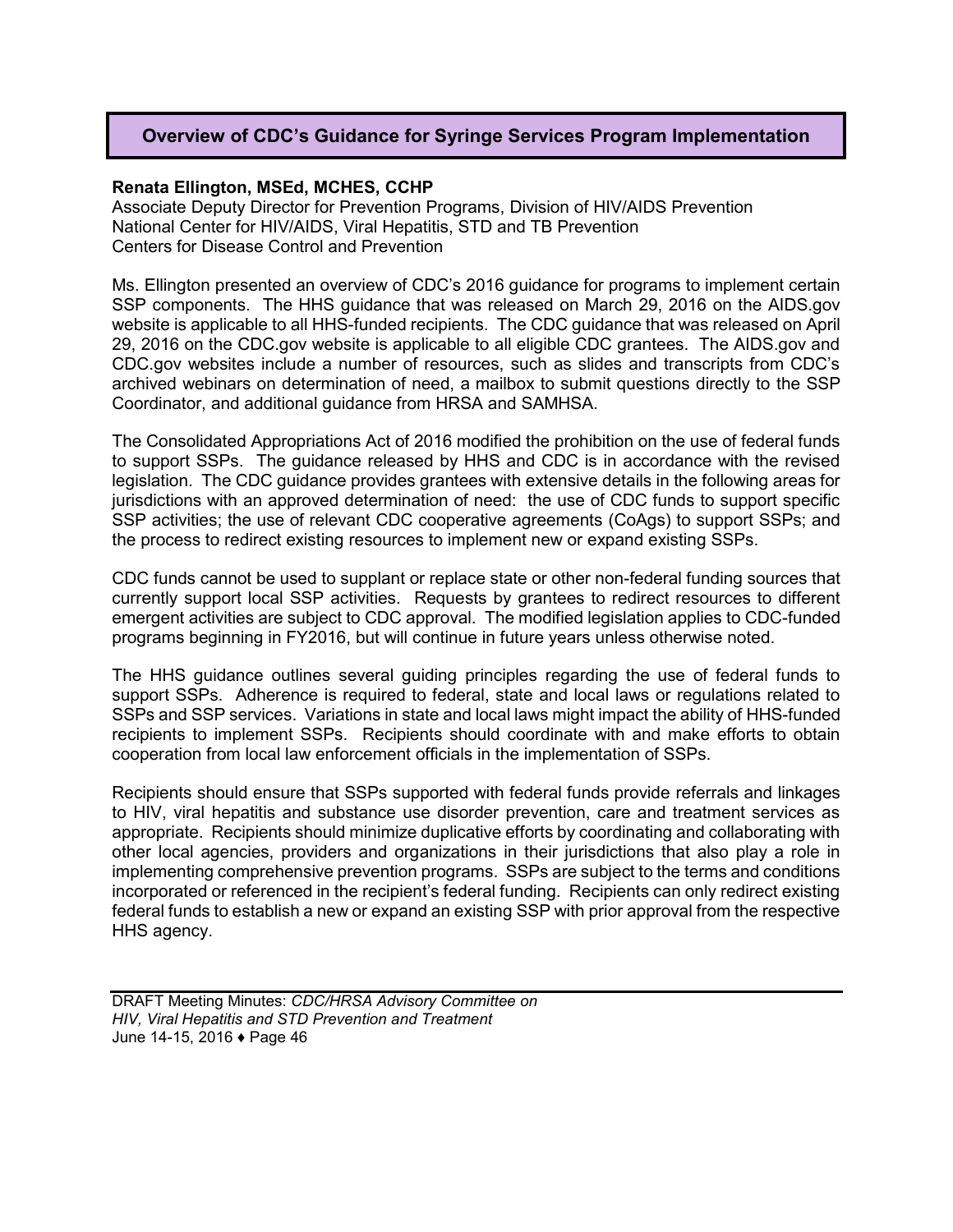# **Overview of CDC's Guidance for Syringe Services Program Implementation**

#### **Renata Ellington, MSEd, MCHES, CCHP**

Associate Deputy Director for Prevention Programs, Division of HIV/AIDS Prevention National Center for HIV/AIDS, Viral Hepatitis, STD and TB Prevention Centers for Disease Control and Prevention

Ms. Ellington presented an overview of CDC's 2016 guidance for programs to implement certain SSP components. The HHS guidance that was released on March 29, 2016 on the AIDS.gov website is applicable to all HHS-funded recipients. The CDC guidance that was released on April 29, 2016 on the CDC.gov website is applicable to all eligible CDC grantees. The AIDS.gov and CDC.gov websites include a number of resources, such as slides and transcripts from CDC's archived webinars on determination of need, a mailbox to submit questions directly to the SSP Coordinator, and additional guidance from HRSA and SAMHSA.

The Consolidated Appropriations Act of 2016 modified the prohibition on the use of federal funds to support SSPs. The guidance released by HHS and CDC is in accordance with the revised legislation. The CDC guidance provides grantees with extensive details in the following areas for jurisdictions with an approved determination of need: the use of CDC funds to support specific SSP activities; the use of relevant CDC cooperative agreements (CoAgs) to support SSPs; and the process to redirect existing resources to implement new or expand existing SSPs.

CDC funds cannot be used to supplant or replace state or other non-federal funding sources that currently support local SSP activities. Requests by grantees to redirect resources to different emergent activities are subject to CDC approval. The modified legislation applies to CDC-funded programs beginning in FY2016, but will continue in future years unless otherwise noted.

The HHS guidance outlines several guiding principles regarding the use of federal funds to support SSPs. Adherence is required to federal, state and local laws or regulations related to SSPs and SSP services. Variations in state and local laws might impact the ability of HHS-funded recipients to implement SSPs. Recipients should coordinate with and make efforts to obtain cooperation from local law enforcement officials in the implementation of SSPs.

Recipients should ensure that SSPs supported with federal funds provide referrals and linkages to HIV, viral hepatitis and substance use disorder prevention, care and treatment services as appropriate. Recipients should minimize duplicative efforts by coordinating and collaborating with other local agencies, providers and organizations in their jurisdictions that also play a role in implementing comprehensive prevention programs. SSPs are subject to the terms and conditions incorporated or referenced in the recipient's federal funding. Recipients can only redirect existing federal funds to establish a new or expand an existing SSP with prior approval from the respective HHS agency.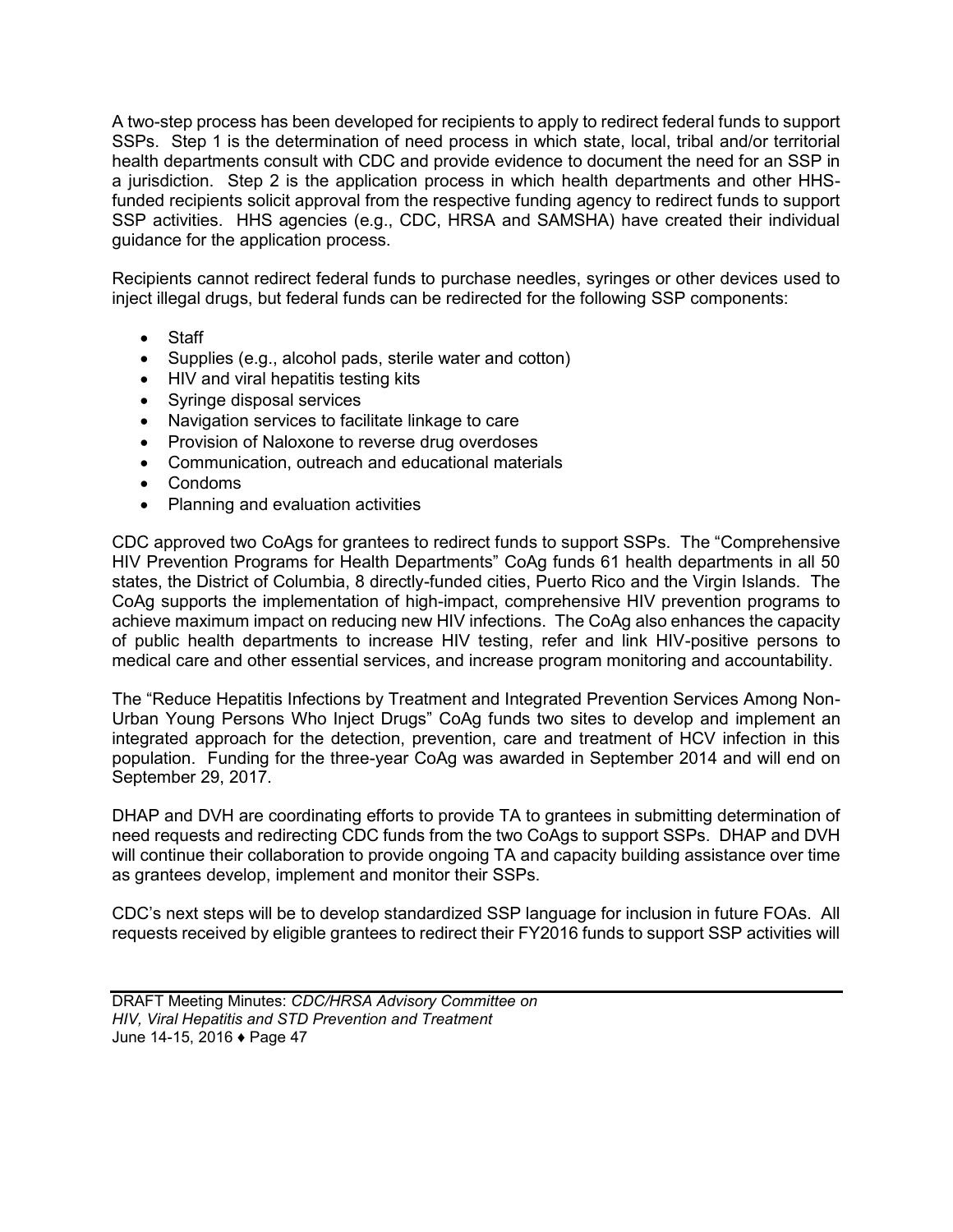A two-step process has been developed for recipients to apply to redirect federal funds to support SSPs. Step 1 is the determination of need process in which state, local, tribal and/or territorial health departments consult with CDC and provide evidence to document the need for an SSP in a jurisdiction. Step 2 is the application process in which health departments and other HHSfunded recipients solicit approval from the respective funding agency to redirect funds to support SSP activities. HHS agencies (e.g., CDC, HRSA and SAMSHA) have created their individual guidance for the application process.

Recipients cannot redirect federal funds to purchase needles, syringes or other devices used to inject illegal drugs, but federal funds can be redirected for the following SSP components:

- Staff
- Supplies (e.g., alcohol pads, sterile water and cotton)
- HIV and viral hepatitis testing kits
- Syringe disposal services
- Navigation services to facilitate linkage to care
- Provision of Naloxone to reverse drug overdoses
- Communication, outreach and educational materials
- Condoms
- Planning and evaluation activities

CDC approved two CoAgs for grantees to redirect funds to support SSPs. The "Comprehensive HIV Prevention Programs for Health Departments" CoAg funds 61 health departments in all 50 states, the District of Columbia, 8 directly-funded cities, Puerto Rico and the Virgin Islands. The CoAg supports the implementation of high-impact, comprehensive HIV prevention programs to achieve maximum impact on reducing new HIV infections. The CoAg also enhances the capacity of public health departments to increase HIV testing, refer and link HIV-positive persons to medical care and other essential services, and increase program monitoring and accountability.

The "Reduce Hepatitis Infections by Treatment and Integrated Prevention Services Among Non-Urban Young Persons Who Inject Drugs" CoAg funds two sites to develop and implement an integrated approach for the detection, prevention, care and treatment of HCV infection in this population. Funding for the three-year CoAg was awarded in September 2014 and will end on September 29, 2017.

DHAP and DVH are coordinating efforts to provide TA to grantees in submitting determination of need requests and redirecting CDC funds from the two CoAgs to support SSPs. DHAP and DVH will continue their collaboration to provide ongoing TA and capacity building assistance over time as grantees develop, implement and monitor their SSPs.

CDC's next steps will be to develop standardized SSP language for inclusion in future FOAs. All requests received by eligible grantees to redirect their FY2016 funds to support SSP activities will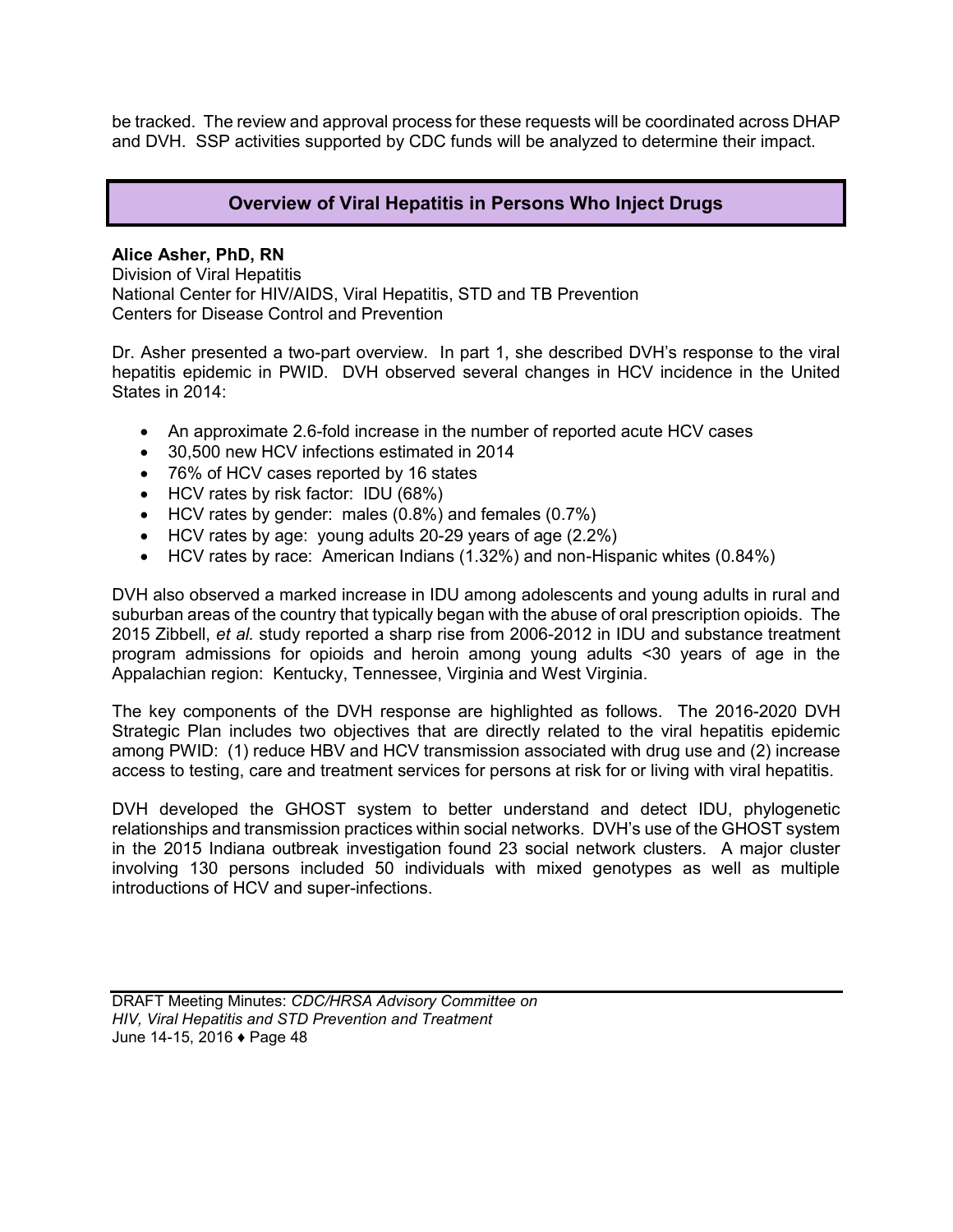be tracked. The review and approval process for these requests will be coordinated across DHAP and DVH. SSP activities supported by CDC funds will be analyzed to determine their impact.

# **Overview of Viral Hepatitis in Persons Who Inject Drugs**

### **Alice Asher, PhD, RN**

Division of Viral Hepatitis National Center for HIV/AIDS, Viral Hepatitis, STD and TB Prevention Centers for Disease Control and Prevention

Dr. Asher presented a two-part overview. In part 1, she described DVH's response to the viral hepatitis epidemic in PWID. DVH observed several changes in HCV incidence in the United States in 2014:

- An approximate 2.6-fold increase in the number of reported acute HCV cases
- 30,500 new HCV infections estimated in 2014
- 76% of HCV cases reported by 16 states
- HCV rates by risk factor: IDU (68%)
- HCV rates by gender: males (0.8%) and females (0.7%)
- HCV rates by age: young adults 20-29 years of age (2.2%)
- HCV rates by race: American Indians (1.32%) and non-Hispanic whites (0.84%)

DVH also observed a marked increase in IDU among adolescents and young adults in rural and suburban areas of the country that typically began with the abuse of oral prescription opioids. The 2015 Zibbell, *et al.* study reported a sharp rise from 2006-2012 in IDU and substance treatment program admissions for opioids and heroin among young adults <30 years of age in the Appalachian region: Kentucky, Tennessee, Virginia and West Virginia.

The key components of the DVH response are highlighted as follows. The 2016-2020 DVH Strategic Plan includes two objectives that are directly related to the viral hepatitis epidemic among PWID: (1) reduce HBV and HCV transmission associated with drug use and (2) increase access to testing, care and treatment services for persons at risk for or living with viral hepatitis.

DVH developed the GHOST system to better understand and detect IDU, phylogenetic relationships and transmission practices within social networks. DVH's use of the GHOST system in the 2015 Indiana outbreak investigation found 23 social network clusters. A major cluster involving 130 persons included 50 individuals with mixed genotypes as well as multiple introductions of HCV and super-infections.

DRAFT Meeting Minutes: *CDC/HRSA Advisory Committee on HIV, Viral Hepatitis and STD Prevention and Treatment* June 14-15, 2016 ♦ Page 48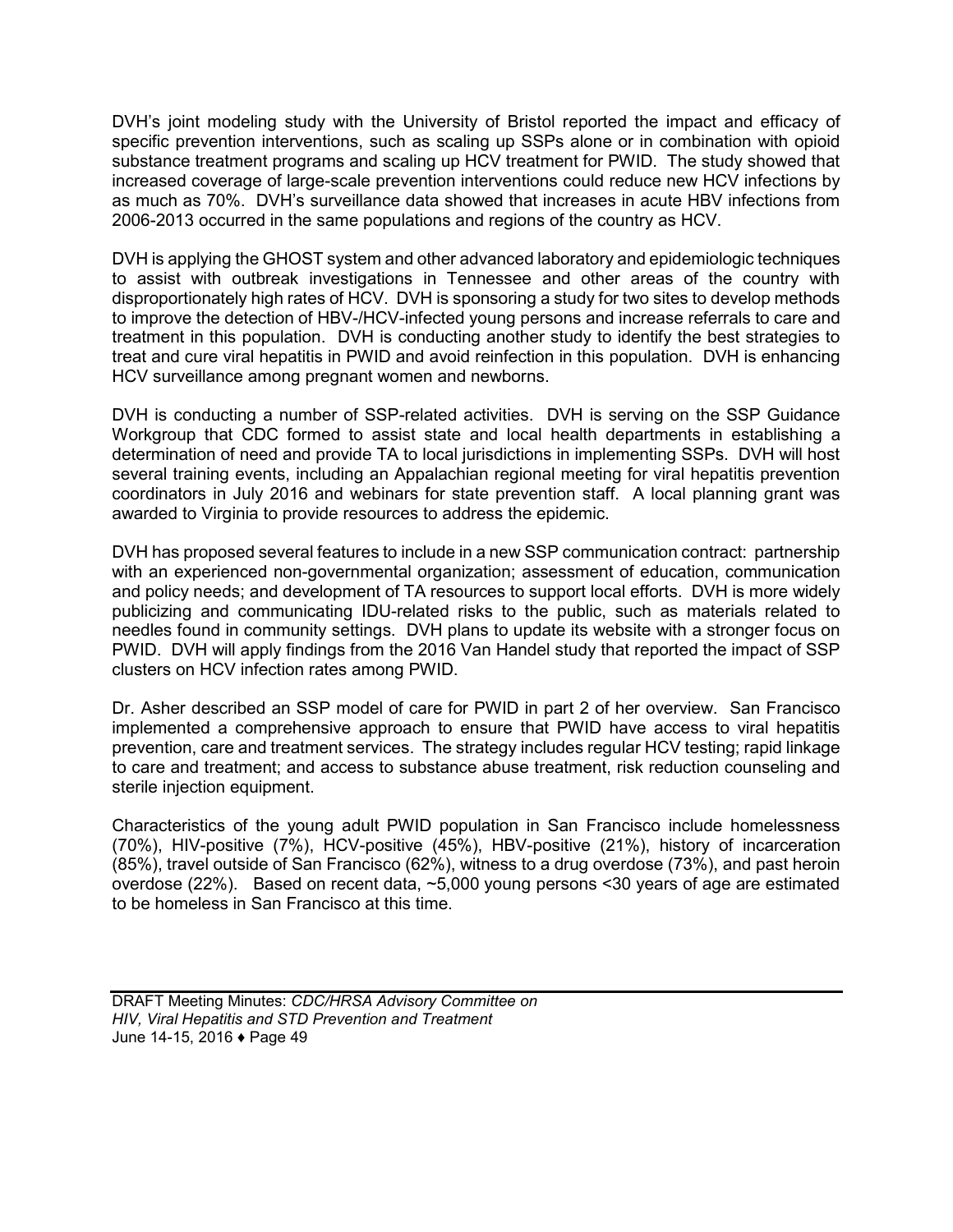DVH's joint modeling study with the University of Bristol reported the impact and efficacy of specific prevention interventions, such as scaling up SSPs alone or in combination with opioid substance treatment programs and scaling up HCV treatment for PWID. The study showed that increased coverage of large-scale prevention interventions could reduce new HCV infections by as much as 70%. DVH's surveillance data showed that increases in acute HBV infections from 2006-2013 occurred in the same populations and regions of the country as HCV.

DVH is applying the GHOST system and other advanced laboratory and epidemiologic techniques to assist with outbreak investigations in Tennessee and other areas of the country with disproportionately high rates of HCV. DVH is sponsoring a study for two sites to develop methods to improve the detection of HBV-/HCV-infected young persons and increase referrals to care and treatment in this population. DVH is conducting another study to identify the best strategies to treat and cure viral hepatitis in PWID and avoid reinfection in this population. DVH is enhancing HCV surveillance among pregnant women and newborns.

DVH is conducting a number of SSP-related activities. DVH is serving on the SSP Guidance Workgroup that CDC formed to assist state and local health departments in establishing a determination of need and provide TA to local jurisdictions in implementing SSPs. DVH will host several training events, including an Appalachian regional meeting for viral hepatitis prevention coordinators in July 2016 and webinars for state prevention staff. A local planning grant was awarded to Virginia to provide resources to address the epidemic.

DVH has proposed several features to include in a new SSP communication contract: partnership with an experienced non-governmental organization; assessment of education, communication and policy needs; and development of TA resources to support local efforts. DVH is more widely publicizing and communicating IDU-related risks to the public, such as materials related to needles found in community settings. DVH plans to update its website with a stronger focus on PWID. DVH will apply findings from the 2016 Van Handel study that reported the impact of SSP clusters on HCV infection rates among PWID.

Dr. Asher described an SSP model of care for PWID in part 2 of her overview. San Francisco implemented a comprehensive approach to ensure that PWID have access to viral hepatitis prevention, care and treatment services. The strategy includes regular HCV testing; rapid linkage to care and treatment; and access to substance abuse treatment, risk reduction counseling and sterile injection equipment.

Characteristics of the young adult PWID population in San Francisco include homelessness (70%), HIV-positive (7%), HCV-positive (45%), HBV-positive (21%), history of incarceration (85%), travel outside of San Francisco (62%), witness to a drug overdose (73%), and past heroin overdose (22%). Based on recent data, ~5,000 young persons <30 years of age are estimated to be homeless in San Francisco at this time.

DRAFT Meeting Minutes: *CDC/HRSA Advisory Committee on HIV, Viral Hepatitis and STD Prevention and Treatment* June 14-15, 2016 ♦ Page 49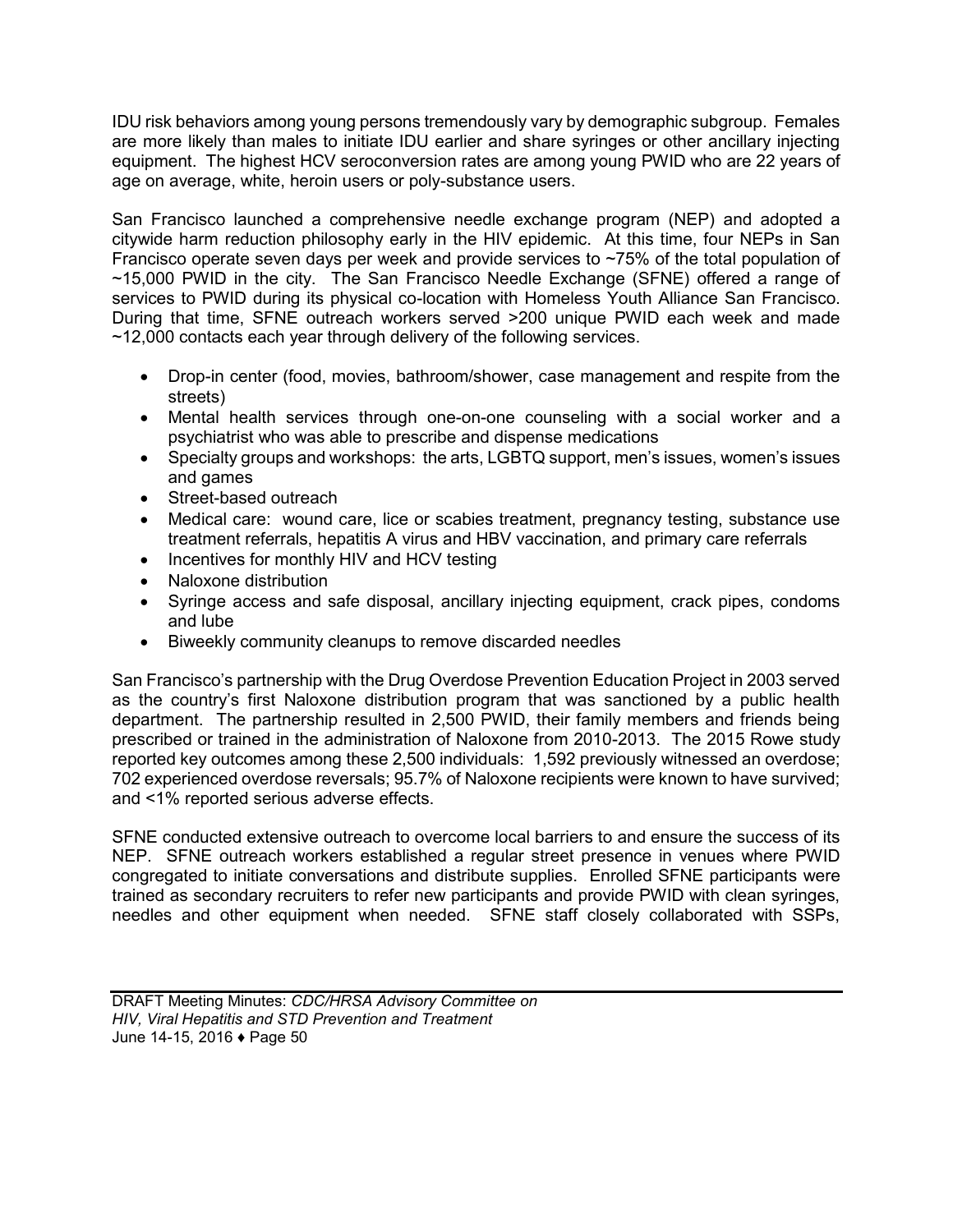IDU risk behaviors among young persons tremendously vary by demographic subgroup. Females are more likely than males to initiate IDU earlier and share syringes or other ancillary injecting equipment. The highest HCV seroconversion rates are among young PWID who are 22 years of age on average, white, heroin users or poly-substance users.

San Francisco launched a comprehensive needle exchange program (NEP) and adopted a citywide harm reduction philosophy early in the HIV epidemic. At this time, four NEPs in San Francisco operate seven days per week and provide services to  $\sim$ 75% of the total population of ~15,000 PWID in the city. The San Francisco Needle Exchange (SFNE) offered a range of services to PWID during its physical co-location with Homeless Youth Alliance San Francisco. During that time, SFNE outreach workers served >200 unique PWID each week and made ~12,000 contacts each year through delivery of the following services.

- Drop-in center (food, movies, bathroom/shower, case management and respite from the streets)
- Mental health services through one-on-one counseling with a social worker and a psychiatrist who was able to prescribe and dispense medications
- Specialty groups and workshops: the arts, LGBTQ support, men's issues, women's issues and games
- Street-based outreach
- Medical care: wound care, lice or scabies treatment, pregnancy testing, substance use treatment referrals, hepatitis A virus and HBV vaccination, and primary care referrals
- Incentives for monthly HIV and HCV testing
- Naloxone distribution
- Syringe access and safe disposal, ancillary injecting equipment, crack pipes, condoms and lube
- Biweekly community cleanups to remove discarded needles

San Francisco's partnership with the Drug Overdose Prevention Education Project in 2003 served as the country's first Naloxone distribution program that was sanctioned by a public health department. The partnership resulted in 2,500 PWID, their family members and friends being prescribed or trained in the administration of Naloxone from 2010-2013. The 2015 Rowe study reported key outcomes among these 2,500 individuals: 1,592 previously witnessed an overdose; 702 experienced overdose reversals; 95.7% of Naloxone recipients were known to have survived; and <1% reported serious adverse effects.

SFNE conducted extensive outreach to overcome local barriers to and ensure the success of its NEP. SFNE outreach workers established a regular street presence in venues where PWID congregated to initiate conversations and distribute supplies. Enrolled SFNE participants were trained as secondary recruiters to refer new participants and provide PWID with clean syringes, needles and other equipment when needed. SFNE staff closely collaborated with SSPs,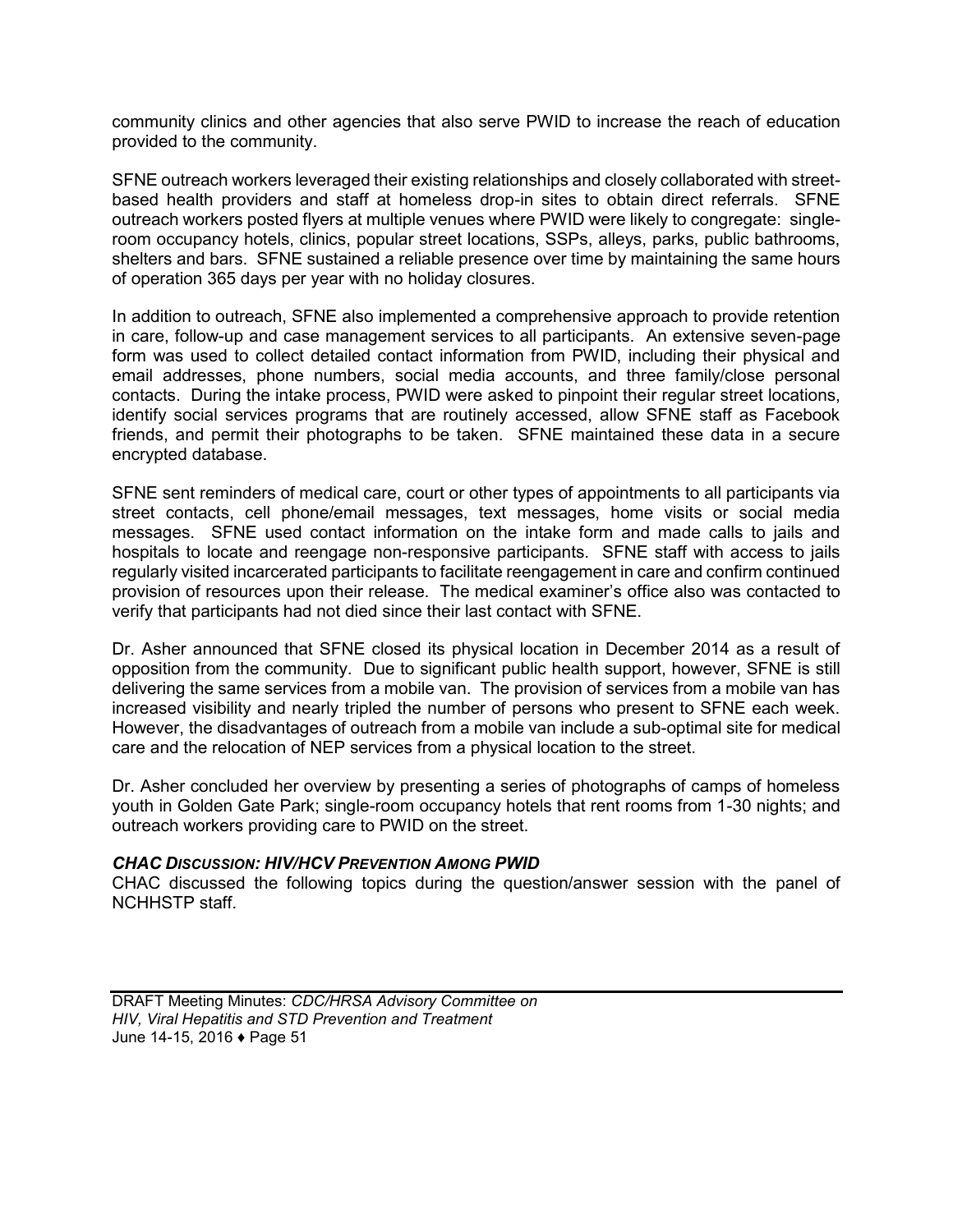community clinics and other agencies that also serve PWID to increase the reach of education provided to the community.

SFNE outreach workers leveraged their existing relationships and closely collaborated with streetbased health providers and staff at homeless drop-in sites to obtain direct referrals. SFNE outreach workers posted flyers at multiple venues where PWID were likely to congregate: singleroom occupancy hotels, clinics, popular street locations, SSPs, alleys, parks, public bathrooms, shelters and bars. SFNE sustained a reliable presence over time by maintaining the same hours of operation 365 days per year with no holiday closures.

In addition to outreach, SFNE also implemented a comprehensive approach to provide retention in care, follow-up and case management services to all participants. An extensive seven-page form was used to collect detailed contact information from PWID, including their physical and email addresses, phone numbers, social media accounts, and three family/close personal contacts. During the intake process, PWID were asked to pinpoint their regular street locations, identify social services programs that are routinely accessed, allow SFNE staff as Facebook friends, and permit their photographs to be taken. SFNE maintained these data in a secure encrypted database.

SFNE sent reminders of medical care, court or other types of appointments to all participants via street contacts, cell phone/email messages, text messages, home visits or social media messages. SFNE used contact information on the intake form and made calls to jails and hospitals to locate and reengage non-responsive participants. SFNE staff with access to jails regularly visited incarcerated participants to facilitate reengagement in care and confirm continued provision of resources upon their release. The medical examiner's office also was contacted to verify that participants had not died since their last contact with SFNE.

Dr. Asher announced that SFNE closed its physical location in December 2014 as a result of opposition from the community. Due to significant public health support, however, SFNE is still delivering the same services from a mobile van. The provision of services from a mobile van has increased visibility and nearly tripled the number of persons who present to SFNE each week. However, the disadvantages of outreach from a mobile van include a sub-optimal site for medical care and the relocation of NEP services from a physical location to the street.

Dr. Asher concluded her overview by presenting a series of photographs of camps of homeless youth in Golden Gate Park; single-room occupancy hotels that rent rooms from 1-30 nights; and outreach workers providing care to PWID on the street.

#### *CHAC DISCUSSION: HIV/HCV PREVENTION AMONG PWID*

CHAC discussed the following topics during the question/answer session with the panel of NCHHSTP staff.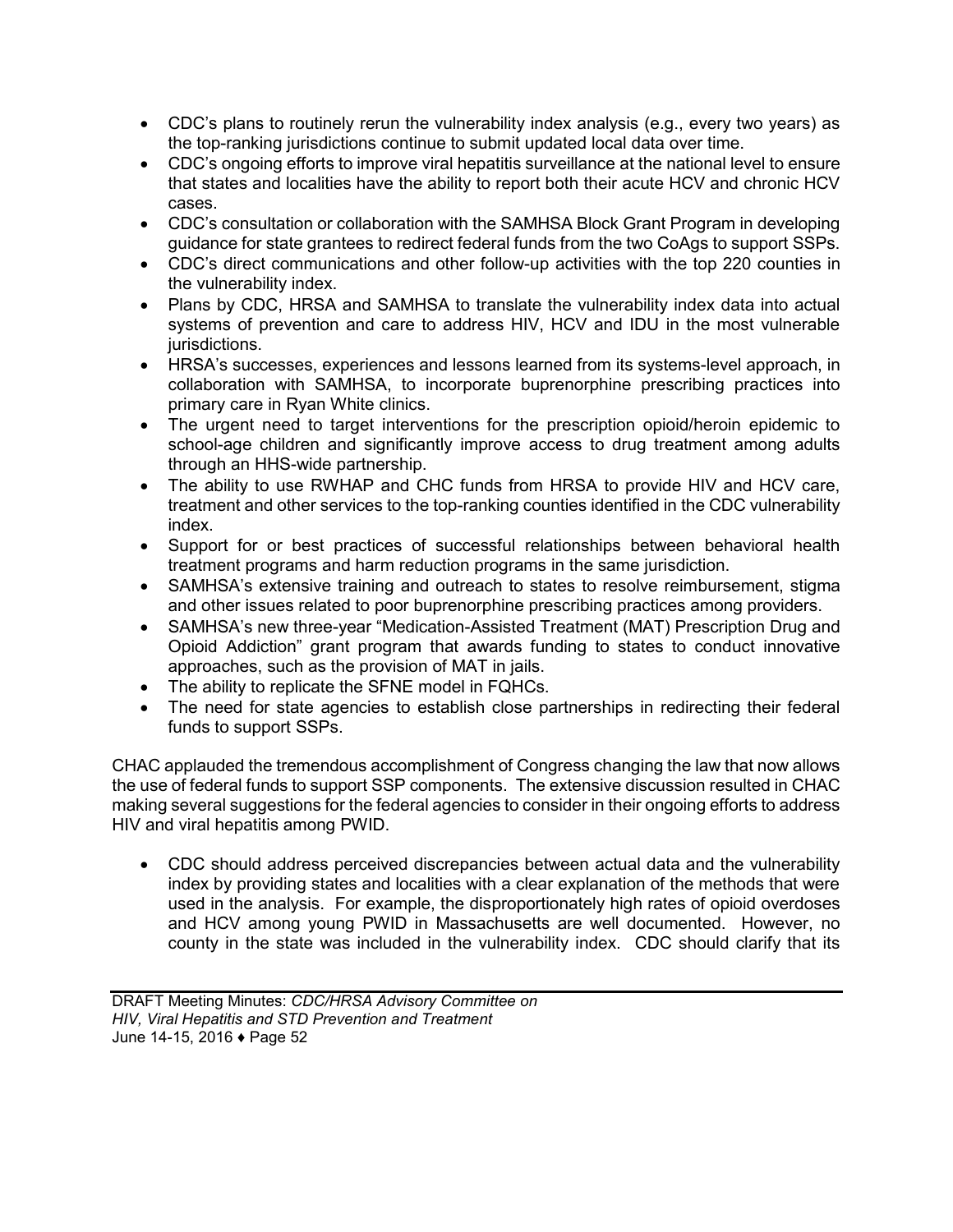- CDC's plans to routinely rerun the vulnerability index analysis (e.g., every two years) as the top-ranking jurisdictions continue to submit updated local data over time.
- CDC's ongoing efforts to improve viral hepatitis surveillance at the national level to ensure that states and localities have the ability to report both their acute HCV and chronic HCV cases.
- CDC's consultation or collaboration with the SAMHSA Block Grant Program in developing guidance for state grantees to redirect federal funds from the two CoAgs to support SSPs.
- CDC's direct communications and other follow-up activities with the top 220 counties in the vulnerability index.
- Plans by CDC, HRSA and SAMHSA to translate the vulnerability index data into actual systems of prevention and care to address HIV, HCV and IDU in the most vulnerable jurisdictions.
- HRSA's successes, experiences and lessons learned from its systems-level approach, in collaboration with SAMHSA, to incorporate buprenorphine prescribing practices into primary care in Ryan White clinics.
- The urgent need to target interventions for the prescription opioid/heroin epidemic to school-age children and significantly improve access to drug treatment among adults through an HHS-wide partnership.
- The ability to use RWHAP and CHC funds from HRSA to provide HIV and HCV care, treatment and other services to the top-ranking counties identified in the CDC vulnerability index.
- Support for or best practices of successful relationships between behavioral health treatment programs and harm reduction programs in the same jurisdiction.
- SAMHSA's extensive training and outreach to states to resolve reimbursement, stigma and other issues related to poor buprenorphine prescribing practices among providers.
- SAMHSA's new three-year "Medication-Assisted Treatment (MAT) Prescription Drug and Opioid Addiction" grant program that awards funding to states to conduct innovative approaches, such as the provision of MAT in jails.
- The ability to replicate the SFNE model in FQHCs.
- The need for state agencies to establish close partnerships in redirecting their federal funds to support SSPs.

CHAC applauded the tremendous accomplishment of Congress changing the law that now allows the use of federal funds to support SSP components. The extensive discussion resulted in CHAC making several suggestions for the federal agencies to consider in their ongoing efforts to address HIV and viral hepatitis among PWID.

 CDC should address perceived discrepancies between actual data and the vulnerability index by providing states and localities with a clear explanation of the methods that were used in the analysis. For example, the disproportionately high rates of opioid overdoses and HCV among young PWID in Massachusetts are well documented. However, no county in the state was included in the vulnerability index. CDC should clarify that its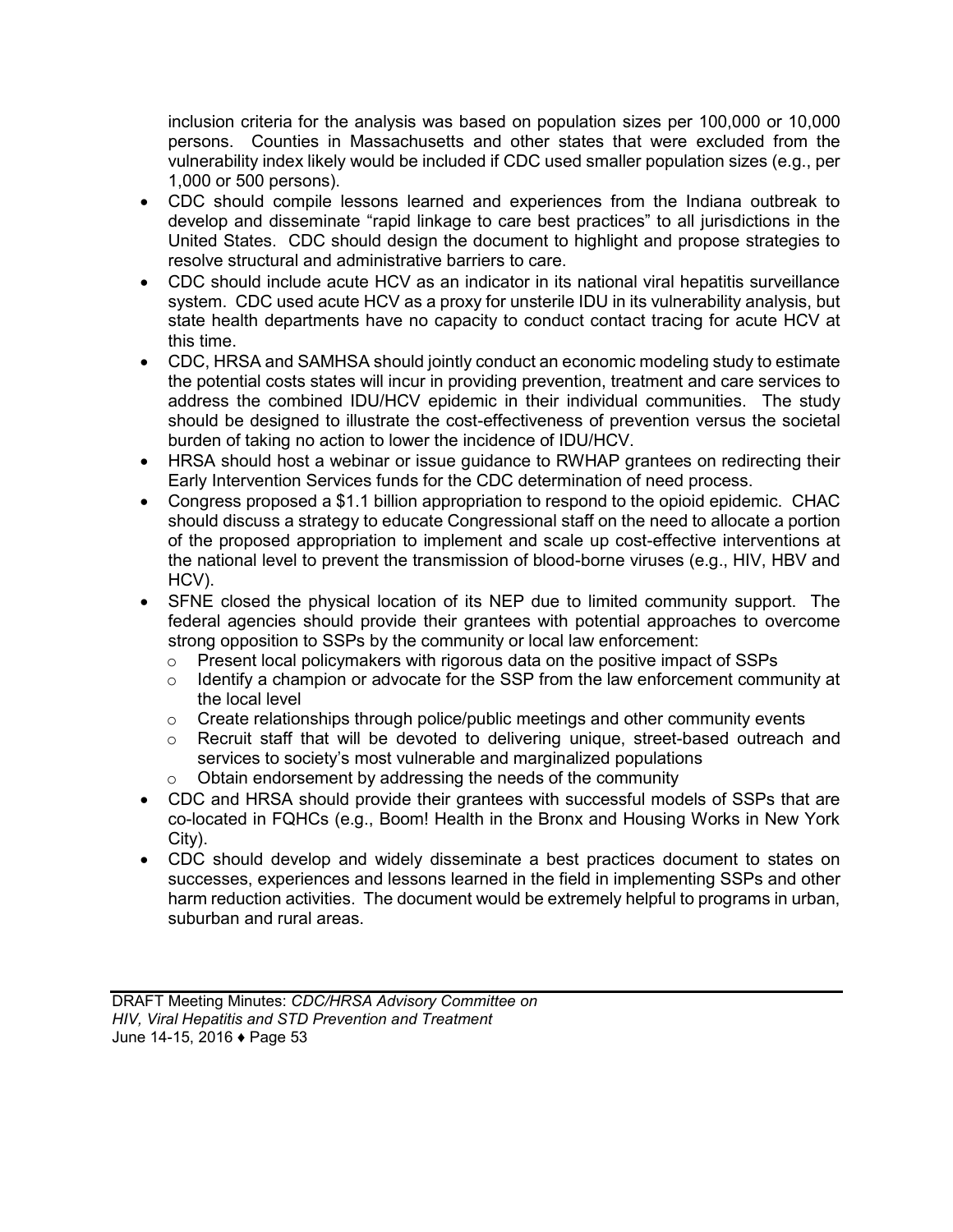inclusion criteria for the analysis was based on population sizes per 100,000 or 10,000 persons. Counties in Massachusetts and other states that were excluded from the vulnerability index likely would be included if CDC used smaller population sizes (e.g., per 1,000 or 500 persons).

- CDC should compile lessons learned and experiences from the Indiana outbreak to develop and disseminate "rapid linkage to care best practices" to all jurisdictions in the United States. CDC should design the document to highlight and propose strategies to resolve structural and administrative barriers to care.
- CDC should include acute HCV as an indicator in its national viral hepatitis surveillance system. CDC used acute HCV as a proxy for unsterile IDU in its vulnerability analysis, but state health departments have no capacity to conduct contact tracing for acute HCV at this time.
- CDC, HRSA and SAMHSA should jointly conduct an economic modeling study to estimate the potential costs states will incur in providing prevention, treatment and care services to address the combined IDU/HCV epidemic in their individual communities. The study should be designed to illustrate the cost-effectiveness of prevention versus the societal burden of taking no action to lower the incidence of IDU/HCV.
- HRSA should host a webinar or issue guidance to RWHAP grantees on redirecting their Early Intervention Services funds for the CDC determination of need process.
- Congress proposed a \$1.1 billion appropriation to respond to the opioid epidemic. CHAC should discuss a strategy to educate Congressional staff on the need to allocate a portion of the proposed appropriation to implement and scale up cost-effective interventions at the national level to prevent the transmission of blood-borne viruses (e.g., HIV, HBV and HCV).
- SFNE closed the physical location of its NEP due to limited community support. The federal agencies should provide their grantees with potential approaches to overcome strong opposition to SSPs by the community or local law enforcement:
	- o Present local policymakers with rigorous data on the positive impact of SSPs
	- o Identify a champion or advocate for the SSP from the law enforcement community at the local level
	- $\circ$  Create relationships through police/public meetings and other community events
	- $\circ$  Recruit staff that will be devoted to delivering unique, street-based outreach and services to society's most vulnerable and marginalized populations
	- o Obtain endorsement by addressing the needs of the community
- CDC and HRSA should provide their grantees with successful models of SSPs that are co-located in FQHCs (e.g., Boom! Health in the Bronx and Housing Works in New York City).
- CDC should develop and widely disseminate a best practices document to states on successes, experiences and lessons learned in the field in implementing SSPs and other harm reduction activities. The document would be extremely helpful to programs in urban, suburban and rural areas.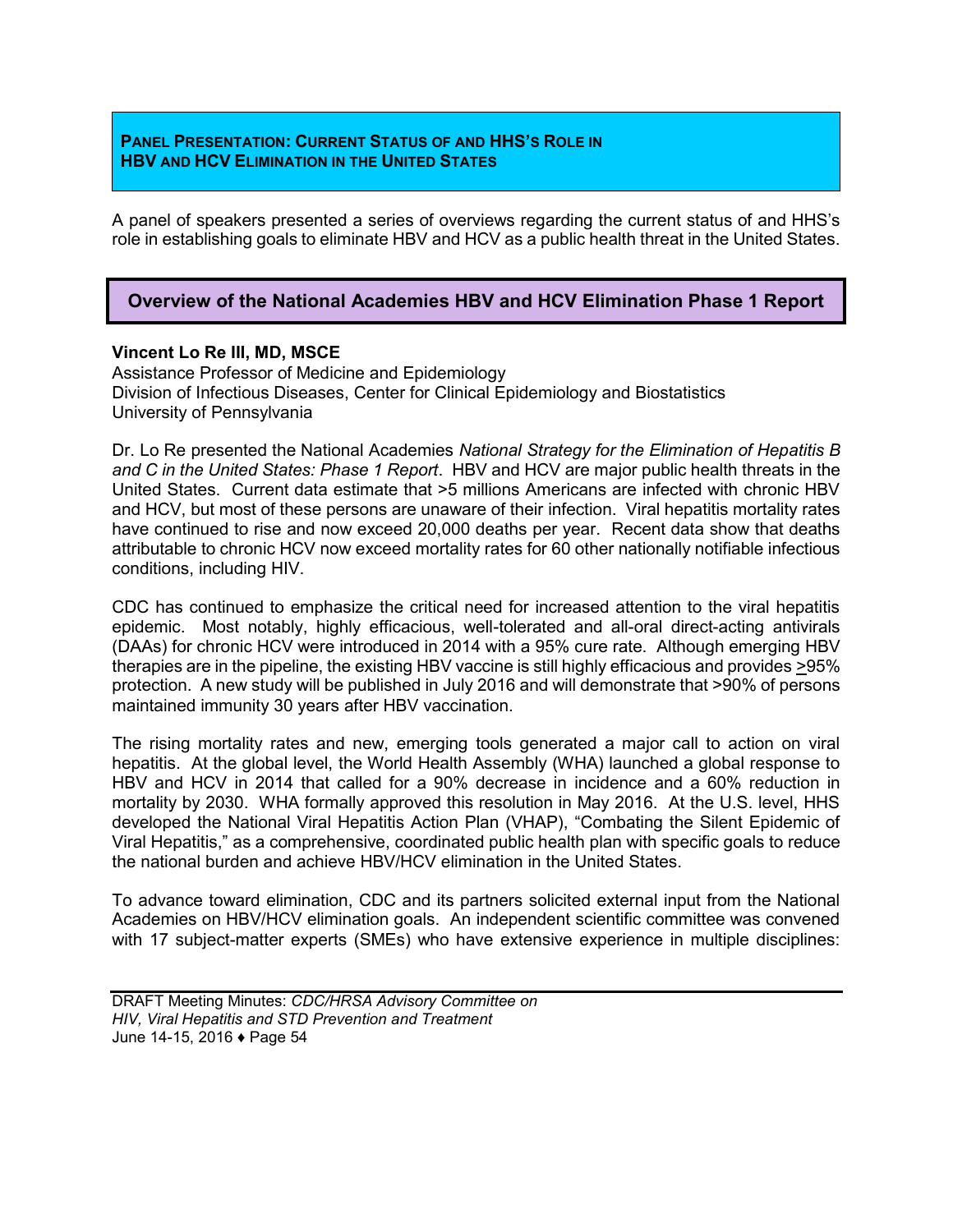### **PANEL PRESENTATION: CURRENT STATUS OF AND HHS'S ROLE IN HBV AND HCV ELIMINATION IN THE UNITED STATES**

A panel of speakers presented a series of overviews regarding the current status of and HHS's role in establishing goals to eliminate HBV and HCV as a public health threat in the United States.

# **Overview of the National Academies HBV and HCV Elimination Phase 1 Report**

### **Vincent Lo Re III, MD, MSCE**

Assistance Professor of Medicine and Epidemiology Division of Infectious Diseases, Center for Clinical Epidemiology and Biostatistics University of Pennsylvania

Dr. Lo Re presented the National Academies *National Strategy for the Elimination of Hepatitis B and C in the United States: Phase 1 Report*. HBV and HCV are major public health threats in the United States. Current data estimate that >5 millions Americans are infected with chronic HBV and HCV, but most of these persons are unaware of their infection. Viral hepatitis mortality rates have continued to rise and now exceed 20,000 deaths per year. Recent data show that deaths attributable to chronic HCV now exceed mortality rates for 60 other nationally notifiable infectious conditions, including HIV.

CDC has continued to emphasize the critical need for increased attention to the viral hepatitis epidemic. Most notably, highly efficacious, well-tolerated and all-oral direct-acting antivirals (DAAs) for chronic HCV were introduced in 2014 with a 95% cure rate. Although emerging HBV therapies are in the pipeline, the existing HBV vaccine is still highly efficacious and provides >95% protection. A new study will be published in July 2016 and will demonstrate that >90% of persons maintained immunity 30 years after HBV vaccination.

The rising mortality rates and new, emerging tools generated a major call to action on viral hepatitis. At the global level, the World Health Assembly (WHA) launched a global response to HBV and HCV in 2014 that called for a 90% decrease in incidence and a 60% reduction in mortality by 2030. WHA formally approved this resolution in May 2016. At the U.S. level, HHS developed the National Viral Hepatitis Action Plan (VHAP), "Combating the Silent Epidemic of Viral Hepatitis," as a comprehensive, coordinated public health plan with specific goals to reduce the national burden and achieve HBV/HCV elimination in the United States.

To advance toward elimination, CDC and its partners solicited external input from the National Academies on HBV/HCV elimination goals. An independent scientific committee was convened with 17 subject-matter experts (SMEs) who have extensive experience in multiple disciplines: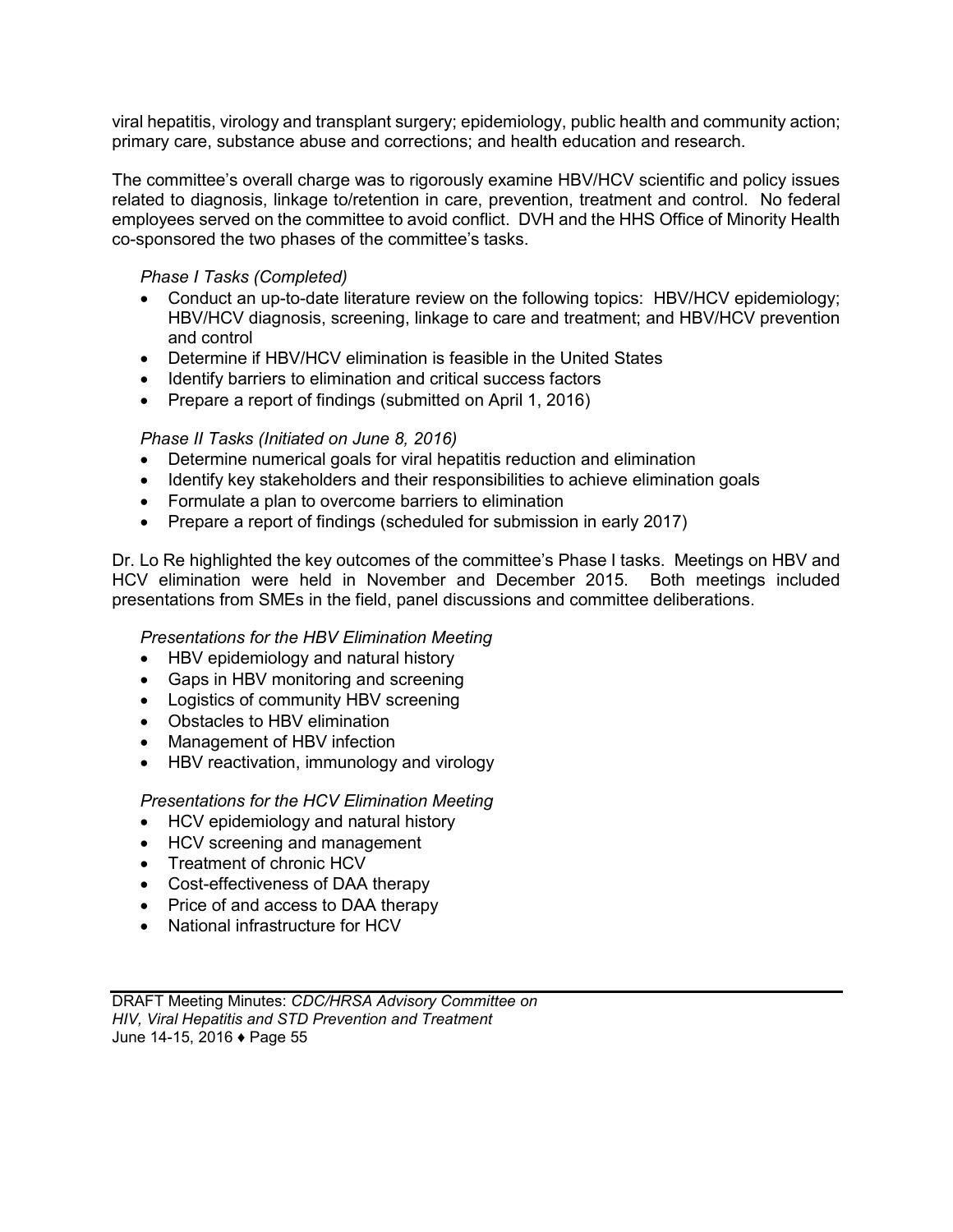viral hepatitis, virology and transplant surgery; epidemiology, public health and community action; primary care, substance abuse and corrections; and health education and research.

The committee's overall charge was to rigorously examine HBV/HCV scientific and policy issues related to diagnosis, linkage to/retention in care, prevention, treatment and control. No federal employees served on the committee to avoid conflict. DVH and the HHS Office of Minority Health co-sponsored the two phases of the committee's tasks.

## *Phase I Tasks (Completed)*

- Conduct an up-to-date literature review on the following topics: HBV/HCV epidemiology; HBV/HCV diagnosis, screening, linkage to care and treatment; and HBV/HCV prevention and control
- Determine if HBV/HCV elimination is feasible in the United States
- Identify barriers to elimination and critical success factors
- Prepare a report of findings (submitted on April 1, 2016)

# *Phase II Tasks (Initiated on June 8, 2016)*

- Determine numerical goals for viral hepatitis reduction and elimination
- Identify key stakeholders and their responsibilities to achieve elimination goals
- Formulate a plan to overcome barriers to elimination
- Prepare a report of findings (scheduled for submission in early 2017)

Dr. Lo Re highlighted the key outcomes of the committee's Phase I tasks. Meetings on HBV and HCV elimination were held in November and December 2015. Both meetings included presentations from SMEs in the field, panel discussions and committee deliberations.

## *Presentations for the HBV Elimination Meeting*

- HBV epidemiology and natural history
- Gaps in HBV monitoring and screening
- Logistics of community HBV screening
- Obstacles to HBV elimination
- Management of HBV infection
- HBV reactivation, immunology and virology

## *Presentations for the HCV Elimination Meeting*

- HCV epidemiology and natural history
- HCV screening and management
- Treatment of chronic HCV
- Cost-effectiveness of DAA therapy
- Price of and access to DAA therapy
- National infrastructure for HCV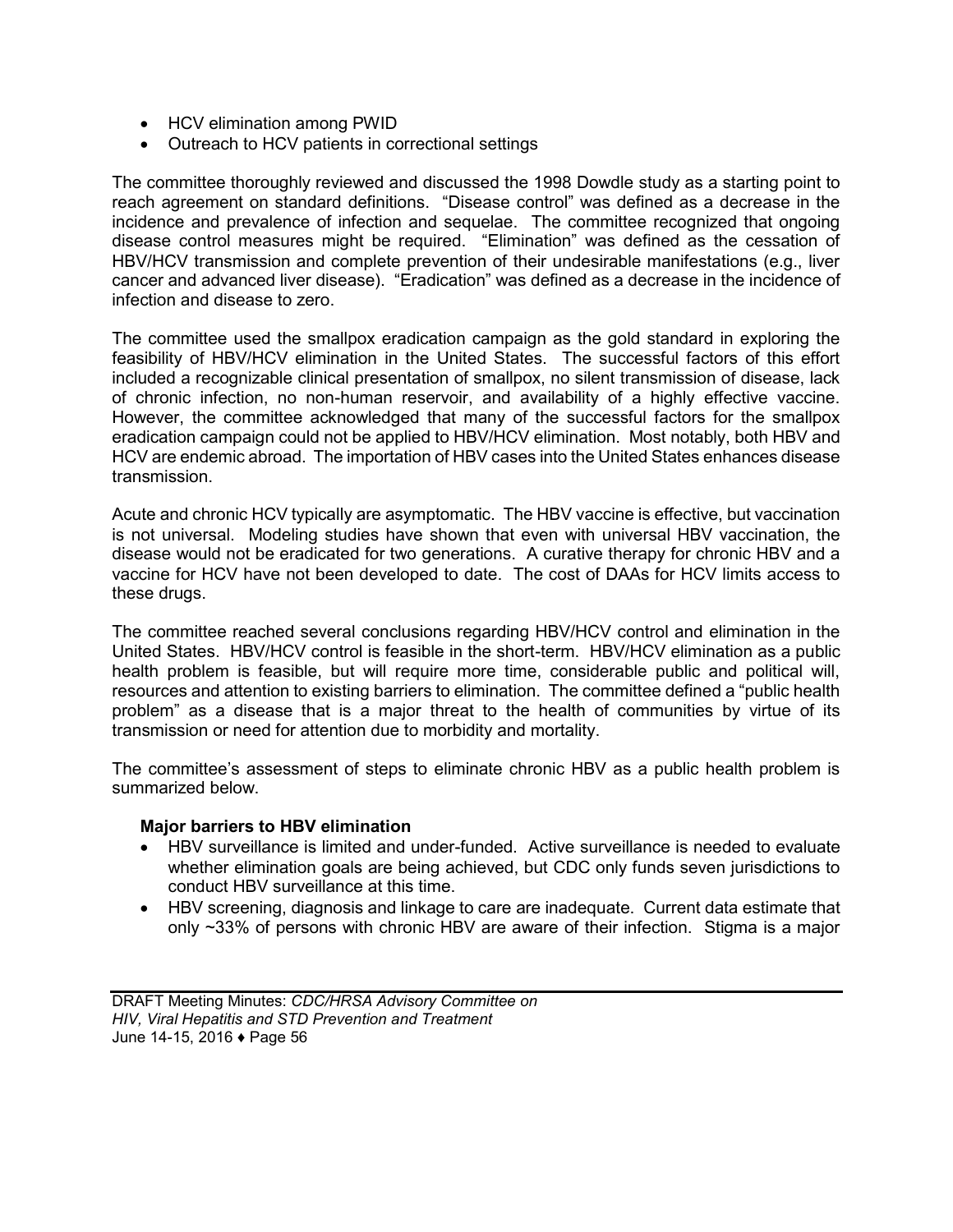- HCV elimination among PWID
- Outreach to HCV patients in correctional settings

The committee thoroughly reviewed and discussed the 1998 Dowdle study as a starting point to reach agreement on standard definitions. "Disease control" was defined as a decrease in the incidence and prevalence of infection and sequelae. The committee recognized that ongoing disease control measures might be required. "Elimination" was defined as the cessation of HBV/HCV transmission and complete prevention of their undesirable manifestations (e.g., liver cancer and advanced liver disease). "Eradication" was defined as a decrease in the incidence of infection and disease to zero.

The committee used the smallpox eradication campaign as the gold standard in exploring the feasibility of HBV/HCV elimination in the United States. The successful factors of this effort included a recognizable clinical presentation of smallpox, no silent transmission of disease, lack of chronic infection, no non-human reservoir, and availability of a highly effective vaccine. However, the committee acknowledged that many of the successful factors for the smallpox eradication campaign could not be applied to HBV/HCV elimination. Most notably, both HBV and HCV are endemic abroad. The importation of HBV cases into the United States enhances disease transmission.

Acute and chronic HCV typically are asymptomatic. The HBV vaccine is effective, but vaccination is not universal. Modeling studies have shown that even with universal HBV vaccination, the disease would not be eradicated for two generations. A curative therapy for chronic HBV and a vaccine for HCV have not been developed to date. The cost of DAAs for HCV limits access to these drugs.

The committee reached several conclusions regarding HBV/HCV control and elimination in the United States. HBV/HCV control is feasible in the short-term. HBV/HCV elimination as a public health problem is feasible, but will require more time, considerable public and political will, resources and attention to existing barriers to elimination. The committee defined a "public health problem" as a disease that is a major threat to the health of communities by virtue of its transmission or need for attention due to morbidity and mortality.

The committee's assessment of steps to eliminate chronic HBV as a public health problem is summarized below.

#### **Major barriers to HBV elimination**

- HBV surveillance is limited and under-funded. Active surveillance is needed to evaluate whether elimination goals are being achieved, but CDC only funds seven jurisdictions to conduct HBV surveillance at this time.
- HBV screening, diagnosis and linkage to care are inadequate. Current data estimate that only ~33% of persons with chronic HBV are aware of their infection. Stigma is a major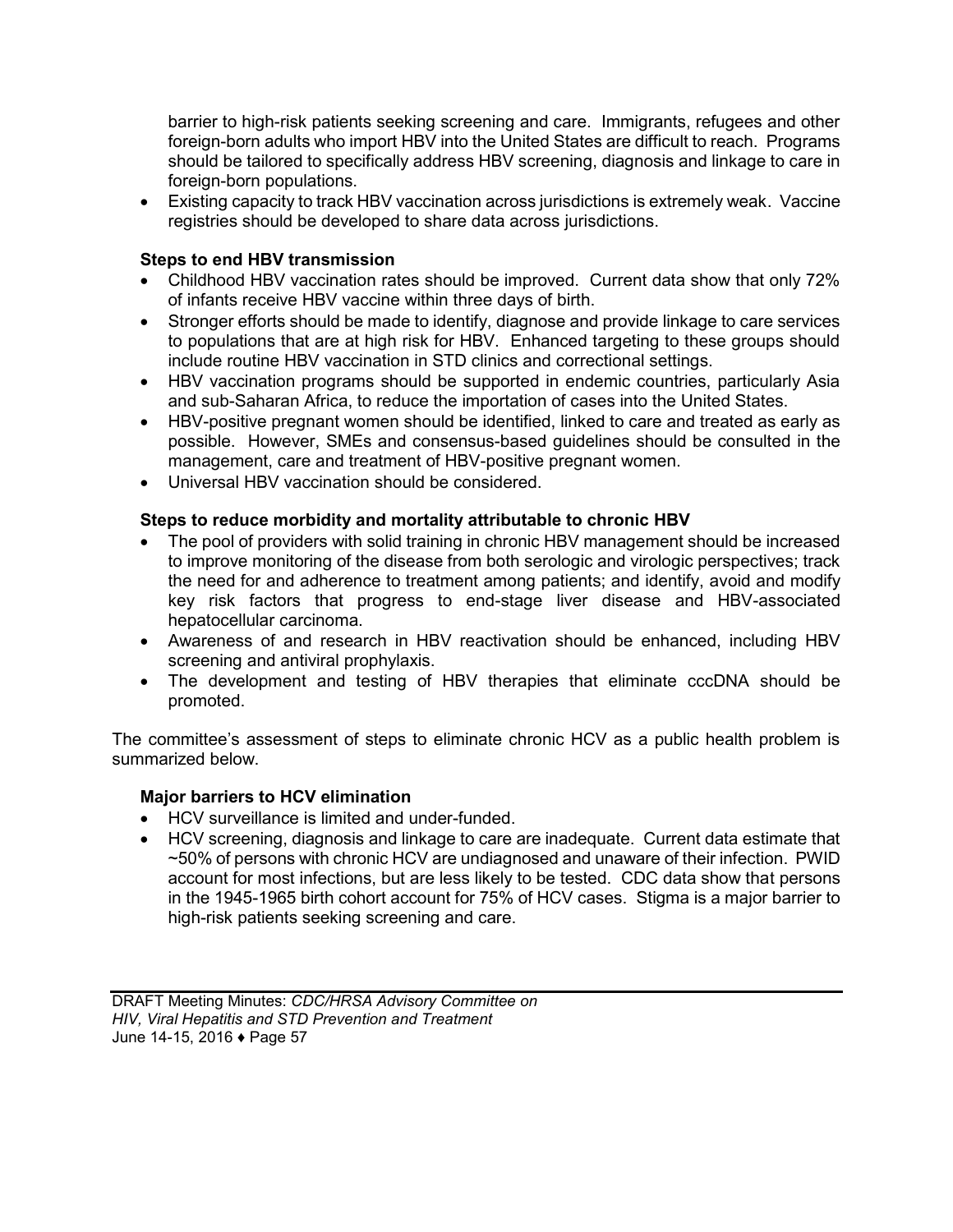barrier to high-risk patients seeking screening and care. Immigrants, refugees and other foreign-born adults who import HBV into the United States are difficult to reach. Programs should be tailored to specifically address HBV screening, diagnosis and linkage to care in foreign-born populations.

 Existing capacity to track HBV vaccination across jurisdictions is extremely weak. Vaccine registries should be developed to share data across jurisdictions.

# **Steps to end HBV transmission**

- Childhood HBV vaccination rates should be improved. Current data show that only 72% of infants receive HBV vaccine within three days of birth.
- Stronger efforts should be made to identify, diagnose and provide linkage to care services to populations that are at high risk for HBV. Enhanced targeting to these groups should include routine HBV vaccination in STD clinics and correctional settings.
- HBV vaccination programs should be supported in endemic countries, particularly Asia and sub-Saharan Africa, to reduce the importation of cases into the United States.
- HBV-positive pregnant women should be identified, linked to care and treated as early as possible. However, SMEs and consensus-based guidelines should be consulted in the management, care and treatment of HBV-positive pregnant women.
- Universal HBV vaccination should be considered.

# **Steps to reduce morbidity and mortality attributable to chronic HBV**

- The pool of providers with solid training in chronic HBV management should be increased to improve monitoring of the disease from both serologic and virologic perspectives; track the need for and adherence to treatment among patients; and identify, avoid and modify key risk factors that progress to end-stage liver disease and HBV-associated hepatocellular carcinoma.
- Awareness of and research in HBV reactivation should be enhanced, including HBV screening and antiviral prophylaxis.
- The development and testing of HBV therapies that eliminate cccDNA should be promoted.

The committee's assessment of steps to eliminate chronic HCV as a public health problem is summarized below.

## **Major barriers to HCV elimination**

- HCV surveillance is limited and under-funded.
- HCV screening, diagnosis and linkage to care are inadequate. Current data estimate that ~50% of persons with chronic HCV are undiagnosed and unaware of their infection. PWID account for most infections, but are less likely to be tested. CDC data show that persons in the 1945-1965 birth cohort account for 75% of HCV cases. Stigma is a major barrier to high-risk patients seeking screening and care.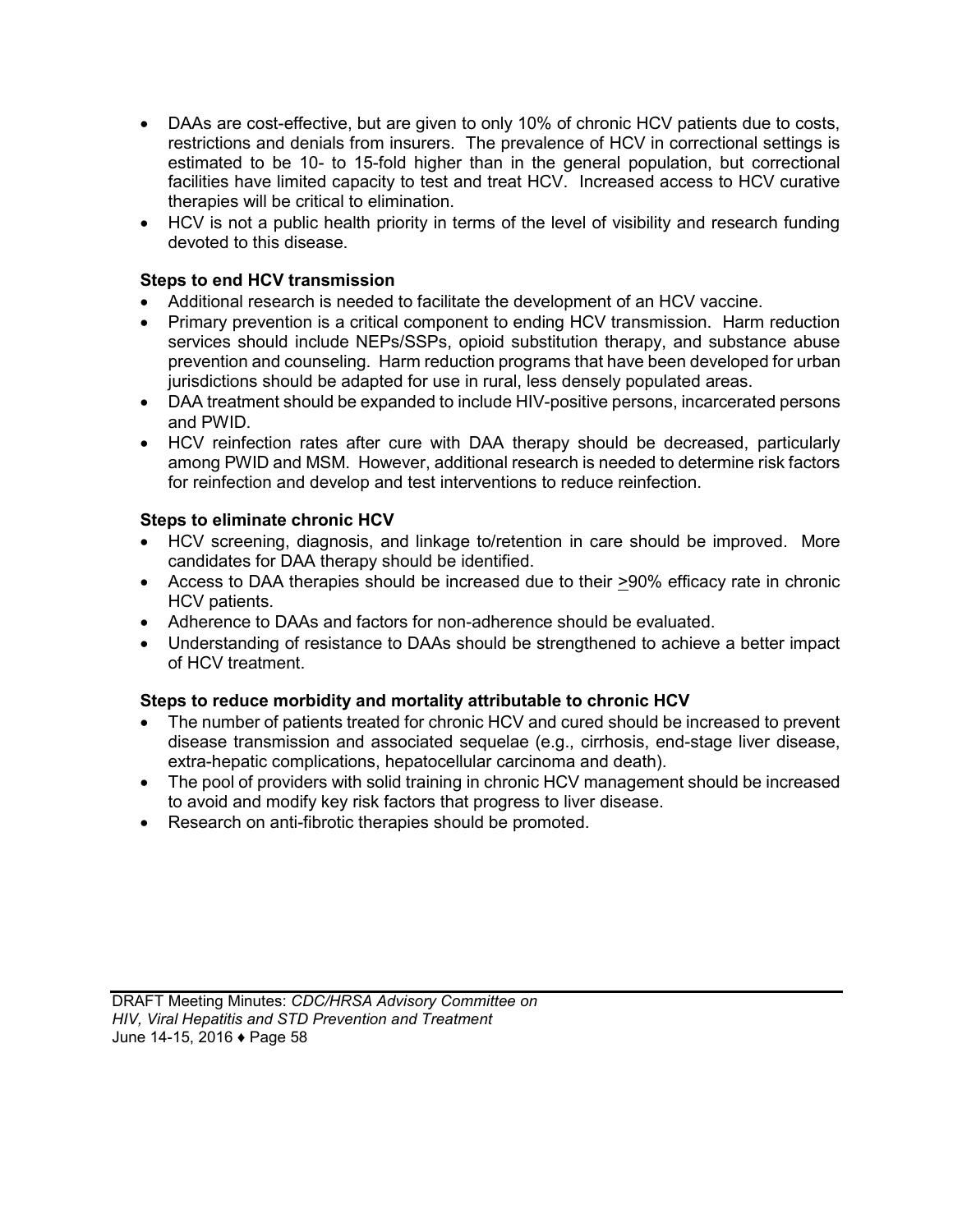- DAAs are cost-effective, but are given to only 10% of chronic HCV patients due to costs, restrictions and denials from insurers. The prevalence of HCV in correctional settings is estimated to be 10- to 15-fold higher than in the general population, but correctional facilities have limited capacity to test and treat HCV. Increased access to HCV curative therapies will be critical to elimination.
- HCV is not a public health priority in terms of the level of visibility and research funding devoted to this disease.

# **Steps to end HCV transmission**

- Additional research is needed to facilitate the development of an HCV vaccine.
- Primary prevention is a critical component to ending HCV transmission. Harm reduction services should include NEPs/SSPs, opioid substitution therapy, and substance abuse prevention and counseling. Harm reduction programs that have been developed for urban jurisdictions should be adapted for use in rural, less densely populated areas.
- DAA treatment should be expanded to include HIV-positive persons, incarcerated persons and PWID.
- HCV reinfection rates after cure with DAA therapy should be decreased, particularly among PWID and MSM. However, additional research is needed to determine risk factors for reinfection and develop and test interventions to reduce reinfection.

# **Steps to eliminate chronic HCV**

- HCV screening, diagnosis, and linkage to/retention in care should be improved. More candidates for DAA therapy should be identified.
- Access to DAA therapies should be increased due to their  $\geq 90\%$  efficacy rate in chronic HCV patients.
- Adherence to DAAs and factors for non-adherence should be evaluated.
- Understanding of resistance to DAAs should be strengthened to achieve a better impact of HCV treatment.

## **Steps to reduce morbidity and mortality attributable to chronic HCV**

- The number of patients treated for chronic HCV and cured should be increased to prevent disease transmission and associated sequelae (e.g., cirrhosis, end-stage liver disease, extra-hepatic complications, hepatocellular carcinoma and death).
- The pool of providers with solid training in chronic HCV management should be increased to avoid and modify key risk factors that progress to liver disease.
- Research on anti-fibrotic therapies should be promoted.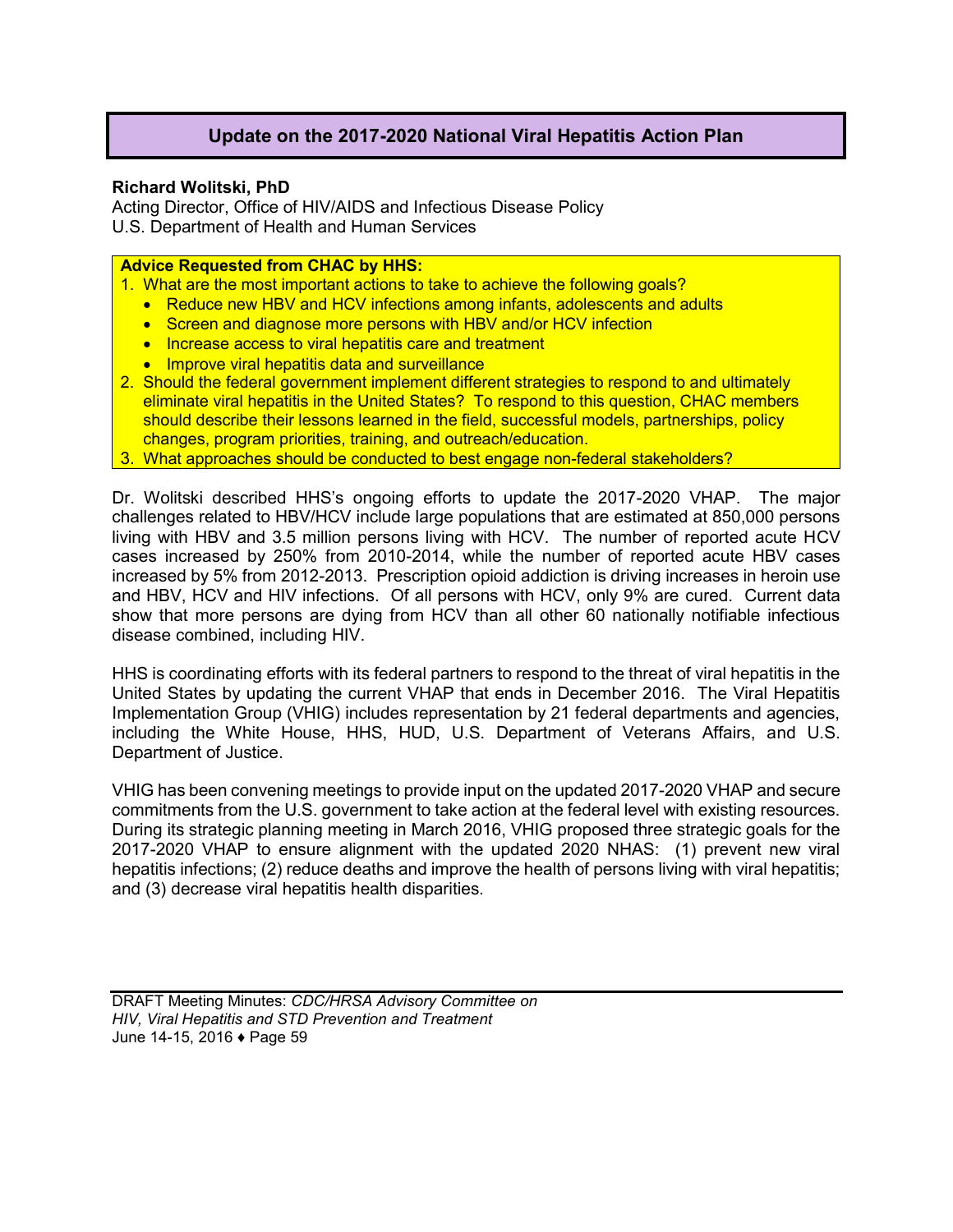# **Update on the 2017-2020 National Viral Hepatitis Action Plan**

## **Richard Wolitski, PhD**

Acting Director, Office of HIV/AIDS and Infectious Disease Policy U.S. Department of Health and Human Services

## **Advice Requested from CHAC by HHS:**

- 1. What are the most important actions to take to achieve the following goals?
	- Reduce new HBV and HCV infections among infants, adolescents and adults
	- Screen and diagnose more persons with HBV and/or HCV infection
	- Increase access to viral hepatitis care and treatment
	- **Improve viral hepatitis data and surveillance**
- 2. Should the federal government implement different strategies to respond to and ultimately eliminate viral hepatitis in the United States? To respond to this question, CHAC members should describe their lessons learned in the field, successful models, partnerships, policy changes, program priorities, training, and outreach/education.
- 3. What approaches should be conducted to best engage non-federal stakeholders?

Dr. Wolitski described HHS's ongoing efforts to update the 2017-2020 VHAP. The major challenges related to HBV/HCV include large populations that are estimated at 850,000 persons living with HBV and 3.5 million persons living with HCV. The number of reported acute HCV cases increased by 250% from 2010-2014, while the number of reported acute HBV cases increased by 5% from 2012-2013. Prescription opioid addiction is driving increases in heroin use and HBV, HCV and HIV infections. Of all persons with HCV, only 9% are cured. Current data show that more persons are dying from HCV than all other 60 nationally notifiable infectious disease combined, including HIV.

HHS is coordinating efforts with its federal partners to respond to the threat of viral hepatitis in the United States by updating the current VHAP that ends in December 2016. The Viral Hepatitis Implementation Group (VHIG) includes representation by 21 federal departments and agencies, including the White House, HHS, HUD, U.S. Department of Veterans Affairs, and U.S. Department of Justice.

VHIG has been convening meetings to provide input on the updated 2017-2020 VHAP and secure commitments from the U.S. government to take action at the federal level with existing resources. During its strategic planning meeting in March 2016, VHIG proposed three strategic goals for the 2017-2020 VHAP to ensure alignment with the updated 2020 NHAS: (1) prevent new viral hepatitis infections; (2) reduce deaths and improve the health of persons living with viral hepatitis; and (3) decrease viral hepatitis health disparities.

DRAFT Meeting Minutes: *CDC/HRSA Advisory Committee on HIV, Viral Hepatitis and STD Prevention and Treatment* June 14-15, 2016 ♦ Page 59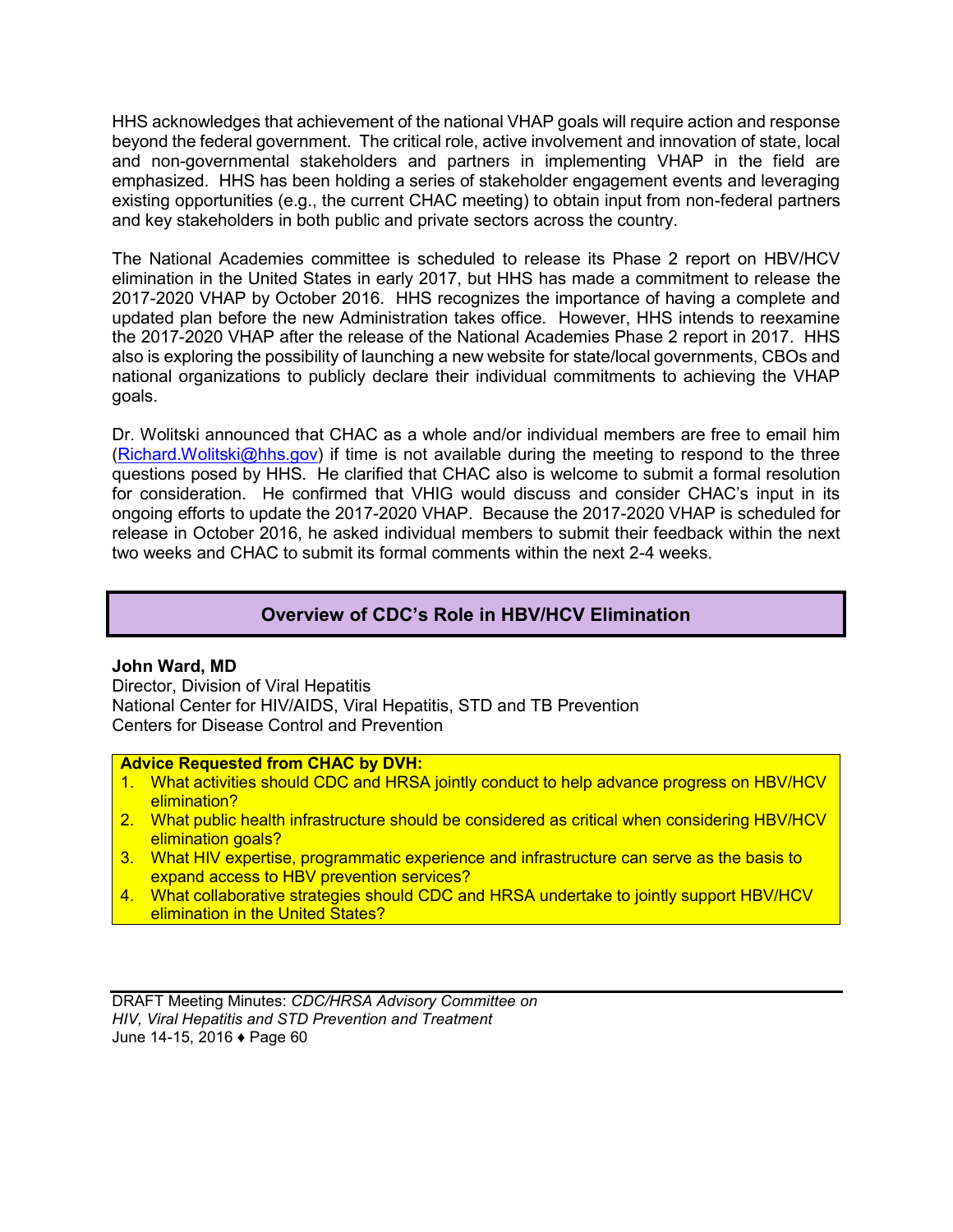HHS acknowledges that achievement of the national VHAP goals will require action and response beyond the federal government. The critical role, active involvement and innovation of state, local and non-governmental stakeholders and partners in implementing VHAP in the field are emphasized. HHS has been holding a series of stakeholder engagement events and leveraging existing opportunities (e.g., the current CHAC meeting) to obtain input from non-federal partners and key stakeholders in both public and private sectors across the country.

The National Academies committee is scheduled to release its Phase 2 report on HBV/HCV elimination in the United States in early 2017, but HHS has made a commitment to release the 2017-2020 VHAP by October 2016. HHS recognizes the importance of having a complete and updated plan before the new Administration takes office. However, HHS intends to reexamine the 2017-2020 VHAP after the release of the National Academies Phase 2 report in 2017. HHS also is exploring the possibility of launching a new website for state/local governments, CBOs and national organizations to publicly declare their individual commitments to achieving the VHAP goals.

Dr. Wolitski announced that CHAC as a whole and/or individual members are free to email him [\(Richard.Wolitski@hhs.gov\)](mailto:Richard.Wolitski@hhs.gov) if time is not available during the meeting to respond to the three questions posed by HHS. He clarified that CHAC also is welcome to submit a formal resolution for consideration. He confirmed that VHIG would discuss and consider CHAC's input in its ongoing efforts to update the 2017-2020 VHAP. Because the 2017-2020 VHAP is scheduled for release in October 2016, he asked individual members to submit their feedback within the next two weeks and CHAC to submit its formal comments within the next 2-4 weeks.

# **Overview of CDC's Role in HBV/HCV Elimination**

## **John Ward, MD**

Director, Division of Viral Hepatitis National Center for HIV/AIDS, Viral Hepatitis, STD and TB Prevention Centers for Disease Control and Prevention

#### **Advice Requested from CHAC by DVH:**

- 1. What activities should CDC and HRSA jointly conduct to help advance progress on HBV/HCV elimination?
- 2. What public health infrastructure should be considered as critical when considering HBV/HCV elimination goals?
- 3. What HIV expertise, programmatic experience and infrastructure can serve as the basis to expand access to HBV prevention services?
- 4. What collaborative strategies should CDC and HRSA undertake to jointly support HBV/HCV elimination in the United States?

DRAFT Meeting Minutes: *CDC/HRSA Advisory Committee on HIV, Viral Hepatitis and STD Prevention and Treatment* June 14-15, 2016 ♦ Page 60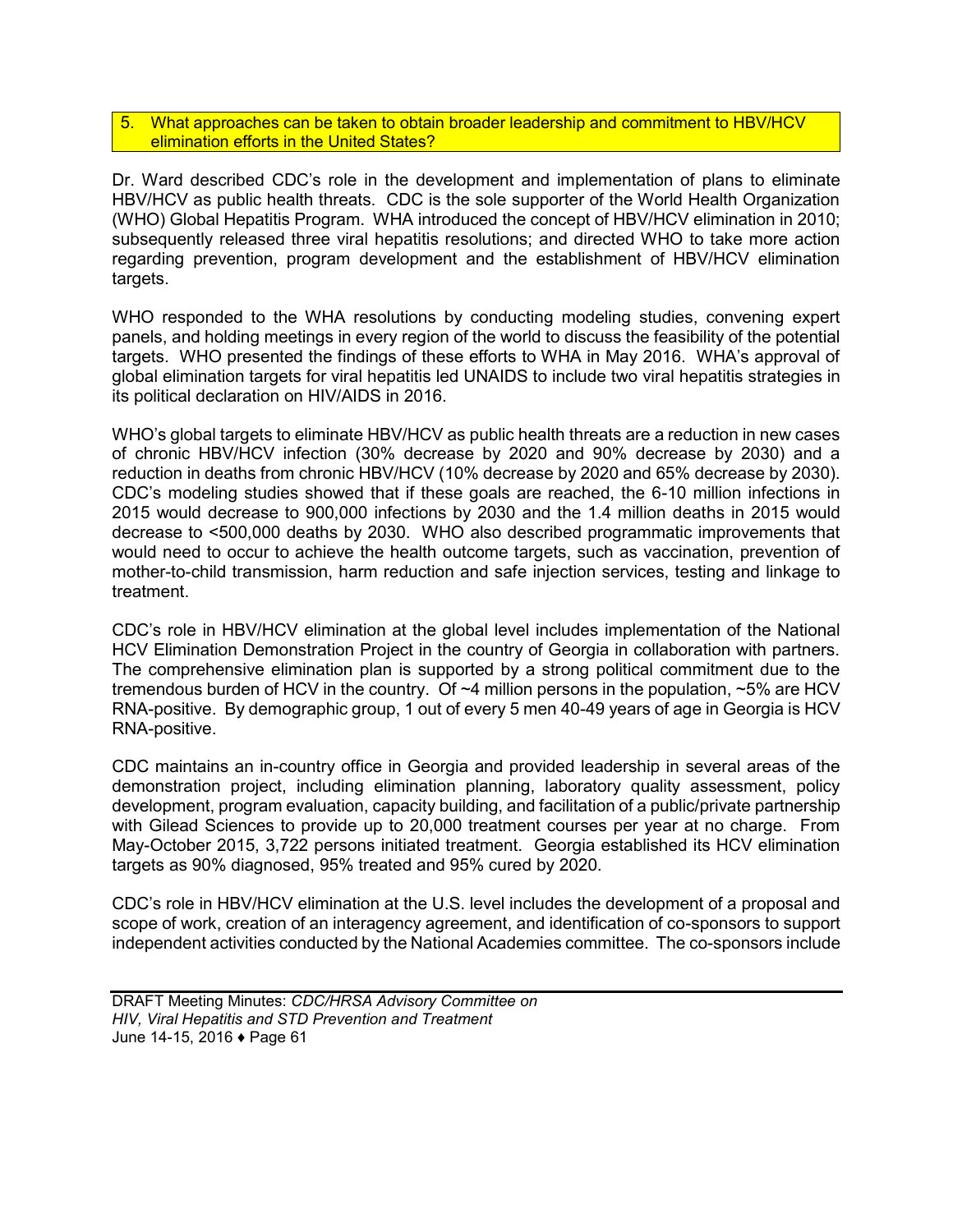#### 5. What approaches can be taken to obtain broader leadership and commitment to HBV/HCV elimination efforts in the United States?

Dr. Ward described CDC's role in the development and implementation of plans to eliminate HBV/HCV as public health threats. CDC is the sole supporter of the World Health Organization (WHO) Global Hepatitis Program. WHA introduced the concept of HBV/HCV elimination in 2010; subsequently released three viral hepatitis resolutions; and directed WHO to take more action regarding prevention, program development and the establishment of HBV/HCV elimination targets.

WHO responded to the WHA resolutions by conducting modeling studies, convening expert panels, and holding meetings in every region of the world to discuss the feasibility of the potential targets. WHO presented the findings of these efforts to WHA in May 2016. WHA's approval of global elimination targets for viral hepatitis led UNAIDS to include two viral hepatitis strategies in its political declaration on HIV/AIDS in 2016.

WHO's global targets to eliminate HBV/HCV as public health threats are a reduction in new cases of chronic HBV/HCV infection (30% decrease by 2020 and 90% decrease by 2030) and a reduction in deaths from chronic HBV/HCV (10% decrease by 2020 and 65% decrease by 2030). CDC's modeling studies showed that if these goals are reached, the 6-10 million infections in 2015 would decrease to 900,000 infections by 2030 and the 1.4 million deaths in 2015 would decrease to <500,000 deaths by 2030. WHO also described programmatic improvements that would need to occur to achieve the health outcome targets, such as vaccination, prevention of mother-to-child transmission, harm reduction and safe injection services, testing and linkage to treatment.

CDC's role in HBV/HCV elimination at the global level includes implementation of the National HCV Elimination Demonstration Project in the country of Georgia in collaboration with partners. The comprehensive elimination plan is supported by a strong political commitment due to the tremendous burden of HCV in the country. Of  $~1$ 4 million persons in the population,  $~1$ % are HCV RNA-positive. By demographic group, 1 out of every 5 men 40-49 years of age in Georgia is HCV RNA-positive.

CDC maintains an in-country office in Georgia and provided leadership in several areas of the demonstration project, including elimination planning, laboratory quality assessment, policy development, program evaluation, capacity building, and facilitation of a public/private partnership with Gilead Sciences to provide up to 20,000 treatment courses per year at no charge. From May-October 2015, 3,722 persons initiated treatment. Georgia established its HCV elimination targets as 90% diagnosed, 95% treated and 95% cured by 2020.

CDC's role in HBV/HCV elimination at the U.S. level includes the development of a proposal and scope of work, creation of an interagency agreement, and identification of co-sponsors to support independent activities conducted by the National Academies committee. The co-sponsors include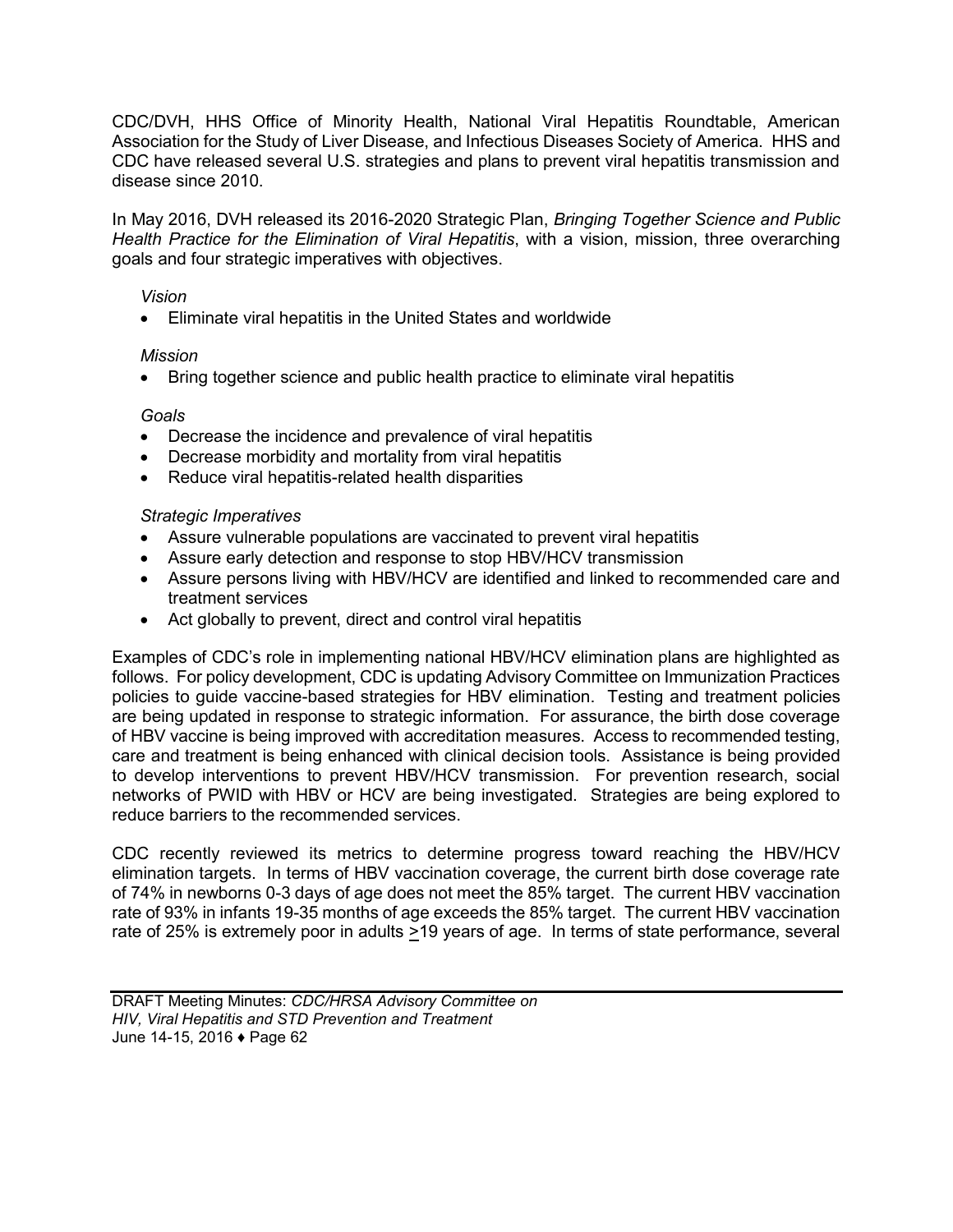CDC/DVH, HHS Office of Minority Health, National Viral Hepatitis Roundtable, American Association for the Study of Liver Disease, and Infectious Diseases Society of America. HHS and CDC have released several U.S. strategies and plans to prevent viral hepatitis transmission and disease since 2010.

In May 2016, DVH released its 2016-2020 Strategic Plan, *Bringing Together Science and Public Health Practice for the Elimination of Viral Hepatitis*, with a vision, mission, three overarching goals and four strategic imperatives with objectives.

#### *Vision*

Eliminate viral hepatitis in the United States and worldwide

### *Mission*

• Bring together science and public health practice to eliminate viral hepatitis

### *Goals*

- Decrease the incidence and prevalence of viral hepatitis
- Decrease morbidity and mortality from viral hepatitis
- Reduce viral hepatitis-related health disparities

#### *Strategic Imperatives*

- Assure vulnerable populations are vaccinated to prevent viral hepatitis
- Assure early detection and response to stop HBV/HCV transmission
- Assure persons living with HBV/HCV are identified and linked to recommended care and treatment services
- Act globally to prevent, direct and control viral hepatitis

Examples of CDC's role in implementing national HBV/HCV elimination plans are highlighted as follows. For policy development, CDC is updating Advisory Committee on Immunization Practices policies to guide vaccine-based strategies for HBV elimination. Testing and treatment policies are being updated in response to strategic information. For assurance, the birth dose coverage of HBV vaccine is being improved with accreditation measures. Access to recommended testing, care and treatment is being enhanced with clinical decision tools. Assistance is being provided to develop interventions to prevent HBV/HCV transmission. For prevention research, social networks of PWID with HBV or HCV are being investigated. Strategies are being explored to reduce barriers to the recommended services.

CDC recently reviewed its metrics to determine progress toward reaching the HBV/HCV elimination targets. In terms of HBV vaccination coverage, the current birth dose coverage rate of 74% in newborns 0-3 days of age does not meet the 85% target. The current HBV vaccination rate of 93% in infants 19-35 months of age exceeds the 85% target. The current HBV vaccination rate of 25% is extremely poor in adults  $\geq$ 19 years of age. In terms of state performance, several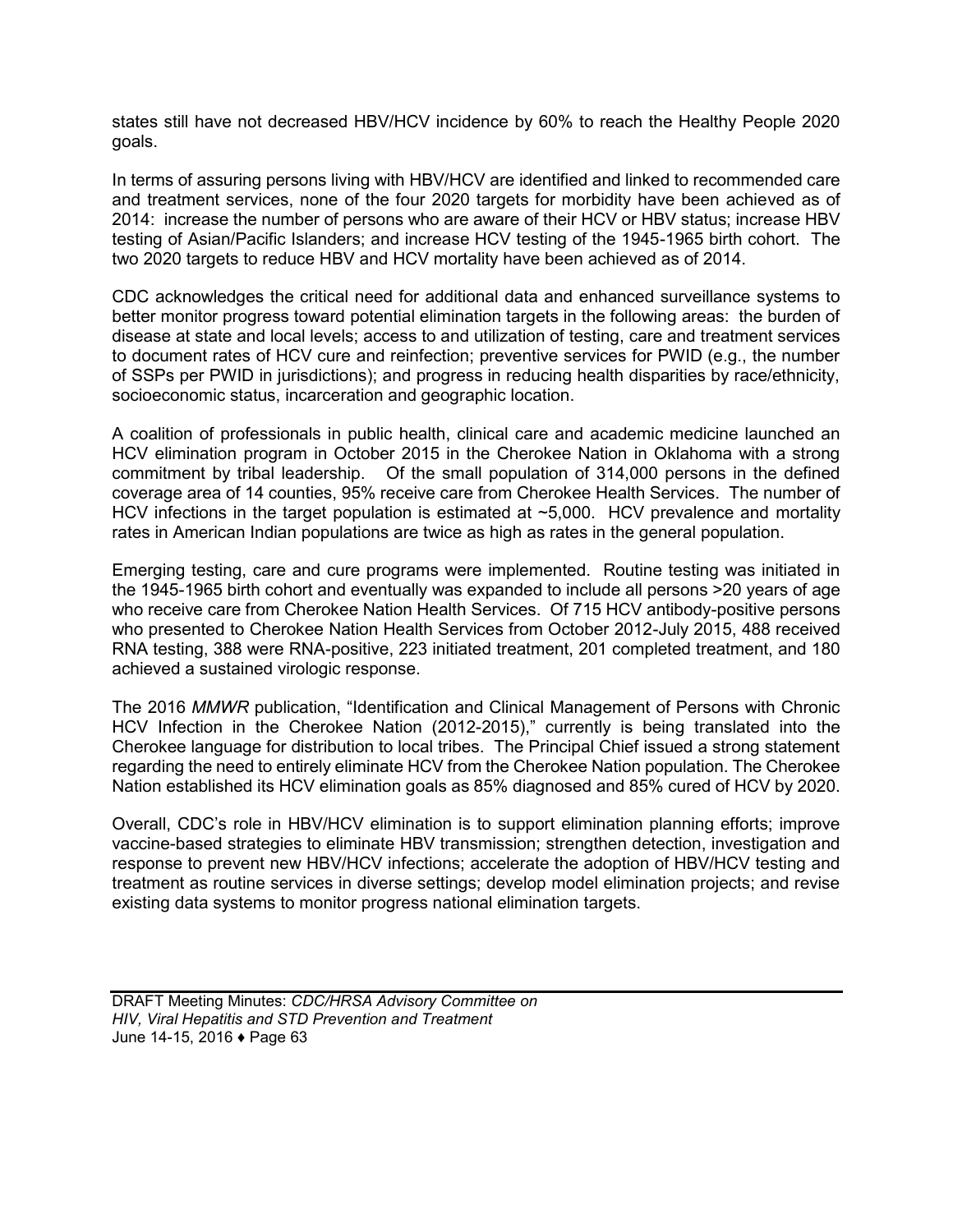states still have not decreased HBV/HCV incidence by 60% to reach the Healthy People 2020 goals.

In terms of assuring persons living with HBV/HCV are identified and linked to recommended care and treatment services, none of the four 2020 targets for morbidity have been achieved as of 2014: increase the number of persons who are aware of their HCV or HBV status; increase HBV testing of Asian/Pacific Islanders; and increase HCV testing of the 1945-1965 birth cohort. The two 2020 targets to reduce HBV and HCV mortality have been achieved as of 2014.

CDC acknowledges the critical need for additional data and enhanced surveillance systems to better monitor progress toward potential elimination targets in the following areas: the burden of disease at state and local levels; access to and utilization of testing, care and treatment services to document rates of HCV cure and reinfection; preventive services for PWID (e.g., the number of SSPs per PWID in jurisdictions); and progress in reducing health disparities by race/ethnicity, socioeconomic status, incarceration and geographic location.

A coalition of professionals in public health, clinical care and academic medicine launched an HCV elimination program in October 2015 in the Cherokee Nation in Oklahoma with a strong commitment by tribal leadership. Of the small population of 314,000 persons in the defined coverage area of 14 counties, 95% receive care from Cherokee Health Services. The number of HCV infections in the target population is estimated at ~5,000. HCV prevalence and mortality rates in American Indian populations are twice as high as rates in the general population.

Emerging testing, care and cure programs were implemented. Routine testing was initiated in the 1945-1965 birth cohort and eventually was expanded to include all persons >20 years of age who receive care from Cherokee Nation Health Services. Of 715 HCV antibody-positive persons who presented to Cherokee Nation Health Services from October 2012-July 2015, 488 received RNA testing, 388 were RNA-positive, 223 initiated treatment, 201 completed treatment, and 180 achieved a sustained virologic response.

The 2016 *MMWR* publication, "Identification and Clinical Management of Persons with Chronic HCV Infection in the Cherokee Nation (2012-2015)," currently is being translated into the Cherokee language for distribution to local tribes. The Principal Chief issued a strong statement regarding the need to entirely eliminate HCV from the Cherokee Nation population. The Cherokee Nation established its HCV elimination goals as 85% diagnosed and 85% cured of HCV by 2020.

Overall, CDC's role in HBV/HCV elimination is to support elimination planning efforts; improve vaccine-based strategies to eliminate HBV transmission; strengthen detection, investigation and response to prevent new HBV/HCV infections; accelerate the adoption of HBV/HCV testing and treatment as routine services in diverse settings; develop model elimination projects; and revise existing data systems to monitor progress national elimination targets.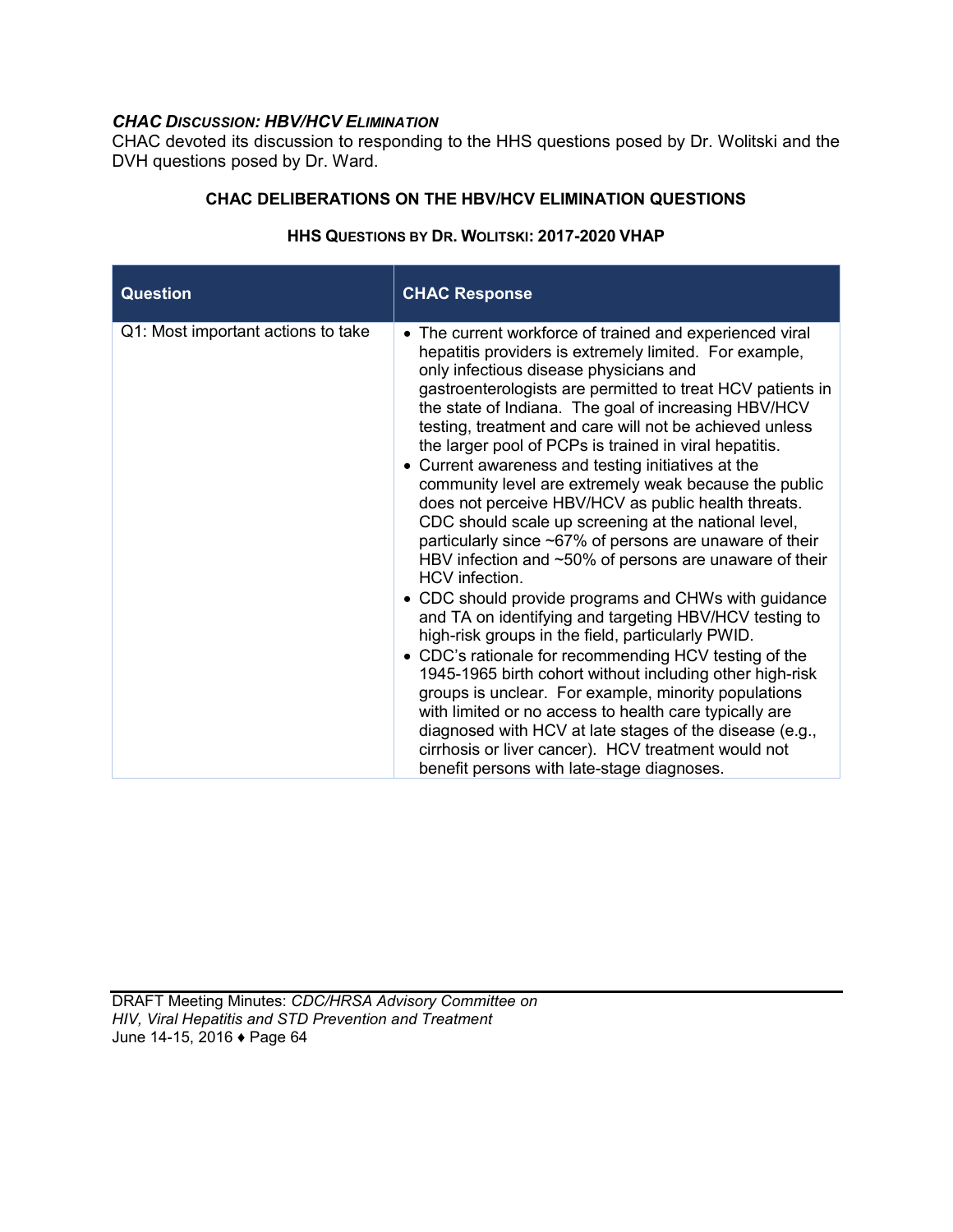# *CHAC DISCUSSION: HBV/HCV ELIMINATION*

CHAC devoted its discussion to responding to the HHS questions posed by Dr. Wolitski and the DVH questions posed by Dr. Ward.

### **CHAC DELIBERATIONS ON THE HBV/HCV ELIMINATION QUESTIONS**

| <b>Question</b>                    | <b>CHAC Response</b>                                                                                                                                                                                                                                                                                                                                                                                                                                                                                                                                                                                                                                                                                                                                                                                                                                                                                                                                                                                                                                                                                                                                                                                                                                                                                                                                             |
|------------------------------------|------------------------------------------------------------------------------------------------------------------------------------------------------------------------------------------------------------------------------------------------------------------------------------------------------------------------------------------------------------------------------------------------------------------------------------------------------------------------------------------------------------------------------------------------------------------------------------------------------------------------------------------------------------------------------------------------------------------------------------------------------------------------------------------------------------------------------------------------------------------------------------------------------------------------------------------------------------------------------------------------------------------------------------------------------------------------------------------------------------------------------------------------------------------------------------------------------------------------------------------------------------------------------------------------------------------------------------------------------------------|
| Q1: Most important actions to take | • The current workforce of trained and experienced viral<br>hepatitis providers is extremely limited. For example,<br>only infectious disease physicians and<br>gastroenterologists are permitted to treat HCV patients in<br>the state of Indiana. The goal of increasing HBV/HCV<br>testing, treatment and care will not be achieved unless<br>the larger pool of PCPs is trained in viral hepatitis.<br>• Current awareness and testing initiatives at the<br>community level are extremely weak because the public<br>does not perceive HBV/HCV as public health threats.<br>CDC should scale up screening at the national level,<br>particularly since ~67% of persons are unaware of their<br>HBV infection and $\sim$ 50% of persons are unaware of their<br>HCV infection.<br>• CDC should provide programs and CHWs with guidance<br>and TA on identifying and targeting HBV/HCV testing to<br>high-risk groups in the field, particularly PWID.<br>• CDC's rationale for recommending HCV testing of the<br>1945-1965 birth cohort without including other high-risk<br>groups is unclear. For example, minority populations<br>with limited or no access to health care typically are<br>diagnosed with HCV at late stages of the disease (e.g.,<br>cirrhosis or liver cancer). HCV treatment would not<br>benefit persons with late-stage diagnoses. |

## **HHS QUESTIONS BY DR. WOLITSKI: 2017-2020 VHAP**

DRAFT Meeting Minutes: *CDC/HRSA Advisory Committee on HIV, Viral Hepatitis and STD Prevention and Treatment* June 14-15, 2016 ♦ Page 64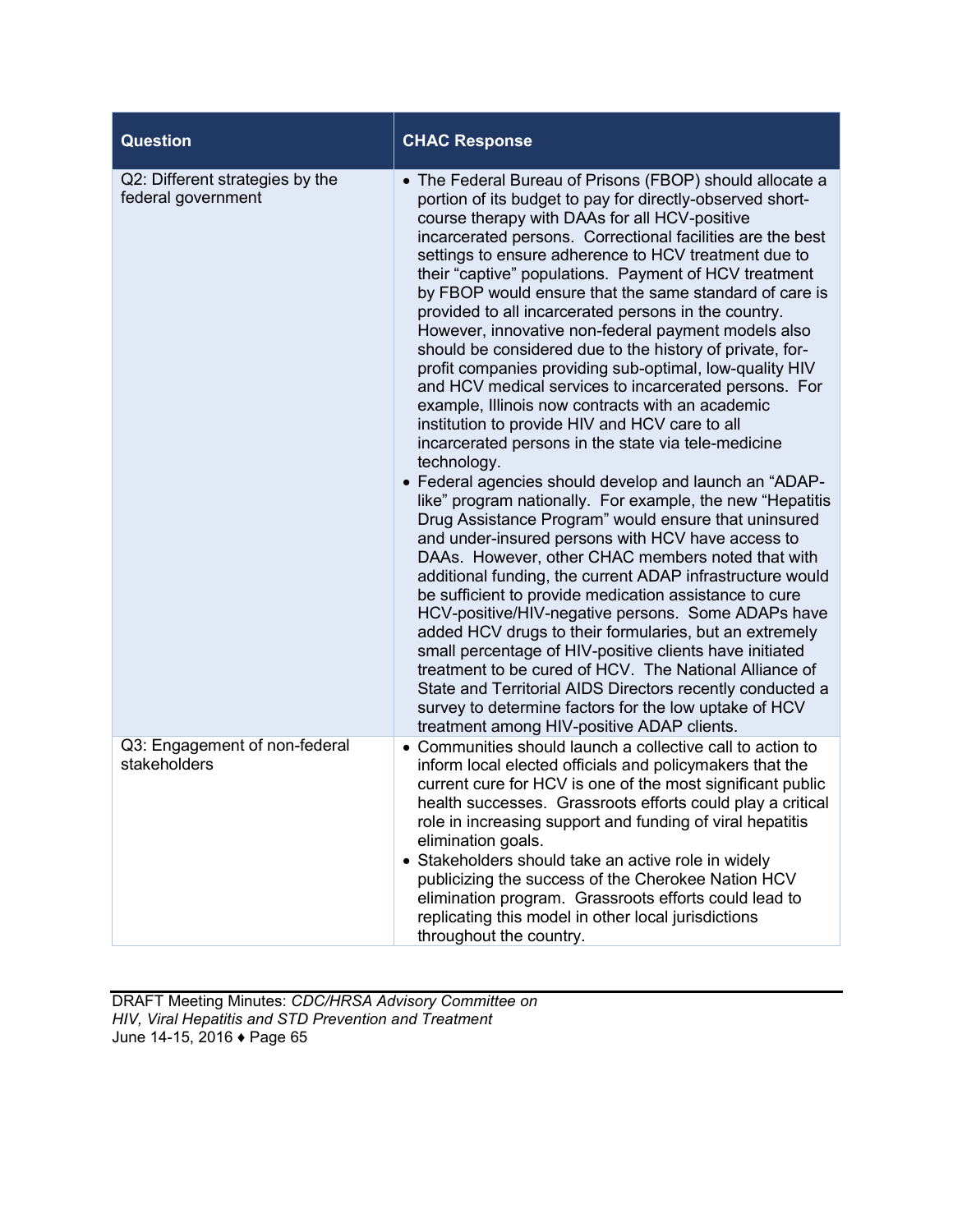| <b>Question</b>                                       | <b>CHAC Response</b>                                                                                                                                                                                                                                                                                                                                                                                                                                                                                                                                                                                                                                                                                                                                                                                                                                                                                                                                                                                                                                                                                                                                                                                                                                                                                                                                                                                                                                                                                                                                                                                                                                                                                                |
|-------------------------------------------------------|---------------------------------------------------------------------------------------------------------------------------------------------------------------------------------------------------------------------------------------------------------------------------------------------------------------------------------------------------------------------------------------------------------------------------------------------------------------------------------------------------------------------------------------------------------------------------------------------------------------------------------------------------------------------------------------------------------------------------------------------------------------------------------------------------------------------------------------------------------------------------------------------------------------------------------------------------------------------------------------------------------------------------------------------------------------------------------------------------------------------------------------------------------------------------------------------------------------------------------------------------------------------------------------------------------------------------------------------------------------------------------------------------------------------------------------------------------------------------------------------------------------------------------------------------------------------------------------------------------------------------------------------------------------------------------------------------------------------|
| Q2: Different strategies by the<br>federal government | • The Federal Bureau of Prisons (FBOP) should allocate a<br>portion of its budget to pay for directly-observed short-<br>course therapy with DAAs for all HCV-positive<br>incarcerated persons. Correctional facilities are the best<br>settings to ensure adherence to HCV treatment due to<br>their "captive" populations. Payment of HCV treatment<br>by FBOP would ensure that the same standard of care is<br>provided to all incarcerated persons in the country.<br>However, innovative non-federal payment models also<br>should be considered due to the history of private, for-<br>profit companies providing sub-optimal, low-quality HIV<br>and HCV medical services to incarcerated persons. For<br>example, Illinois now contracts with an academic<br>institution to provide HIV and HCV care to all<br>incarcerated persons in the state via tele-medicine<br>technology.<br>• Federal agencies should develop and launch an "ADAP-<br>like" program nationally. For example, the new "Hepatitis<br>Drug Assistance Program" would ensure that uninsured<br>and under-insured persons with HCV have access to<br>DAAs. However, other CHAC members noted that with<br>additional funding, the current ADAP infrastructure would<br>be sufficient to provide medication assistance to cure<br>HCV-positive/HIV-negative persons. Some ADAPs have<br>added HCV drugs to their formularies, but an extremely<br>small percentage of HIV-positive clients have initiated<br>treatment to be cured of HCV. The National Alliance of<br>State and Territorial AIDS Directors recently conducted a<br>survey to determine factors for the low uptake of HCV<br>treatment among HIV-positive ADAP clients. |
| Q3: Engagement of non-federal<br>stakeholders         | • Communities should launch a collective call to action to<br>inform local elected officials and policymakers that the<br>current cure for HCV is one of the most significant public<br>health successes. Grassroots efforts could play a critical<br>role in increasing support and funding of viral hepatitis<br>elimination goals.<br>• Stakeholders should take an active role in widely<br>publicizing the success of the Cherokee Nation HCV<br>elimination program. Grassroots efforts could lead to<br>replicating this model in other local jurisdictions<br>throughout the country.                                                                                                                                                                                                                                                                                                                                                                                                                                                                                                                                                                                                                                                                                                                                                                                                                                                                                                                                                                                                                                                                                                                       |

DRAFT Meeting Minutes: *CDC/HRSA Advisory Committee on HIV, Viral Hepatitis and STD Prevention and Treatment* June 14-15, 2016 ♦ Page 65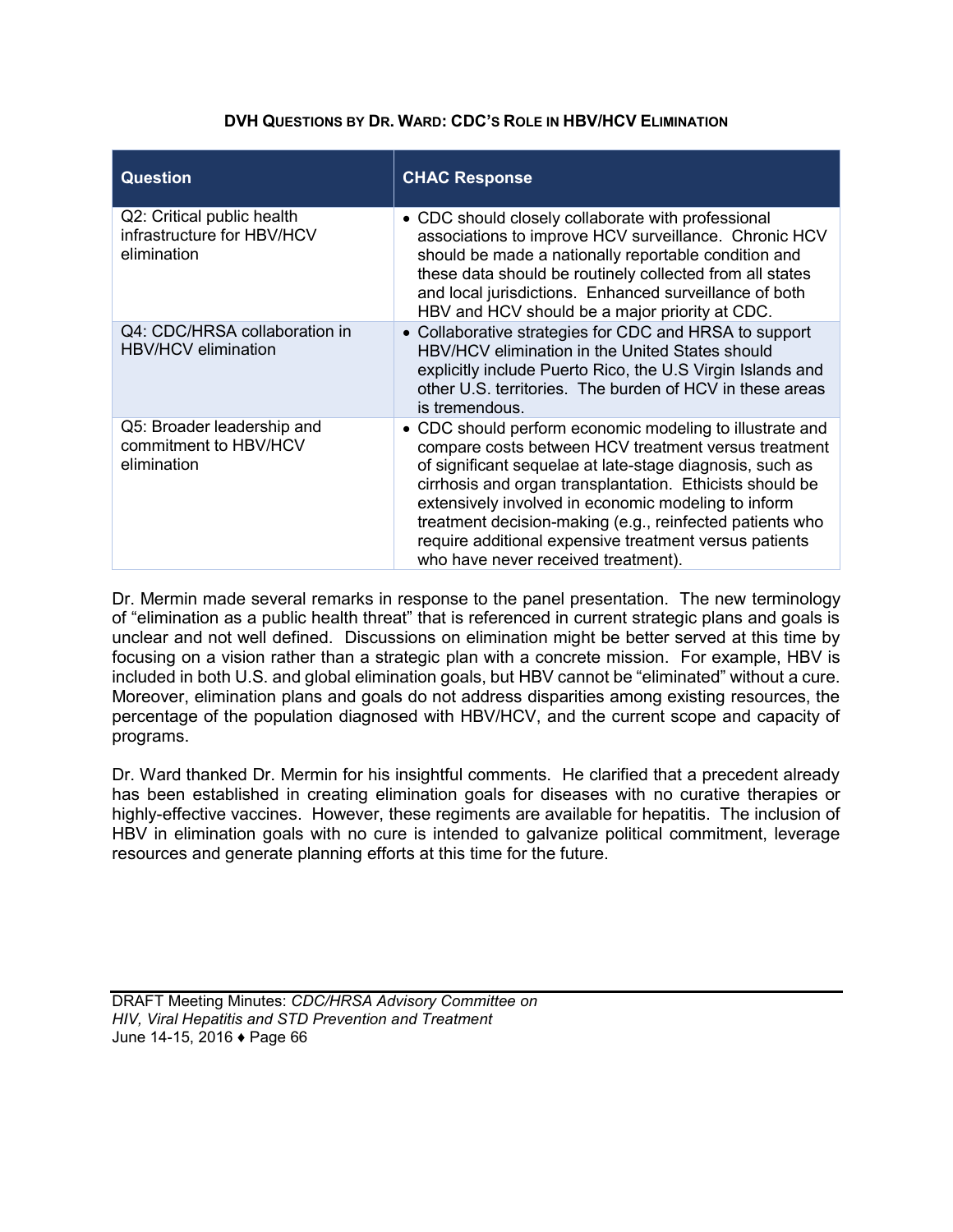### **DVH QUESTIONS BY DR. WARD: CDC'S ROLE IN HBV/HCV ELIMINATION**

| <b>Question</b>                                                         | <b>CHAC Response</b>                                                                                                                                                                                                                                                                                                                                                                                                                                         |
|-------------------------------------------------------------------------|--------------------------------------------------------------------------------------------------------------------------------------------------------------------------------------------------------------------------------------------------------------------------------------------------------------------------------------------------------------------------------------------------------------------------------------------------------------|
| Q2: Critical public health<br>infrastructure for HBV/HCV<br>elimination | • CDC should closely collaborate with professional<br>associations to improve HCV surveillance. Chronic HCV<br>should be made a nationally reportable condition and<br>these data should be routinely collected from all states<br>and local jurisdictions. Enhanced surveillance of both<br>HBV and HCV should be a major priority at CDC.                                                                                                                  |
| Q4: CDC/HRSA collaboration in<br><b>HBV/HCV</b> elimination             | • Collaborative strategies for CDC and HRSA to support<br>HBV/HCV elimination in the United States should<br>explicitly include Puerto Rico, the U.S Virgin Islands and<br>other U.S. territories. The burden of HCV in these areas<br>is tremendous.                                                                                                                                                                                                        |
| Q5: Broader leadership and<br>commitment to HBV/HCV<br>elimination      | • CDC should perform economic modeling to illustrate and<br>compare costs between HCV treatment versus treatment<br>of significant sequelae at late-stage diagnosis, such as<br>cirrhosis and organ transplantation. Ethicists should be<br>extensively involved in economic modeling to inform<br>treatment decision-making (e.g., reinfected patients who<br>require additional expensive treatment versus patients<br>who have never received treatment). |

Dr. Mermin made several remarks in response to the panel presentation. The new terminology of "elimination as a public health threat" that is referenced in current strategic plans and goals is unclear and not well defined. Discussions on elimination might be better served at this time by focusing on a vision rather than a strategic plan with a concrete mission. For example, HBV is included in both U.S. and global elimination goals, but HBV cannot be "eliminated" without a cure. Moreover, elimination plans and goals do not address disparities among existing resources, the percentage of the population diagnosed with HBV/HCV, and the current scope and capacity of programs.

Dr. Ward thanked Dr. Mermin for his insightful comments. He clarified that a precedent already has been established in creating elimination goals for diseases with no curative therapies or highly-effective vaccines. However, these regiments are available for hepatitis. The inclusion of HBV in elimination goals with no cure is intended to galvanize political commitment, leverage resources and generate planning efforts at this time for the future.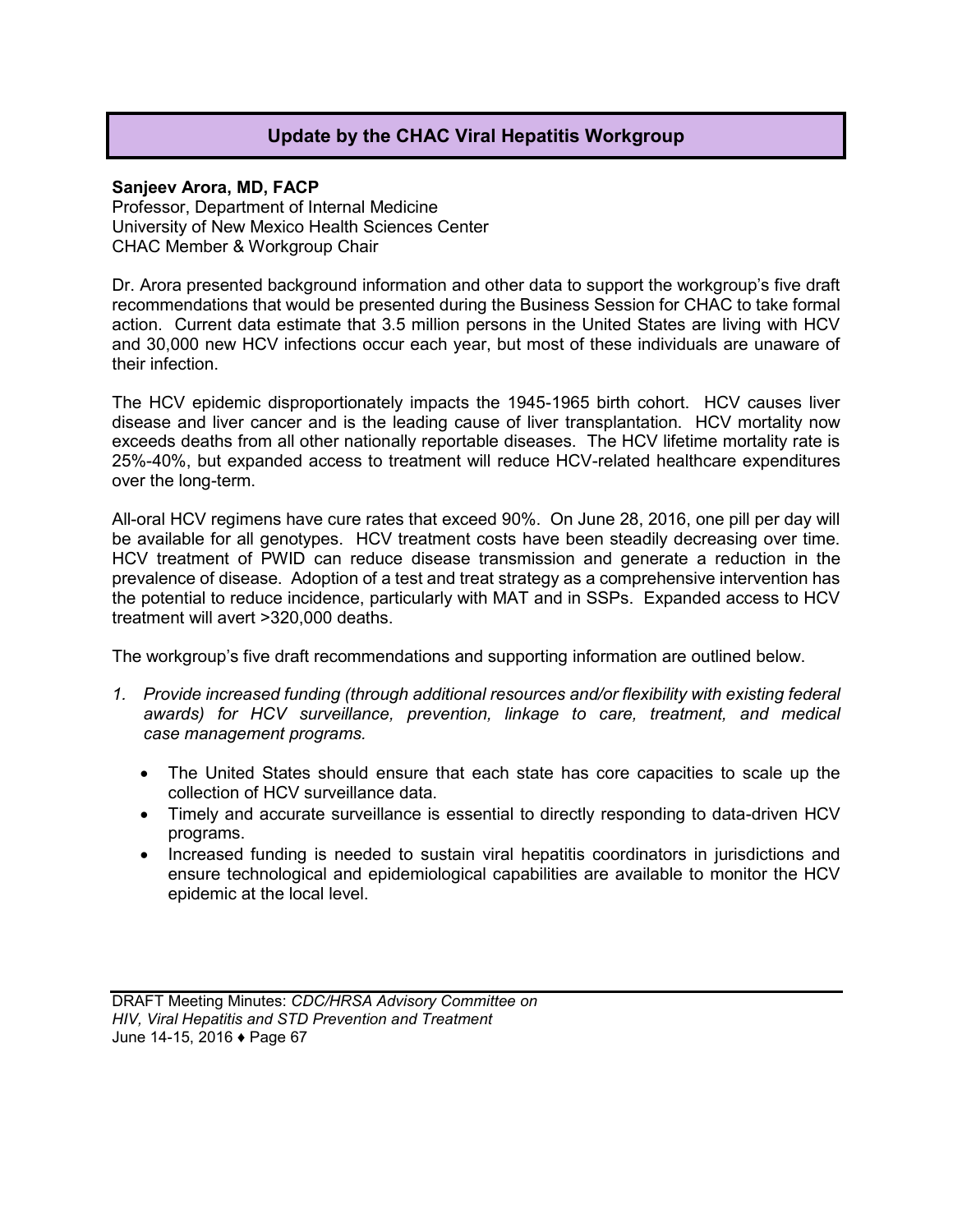# **Update by the CHAC Viral Hepatitis Workgroup**

### **Sanjeev Arora, MD, FACP**

Professor, Department of Internal Medicine University of New Mexico Health Sciences Center CHAC Member & Workgroup Chair

Dr. Arora presented background information and other data to support the workgroup's five draft recommendations that would be presented during the Business Session for CHAC to take formal action. Current data estimate that 3.5 million persons in the United States are living with HCV and 30,000 new HCV infections occur each year, but most of these individuals are unaware of their infection.

The HCV epidemic disproportionately impacts the 1945-1965 birth cohort. HCV causes liver disease and liver cancer and is the leading cause of liver transplantation. HCV mortality now exceeds deaths from all other nationally reportable diseases. The HCV lifetime mortality rate is 25%-40%, but expanded access to treatment will reduce HCV-related healthcare expenditures over the long-term.

All-oral HCV regimens have cure rates that exceed 90%. On June 28, 2016, one pill per day will be available for all genotypes. HCV treatment costs have been steadily decreasing over time. HCV treatment of PWID can reduce disease transmission and generate a reduction in the prevalence of disease. Adoption of a test and treat strategy as a comprehensive intervention has the potential to reduce incidence, particularly with MAT and in SSPs. Expanded access to HCV treatment will avert >320,000 deaths.

The workgroup's five draft recommendations and supporting information are outlined below.

- *1. Provide increased funding (through additional resources and/or flexibility with existing federal awards) for HCV surveillance, prevention, linkage to care, treatment, and medical case management programs.* 
	- The United States should ensure that each state has core capacities to scale up the collection of HCV surveillance data.
	- Timely and accurate surveillance is essential to directly responding to data-driven HCV programs.
	- Increased funding is needed to sustain viral hepatitis coordinators in jurisdictions and ensure technological and epidemiological capabilities are available to monitor the HCV epidemic at the local level.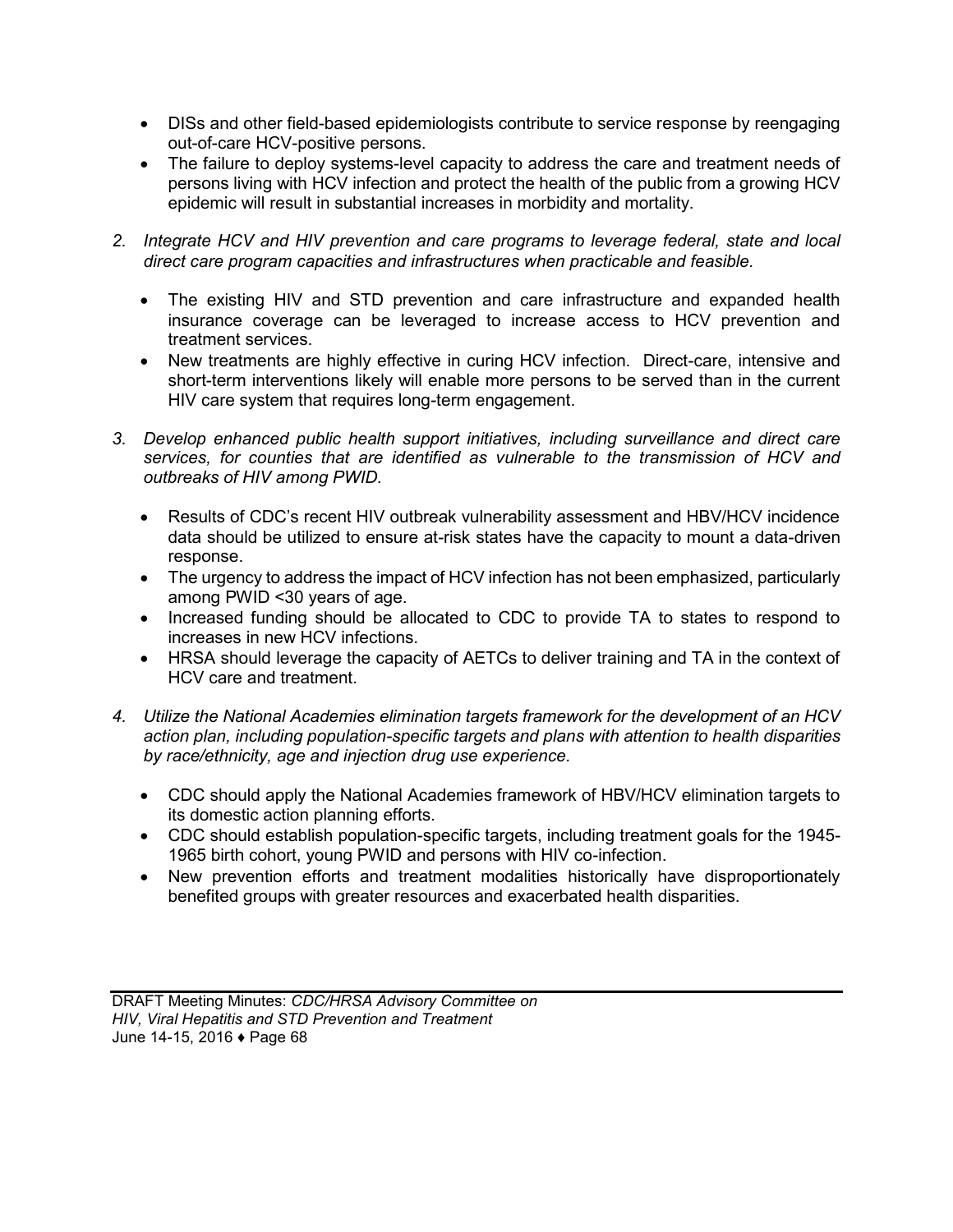- DISs and other field-based epidemiologists contribute to service response by reengaging out-of-care HCV-positive persons.
- The failure to deploy systems-level capacity to address the care and treatment needs of persons living with HCV infection and protect the health of the public from a growing HCV epidemic will result in substantial increases in morbidity and mortality.
- *2. Integrate HCV and HIV prevention and care programs to leverage federal, state and local direct care program capacities and infrastructures when practicable and feasible.* 
	- The existing HIV and STD prevention and care infrastructure and expanded health insurance coverage can be leveraged to increase access to HCV prevention and treatment services.
	- New treatments are highly effective in curing HCV infection. Direct-care, intensive and short-term interventions likely will enable more persons to be served than in the current HIV care system that requires long-term engagement.
- *3. Develop enhanced public health support initiatives, including surveillance and direct care services, for counties that are identified as vulnerable to the transmission of HCV and outbreaks of HIV among PWID.* 
	- Results of CDC's recent HIV outbreak vulnerability assessment and HBV/HCV incidence data should be utilized to ensure at-risk states have the capacity to mount a data-driven response.
	- The urgency to address the impact of HCV infection has not been emphasized, particularly among PWID <30 years of age.
	- Increased funding should be allocated to CDC to provide TA to states to respond to increases in new HCV infections.
	- HRSA should leverage the capacity of AETCs to deliver training and TA in the context of HCV care and treatment.
- *4. Utilize the National Academies elimination targets framework for the development of an HCV action plan, including population-specific targets and plans with attention to health disparities by race/ethnicity, age and injection drug use experience.* 
	- CDC should apply the National Academies framework of HBV/HCV elimination targets to its domestic action planning efforts.
	- CDC should establish population-specific targets, including treatment goals for the 1945- 1965 birth cohort, young PWID and persons with HIV co-infection.
	- New prevention efforts and treatment modalities historically have disproportionately benefited groups with greater resources and exacerbated health disparities.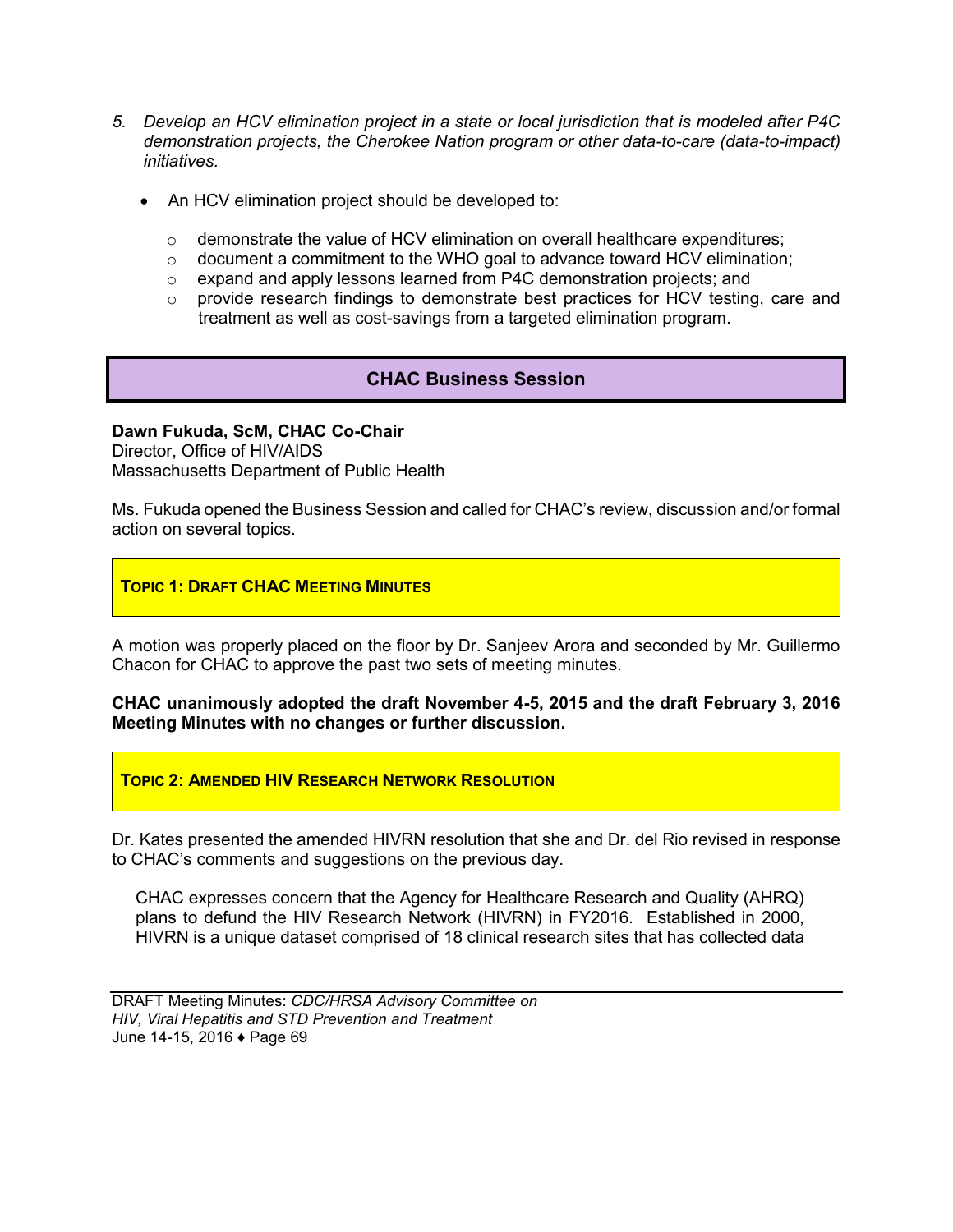- *5. Develop an HCV elimination project in a state or local jurisdiction that is modeled after P4C demonstration projects, the Cherokee Nation program or other data-to-care (data-to-impact) initiatives.* 
	- An HCV elimination project should be developed to:
		- o demonstrate the value of HCV elimination on overall healthcare expenditures;
		- $\circ$  document a commitment to the WHO goal to advance toward HCV elimination;
		- o expand and apply lessons learned from P4C demonstration projects; and
		- $\circ$  provide research findings to demonstrate best practices for HCV testing, care and treatment as well as cost-savings from a targeted elimination program.

# **CHAC Business Session**

#### **Dawn Fukuda, ScM, CHAC Co-Chair**

Director, Office of HIV/AIDS Massachusetts Department of Public Health

Ms. Fukuda opened the Business Session and called for CHAC's review, discussion and/or formal action on several topics.

### **TOPIC 1: DRAFT CHAC MEETING MINUTES**

A motion was properly placed on the floor by Dr. Sanjeev Arora and seconded by Mr. Guillermo Chacon for CHAC to approve the past two sets of meeting minutes.

### **CHAC unanimously adopted the draft November 4-5, 2015 and the draft February 3, 2016 Meeting Minutes with no changes or further discussion.**

#### **TOPIC 2: AMENDED HIV RESEARCH NETWORK RESOLUTION**

Dr. Kates presented the amended HIVRN resolution that she and Dr. del Rio revised in response to CHAC's comments and suggestions on the previous day.

CHAC expresses concern that the Agency for Healthcare Research and Quality (AHRQ) plans to defund the HIV Research Network (HIVRN) in FY2016. Established in 2000, HIVRN is a unique dataset comprised of 18 clinical research sites that has collected data

DRAFT Meeting Minutes: *CDC/HRSA Advisory Committee on HIV, Viral Hepatitis and STD Prevention and Treatment* June 14-15, 2016 ♦ Page 69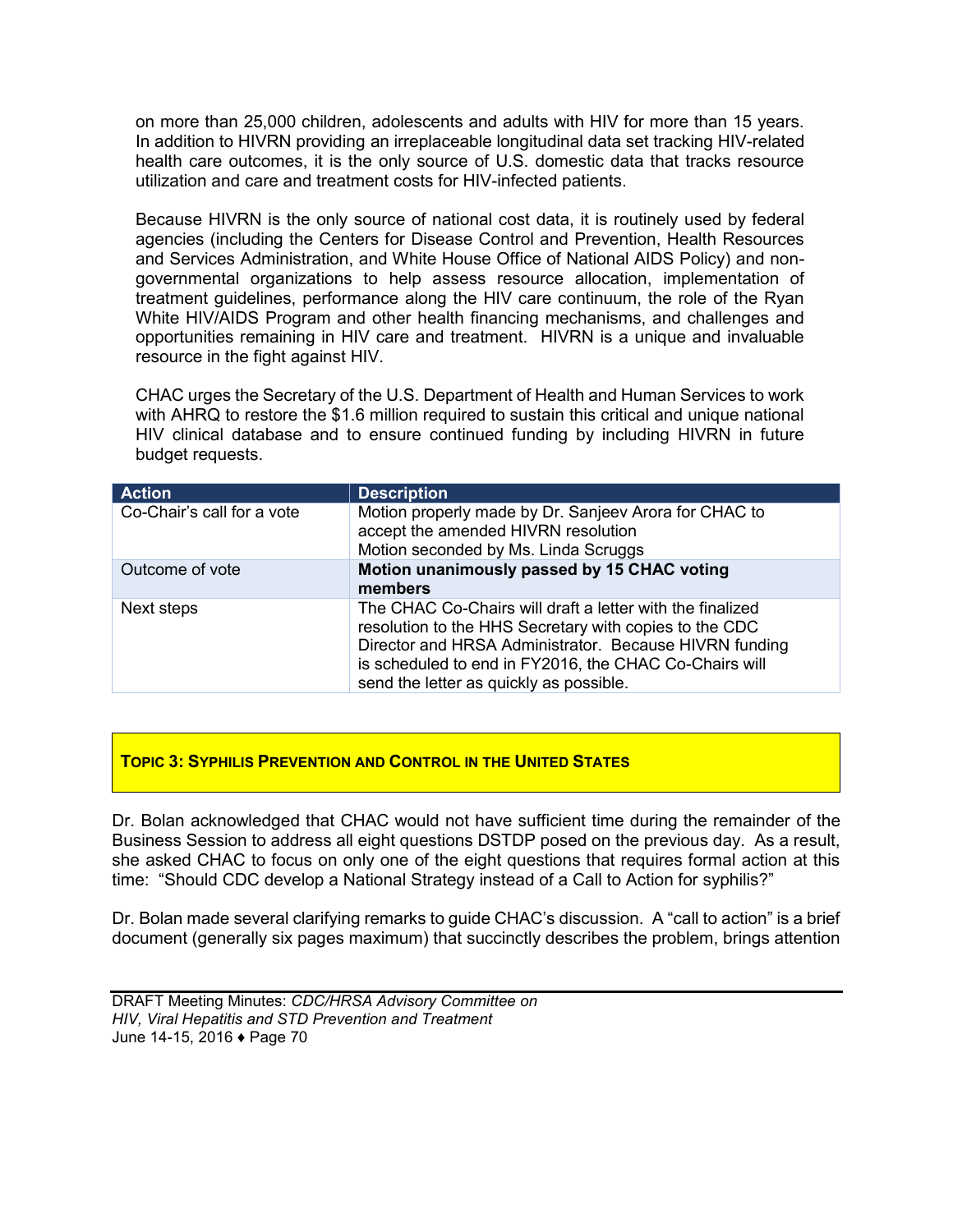on more than 25,000 children, adolescents and adults with HIV for more than 15 years. In addition to HIVRN providing an irreplaceable longitudinal data set tracking HIV-related health care outcomes, it is the only source of U.S. domestic data that tracks resource utilization and care and treatment costs for HIV-infected patients.

Because HIVRN is the only source of national cost data, it is routinely used by federal agencies (including the Centers for Disease Control and Prevention, Health Resources and Services Administration, and White House Office of National AIDS Policy) and nongovernmental organizations to help assess resource allocation, implementation of treatment guidelines, performance along the HIV care continuum, the role of the Ryan White HIV/AIDS Program and other health financing mechanisms, and challenges and opportunities remaining in HIV care and treatment. HIVRN is a unique and invaluable resource in the fight against HIV.

CHAC urges the Secretary of the U.S. Department of Health and Human Services to work with AHRQ to restore the \$1.6 million required to sustain this critical and unique national HIV clinical database and to ensure continued funding by including HIVRN in future budget requests.

| <b>Action</b>              | <b>Description</b>                                                                                                                                                                                                                                                                 |
|----------------------------|------------------------------------------------------------------------------------------------------------------------------------------------------------------------------------------------------------------------------------------------------------------------------------|
| Co-Chair's call for a vote | Motion properly made by Dr. Sanjeev Arora for CHAC to<br>accept the amended HIVRN resolution<br>Motion seconded by Ms. Linda Scruggs                                                                                                                                               |
| Outcome of vote            | Motion unanimously passed by 15 CHAC voting<br>members                                                                                                                                                                                                                             |
| Next steps                 | The CHAC Co-Chairs will draft a letter with the finalized<br>resolution to the HHS Secretary with copies to the CDC<br>Director and HRSA Administrator. Because HIVRN funding<br>is scheduled to end in FY2016, the CHAC Co-Chairs will<br>send the letter as quickly as possible. |

## **TOPIC 3: SYPHILIS PREVENTION AND CONTROL IN THE UNITED STATES**

Dr. Bolan acknowledged that CHAC would not have sufficient time during the remainder of the Business Session to address all eight questions DSTDP posed on the previous day. As a result, she asked CHAC to focus on only one of the eight questions that requires formal action at this time: "Should CDC develop a National Strategy instead of a Call to Action for syphilis?"

Dr. Bolan made several clarifying remarks to guide CHAC's discussion. A "call to action" is a brief document (generally six pages maximum) that succinctly describes the problem, brings attention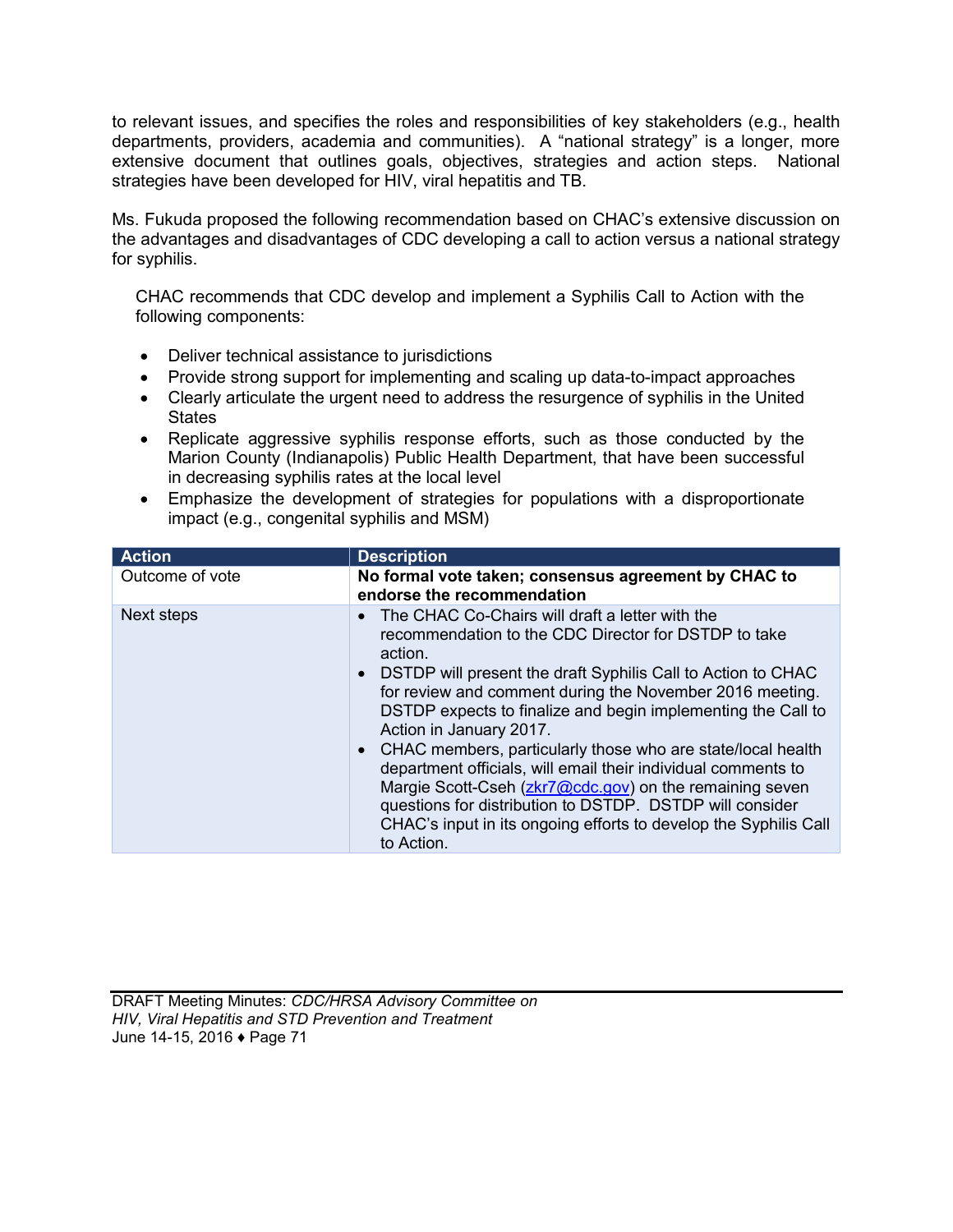to relevant issues, and specifies the roles and responsibilities of key stakeholders (e.g., health departments, providers, academia and communities). A "national strategy" is a longer, more extensive document that outlines goals, objectives, strategies and action steps. National strategies have been developed for HIV, viral hepatitis and TB.

Ms. Fukuda proposed the following recommendation based on CHAC's extensive discussion on the advantages and disadvantages of CDC developing a call to action versus a national strategy for syphilis.

CHAC recommends that CDC develop and implement a Syphilis Call to Action with the following components:

- Deliver technical assistance to jurisdictions
- Provide strong support for implementing and scaling up data-to-impact approaches
- Clearly articulate the urgent need to address the resurgence of syphilis in the United **States**
- Replicate aggressive syphilis response efforts, such as those conducted by the Marion County (Indianapolis) Public Health Department, that have been successful in decreasing syphilis rates at the local level
- Emphasize the development of strategies for populations with a disproportionate impact (e.g., congenital syphilis and MSM)

| <b>Action</b>   | <b>Description</b>                                                                                                                                                                                                                                                                                                                                                                                                                                                                                                                                                                                                                                                                       |
|-----------------|------------------------------------------------------------------------------------------------------------------------------------------------------------------------------------------------------------------------------------------------------------------------------------------------------------------------------------------------------------------------------------------------------------------------------------------------------------------------------------------------------------------------------------------------------------------------------------------------------------------------------------------------------------------------------------------|
| Outcome of vote | No formal vote taken; consensus agreement by CHAC to<br>endorse the recommendation                                                                                                                                                                                                                                                                                                                                                                                                                                                                                                                                                                                                       |
| Next steps      | • The CHAC Co-Chairs will draft a letter with the<br>recommendation to the CDC Director for DSTDP to take<br>action.<br>• DSTDP will present the draft Syphilis Call to Action to CHAC<br>for review and comment during the November 2016 meeting.<br>DSTDP expects to finalize and begin implementing the Call to<br>Action in January 2017.<br>• CHAC members, particularly those who are state/local health<br>department officials, will email their individual comments to<br>Margie Scott-Cseh (zkr7@cdc.gov) on the remaining seven<br>questions for distribution to DSTDP. DSTDP will consider<br>CHAC's input in its ongoing efforts to develop the Syphilis Call<br>to Action. |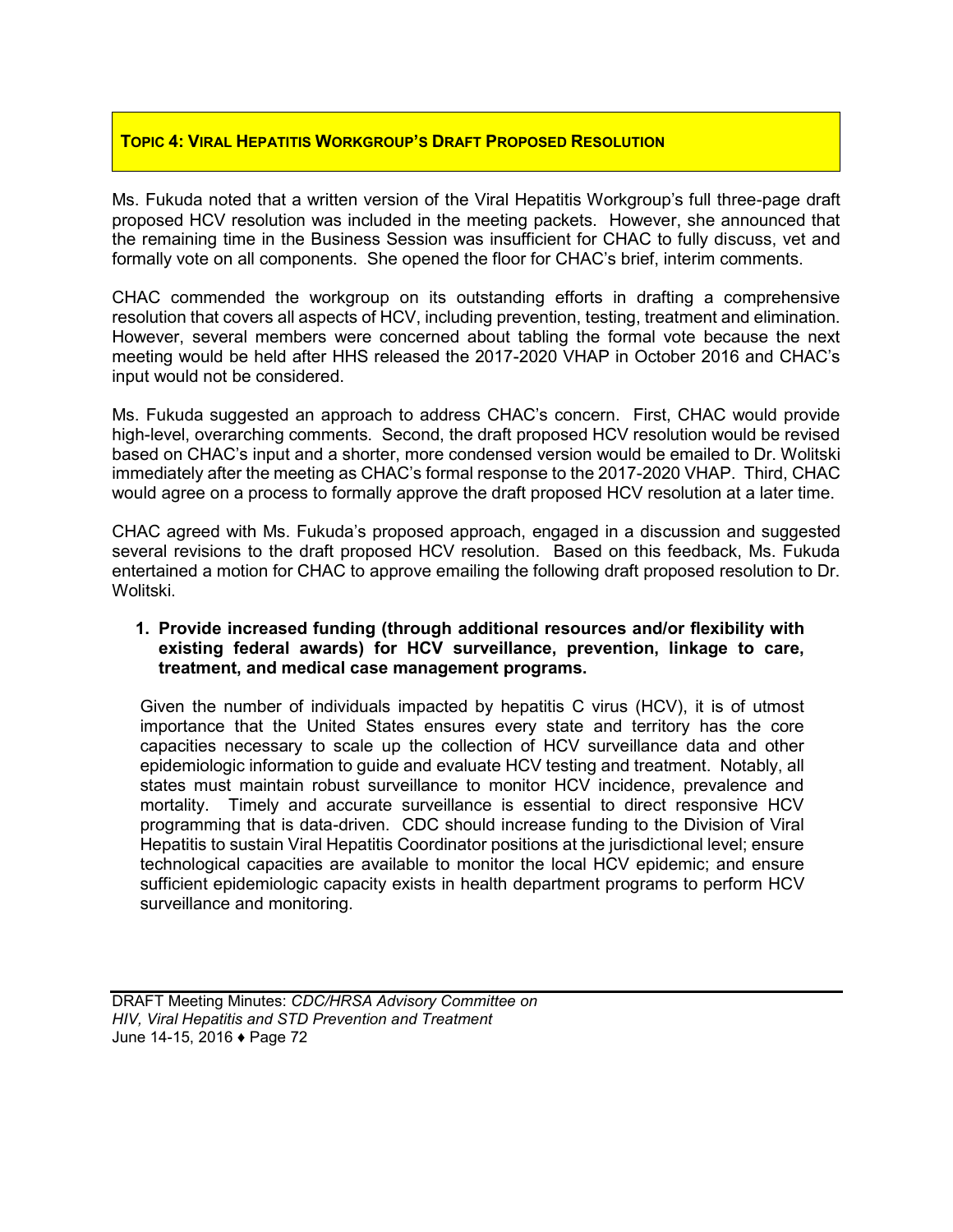### **TOPIC 4: VIRAL HEPATITIS WORKGROUP'S DRAFT PROPOSED RESOLUTION**

Ms. Fukuda noted that a written version of the Viral Hepatitis Workgroup's full three-page draft proposed HCV resolution was included in the meeting packets. However, she announced that the remaining time in the Business Session was insufficient for CHAC to fully discuss, vet and formally vote on all components. She opened the floor for CHAC's brief, interim comments.

CHAC commended the workgroup on its outstanding efforts in drafting a comprehensive resolution that covers all aspects of HCV, including prevention, testing, treatment and elimination. However, several members were concerned about tabling the formal vote because the next meeting would be held after HHS released the 2017-2020 VHAP in October 2016 and CHAC's input would not be considered.

Ms. Fukuda suggested an approach to address CHAC's concern. First, CHAC would provide high-level, overarching comments. Second, the draft proposed HCV resolution would be revised based on CHAC's input and a shorter, more condensed version would be emailed to Dr. Wolitski immediately after the meeting as CHAC's formal response to the 2017-2020 VHAP. Third, CHAC would agree on a process to formally approve the draft proposed HCV resolution at a later time.

CHAC agreed with Ms. Fukuda's proposed approach, engaged in a discussion and suggested several revisions to the draft proposed HCV resolution. Based on this feedback, Ms. Fukuda entertained a motion for CHAC to approve emailing the following draft proposed resolution to Dr. Wolitski.

#### **1. Provide increased funding (through additional resources and/or flexibility with existing federal awards) for HCV surveillance, prevention, linkage to care, treatment, and medical case management programs.**

Given the number of individuals impacted by hepatitis C virus (HCV), it is of utmost importance that the United States ensures every state and territory has the core capacities necessary to scale up the collection of HCV surveillance data and other epidemiologic information to guide and evaluate HCV testing and treatment. Notably, all states must maintain robust surveillance to monitor HCV incidence, prevalence and mortality. Timely and accurate surveillance is essential to direct responsive HCV programming that is data-driven. CDC should increase funding to the Division of Viral Hepatitis to sustain Viral Hepatitis Coordinator positions at the jurisdictional level; ensure technological capacities are available to monitor the local HCV epidemic; and ensure sufficient epidemiologic capacity exists in health department programs to perform HCV surveillance and monitoring.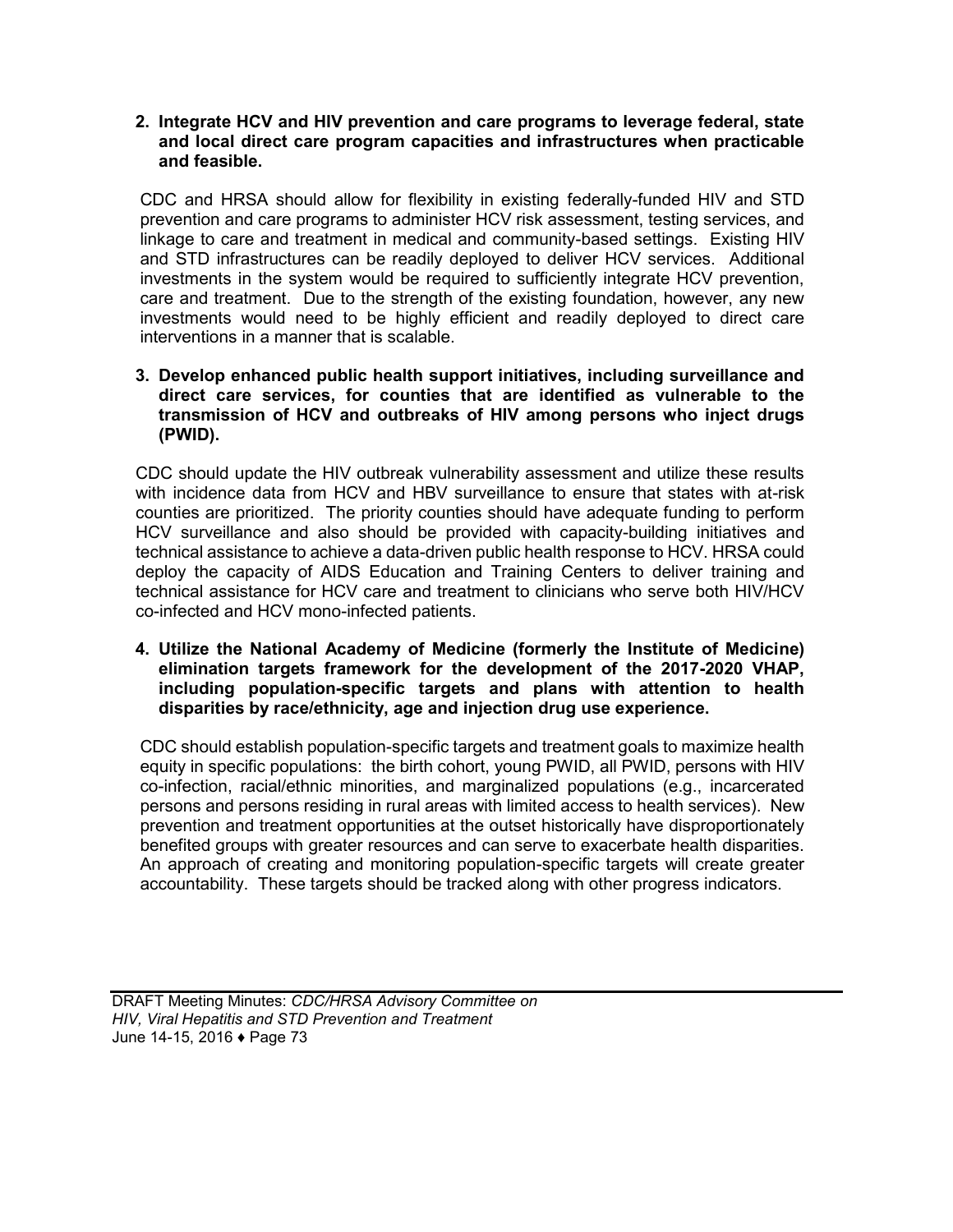#### **2. Integrate HCV and HIV prevention and care programs to leverage federal, state and local direct care program capacities and infrastructures when practicable and feasible.**

CDC and HRSA should allow for flexibility in existing federally-funded HIV and STD prevention and care programs to administer HCV risk assessment, testing services, and linkage to care and treatment in medical and community-based settings. Existing HIV and STD infrastructures can be readily deployed to deliver HCV services. Additional investments in the system would be required to sufficiently integrate HCV prevention, care and treatment. Due to the strength of the existing foundation, however, any new investments would need to be highly efficient and readily deployed to direct care interventions in a manner that is scalable.

### **3. Develop enhanced public health support initiatives, including surveillance and direct care services, for counties that are identified as vulnerable to the transmission of HCV and outbreaks of HIV among persons who inject drugs (PWID).**

CDC should update the HIV outbreak vulnerability assessment and utilize these results with incidence data from HCV and HBV surveillance to ensure that states with at-risk counties are prioritized. The priority counties should have adequate funding to perform HCV surveillance and also should be provided with capacity-building initiatives and technical assistance to achieve a data-driven public health response to HCV. HRSA could deploy the capacity of AIDS Education and Training Centers to deliver training and technical assistance for HCV care and treatment to clinicians who serve both HIV/HCV co-infected and HCV mono-infected patients.

### **4. Utilize the National Academy of Medicine (formerly the Institute of Medicine) elimination targets framework for the development of the 2017-2020 VHAP, including population-specific targets and plans with attention to health disparities by race/ethnicity, age and injection drug use experience.**

CDC should establish population-specific targets and treatment goals to maximize health equity in specific populations: the birth cohort, young PWID, all PWID, persons with HIV co-infection, racial/ethnic minorities, and marginalized populations (e.g., incarcerated persons and persons residing in rural areas with limited access to health services). New prevention and treatment opportunities at the outset historically have disproportionately benefited groups with greater resources and can serve to exacerbate health disparities. An approach of creating and monitoring population-specific targets will create greater accountability. These targets should be tracked along with other progress indicators.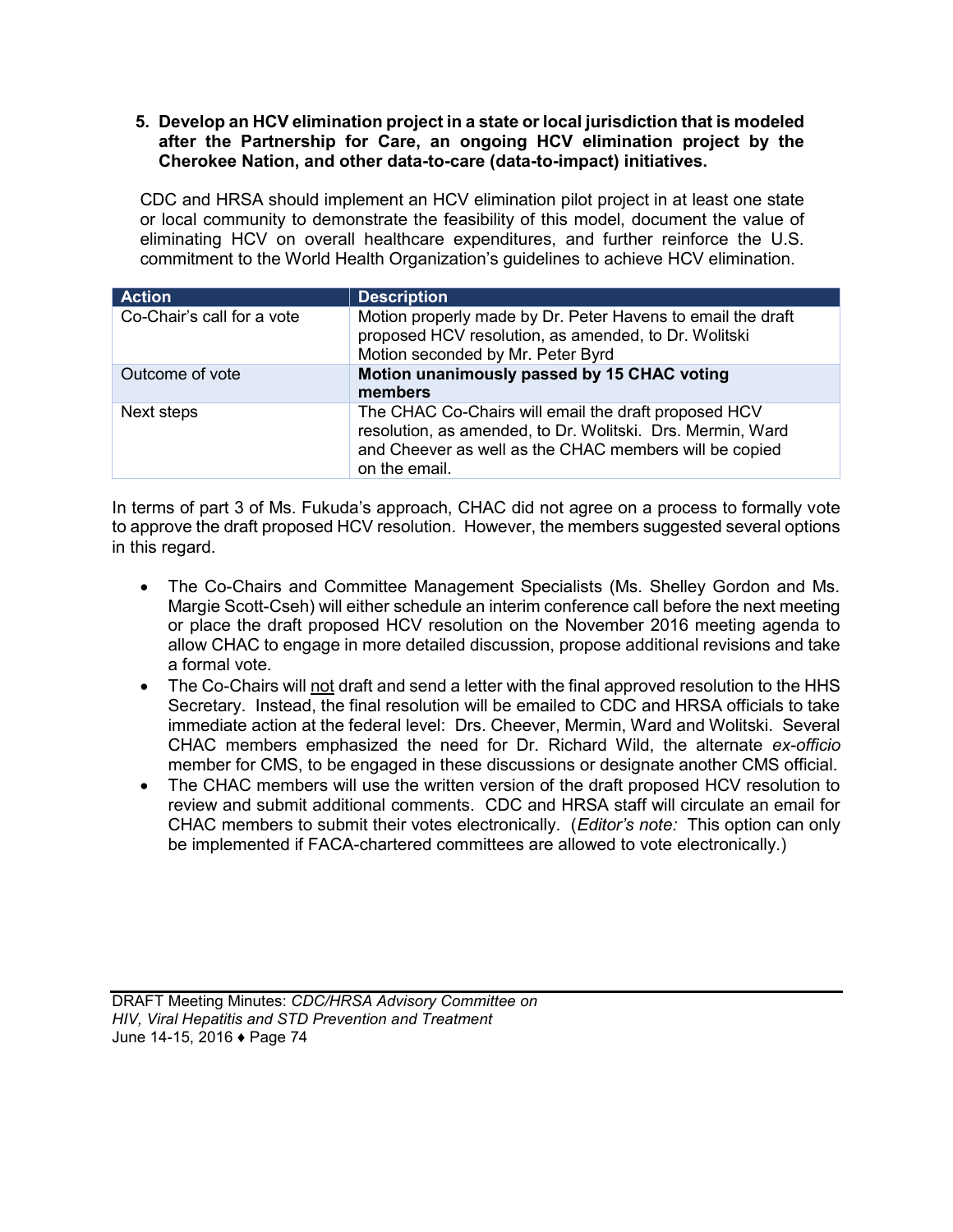### **5. Develop an HCV elimination project in a state or local jurisdiction that is modeled after the Partnership for Care, an ongoing HCV elimination project by the Cherokee Nation, and other data-to-care (data-to-impact) initiatives.**

CDC and HRSA should implement an HCV elimination pilot project in at least one state or local community to demonstrate the feasibility of this model, document the value of eliminating HCV on overall healthcare expenditures, and further reinforce the U.S. commitment to the World Health Organization's guidelines to achieve HCV elimination.

| <b>Action</b>              | <b>Description</b>                                                                                                                                                                            |
|----------------------------|-----------------------------------------------------------------------------------------------------------------------------------------------------------------------------------------------|
| Co-Chair's call for a vote | Motion properly made by Dr. Peter Havens to email the draft<br>proposed HCV resolution, as amended, to Dr. Wolitski<br>Motion seconded by Mr. Peter Byrd                                      |
| Outcome of vote            | Motion unanimously passed by 15 CHAC voting<br>members                                                                                                                                        |
| Next steps                 | The CHAC Co-Chairs will email the draft proposed HCV<br>resolution, as amended, to Dr. Wolitski. Drs. Mermin, Ward<br>and Cheever as well as the CHAC members will be copied<br>on the email. |

In terms of part 3 of Ms. Fukuda's approach, CHAC did not agree on a process to formally vote to approve the draft proposed HCV resolution. However, the members suggested several options in this regard.

- The Co-Chairs and Committee Management Specialists (Ms. Shelley Gordon and Ms. Margie Scott-Cseh) will either schedule an interim conference call before the next meeting or place the draft proposed HCV resolution on the November 2016 meeting agenda to allow CHAC to engage in more detailed discussion, propose additional revisions and take a formal vote.
- The Co-Chairs will not draft and send a letter with the final approved resolution to the HHS Secretary. Instead, the final resolution will be emailed to CDC and HRSA officials to take immediate action at the federal level: Drs. Cheever, Mermin, Ward and Wolitski. Several CHAC members emphasized the need for Dr. Richard Wild, the alternate *ex-officio* member for CMS, to be engaged in these discussions or designate another CMS official.
- The CHAC members will use the written version of the draft proposed HCV resolution to review and submit additional comments. CDC and HRSA staff will circulate an email for CHAC members to submit their votes electronically. (*Editor's note:* This option can only be implemented if FACA-chartered committees are allowed to vote electronically.)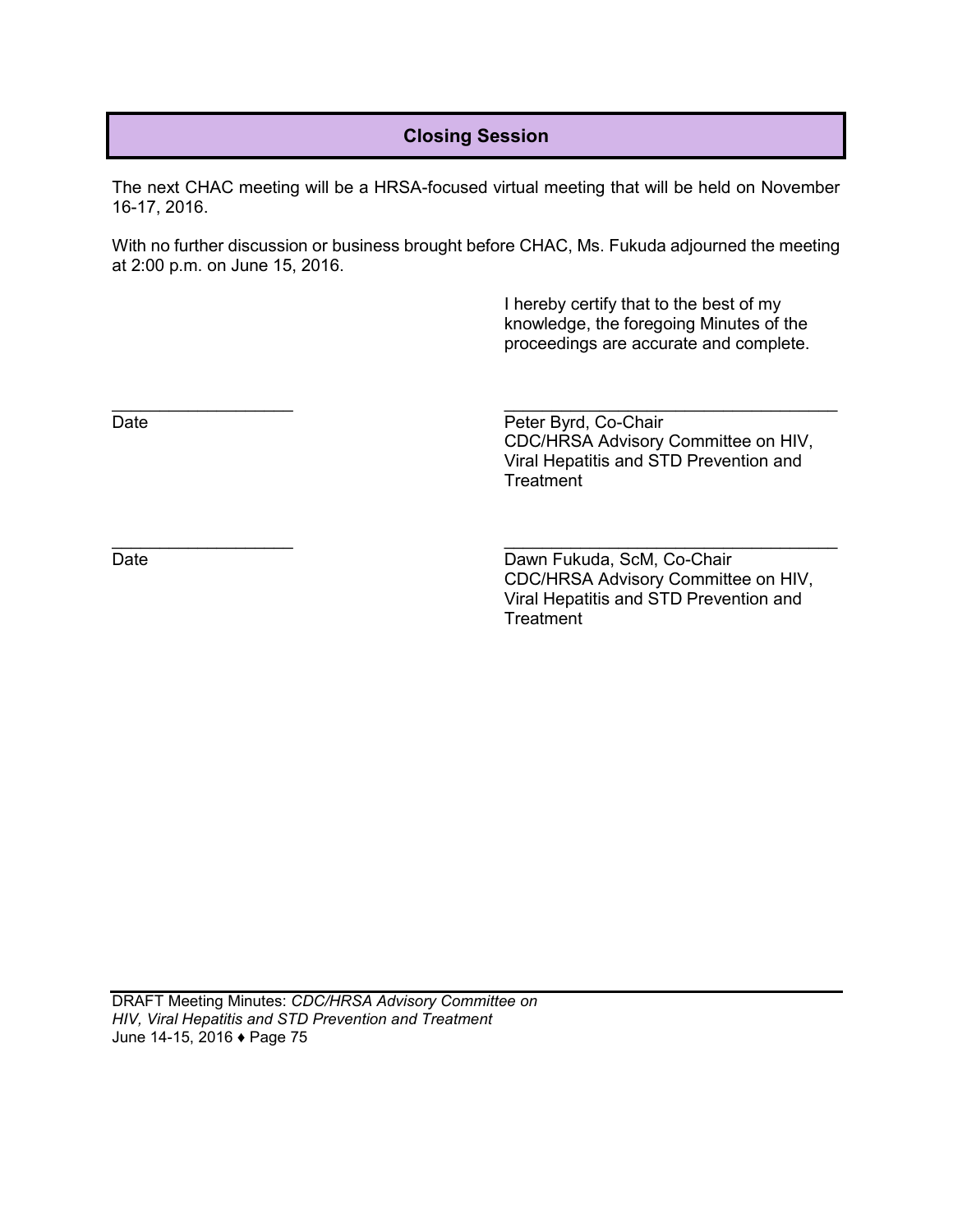# **Closing Session**

The next CHAC meeting will be a HRSA-focused virtual meeting that will be held on November 16-17, 2016.

With no further discussion or business brought before CHAC, Ms. Fukuda adjourned the meeting at 2:00 p.m. on June 15, 2016.

> I hereby certify that to the best of my knowledge, the foregoing Minutes of the proceedings are accurate and complete.

 $\overline{\phantom{a}}$  , and the contract of the contract of the contract of the contract of the contract of the contract of the contract of the contract of the contract of the contract of the contract of the contract of the contrac

Date **Date** Peter Byrd, Co-Chair CDC/HRSA Advisory Committee on HIV, Viral Hepatitis and STD Prevention and **Treatment** 

 $\overline{\phantom{a}}$  , and the contract of the contract of the contract of the contract of the contract of the contract of the contract of the contract of the contract of the contract of the contract of the contract of the contrac

Date Date Dawn Fukuda, ScM, Co-Chair CDC/HRSA Advisory Committee on HIV, Viral Hepatitis and STD Prevention and **Treatment**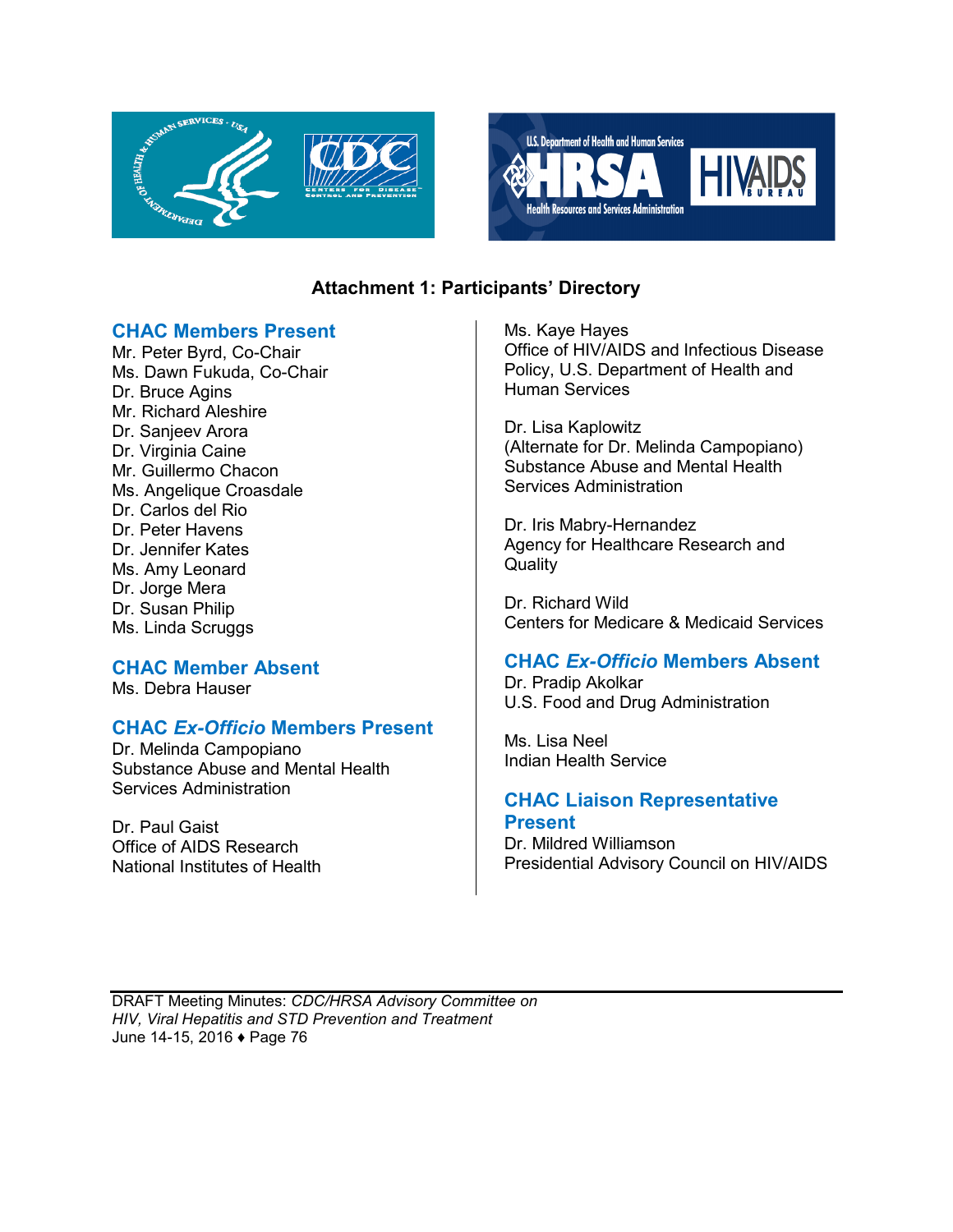



# **Attachment 1: Participants' Directory**

### **CHAC Members Present**

Mr. Peter Byrd, Co-Chair Ms. Dawn Fukuda, Co-Chair Dr. Bruce Agins Mr. Richard Aleshire Dr. Sanjeev Arora Dr. Virginia Caine Mr. Guillermo Chacon Ms. Angelique Croasdale Dr. Carlos del Rio Dr. Peter Havens Dr. Jennifer Kates Ms. Amy Leonard Dr. Jorge Mera Dr. Susan Philip Ms. Linda Scruggs

### **CHAC Member Absent**

Ms. Debra Hauser

# **CHAC** *Ex-Officio* **Members Present**

Dr. Melinda Campopiano Substance Abuse and Mental Health Services Administration

Dr. Paul Gaist Office of AIDS Research National Institutes of Health Ms. Kaye Hayes Office of HIV/AIDS and Infectious Disease Policy, U.S. Department of Health and Human Services

Dr. Lisa Kaplowitz (Alternate for Dr. Melinda Campopiano) Substance Abuse and Mental Health Services Administration

Dr. Iris Mabry-Hernandez Agency for Healthcare Research and **Quality** 

Dr. Richard Wild Centers for Medicare & Medicaid Services

# **CHAC** *Ex-Officio* **Members Absent**

Dr. Pradip Akolkar U.S. Food and Drug Administration

Ms. Lisa Neel Indian Health Service

### **CHAC Liaison Representative Present**

Dr. Mildred Williamson Presidential Advisory Council on HIV/AIDS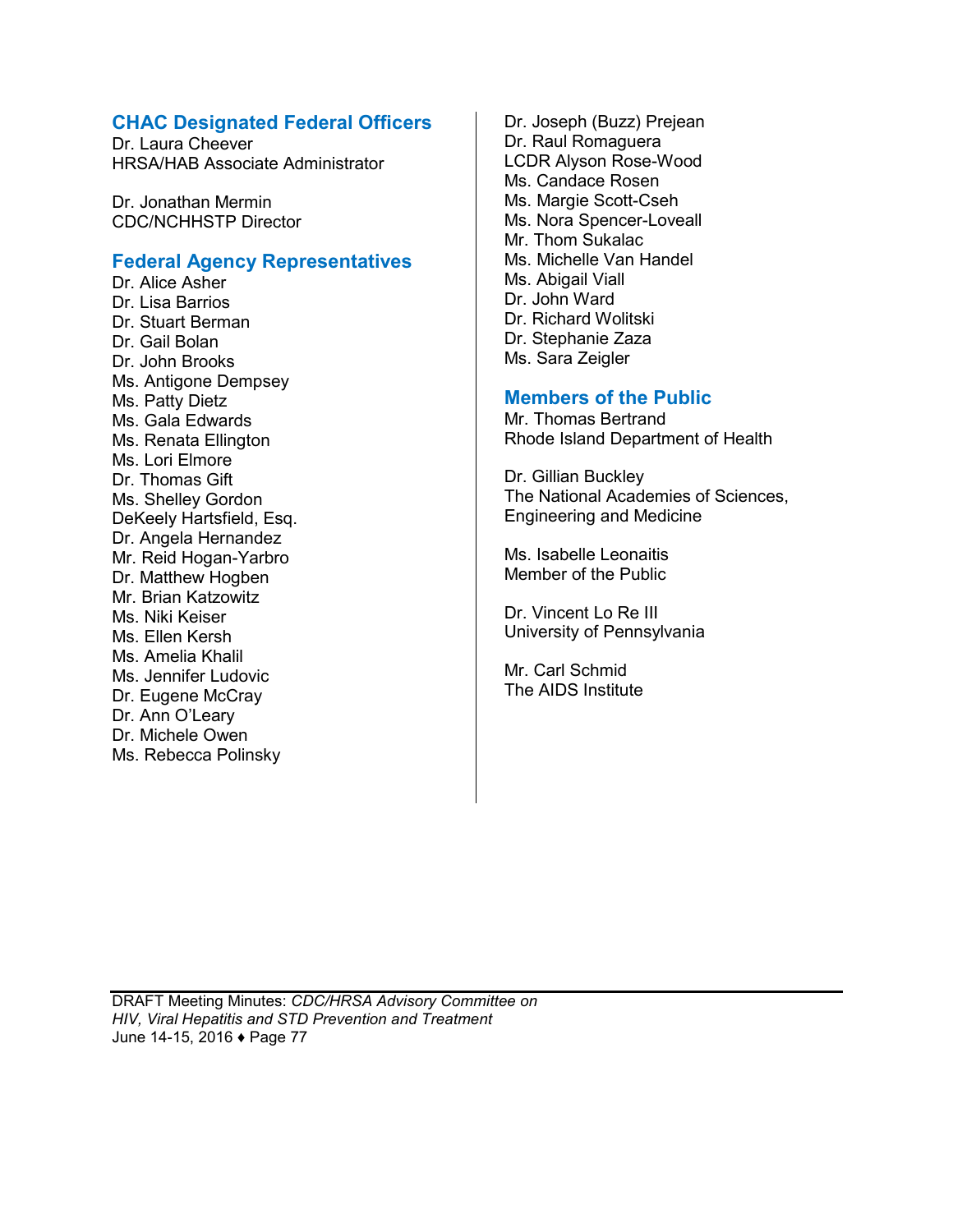### **CHAC Designated Federal Officers**

Dr. Laura Cheever HRSA/HAB Associate Administrator

Dr. Jonathan Mermin CDC/NCHHSTP Director

### **Federal Agency Representatives**

Dr. Alice Asher Dr. Lisa Barrios Dr. Stuart Berman Dr. Gail Bolan Dr. John Brooks Ms. Antigone Dempsey Ms. Patty Dietz Ms. Gala Edwards Ms. Renata Ellington Ms. Lori Elmore Dr. Thomas Gift Ms. Shelley Gordon DeKeely Hartsfield, Esq. Dr. Angela Hernandez Mr. Reid Hogan-Yarbro Dr. Matthew Hogben Mr. Brian Katzowitz Ms. Niki Keiser Ms. Ellen Kersh Ms. Amelia Khalil Ms. Jennifer Ludovic Dr. Eugene McCray Dr. Ann O'Leary Dr. Michele Owen Ms. Rebecca Polinsky

Dr. Joseph (Buzz) Prejean Dr. Raul Romaguera LCDR Alyson Rose-Wood Ms. Candace Rosen Ms. Margie Scott-Cseh Ms. Nora Spencer-Loveall Mr. Thom Sukalac Ms. Michelle Van Handel Ms. Abigail Viall Dr. John Ward Dr. Richard Wolitski Dr. Stephanie Zaza Ms. Sara Zeigler

### **Members of the Public**

Mr. Thomas Bertrand Rhode Island Department of Health

Dr. Gillian Buckley The National Academies of Sciences, Engineering and Medicine

Ms. Isabelle Leonaitis Member of the Public

Dr. Vincent Lo Re III University of Pennsylvania

Mr. Carl Schmid The AIDS Institute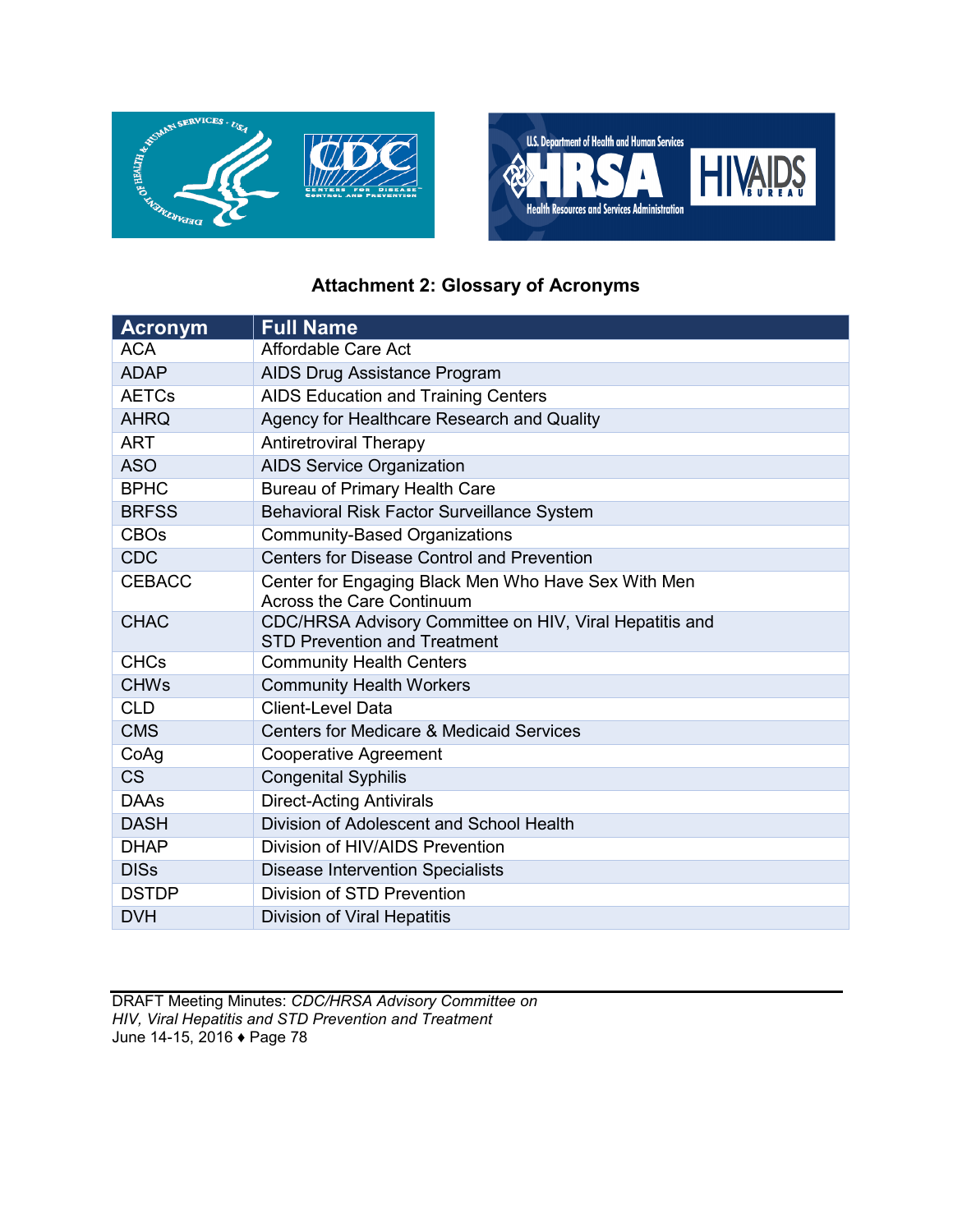



# **Attachment 2: Glossary of Acronyms**

| <b>Acronym</b> | <b>Full Name</b>                                                                               |
|----------------|------------------------------------------------------------------------------------------------|
| <b>ACA</b>     | Affordable Care Act                                                                            |
| <b>ADAP</b>    | AIDS Drug Assistance Program                                                                   |
| <b>AETCs</b>   | AIDS Education and Training Centers                                                            |
| <b>AHRQ</b>    | Agency for Healthcare Research and Quality                                                     |
| <b>ART</b>     | <b>Antiretroviral Therapy</b>                                                                  |
| <b>ASO</b>     | <b>AIDS Service Organization</b>                                                               |
| <b>BPHC</b>    | Bureau of Primary Health Care                                                                  |
| <b>BRFSS</b>   | Behavioral Risk Factor Surveillance System                                                     |
| <b>CBOs</b>    | <b>Community-Based Organizations</b>                                                           |
| <b>CDC</b>     | <b>Centers for Disease Control and Prevention</b>                                              |
| <b>CEBACC</b>  | Center for Engaging Black Men Who Have Sex With Men<br><b>Across the Care Continuum</b>        |
| <b>CHAC</b>    | CDC/HRSA Advisory Committee on HIV, Viral Hepatitis and<br><b>STD Prevention and Treatment</b> |
| <b>CHCs</b>    | <b>Community Health Centers</b>                                                                |
| <b>CHWs</b>    | <b>Community Health Workers</b>                                                                |
| <b>CLD</b>     | <b>Client-Level Data</b>                                                                       |
| <b>CMS</b>     | <b>Centers for Medicare &amp; Medicaid Services</b>                                            |
| CoAg           | <b>Cooperative Agreement</b>                                                                   |
| <b>CS</b>      | <b>Congenital Syphilis</b>                                                                     |
| <b>DAAs</b>    | <b>Direct-Acting Antivirals</b>                                                                |
| <b>DASH</b>    | Division of Adolescent and School Health                                                       |
| <b>DHAP</b>    | Division of HIV/AIDS Prevention                                                                |
| <b>DISs</b>    | <b>Disease Intervention Specialists</b>                                                        |
| <b>DSTDP</b>   | Division of STD Prevention                                                                     |
| <b>DVH</b>     | Division of Viral Hepatitis                                                                    |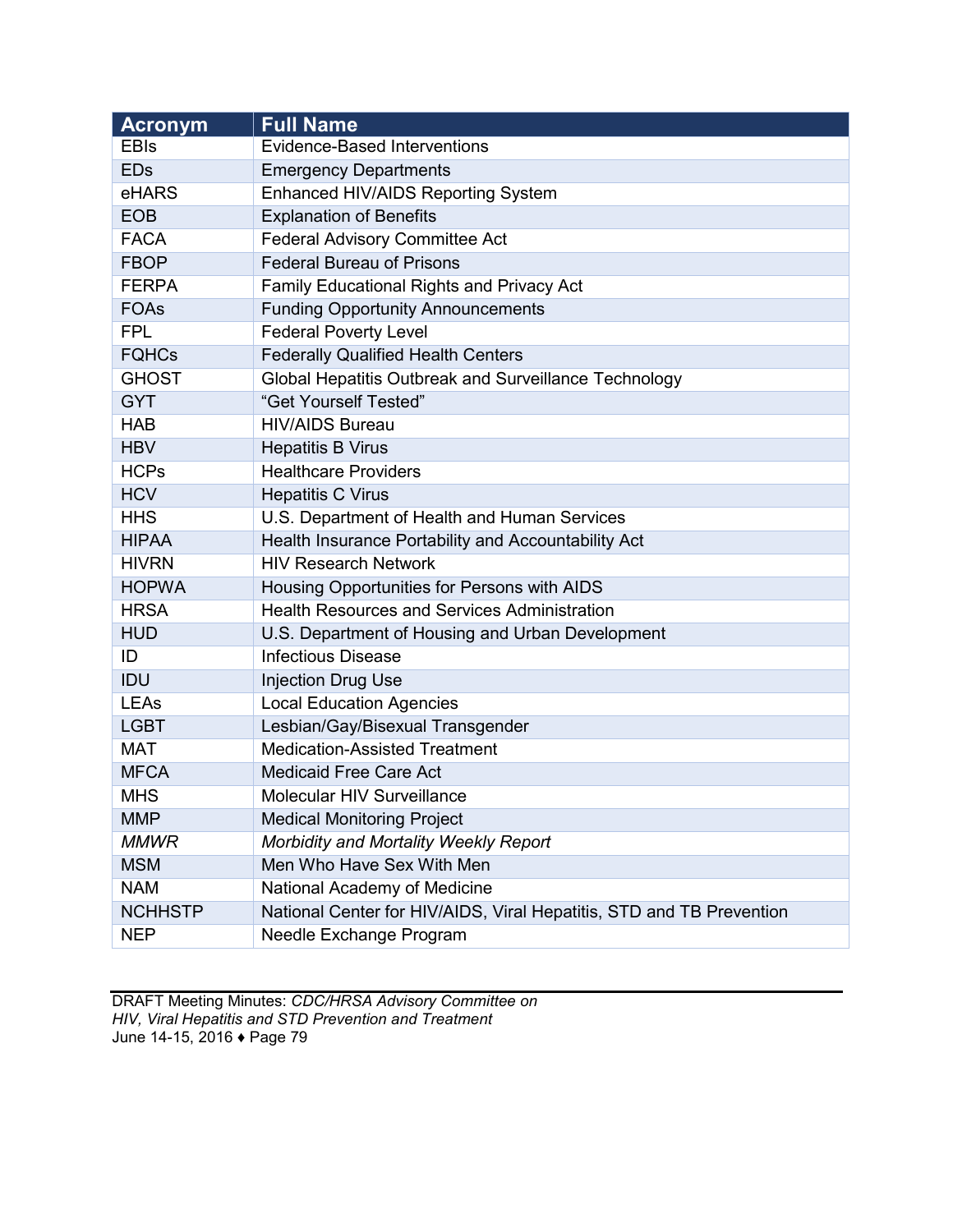| <b>Acronym</b> | <b>Full Name</b>                                                     |
|----------------|----------------------------------------------------------------------|
| <b>EBIs</b>    | <b>Evidence-Based Interventions</b>                                  |
| <b>EDs</b>     | <b>Emergency Departments</b>                                         |
| eHARS          | Enhanced HIV/AIDS Reporting System                                   |
| <b>EOB</b>     | <b>Explanation of Benefits</b>                                       |
| <b>FACA</b>    | Federal Advisory Committee Act                                       |
| <b>FBOP</b>    | <b>Federal Bureau of Prisons</b>                                     |
| <b>FERPA</b>   | Family Educational Rights and Privacy Act                            |
| <b>FOAs</b>    | <b>Funding Opportunity Announcements</b>                             |
| <b>FPL</b>     | <b>Federal Poverty Level</b>                                         |
| <b>FQHCs</b>   | <b>Federally Qualified Health Centers</b>                            |
| <b>GHOST</b>   | Global Hepatitis Outbreak and Surveillance Technology                |
| <b>GYT</b>     | "Get Yourself Tested"                                                |
| <b>HAB</b>     | <b>HIV/AIDS Bureau</b>                                               |
| <b>HBV</b>     | <b>Hepatitis B Virus</b>                                             |
| <b>HCPs</b>    | <b>Healthcare Providers</b>                                          |
| <b>HCV</b>     | <b>Hepatitis C Virus</b>                                             |
| <b>HHS</b>     | U.S. Department of Health and Human Services                         |
| <b>HIPAA</b>   | Health Insurance Portability and Accountability Act                  |
| <b>HIVRN</b>   | <b>HIV Research Network</b>                                          |
| <b>HOPWA</b>   | Housing Opportunities for Persons with AIDS                          |
| <b>HRSA</b>    | <b>Health Resources and Services Administration</b>                  |
| <b>HUD</b>     | U.S. Department of Housing and Urban Development                     |
| ID             | <b>Infectious Disease</b>                                            |
| <b>IDU</b>     | <b>Injection Drug Use</b>                                            |
| <b>LEAs</b>    | <b>Local Education Agencies</b>                                      |
| <b>LGBT</b>    | Lesbian/Gay/Bisexual Transgender                                     |
| <b>MAT</b>     | <b>Medication-Assisted Treatment</b>                                 |
| <b>MFCA</b>    | <b>Medicaid Free Care Act</b>                                        |
| <b>MHS</b>     | Molecular HIV Surveillance                                           |
| <b>MMP</b>     | <b>Medical Monitoring Project</b>                                    |
| <b>MMWR</b>    | Morbidity and Mortality Weekly Report                                |
| <b>MSM</b>     | Men Who Have Sex With Men                                            |
| <b>NAM</b>     | National Academy of Medicine                                         |
| <b>NCHHSTP</b> | National Center for HIV/AIDS, Viral Hepatitis, STD and TB Prevention |
| <b>NEP</b>     | Needle Exchange Program                                              |